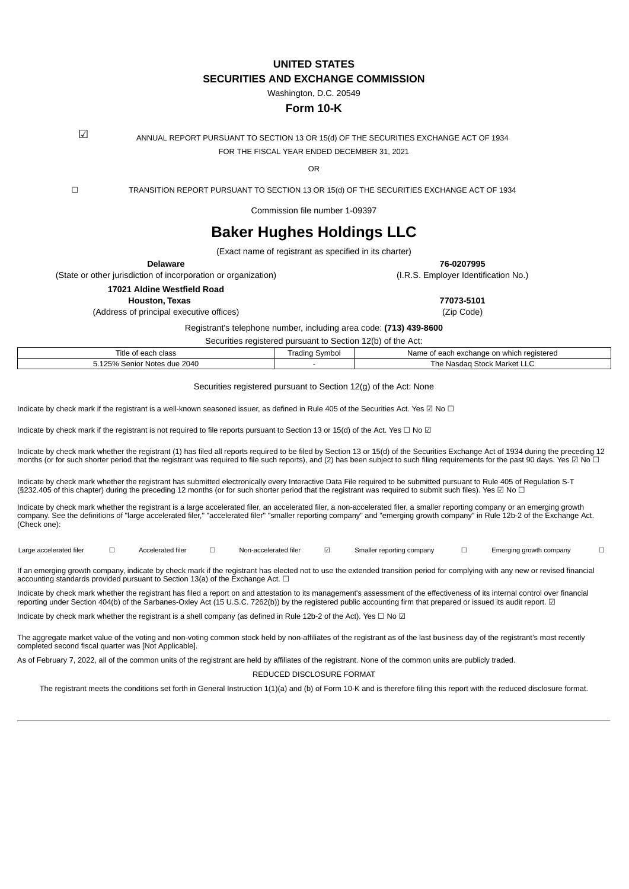**UNITED STATES SECURITIES AND EXCHANGE COMMISSION**

Washington, D.C. 20549

## **Form 10-K**

☑ ANNUAL REPORT PURSUANT TO SECTION <sup>13</sup> OR 15(d) OF THE SECURITIES EXCHANGE ACT OF <sup>1934</sup> FOR THE FISCAL YEAR ENDED DECEMBER 31, 2021

OR

☐ TRANSITION REPORT PURSUANT TO SECTION 13 OR 15(d) OF THE SECURITIES EXCHANGE ACT OF 1934

Commission file number 1-09397

# **Baker Hughes Holdings LLC**

(Exact name of registrant as specified in its charter)

**Delaware 76-0207995**

(State or other jurisdiction of incorporation or organization) (I.R.S. Employer Identification No.)

**17021 Aldine Westfield Road**

(Address of principal executive offices) (Zip Code)

**Houston, Texas 77073-5101**

Registrant's telephone number, including area code: **(713) 439-8600**

Securities registered pursuant to Section 12(b) of the Act:

| Γitle<br>, of each<br>alors <sup>*</sup><br>uass           | $-$<br>Trading<br>. Svmbo | ' reaistered<br>Name<br>$\cap$<br>:hange<br>which<br>ı ex<br>adul 1<br>u<br>$\cdot$ |
|------------------------------------------------------------|---------------------------|-------------------------------------------------------------------------------------|
| 2040<br>$125%$ .<br><b>Notes</b><br>due<br>Senior<br>. ـ ت |                           | . Stock Market LLC<br>Nasdad<br>l ne                                                |

Securities registered pursuant to Section 12(g) of the Act: None

Indicate by check mark if the registrant is a well-known seasoned issuer, as defined in Rule 405 of the Securities Act. Yes  $\boxtimes$  No  $\Box$ 

Indicate by check mark if the registrant is not required to file reports pursuant to Section 13 or 15(d) of the Act. Yes  $\Box$  No  $\Box$ 

Indicate by check mark whether the registrant (1) has filed all reports required to be filed by Section 13 or 15(d) of the Securities Exchange Act of 1934 during the preceding 12 months (or for such shorter period that the registrant was required to file such reports), and (2) has been subject to such filing requirements for the past 90 days. Yes ☑ No □

Indicate by check mark whether the registrant has submitted electronically every Interactive Data File required to be submitted pursuant to Rule 405 of Regulation S-T (§232.405 of this chapter) during the preceding 12 months (or for such shorter period that the registrant was required to submit such files). Yes ☑ No □

Indicate by check mark whether the registrant is a large accelerated filer, an accelerated filer, a non-accelerated filer, a smaller reporting company or an emerging growth company. See the definitions of "large accelerated filer," "accelerated filer" "smaller reporting company" and "emerging growth company" in Rule 12b-2 of the Exchange Act. (Check one):

Large accelerated filer □ Accelerated filer □ Non-accelerated filer □ Smaller reporting company □ Emerging growth company □

If an emerging growth company, indicate by check mark if the registrant has elected not to use the extended transition period for complying with any new or revised financial accounting standards provided pursuant to Section 13(a) of the Exchange Act.  $\Box$ 

Indicate by check mark whether the registrant has filed a report on and attestation to its management's assessment of the effectiveness of its internal control over financial reporting under Section 404(b) of the Sarbanes-Oxley Act (15 U.S.C. 7262(b)) by the registered public accounting firm that prepared or issued its audit report. ☑

Indicate by check mark whether the registrant is a shell company (as defined in Rule 12b-2 of the Act). Yes □ No ☑

The aggregate market value of the voting and non-voting common stock held by non-affiliates of the registrant as of the last business day of the registrant's most recently completed second fiscal quarter was [Not Applicable].

As of February 7, 2022, all of the common units of the registrant are held by affiliates of the registrant. None of the common units are publicly traded.

#### REDUCED DISCLOSURE FORMAT

The registrant meets the conditions set forth in General Instruction 1(1)(a) and (b) of Form 10-K and is therefore filing this report with the reduced disclosure format.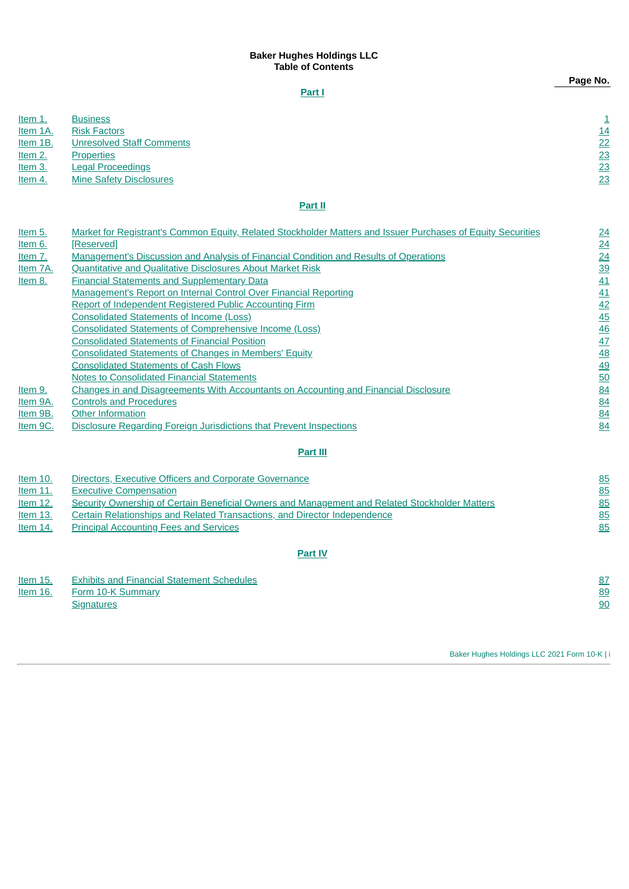## **Baker Hughes Holdings LLC Table of Contents**

## **[Part](#page-1-0) I**

| Item $1$ . | <b>Business</b>                                                                                              |    |
|------------|--------------------------------------------------------------------------------------------------------------|----|
| Item 1A.   | <b>Risk Factors</b>                                                                                          | 14 |
| Item 1B.   | <b>Unresolved Staff Comments</b>                                                                             | 22 |
| Item 2.    | <b>Properties</b>                                                                                            | 23 |
| Item 3.    | <b>Legal Proceedings</b>                                                                                     | 23 |
| Item 4.    | <b>Mine Safety Disclosures</b>                                                                               | 23 |
|            | <b>Part II</b>                                                                                               |    |
|            |                                                                                                              |    |
| Item 5.    | Market for Registrant's Common Equity, Related Stockholder Matters and Issuer Purchases of Equity Securities | 24 |
| Item 6.    | [Reserved]                                                                                                   | 24 |
| Item 7.    | <b>Management's Discussion and Analysis of Financial Condition and Results of Operations</b>                 | 24 |

| Item 5.  | Market for Registrant's Common Equity, Related Stockholder Matters and Issuer Purchases of Equity Securities | 24        |
|----------|--------------------------------------------------------------------------------------------------------------|-----------|
| Item 6.  | [Reserved]                                                                                                   | 24        |
| Item 7.  | <b>Management's Discussion and Analysis of Financial Condition and Results of Operations</b>                 | 24        |
| Item 7A. | Quantitative and Qualitative Disclosures About Market Risk                                                   | 39        |
| Item 8.  | <b>Financial Statements and Supplementary Data</b>                                                           | 41        |
|          | <b>Management's Report on Internal Control Over Financial Reporting</b>                                      | 41        |
|          | <b>Report of Independent Registered Public Accounting Firm</b>                                               | 42        |
|          | <b>Consolidated Statements of Income (Loss)</b>                                                              | 45        |
|          | <b>Consolidated Statements of Comprehensive Income (Loss)</b>                                                | 46        |
|          | <b>Consolidated Statements of Financial Position</b>                                                         | 47        |
|          | <b>Consolidated Statements of Changes in Members' Equity</b>                                                 | <u>48</u> |
|          | <b>Consolidated Statements of Cash Flows</b>                                                                 | 49        |
|          | Notes to Consolidated Financial Statements                                                                   | 50        |
| Item 9.  | Changes in and Disagreements With Accountants on Accounting and Financial Disclosure                         | 84        |
| Item 9A. | <b>Controls and Procedures</b>                                                                               | 84        |
| Item 9B. | Other Information                                                                                            | 84        |
| Item 9C. | <b>Disclosure Regarding Foreign Jurisdictions that Prevent Inspections</b>                                   | 84        |

## **[Part](#page-85-4) III**

| Item 10. | Directors, Executive Officers and Corporate Governance                                         | 85 |
|----------|------------------------------------------------------------------------------------------------|----|
| Item 11. | <b>Executive Compensation</b>                                                                  | 85 |
| Item 12. | Security Ownership of Certain Beneficial Owners and Management and Related Stockholder Matters | 85 |
| Item 13. | Certain Relationships and Related Transactions, and Director Independence                      | 85 |
| Item 14. | <b>Principal Accounting Fees and Services</b>                                                  | 85 |
|          |                                                                                                |    |

## **[Part](#page-87-0) IV**

<span id="page-1-0"></span>

| Item 15.   | <b>Exhibits and Financial Statement Schedules</b> |  |
|------------|---------------------------------------------------|--|
| Item $16.$ | Form 10-K Summary                                 |  |
|            | Signatures                                        |  |

Baker Hughes Holdings LLC 2021 Form 10-K | i

**Page No.**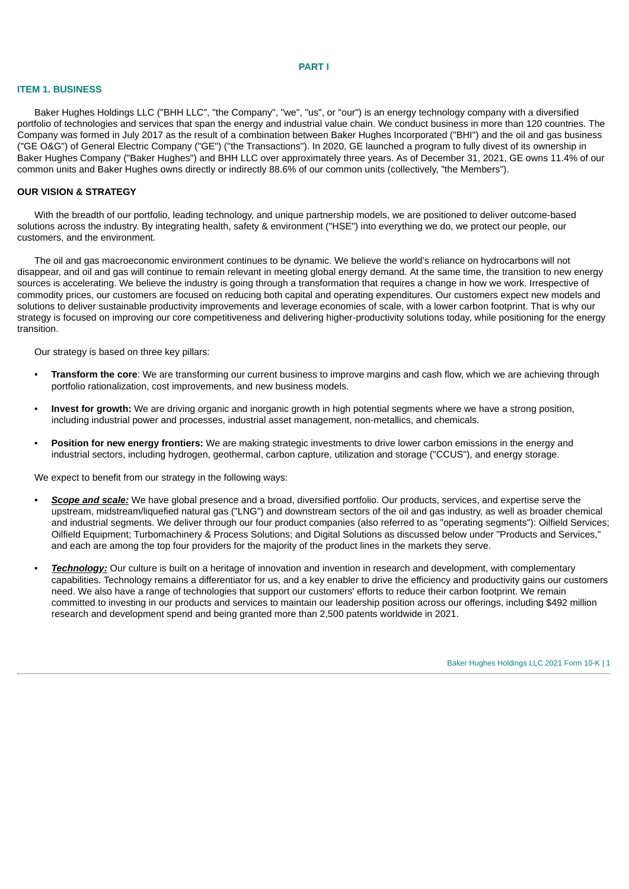#### **PART I**

#### <span id="page-2-0"></span>**ITEM 1. BUSINESS**

Baker Hughes Holdings LLC ("BHH LLC", "the Company", "we", "us", or "our") is an energy technology company with a diversified portfolio of technologies and services that span the energy and industrial value chain. We conduct business in more than 120 countries. The Company was formed in July 2017 as the result of a combination between Baker Hughes Incorporated ("BHI") and the oil and gas business ("GE O&G") of General Electric Company ("GE") ("the Transactions"). In 2020, GE launched a program to fully divest of its ownership in Baker Hughes Company ("Baker Hughes") and BHH LLC over approximately three years. As of December 31, 2021, GE owns 11.4% of our common units and Baker Hughes owns directly or indirectly 88.6% of our common units (collectively, "the Members").

#### **OUR VISION & STRATEGY**

With the breadth of our portfolio, leading technology, and unique partnership models, we are positioned to deliver outcome-based solutions across the industry. By integrating health, safety & environment ("HSE") into everything we do, we protect our people, our customers, and the environment.

The oil and gas macroeconomic environment continues to be dynamic. We believe the world's reliance on hydrocarbons will not disappear, and oil and gas will continue to remain relevant in meeting global energy demand. At the same time, the transition to new energy sources is accelerating. We believe the industry is going through a transformation that requires a change in how we work. Irrespective of commodity prices, our customers are focused on reducing both capital and operating expenditures. Our customers expect new models and solutions to deliver sustainable productivity improvements and leverage economies of scale, with a lower carbon footprint. That is why our strategy is focused on improving our core competitiveness and delivering higher-productivity solutions today, while positioning for the energy transition.

Our strategy is based on three key pillars:

- **Transform the core**: We are transforming our current business to improve margins and cash flow, which we are achieving through portfolio rationalization, cost improvements, and new business models.
- **Invest for growth:** We are driving organic and inorganic growth in high potential segments where we have a strong position, including industrial power and processes, industrial asset management, non-metallics, and chemicals.
- **Position for new energy frontiers:** We are making strategic investments to drive lower carbon emissions in the energy and industrial sectors, including hydrogen, geothermal, carbon capture, utilization and storage ("CCUS"), and energy storage.

We expect to benefit from our strategy in the following ways:

- *• Scope and scale:* We have global presence and a broad, diversified portfolio. Our products, services, and expertise serve the upstream, midstream/liquefied natural gas ("LNG") and downstream sectors of the oil and gas industry, as well as broader chemical and industrial segments. We deliver through our four product companies (also referred to as "operating segments"): Oilfield Services; Oilfield Equipment; Turbomachinery & Process Solutions; and Digital Solutions as discussed below under "Products and Services," and each are among the top four providers for the majority of the product lines in the markets they serve.
- *Technology:* Our culture is built on a heritage of innovation and invention in research and development, with complementary capabilities. Technology remains a differentiator for us, and a key enabler to drive the efficiency and productivity gains our customers need. We also have a range of technologies that support our customers' efforts to reduce their carbon footprint. We remain committed to investing in our products and services to maintain our leadership position across our offerings, including \$492 million research and development spend and being granted more than 2,500 patents worldwide in 2021.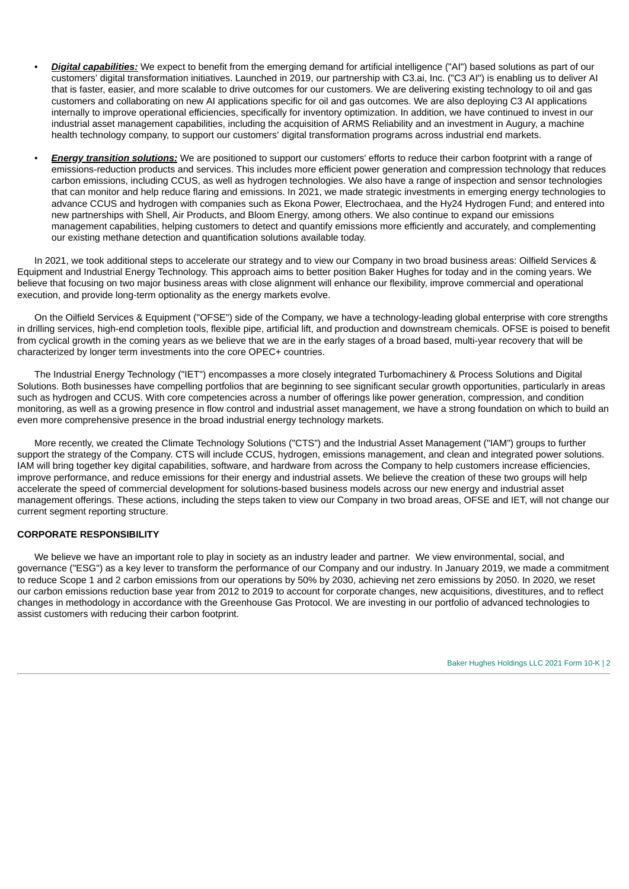- *Digital capabilities:* We expect to benefit from the emerging demand for artificial intelligence ("AI") based solutions as part of our customers' digital transformation initiatives. Launched in 2019, our partnership with C3.ai, Inc. ("C3 AI") is enabling us to deliver AI that is faster, easier, and more scalable to drive outcomes for our customers. We are delivering existing technology to oil and gas customers and collaborating on new AI applications specific for oil and gas outcomes. We are also deploying C3 AI applications internally to improve operational efficiencies, specifically for inventory optimization. In addition, we have continued to invest in our industrial asset management capabilities, including the acquisition of ARMS Reliability and an investment in Augury, a machine health technology company, to support our customers' digital transformation programs across industrial end markets.
- *Energy transition solutions:* We are positioned to support our customers' efforts to reduce their carbon footprint with a range of emissions-reduction products and services. This includes more efficient power generation and compression technology that reduces carbon emissions, including CCUS, as well as hydrogen technologies. We also have a range of inspection and sensor technologies that can monitor and help reduce flaring and emissions. In 2021, we made strategic investments in emerging energy technologies to advance CCUS and hydrogen with companies such as Ekona Power, Electrochaea, and the Hy24 Hydrogen Fund; and entered into new partnerships with Shell, Air Products, and Bloom Energy, among others. We also continue to expand our emissions management capabilities, helping customers to detect and quantify emissions more efficiently and accurately, and complementing our existing methane detection and quantification solutions available today.

In 2021, we took additional steps to accelerate our strategy and to view our Company in two broad business areas: Oilfield Services & Equipment and Industrial Energy Technology. This approach aims to better position Baker Hughes for today and in the coming years. We believe that focusing on two major business areas with close alignment will enhance our flexibility, improve commercial and operational execution, and provide long-term optionality as the energy markets evolve.

On the Oilfield Services & Equipment ("OFSE") side of the Company, we have a technology-leading global enterprise with core strengths in drilling services, high-end completion tools, flexible pipe, artificial lift, and production and downstream chemicals. OFSE is poised to benefit from cyclical growth in the coming years as we believe that we are in the early stages of a broad based, multi-year recovery that will be characterized by longer term investments into the core OPEC+ countries.

The Industrial Energy Technology ("IET") encompasses a more closely integrated Turbomachinery & Process Solutions and Digital Solutions. Both businesses have compelling portfolios that are beginning to see significant secular growth opportunities, particularly in areas such as hydrogen and CCUS. With core competencies across a number of offerings like power generation, compression, and condition monitoring, as well as a growing presence in flow control and industrial asset management, we have a strong foundation on which to build an even more comprehensive presence in the broad industrial energy technology markets.

More recently, we created the Climate Technology Solutions ("CTS") and the Industrial Asset Management ("IAM") groups to further support the strategy of the Company. CTS will include CCUS, hydrogen, emissions management, and clean and integrated power solutions. IAM will bring together key digital capabilities, software, and hardware from across the Company to help customers increase efficiencies, improve performance, and reduce emissions for their energy and industrial assets. We believe the creation of these two groups will help accelerate the speed of commercial development for solutions-based business models across our new energy and industrial asset management offerings. These actions, including the steps taken to view our Company in two broad areas, OFSE and IET, will not change our current segment reporting structure.

## **CORPORATE RESPONSIBILITY**

We believe we have an important role to play in society as an industry leader and partner. We view environmental, social, and governance ("ESG") as a key lever to transform the performance of our Company and our industry. In January 2019, we made a commitment to reduce Scope 1 and 2 carbon emissions from our operations by 50% by 2030, achieving net zero emissions by 2050. In 2020, we reset our carbon emissions reduction base year from 2012 to 2019 to account for corporate changes, new acquisitions, divestitures, and to reflect changes in methodology in accordance with the Greenhouse Gas Protocol. We are investing in our portfolio of advanced technologies to assist customers with reducing their carbon footprint.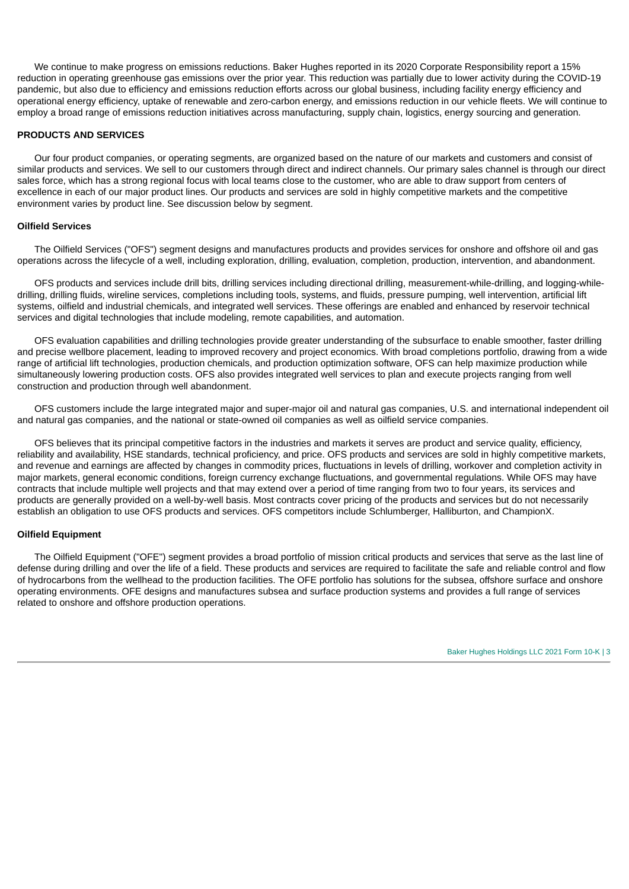We continue to make progress on emissions reductions. Baker Hughes reported in its 2020 Corporate Responsibility report a 15% reduction in operating greenhouse gas emissions over the prior year. This reduction was partially due to lower activity during the COVID-19 pandemic, but also due to efficiency and emissions reduction efforts across our global business, including facility energy efficiency and operational energy efficiency, uptake of renewable and zero-carbon energy, and emissions reduction in our vehicle fleets. We will continue to employ a broad range of emissions reduction initiatives across manufacturing, supply chain, logistics, energy sourcing and generation.

## **PRODUCTS AND SERVICES**

Our four product companies, or operating segments, are organized based on the nature of our markets and customers and consist of similar products and services. We sell to our customers through direct and indirect channels. Our primary sales channel is through our direct sales force, which has a strong regional focus with local teams close to the customer, who are able to draw support from centers of excellence in each of our major product lines. Our products and services are sold in highly competitive markets and the competitive environment varies by product line. See discussion below by segment.

## **Oilfield Services**

The Oilfield Services ("OFS") segment designs and manufactures products and provides services for onshore and offshore oil and gas operations across the lifecycle of a well, including exploration, drilling, evaluation, completion, production, intervention, and abandonment.

OFS products and services include drill bits, drilling services including directional drilling, measurement-while-drilling, and logging-whiledrilling, drilling fluids, wireline services, completions including tools, systems, and fluids, pressure pumping, well intervention, artificial lift systems, oilfield and industrial chemicals, and integrated well services. These offerings are enabled and enhanced by reservoir technical services and digital technologies that include modeling, remote capabilities, and automation.

OFS evaluation capabilities and drilling technologies provide greater understanding of the subsurface to enable smoother, faster drilling and precise wellbore placement, leading to improved recovery and project economics. With broad completions portfolio, drawing from a wide range of artificial lift technologies, production chemicals, and production optimization software, OFS can help maximize production while simultaneously lowering production costs. OFS also provides integrated well services to plan and execute projects ranging from well construction and production through well abandonment.

OFS customers include the large integrated major and super-major oil and natural gas companies, U.S. and international independent oil and natural gas companies, and the national or state-owned oil companies as well as oilfield service companies.

OFS believes that its principal competitive factors in the industries and markets it serves are product and service quality, efficiency, reliability and availability, HSE standards, technical proficiency, and price. OFS products and services are sold in highly competitive markets, and revenue and earnings are affected by changes in commodity prices, fluctuations in levels of drilling, workover and completion activity in major markets, general economic conditions, foreign currency exchange fluctuations, and governmental regulations. While OFS may have contracts that include multiple well projects and that may extend over a period of time ranging from two to four years, its services and products are generally provided on a well-by-well basis. Most contracts cover pricing of the products and services but do not necessarily establish an obligation to use OFS products and services. OFS competitors include Schlumberger, Halliburton, and ChampionX.

#### **Oilfield Equipment**

The Oilfield Equipment ("OFE") segment provides a broad portfolio of mission critical products and services that serve as the last line of defense during drilling and over the life of a field. These products and services are required to facilitate the safe and reliable control and flow of hydrocarbons from the wellhead to the production facilities. The OFE portfolio has solutions for the subsea, offshore surface and onshore operating environments. OFE designs and manufactures subsea and surface production systems and provides a full range of services related to onshore and offshore production operations.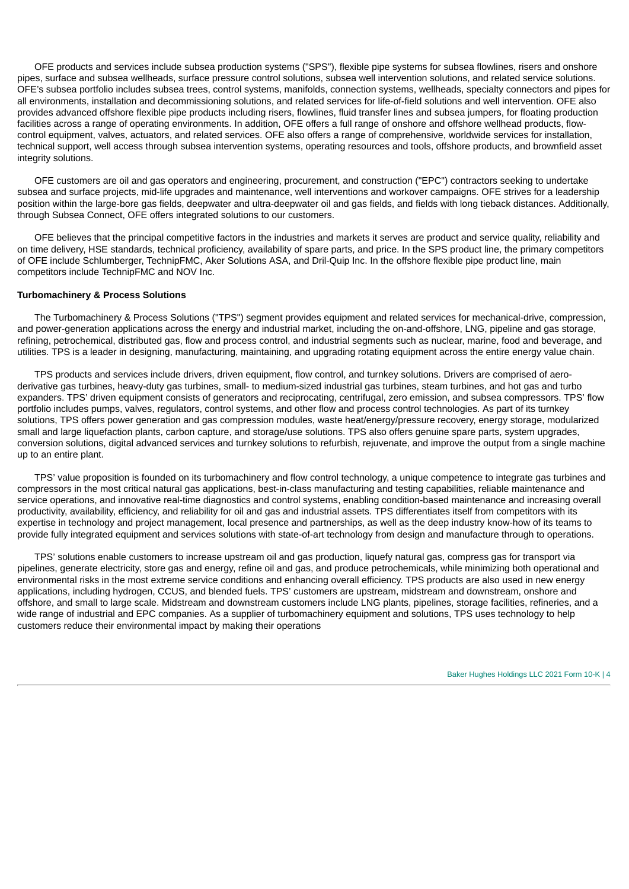OFE products and services include subsea production systems ("SPS"), flexible pipe systems for subsea flowlines, risers and onshore pipes, surface and subsea wellheads, surface pressure control solutions, subsea well intervention solutions, and related service solutions. OFE's subsea portfolio includes subsea trees, control systems, manifolds, connection systems, wellheads, specialty connectors and pipes for all environments, installation and decommissioning solutions, and related services for life-of-field solutions and well intervention. OFE also provides advanced offshore flexible pipe products including risers, flowlines, fluid transfer lines and subsea jumpers, for floating production facilities across a range of operating environments. In addition, OFE offers a full range of onshore and offshore wellhead products, flowcontrol equipment, valves, actuators, and related services. OFE also offers a range of comprehensive, worldwide services for installation, technical support, well access through subsea intervention systems, operating resources and tools, offshore products, and brownfield asset integrity solutions.

OFE customers are oil and gas operators and engineering, procurement, and construction ("EPC") contractors seeking to undertake subsea and surface projects, mid-life upgrades and maintenance, well interventions and workover campaigns. OFE strives for a leadership position within the large-bore gas fields, deepwater and ultra-deepwater oil and gas fields, and fields with long tieback distances. Additionally, through Subsea Connect, OFE offers integrated solutions to our customers.

OFE believes that the principal competitive factors in the industries and markets it serves are product and service quality, reliability and on time delivery, HSE standards, technical proficiency, availability of spare parts, and price. In the SPS product line, the primary competitors of OFE include Schlumberger, TechnipFMC, Aker Solutions ASA, and Dril-Quip Inc. In the offshore flexible pipe product line, main competitors include TechnipFMC and NOV Inc.

#### **Turbomachinery & Process Solutions**

The Turbomachinery & Process Solutions ("TPS") segment provides equipment and related services for mechanical-drive, compression, and power-generation applications across the energy and industrial market, including the on-and-offshore, LNG, pipeline and gas storage, refining, petrochemical, distributed gas, flow and process control, and industrial segments such as nuclear, marine, food and beverage, and utilities. TPS is a leader in designing, manufacturing, maintaining, and upgrading rotating equipment across the entire energy value chain.

TPS products and services include drivers, driven equipment, flow control, and turnkey solutions. Drivers are comprised of aeroderivative gas turbines, heavy-duty gas turbines, small- to medium-sized industrial gas turbines, steam turbines, and hot gas and turbo expanders. TPS' driven equipment consists of generators and reciprocating, centrifugal, zero emission, and subsea compressors. TPS' flow portfolio includes pumps, valves, regulators, control systems, and other flow and process control technologies. As part of its turnkey solutions, TPS offers power generation and gas compression modules, waste heat/energy/pressure recovery, energy storage, modularized small and large liquefaction plants, carbon capture, and storage/use solutions. TPS also offers genuine spare parts, system upgrades, conversion solutions, digital advanced services and turnkey solutions to refurbish, rejuvenate, and improve the output from a single machine up to an entire plant.

TPS' value proposition is founded on its turbomachinery and flow control technology, a unique competence to integrate gas turbines and compressors in the most critical natural gas applications, best-in-class manufacturing and testing capabilities, reliable maintenance and service operations, and innovative real-time diagnostics and control systems, enabling condition-based maintenance and increasing overall productivity, availability, efficiency, and reliability for oil and gas and industrial assets. TPS differentiates itself from competitors with its expertise in technology and project management, local presence and partnerships, as well as the deep industry know-how of its teams to provide fully integrated equipment and services solutions with state-of-art technology from design and manufacture through to operations.

TPS' solutions enable customers to increase upstream oil and gas production, liquefy natural gas, compress gas for transport via pipelines, generate electricity, store gas and energy, refine oil and gas, and produce petrochemicals, while minimizing both operational and environmental risks in the most extreme service conditions and enhancing overall efficiency. TPS products are also used in new energy applications, including hydrogen, CCUS, and blended fuels. TPS' customers are upstream, midstream and downstream, onshore and offshore, and small to large scale. Midstream and downstream customers include LNG plants, pipelines, storage facilities, refineries, and a wide range of industrial and EPC companies. As a supplier of turbomachinery equipment and solutions, TPS uses technology to help customers reduce their environmental impact by making their operations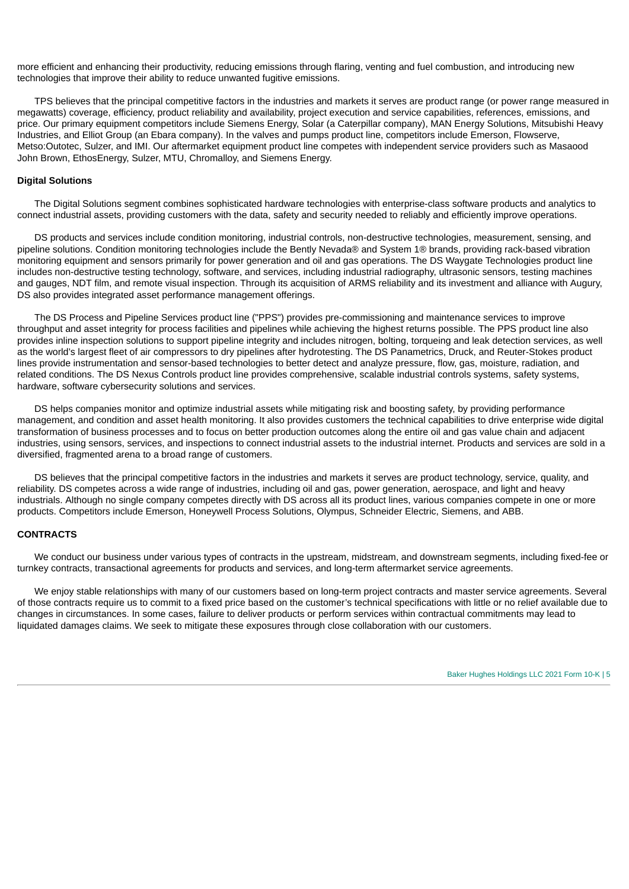more efficient and enhancing their productivity, reducing emissions through flaring, venting and fuel combustion, and introducing new technologies that improve their ability to reduce unwanted fugitive emissions.

TPS believes that the principal competitive factors in the industries and markets it serves are product range (or power range measured in megawatts) coverage, efficiency, product reliability and availability, project execution and service capabilities, references, emissions, and price. Our primary equipment competitors include Siemens Energy, Solar (a Caterpillar company), MAN Energy Solutions, Mitsubishi Heavy Industries, and Elliot Group (an Ebara company). In the valves and pumps product line, competitors include Emerson, Flowserve, Metso:Outotec, Sulzer, and IMI. Our aftermarket equipment product line competes with independent service providers such as Masaood John Brown, EthosEnergy, Sulzer, MTU, Chromalloy, and Siemens Energy.

## **Digital Solutions**

The Digital Solutions segment combines sophisticated hardware technologies with enterprise-class software products and analytics to connect industrial assets, providing customers with the data, safety and security needed to reliably and efficiently improve operations.

DS products and services include condition monitoring, industrial controls, non-destructive technologies, measurement, sensing, and pipeline solutions. Condition monitoring technologies include the Bently Nevada® and System 1® brands, providing rack-based vibration monitoring equipment and sensors primarily for power generation and oil and gas operations. The DS Waygate Technologies product line includes non-destructive testing technology, software, and services, including industrial radiography, ultrasonic sensors, testing machines and gauges, NDT film, and remote visual inspection. Through its acquisition of ARMS reliability and its investment and alliance with Augury, DS also provides integrated asset performance management offerings.

The DS Process and Pipeline Services product line ("PPS") provides pre-commissioning and maintenance services to improve throughput and asset integrity for process facilities and pipelines while achieving the highest returns possible. The PPS product line also provides inline inspection solutions to support pipeline integrity and includes nitrogen, bolting, torqueing and leak detection services, as well as the world's largest fleet of air compressors to dry pipelines after hydrotesting. The DS Panametrics, Druck, and Reuter-Stokes product lines provide instrumentation and sensor-based technologies to better detect and analyze pressure, flow, gas, moisture, radiation, and related conditions. The DS Nexus Controls product line provides comprehensive, scalable industrial controls systems, safety systems, hardware, software cybersecurity solutions and services.

DS helps companies monitor and optimize industrial assets while mitigating risk and boosting safety, by providing performance management, and condition and asset health monitoring. It also provides customers the technical capabilities to drive enterprise wide digital transformation of business processes and to focus on better production outcomes along the entire oil and gas value chain and adjacent industries, using sensors, services, and inspections to connect industrial assets to the industrial internet. Products and services are sold in a diversified, fragmented arena to a broad range of customers.

DS believes that the principal competitive factors in the industries and markets it serves are product technology, service, quality, and reliability. DS competes across a wide range of industries, including oil and gas, power generation, aerospace, and light and heavy industrials. Although no single company competes directly with DS across all its product lines, various companies compete in one or more products. Competitors include Emerson, Honeywell Process Solutions, Olympus, Schneider Electric, Siemens, and ABB.

## **CONTRACTS**

We conduct our business under various types of contracts in the upstream, midstream, and downstream segments, including fixed-fee or turnkey contracts, transactional agreements for products and services, and long-term aftermarket service agreements.

We enjoy stable relationships with many of our customers based on long-term project contracts and master service agreements. Several of those contracts require us to commit to a fixed price based on the customer's technical specifications with little or no relief available due to changes in circumstances. In some cases, failure to deliver products or perform services within contractual commitments may lead to liquidated damages claims. We seek to mitigate these exposures through close collaboration with our customers.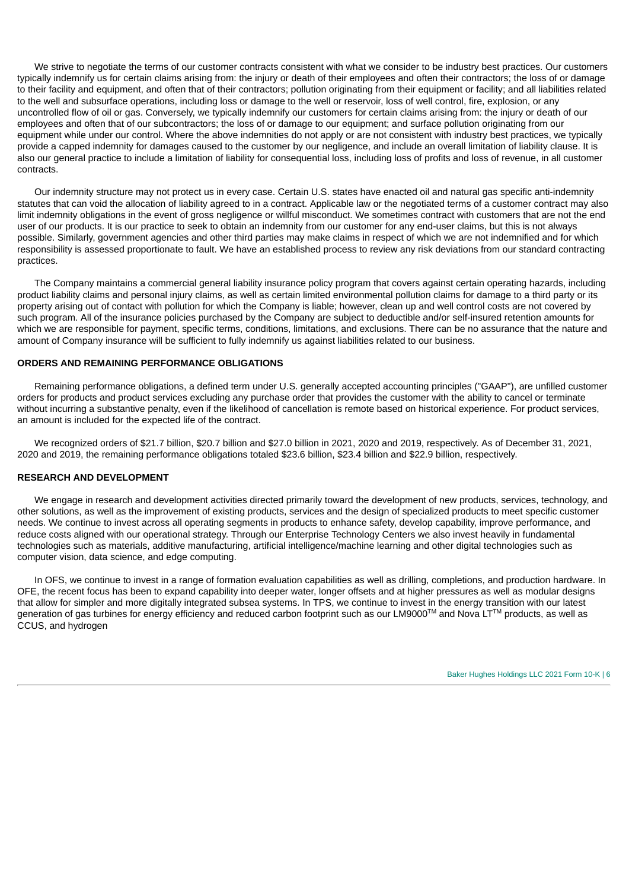We strive to negotiate the terms of our customer contracts consistent with what we consider to be industry best practices. Our customers typically indemnify us for certain claims arising from: the injury or death of their employees and often their contractors; the loss of or damage to their facility and equipment, and often that of their contractors; pollution originating from their equipment or facility; and all liabilities related to the well and subsurface operations, including loss or damage to the well or reservoir, loss of well control, fire, explosion, or any uncontrolled flow of oil or gas. Conversely, we typically indemnify our customers for certain claims arising from: the injury or death of our employees and often that of our subcontractors; the loss of or damage to our equipment; and surface pollution originating from our equipment while under our control. Where the above indemnities do not apply or are not consistent with industry best practices, we typically provide a capped indemnity for damages caused to the customer by our negligence, and include an overall limitation of liability clause. It is also our general practice to include a limitation of liability for consequential loss, including loss of profits and loss of revenue, in all customer contracts.

Our indemnity structure may not protect us in every case. Certain U.S. states have enacted oil and natural gas specific anti-indemnity statutes that can void the allocation of liability agreed to in a contract. Applicable law or the negotiated terms of a customer contract may also limit indemnity obligations in the event of gross negligence or willful misconduct. We sometimes contract with customers that are not the end user of our products. It is our practice to seek to obtain an indemnity from our customer for any end-user claims, but this is not always possible. Similarly, government agencies and other third parties may make claims in respect of which we are not indemnified and for which responsibility is assessed proportionate to fault. We have an established process to review any risk deviations from our standard contracting practices.

The Company maintains a commercial general liability insurance policy program that covers against certain operating hazards, including product liability claims and personal injury claims, as well as certain limited environmental pollution claims for damage to a third party or its property arising out of contact with pollution for which the Company is liable; however, clean up and well control costs are not covered by such program. All of the insurance policies purchased by the Company are subject to deductible and/or self-insured retention amounts for which we are responsible for payment, specific terms, conditions, limitations, and exclusions. There can be no assurance that the nature and amount of Company insurance will be sufficient to fully indemnify us against liabilities related to our business.

## **ORDERS AND REMAINING PERFORMANCE OBLIGATIONS**

Remaining performance obligations, a defined term under U.S. generally accepted accounting principles ("GAAP"), are unfilled customer orders for products and product services excluding any purchase order that provides the customer with the ability to cancel or terminate without incurring a substantive penalty, even if the likelihood of cancellation is remote based on historical experience. For product services, an amount is included for the expected life of the contract.

We recognized orders of \$21.7 billion, \$20.7 billion and \$27.0 billion in 2021, 2020 and 2019, respectively. As of December 31, 2021, 2020 and 2019, the remaining performance obligations totaled \$23.6 billion, \$23.4 billion and \$22.9 billion, respectively.

#### **RESEARCH AND DEVELOPMENT**

We engage in research and development activities directed primarily toward the development of new products, services, technology, and other solutions, as well as the improvement of existing products, services and the design of specialized products to meet specific customer needs. We continue to invest across all operating segments in products to enhance safety, develop capability, improve performance, and reduce costs aligned with our operational strategy. Through our Enterprise Technology Centers we also invest heavily in fundamental technologies such as materials, additive manufacturing, artificial intelligence/machine learning and other digital technologies such as computer vision, data science, and edge computing.

In OFS, we continue to invest in a range of formation evaluation capabilities as well as drilling, completions, and production hardware. In OFE, the recent focus has been to expand capability into deeper water, longer offsets and at higher pressures as well as modular designs that allow for simpler and more digitally integrated subsea systems. In TPS, we continue to invest in the energy transition with our latest generation of gas turbines for energy efficiency and reduced carbon footprint such as our LM9000™ and Nova LT™ products, as well as CCUS, and hydrogen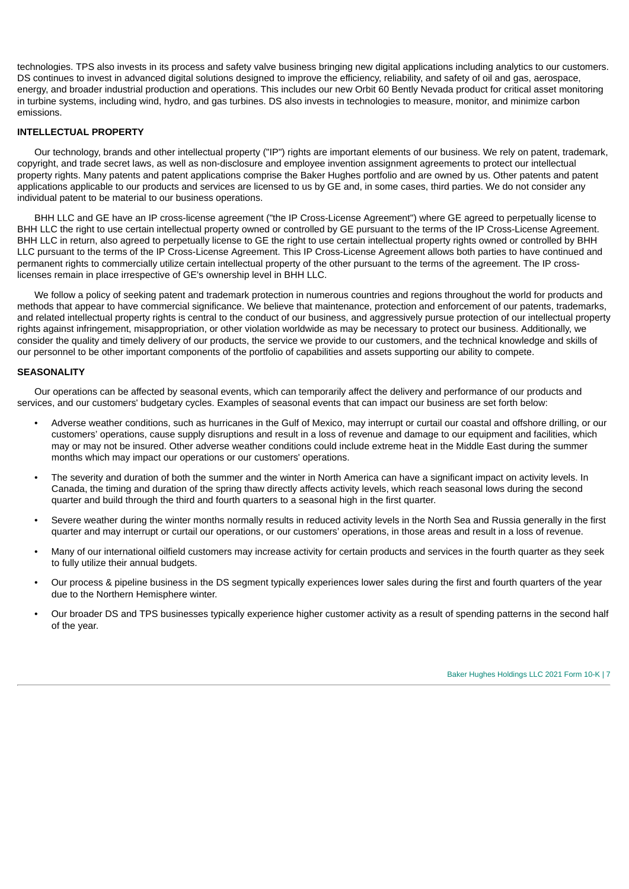technologies. TPS also invests in its process and safety valve business bringing new digital applications including analytics to our customers. DS continues to invest in advanced digital solutions designed to improve the efficiency, reliability, and safety of oil and gas, aerospace, energy, and broader industrial production and operations. This includes our new Orbit 60 Bently Nevada product for critical asset monitoring in turbine systems, including wind, hydro, and gas turbines. DS also invests in technologies to measure, monitor, and minimize carbon emissions.

## **INTELLECTUAL PROPERTY**

Our technology, brands and other intellectual property ("IP") rights are important elements of our business. We rely on patent, trademark, copyright, and trade secret laws, as well as non-disclosure and employee invention assignment agreements to protect our intellectual property rights. Many patents and patent applications comprise the Baker Hughes portfolio and are owned by us. Other patents and patent applications applicable to our products and services are licensed to us by GE and, in some cases, third parties. We do not consider any individual patent to be material to our business operations.

BHH LLC and GE have an IP cross-license agreement ("the IP Cross-License Agreement") where GE agreed to perpetually license to BHH LLC the right to use certain intellectual property owned or controlled by GE pursuant to the terms of the IP Cross-License Agreement. BHH LLC in return, also agreed to perpetually license to GE the right to use certain intellectual property rights owned or controlled by BHH LLC pursuant to the terms of the IP Cross-License Agreement. This IP Cross-License Agreement allows both parties to have continued and permanent rights to commercially utilize certain intellectual property of the other pursuant to the terms of the agreement. The IP crosslicenses remain in place irrespective of GE's ownership level in BHH LLC.

We follow a policy of seeking patent and trademark protection in numerous countries and regions throughout the world for products and methods that appear to have commercial significance. We believe that maintenance, protection and enforcement of our patents, trademarks, and related intellectual property rights is central to the conduct of our business, and aggressively pursue protection of our intellectual property rights against infringement, misappropriation, or other violation worldwide as may be necessary to protect our business. Additionally, we consider the quality and timely delivery of our products, the service we provide to our customers, and the technical knowledge and skills of our personnel to be other important components of the portfolio of capabilities and assets supporting our ability to compete.

## **SEASONALITY**

Our operations can be affected by seasonal events, which can temporarily affect the delivery and performance of our products and services, and our customers' budgetary cycles. Examples of seasonal events that can impact our business are set forth below:

- Adverse weather conditions, such as hurricanes in the Gulf of Mexico, may interrupt or curtail our coastal and offshore drilling, or our customers' operations, cause supply disruptions and result in a loss of revenue and damage to our equipment and facilities, which may or may not be insured. Other adverse weather conditions could include extreme heat in the Middle East during the summer months which may impact our operations or our customers' operations.
- The severity and duration of both the summer and the winter in North America can have a significant impact on activity levels. In Canada, the timing and duration of the spring thaw directly affects activity levels, which reach seasonal lows during the second quarter and build through the third and fourth quarters to a seasonal high in the first quarter.
- Severe weather during the winter months normally results in reduced activity levels in the North Sea and Russia generally in the first quarter and may interrupt or curtail our operations, or our customers' operations, in those areas and result in a loss of revenue.
- Many of our international oilfield customers may increase activity for certain products and services in the fourth quarter as they seek to fully utilize their annual budgets.
- Our process & pipeline business in the DS segment typically experiences lower sales during the first and fourth quarters of the year due to the Northern Hemisphere winter.
- Our broader DS and TPS businesses typically experience higher customer activity as a result of spending patterns in the second half of the year.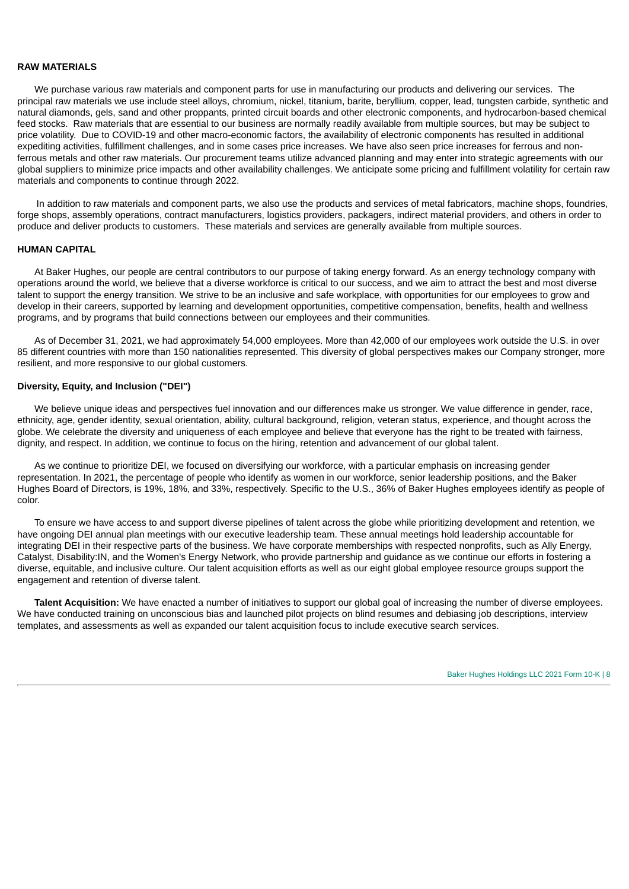#### **RAW MATERIALS**

We purchase various raw materials and component parts for use in manufacturing our products and delivering our services. The principal raw materials we use include steel alloys, chromium, nickel, titanium, barite, beryllium, copper, lead, tungsten carbide, synthetic and natural diamonds, gels, sand and other proppants, printed circuit boards and other electronic components, and hydrocarbon-based chemical feed stocks. Raw materials that are essential to our business are normally readily available from multiple sources, but may be subject to price volatility. Due to COVID-19 and other macro-economic factors, the availability of electronic components has resulted in additional expediting activities, fulfillment challenges, and in some cases price increases. We have also seen price increases for ferrous and nonferrous metals and other raw materials. Our procurement teams utilize advanced planning and may enter into strategic agreements with our global suppliers to minimize price impacts and other availability challenges. We anticipate some pricing and fulfillment volatility for certain raw materials and components to continue through 2022.

In addition to raw materials and component parts, we also use the products and services of metal fabricators, machine shops, foundries, forge shops, assembly operations, contract manufacturers, logistics providers, packagers, indirect material providers, and others in order to produce and deliver products to customers. These materials and services are generally available from multiple sources.

#### **HUMAN CAPITAL**

At Baker Hughes, our people are central contributors to our purpose of taking energy forward. As an energy technology company with operations around the world, we believe that a diverse workforce is critical to our success, and we aim to attract the best and most diverse talent to support the energy transition. We strive to be an inclusive and safe workplace, with opportunities for our employees to grow and develop in their careers, supported by learning and development opportunities, competitive compensation, benefits, health and wellness programs, and by programs that build connections between our employees and their communities.

As of December 31, 2021, we had approximately 54,000 employees. More than 42,000 of our employees work outside the U.S. in over 85 different countries with more than 150 nationalities represented. This diversity of global perspectives makes our Company stronger, more resilient, and more responsive to our global customers.

## **Diversity, Equity, and Inclusion ("DEI")**

We believe unique ideas and perspectives fuel innovation and our differences make us stronger. We value difference in gender, race, ethnicity, age, gender identity, sexual orientation, ability, cultural background, religion, veteran status, experience, and thought across the globe. We celebrate the diversity and uniqueness of each employee and believe that everyone has the right to be treated with fairness, dignity, and respect. In addition, we continue to focus on the hiring, retention and advancement of our global talent.

As we continue to prioritize DEI, we focused on diversifying our workforce, with a particular emphasis on increasing gender representation. In 2021, the percentage of people who identify as women in our workforce, senior leadership positions, and the Baker Hughes Board of Directors, is 19%, 18%, and 33%, respectively. Specific to the U.S., 36% of Baker Hughes employees identify as people of color.

To ensure we have access to and support diverse pipelines of talent across the globe while prioritizing development and retention, we have ongoing DEI annual plan meetings with our executive leadership team. These annual meetings hold leadership accountable for integrating DEI in their respective parts of the business. We have corporate memberships with respected nonprofits, such as Ally Energy, Catalyst, Disability:IN, and the Women's Energy Network, who provide partnership and guidance as we continue our efforts in fostering a diverse, equitable, and inclusive culture. Our talent acquisition efforts as well as our eight global employee resource groups support the engagement and retention of diverse talent.

**Talent Acquisition:** We have enacted a number of initiatives to support our global goal of increasing the number of diverse employees. We have conducted training on unconscious bias and launched pilot projects on blind resumes and debiasing job descriptions, interview templates, and assessments as well as expanded our talent acquisition focus to include executive search services.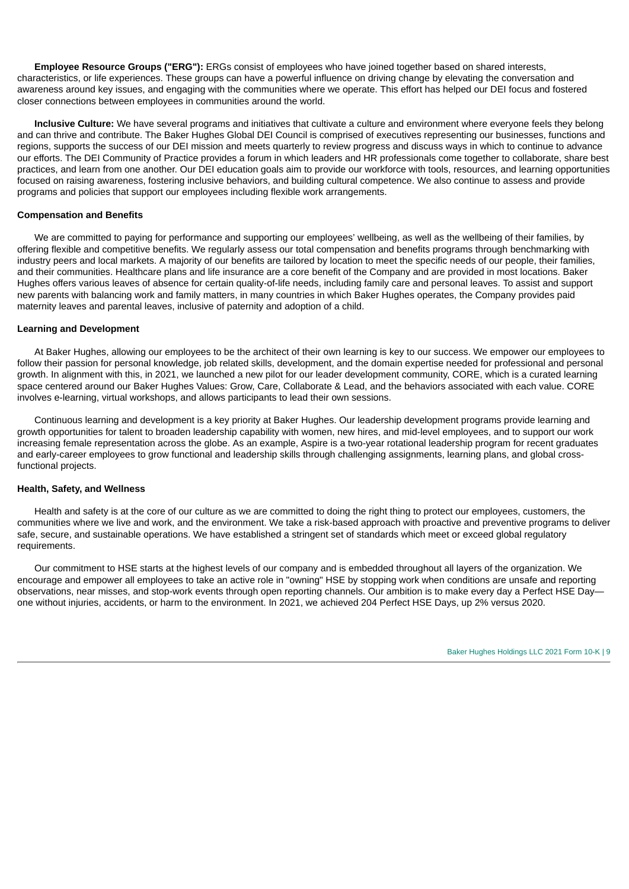**Employee Resource Groups ("ERG"):** ERGs consist of employees who have joined together based on shared interests, characteristics, or life experiences. These groups can have a powerful influence on driving change by elevating the conversation and awareness around key issues, and engaging with the communities where we operate. This effort has helped our DEI focus and fostered closer connections between employees in communities around the world.

**Inclusive Culture:** We have several programs and initiatives that cultivate a culture and environment where everyone feels they belong and can thrive and contribute. The Baker Hughes Global DEI Council is comprised of executives representing our businesses, functions and regions, supports the success of our DEI mission and meets quarterly to review progress and discuss ways in which to continue to advance our efforts. The DEI Community of Practice provides a forum in which leaders and HR professionals come together to collaborate, share best practices, and learn from one another. Our DEI education goals aim to provide our workforce with tools, resources, and learning opportunities focused on raising awareness, fostering inclusive behaviors, and building cultural competence. We also continue to assess and provide programs and policies that support our employees including flexible work arrangements.

#### **Compensation and Benefits**

We are committed to paying for performance and supporting our employees' wellbeing, as well as the wellbeing of their families, by offering flexible and competitive benefits. We regularly assess our total compensation and benefits programs through benchmarking with industry peers and local markets. A majority of our benefits are tailored by location to meet the specific needs of our people, their families, and their communities. Healthcare plans and life insurance are a core benefit of the Company and are provided in most locations. Baker Hughes offers various leaves of absence for certain quality-of-life needs, including family care and personal leaves. To assist and support new parents with balancing work and family matters, in many countries in which Baker Hughes operates, the Company provides paid maternity leaves and parental leaves, inclusive of paternity and adoption of a child.

## **Learning and Development**

At Baker Hughes, allowing our employees to be the architect of their own learning is key to our success. We empower our employees to follow their passion for personal knowledge, job related skills, development, and the domain expertise needed for professional and personal growth. In alignment with this, in 2021, we launched a new pilot for our leader development community, CORE, which is a curated learning space centered around our Baker Hughes Values: Grow, Care, Collaborate & Lead, and the behaviors associated with each value. CORE involves e-learning, virtual workshops, and allows participants to lead their own sessions.

Continuous learning and development is a key priority at Baker Hughes. Our leadership development programs provide learning and growth opportunities for talent to broaden leadership capability with women, new hires, and mid-level employees, and to support our work increasing female representation across the globe. As an example, Aspire is a two-year rotational leadership program for recent graduates and early-career employees to grow functional and leadership skills through challenging assignments, learning plans, and global crossfunctional projects.

#### **Health, Safety, and Wellness**

Health and safety is at the core of our culture as we are committed to doing the right thing to protect our employees, customers, the communities where we live and work, and the environment. We take a risk-based approach with proactive and preventive programs to deliver safe, secure, and sustainable operations. We have established a stringent set of standards which meet or exceed global regulatory requirements.

Our commitment to HSE starts at the highest levels of our company and is embedded throughout all layers of the organization. We encourage and empower all employees to take an active role in "owning" HSE by stopping work when conditions are unsafe and reporting observations, near misses, and stop-work events through open reporting channels. Our ambition is to make every day a Perfect HSE Day one without injuries, accidents, or harm to the environment. In 2021, we achieved 204 Perfect HSE Days, up 2% versus 2020.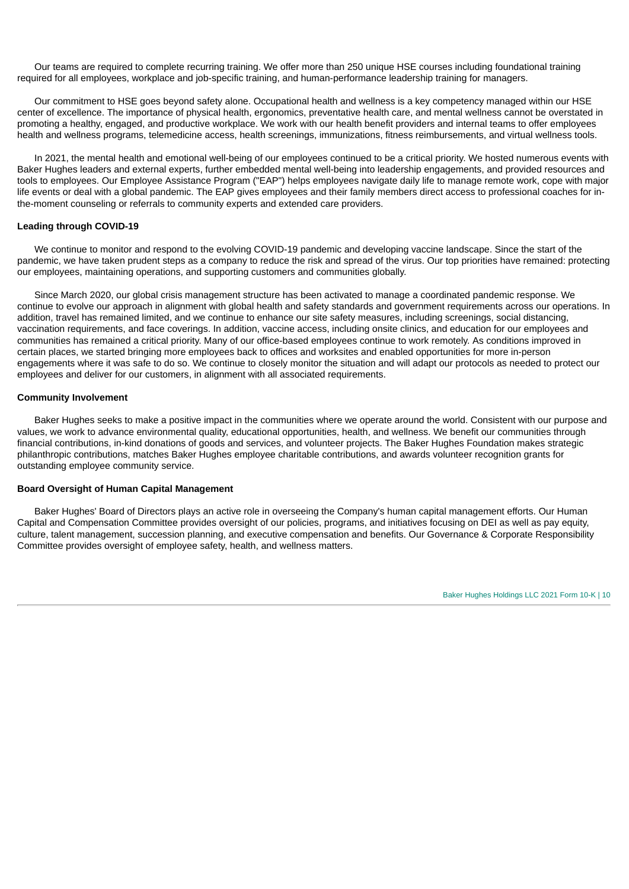Our teams are required to complete recurring training. We offer more than 250 unique HSE courses including foundational training required for all employees, workplace and job-specific training, and human-performance leadership training for managers.

Our commitment to HSE goes beyond safety alone. Occupational health and wellness is a key competency managed within our HSE center of excellence. The importance of physical health, ergonomics, preventative health care, and mental wellness cannot be overstated in promoting a healthy, engaged, and productive workplace. We work with our health benefit providers and internal teams to offer employees health and wellness programs, telemedicine access, health screenings, immunizations, fitness reimbursements, and virtual wellness tools.

In 2021, the mental health and emotional well-being of our employees continued to be a critical priority. We hosted numerous events with Baker Hughes leaders and external experts, further embedded mental well-being into leadership engagements, and provided resources and tools to employees. Our Employee Assistance Program ("EAP") helps employees navigate daily life to manage remote work, cope with major life events or deal with a global pandemic. The EAP gives employees and their family members direct access to professional coaches for inthe-moment counseling or referrals to community experts and extended care providers.

## **Leading through COVID-19**

We continue to monitor and respond to the evolving COVID-19 pandemic and developing vaccine landscape. Since the start of the pandemic, we have taken prudent steps as a company to reduce the risk and spread of the virus. Our top priorities have remained: protecting our employees, maintaining operations, and supporting customers and communities globally.

Since March 2020, our global crisis management structure has been activated to manage a coordinated pandemic response. We continue to evolve our approach in alignment with global health and safety standards and government requirements across our operations. In addition, travel has remained limited, and we continue to enhance our site safety measures, including screenings, social distancing, vaccination requirements, and face coverings. In addition, vaccine access, including onsite clinics, and education for our employees and communities has remained a critical priority. Many of our office-based employees continue to work remotely. As conditions improved in certain places, we started bringing more employees back to offices and worksites and enabled opportunities for more in-person engagements where it was safe to do so. We continue to closely monitor the situation and will adapt our protocols as needed to protect our employees and deliver for our customers, in alignment with all associated requirements.

## **Community Involvement**

Baker Hughes seeks to make a positive impact in the communities where we operate around the world. Consistent with our purpose and values, we work to advance environmental quality, educational opportunities, health, and wellness. We benefit our communities through financial contributions, in-kind donations of goods and services, and volunteer projects. The Baker Hughes Foundation makes strategic philanthropic contributions, matches Baker Hughes employee charitable contributions, and awards volunteer recognition grants for outstanding employee community service.

#### **Board Oversight of Human Capital Management**

Baker Hughes' Board of Directors plays an active role in overseeing the Company's human capital management efforts. Our Human Capital and Compensation Committee provides oversight of our policies, programs, and initiatives focusing on DEI as well as pay equity, culture, talent management, succession planning, and executive compensation and benefits. Our Governance & Corporate Responsibility Committee provides oversight of employee safety, health, and wellness matters.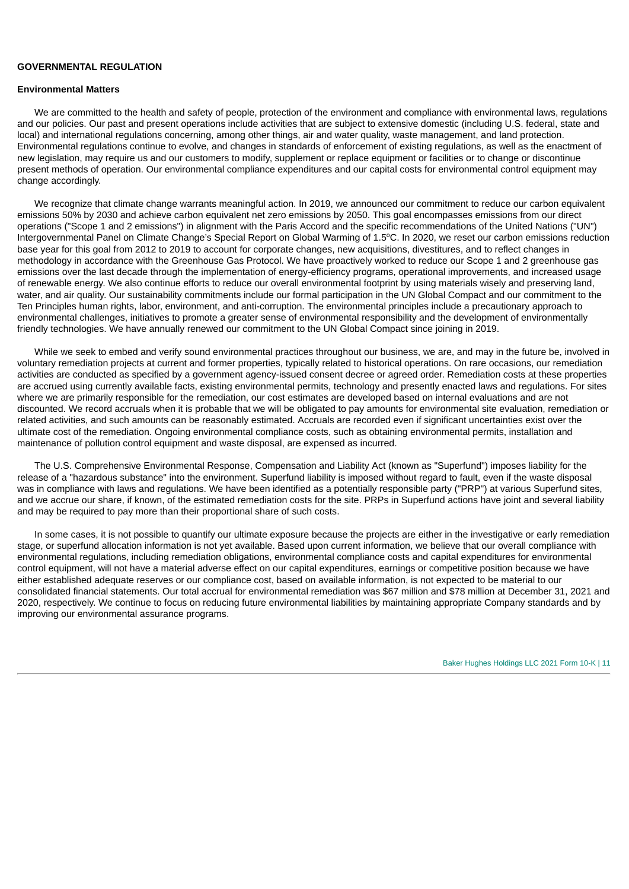#### **GOVERNMENTAL REGULATION**

#### **Environmental Matters**

We are committed to the health and safety of people, protection of the environment and compliance with environmental laws, regulations and our policies. Our past and present operations include activities that are subject to extensive domestic (including U.S. federal, state and local) and international regulations concerning, among other things, air and water quality, waste management, and land protection. Environmental regulations continue to evolve, and changes in standards of enforcement of existing regulations, as well as the enactment of new legislation, may require us and our customers to modify, supplement or replace equipment or facilities or to change or discontinue present methods of operation. Our environmental compliance expenditures and our capital costs for environmental control equipment may change accordingly.

We recognize that climate change warrants meaningful action. In 2019, we announced our commitment to reduce our carbon equivalent emissions 50% by 2030 and achieve carbon equivalent net zero emissions by 2050. This goal encompasses emissions from our direct operations ("Scope 1 and 2 emissions") in alignment with the Paris Accord and the specific recommendations of the United Nations ("UN") Intergovernmental Panel on Climate Change's Special Report on Global Warming of 1.5°C. In 2020, we reset our carbon emissions reduction base year for this goal from 2012 to 2019 to account for corporate changes, new acquisitions, divestitures, and to reflect changes in methodology in accordance with the Greenhouse Gas Protocol. We have proactively worked to reduce our Scope 1 and 2 greenhouse gas emissions over the last decade through the implementation of energy-efficiency programs, operational improvements, and increased usage of renewable energy. We also continue efforts to reduce our overall environmental footprint by using materials wisely and preserving land, water, and air quality. Our sustainability commitments include our formal participation in the UN Global Compact and our commitment to the Ten Principles human rights, labor, environment, and anti-corruption. The environmental principles include a precautionary approach to environmental challenges, initiatives to promote a greater sense of environmental responsibility and the development of environmentally friendly technologies. We have annually renewed our commitment to the UN Global Compact since joining in 2019.

While we seek to embed and verify sound environmental practices throughout our business, we are, and may in the future be, involved in voluntary remediation projects at current and former properties, typically related to historical operations. On rare occasions, our remediation activities are conducted as specified by a government agency-issued consent decree or agreed order. Remediation costs at these properties are accrued using currently available facts, existing environmental permits, technology and presently enacted laws and regulations. For sites where we are primarily responsible for the remediation, our cost estimates are developed based on internal evaluations and are not discounted. We record accruals when it is probable that we will be obligated to pay amounts for environmental site evaluation, remediation or related activities, and such amounts can be reasonably estimated. Accruals are recorded even if significant uncertainties exist over the ultimate cost of the remediation. Ongoing environmental compliance costs, such as obtaining environmental permits, installation and maintenance of pollution control equipment and waste disposal, are expensed as incurred.

The U.S. Comprehensive Environmental Response, Compensation and Liability Act (known as "Superfund") imposes liability for the release of a "hazardous substance" into the environment. Superfund liability is imposed without regard to fault, even if the waste disposal was in compliance with laws and regulations. We have been identified as a potentially responsible party ("PRP") at various Superfund sites, and we accrue our share, if known, of the estimated remediation costs for the site. PRPs in Superfund actions have joint and several liability and may be required to pay more than their proportional share of such costs.

In some cases, it is not possible to quantify our ultimate exposure because the projects are either in the investigative or early remediation stage, or superfund allocation information is not yet available. Based upon current information, we believe that our overall compliance with environmental regulations, including remediation obligations, environmental compliance costs and capital expenditures for environmental control equipment, will not have a material adverse effect on our capital expenditures, earnings or competitive position because we have either established adequate reserves or our compliance cost, based on available information, is not expected to be material to our consolidated financial statements. Our total accrual for environmental remediation was \$67 million and \$78 million at December 31, 2021 and 2020, respectively. We continue to focus on reducing future environmental liabilities by maintaining appropriate Company standards and by improving our environmental assurance programs.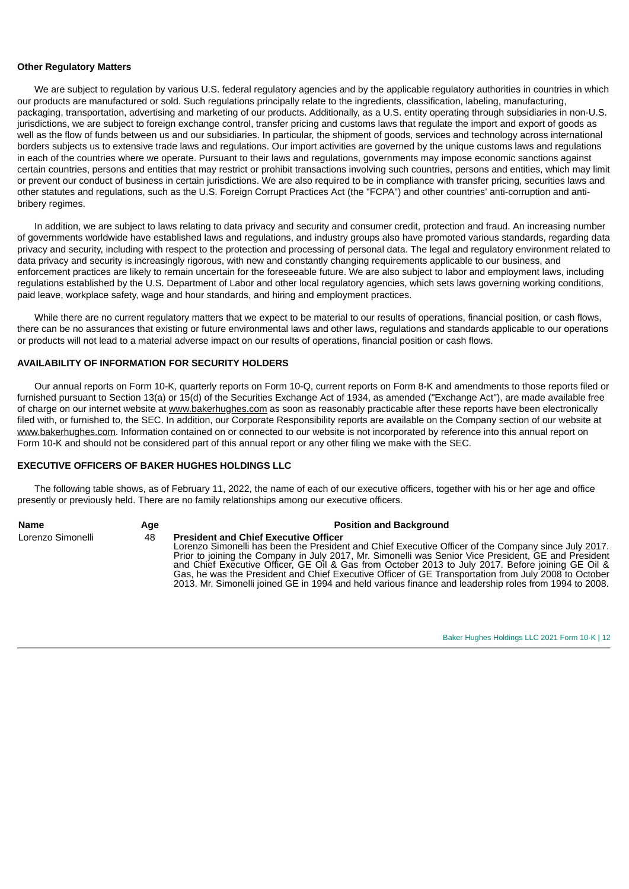#### **Other Regulatory Matters**

We are subject to regulation by various U.S. federal regulatory agencies and by the applicable regulatory authorities in countries in which our products are manufactured or sold. Such regulations principally relate to the ingredients, classification, labeling, manufacturing, packaging, transportation, advertising and marketing of our products. Additionally, as a U.S. entity operating through subsidiaries in non-U.S. jurisdictions, we are subject to foreign exchange control, transfer pricing and customs laws that regulate the import and export of goods as well as the flow of funds between us and our subsidiaries. In particular, the shipment of goods, services and technology across international borders subjects us to extensive trade laws and regulations. Our import activities are governed by the unique customs laws and regulations in each of the countries where we operate. Pursuant to their laws and regulations, governments may impose economic sanctions against certain countries, persons and entities that may restrict or prohibit transactions involving such countries, persons and entities, which may limit or prevent our conduct of business in certain jurisdictions. We are also required to be in compliance with transfer pricing, securities laws and other statutes and regulations, such as the U.S. Foreign Corrupt Practices Act (the "FCPA") and other countries' anti-corruption and antibribery regimes.

In addition, we are subject to laws relating to data privacy and security and consumer credit, protection and fraud. An increasing number of governments worldwide have established laws and regulations, and industry groups also have promoted various standards, regarding data privacy and security, including with respect to the protection and processing of personal data. The legal and regulatory environment related to data privacy and security is increasingly rigorous, with new and constantly changing requirements applicable to our business, and enforcement practices are likely to remain uncertain for the foreseeable future. We are also subject to labor and employment laws, including regulations established by the U.S. Department of Labor and other local regulatory agencies, which sets laws governing working conditions, paid leave, workplace safety, wage and hour standards, and hiring and employment practices.

While there are no current regulatory matters that we expect to be material to our results of operations, financial position, or cash flows, there can be no assurances that existing or future environmental laws and other laws, regulations and standards applicable to our operations or products will not lead to a material adverse impact on our results of operations, financial position or cash flows.

## **AVAILABILITY OF INFORMATION FOR SECURITY HOLDERS**

Our annual reports on Form 10-K, quarterly reports on Form 10-Q, current reports on Form 8-K and amendments to those reports filed or furnished pursuant to Section 13(a) or 15(d) of the Securities Exchange Act of 1934, as amended ("Exchange Act"), are made available free of charge on our internet website at www.bakerhughes.com as soon as reasonably practicable after these reports have been electronically filed with, or furnished to, the SEC. In addition, our Corporate Responsibility reports are available on the Company section of our website at www.bakerhughes.com. Information contained on or connected to our website is not incorporated by reference into this annual report on Form 10-K and should not be considered part of this annual report or any other filing we make with the SEC.

#### **EXECUTIVE OFFICERS OF BAKER HUGHES HOLDINGS LLC**

The following table shows, as of February 11, 2022, the name of each of our executive officers, together with his or her age and office presently or previously held. There are no family relationships among our executive officers.

| <b>Name</b>       | Age | <b>Position and Background</b>                                                                         |
|-------------------|-----|--------------------------------------------------------------------------------------------------------|
| Lorenzo Simonelli | 48  | <b>President and Chief Executive Officer</b>                                                           |
|                   |     | Lorenzo Simonelli has been the President and Chief Executive Officer of the Company since July 2017.   |
|                   |     | Prior to joining the Company in July 2017, Mr. Simonelli was Senior Vice President, GE and President   |
|                   |     | and Chief Executive Officer, GE Oil & Gas from October 2013 to July 2017. Before joining GE Oil &      |
|                   |     | Gas, he was the President and Chief Executive Officer of GE Transportation from July 2008 to October   |
|                   |     | 2013. Mr. Simonelli joined GE in 1994 and held various finance and leadership roles from 1994 to 2008. |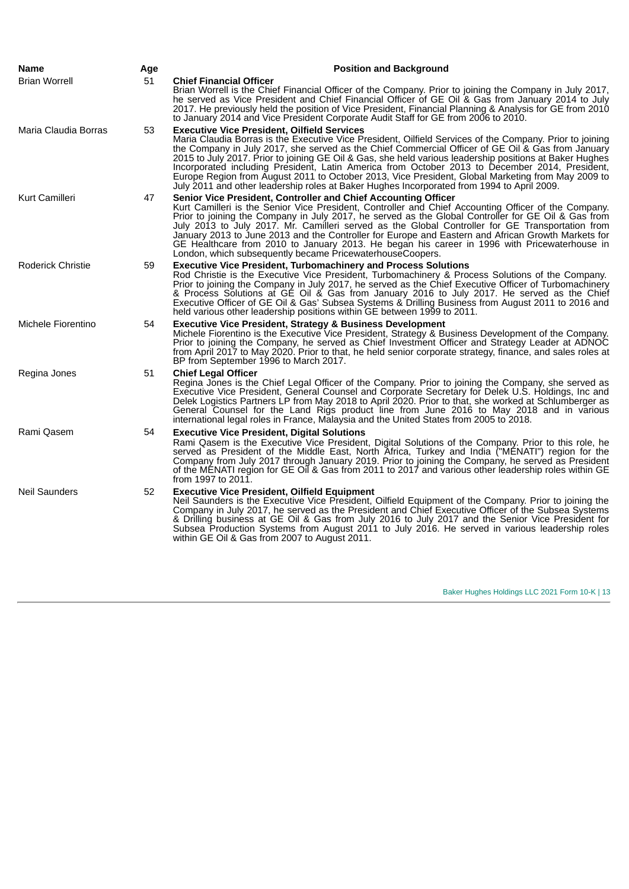<span id="page-14-0"></span>

| <b>Name</b>              | Age | <b>Position and Background</b>                                                                                                                                                                                                                                                                                                                                                                                                                                                                                                                                                                                                                                                      |
|--------------------------|-----|-------------------------------------------------------------------------------------------------------------------------------------------------------------------------------------------------------------------------------------------------------------------------------------------------------------------------------------------------------------------------------------------------------------------------------------------------------------------------------------------------------------------------------------------------------------------------------------------------------------------------------------------------------------------------------------|
| <b>Brian Worrell</b>     | 51  | <b>Chief Financial Officer</b><br>Brian Worrell is the Chief Financial Officer of the Company. Prior to joining the Company in July 2017,<br>he served as Vice President and Chief Financial Officer of GE Oil & Gas from January 2014 to July<br>2017. He previously held the position of Vice President, Financial Planning & Analysis for GE from 2010<br>to January 2014 and Vice President Corporate Audit Staff for GE from 2006 to 2010.                                                                                                                                                                                                                                     |
| Maria Claudia Borras     | 53  | <b>Executive Vice President, Oilfield Services</b><br>Maria Claudia Borras is the Executive Vice President, Oilfield Services of the Company. Prior to joining<br>the Company in July 2017, she served as the Chief Commercial Officer of GE Oil & Gas from January<br>2015 to July 2017. Prior to joining GE Oil & Gas, she held various leadership positions at Baker Hughes<br>Incorporated including President, Latin America from October 2013 to December 2014, President,<br>Europe Region from August 2011 to October 2013, Vice President, Global Marketing from May 2009 to<br>July 2011 and other leadership roles at Baker Hughes Incorporated from 1994 to April 2009. |
| Kurt Camilleri           | 47  | Senior Vice President, Controller and Chief Accounting Officer<br>Kurt Camilleri is the Senior Vice President, Controller and Chief Accounting Officer of the Company.<br>Prior to joining the Company in July 2017, he served as the Global Controller for GE Oil & Gas from<br>July 2013 to July 2017. Mr. Camilleri served as the Global Controller for GE Transportation from<br>January 2013 to June 2013 and the Controller for Europe and Eastern and African Growth Markets for<br>GE Healthcare from 2010 to January 2013. He began his career in 1996 with Pricewaterhouse in<br>London, which subsequently became PricewaterhouseCoopers.                                |
| <b>Roderick Christie</b> | 59  | <b>Executive Vice President, Turbomachinery and Process Solutions</b><br>Rod Christie is the Executive Vice President, Turbomachinery & Process Solutions of the Company.<br>Prior to joining the Company in July 2017, he served as the Chief Executive Officer of Turbomachinery<br>& Process Solutions at GÉ Oil & Gas from January 2016 to July 2017. He served as the Chief<br>Executive Officer of GE Oil & Gas' Subsea Systems & Drilling Business from August 2011 to 2016 and<br>held various other leadership positions within GE between 1999 to 2011.                                                                                                                   |
| Michele Fiorentino       | 54  | <b>Executive Vice President, Strategy &amp; Business Development</b><br>Michele Fiorentino is the Executive Vice President, Strategy & Business Development of the Company.<br>Prior to joining the Company, he served as Chief Investment Officer and Strategy Leader at ADNOC<br>from April 2017 to May 2020. Prior to that, he held senior corporate strategy, finance, and sales roles at<br>BP from September 1996 to March 2017.                                                                                                                                                                                                                                              |
| Regina Jones             | 51  | <b>Chief Legal Officer</b><br>Regina Jones is the Chief Legal Officer of the Company. Prior to joining the Company, she served as<br>Executive Vice President, General Counsel and Corporate Secretary for Delek U.S. Holdings, Inc and<br>Delek Logistics Partners LP from May 2018 to April 2020. Prior to that, she worked at Schlumberger as<br>General Counsel for the Land Rigs product line from June 2016 to May 2018 and in various<br>international legal roles in France, Malaysia and the United States from 2005 to 2018.                                                                                                                                              |
| Rami Qasem               | 54  | <b>Executive Vice President, Digital Solutions</b><br>Rami Qasem is the Executive Vice President, Digital Solutions of the Company. Prior to this role, he<br>served as President of the Middle East, North Africa, Turkey and India ("MENATI") region for the<br>Company from July 2017 through January 2019. Prior to joining the Company, he served as President<br>of the MENATI region for GE Oil & Gas from 2011 to 2017 and various other leadership roles within GE<br>from 1997 to 2011.                                                                                                                                                                                   |
| <b>Neil Saunders</b>     | 52  | <b>Executive Vice President, Oilfield Equipment</b><br>Neil Saunders is the Executive Vice President, Oilfield Equipment of the Company. Prior to joining the<br>Company in July 2017, he served as the President and Chief Executive Officer of the Subsea Systems<br>& Drilling business at GE Oil & Gas from July 2016 to July 2017 and the Senior Vice President for<br>Subsea Production Systems from August 2011 to July 2016. He served in various leadership roles<br>within GE Oil & Gas from 2007 to August 2011.                                                                                                                                                         |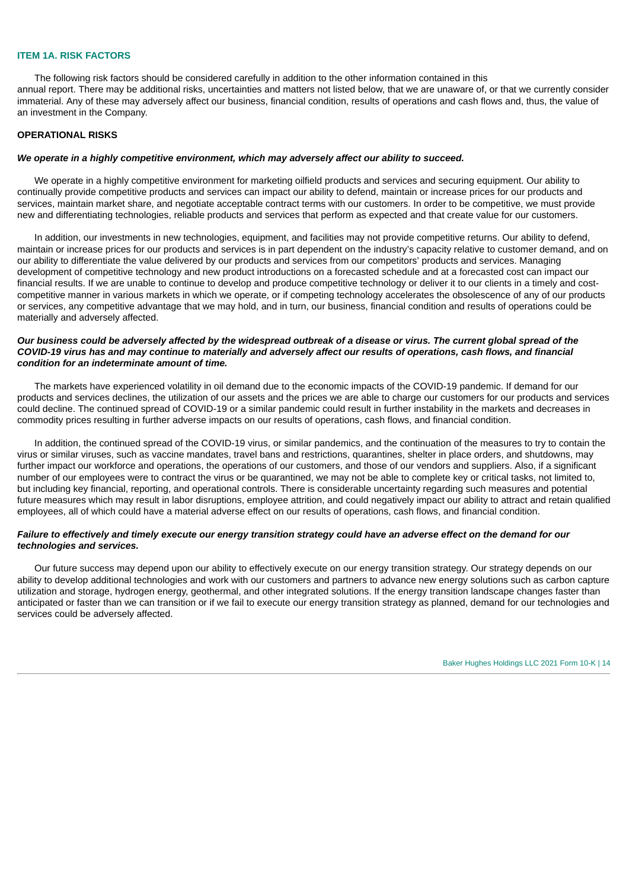#### **ITEM 1A. RISK FACTORS**

The following risk factors should be considered carefully in addition to the other information contained in this annual report. There may be additional risks, uncertainties and matters not listed below, that we are unaware of, or that we currently consider immaterial. Any of these may adversely affect our business, financial condition, results of operations and cash flows and, thus, the value of an investment in the Company.

#### **OPERATIONAL RISKS**

## *We operate in a highly competitive environment, which may adversely affect our ability to succeed.*

We operate in a highly competitive environment for marketing oilfield products and services and securing equipment. Our ability to continually provide competitive products and services can impact our ability to defend, maintain or increase prices for our products and services, maintain market share, and negotiate acceptable contract terms with our customers. In order to be competitive, we must provide new and differentiating technologies, reliable products and services that perform as expected and that create value for our customers.

In addition, our investments in new technologies, equipment, and facilities may not provide competitive returns. Our ability to defend, maintain or increase prices for our products and services is in part dependent on the industry's capacity relative to customer demand, and on our ability to differentiate the value delivered by our products and services from our competitors' products and services. Managing development of competitive technology and new product introductions on a forecasted schedule and at a forecasted cost can impact our financial results. If we are unable to continue to develop and produce competitive technology or deliver it to our clients in a timely and costcompetitive manner in various markets in which we operate, or if competing technology accelerates the obsolescence of any of our products or services, any competitive advantage that we may hold, and in turn, our business, financial condition and results of operations could be materially and adversely affected.

## Our business could be adversely affected by the widespread outbreak of a disease or virus. The current global spread of the COVID-19 virus has and may continue to materially and adversely affect our results of operations, cash flows, and financial *condition for an indeterminate amount of time.*

The markets have experienced volatility in oil demand due to the economic impacts of the COVID-19 pandemic. If demand for our products and services declines, the utilization of our assets and the prices we are able to charge our customers for our products and services could decline. The continued spread of COVID-19 or a similar pandemic could result in further instability in the markets and decreases in commodity prices resulting in further adverse impacts on our results of operations, cash flows, and financial condition.

In addition, the continued spread of the COVID-19 virus, or similar pandemics, and the continuation of the measures to try to contain the virus or similar viruses, such as vaccine mandates, travel bans and restrictions, quarantines, shelter in place orders, and shutdowns, may further impact our workforce and operations, the operations of our customers, and those of our vendors and suppliers. Also, if a significant number of our employees were to contract the virus or be quarantined, we may not be able to complete key or critical tasks, not limited to, but including key financial, reporting, and operational controls. There is considerable uncertainty regarding such measures and potential future measures which may result in labor disruptions, employee attrition, and could negatively impact our ability to attract and retain qualified employees, all of which could have a material adverse effect on our results of operations, cash flows, and financial condition.

## Failure to effectively and timely execute our energy transition strategy could have an adverse effect on the demand for our *technologies and services.*

Our future success may depend upon our ability to effectively execute on our energy transition strategy. Our strategy depends on our ability to develop additional technologies and work with our customers and partners to advance new energy solutions such as carbon capture utilization and storage, hydrogen energy, geothermal, and other integrated solutions. If the energy transition landscape changes faster than anticipated or faster than we can transition or if we fail to execute our energy transition strategy as planned, demand for our technologies and services could be adversely affected.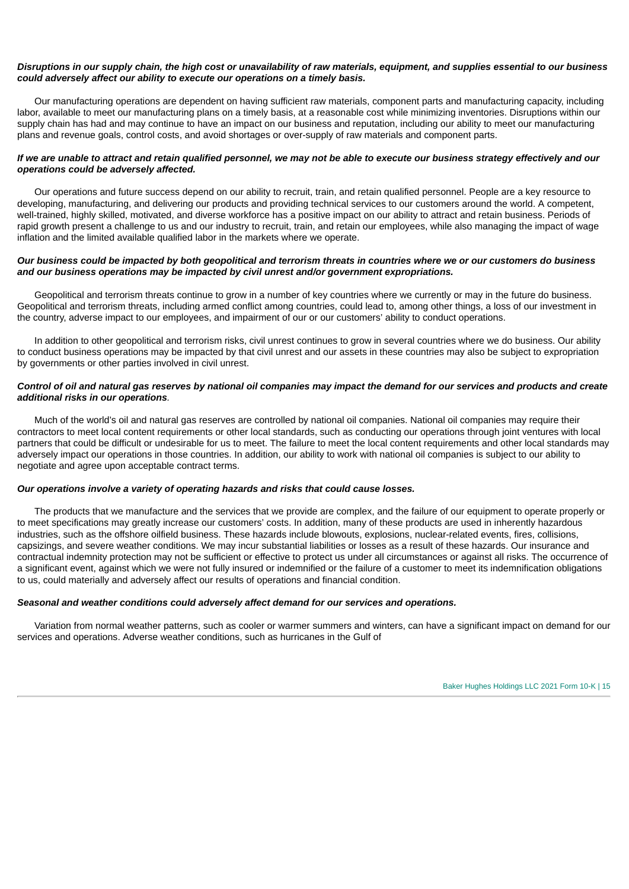## Disruptions in our supply chain, the high cost or unavailability of raw materials, equipment, and supplies essential to our business *could adversely affect our ability to execute our operations on a timely basis.*

Our manufacturing operations are dependent on having sufficient raw materials, component parts and manufacturing capacity, including labor, available to meet our manufacturing plans on a timely basis, at a reasonable cost while minimizing inventories. Disruptions within our supply chain has had and may continue to have an impact on our business and reputation, including our ability to meet our manufacturing plans and revenue goals, control costs, and avoid shortages or over-supply of raw materials and component parts.

## If we are unable to attract and retain qualified personnel, we may not be able to execute our business strategy effectively and our *operations could be adversely affected.*

Our operations and future success depend on our ability to recruit, train, and retain qualified personnel. People are a key resource to developing, manufacturing, and delivering our products and providing technical services to our customers around the world. A competent, well-trained, highly skilled, motivated, and diverse workforce has a positive impact on our ability to attract and retain business. Periods of rapid growth present a challenge to us and our industry to recruit, train, and retain our employees, while also managing the impact of wage inflation and the limited available qualified labor in the markets where we operate.

## Our business could be impacted by both geopolitical and terrorism threats in countries where we or our customers do business *and our business operations may be impacted by civil unrest and/or government expropriations.*

Geopolitical and terrorism threats continue to grow in a number of key countries where we currently or may in the future do business. Geopolitical and terrorism threats, including armed conflict among countries, could lead to, among other things, a loss of our investment in the country, adverse impact to our employees, and impairment of our or our customers' ability to conduct operations.

In addition to other geopolitical and terrorism risks, civil unrest continues to grow in several countries where we do business. Our ability to conduct business operations may be impacted by that civil unrest and our assets in these countries may also be subject to expropriation by governments or other parties involved in civil unrest.

## Control of oil and natural gas reserves by national oil companies may impact the demand for our services and products and create *additional risks in our operations.*

Much of the world's oil and natural gas reserves are controlled by national oil companies. National oil companies may require their contractors to meet local content requirements or other local standards, such as conducting our operations through joint ventures with local partners that could be difficult or undesirable for us to meet. The failure to meet the local content requirements and other local standards may adversely impact our operations in those countries. In addition, our ability to work with national oil companies is subject to our ability to negotiate and agree upon acceptable contract terms.

## *Our operations involve a variety of operating hazards and risks that could cause losses.*

The products that we manufacture and the services that we provide are complex, and the failure of our equipment to operate properly or to meet specifications may greatly increase our customers' costs. In addition, many of these products are used in inherently hazardous industries, such as the offshore oilfield business. These hazards include blowouts, explosions, nuclear-related events, fires, collisions, capsizings, and severe weather conditions. We may incur substantial liabilities or losses as a result of these hazards. Our insurance and contractual indemnity protection may not be sufficient or effective to protect us under all circumstances or against all risks. The occurrence of a significant event, against which we were not fully insured or indemnified or the failure of a customer to meet its indemnification obligations to us, could materially and adversely affect our results of operations and financial condition.

## *Seasonal and weather conditions could adversely affect demand for our services and operations.*

Variation from normal weather patterns, such as cooler or warmer summers and winters, can have a significant impact on demand for our services and operations. Adverse weather conditions, such as hurricanes in the Gulf of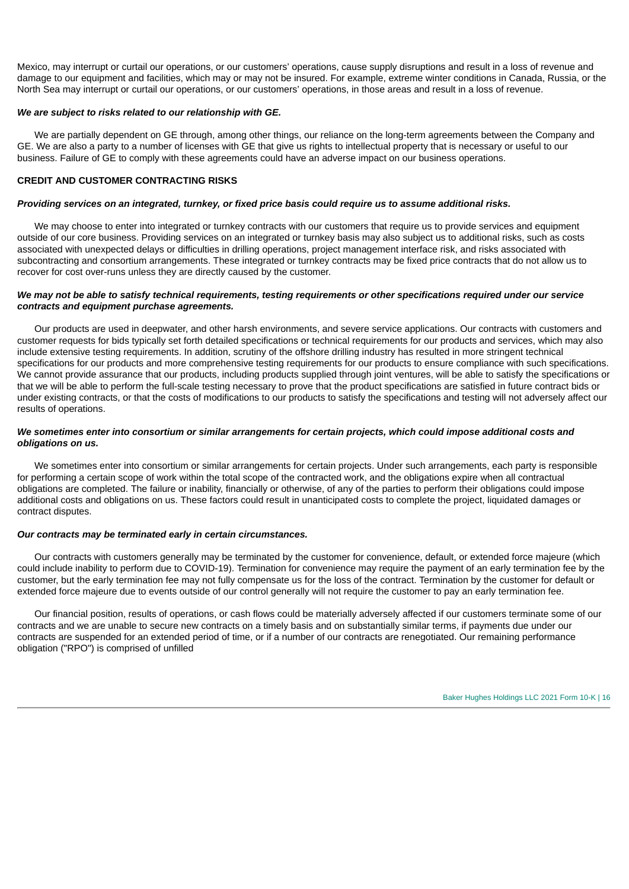Mexico, may interrupt or curtail our operations, or our customers' operations, cause supply disruptions and result in a loss of revenue and damage to our equipment and facilities, which may or may not be insured. For example, extreme winter conditions in Canada, Russia, or the North Sea may interrupt or curtail our operations, or our customers' operations, in those areas and result in a loss of revenue.

#### *We are subject to risks related to our relationship with GE.*

We are partially dependent on GE through, among other things, our reliance on the long-term agreements between the Company and GE. We are also a party to a number of licenses with GE that give us rights to intellectual property that is necessary or useful to our business. Failure of GE to comply with these agreements could have an adverse impact on our business operations.

## **CREDIT AND CUSTOMER CONTRACTING RISKS**

#### Providing services on an integrated, turnkey, or fixed price basis could require us to assume additional risks.

We may choose to enter into integrated or turnkey contracts with our customers that require us to provide services and equipment outside of our core business. Providing services on an integrated or turnkey basis may also subject us to additional risks, such as costs associated with unexpected delays or difficulties in drilling operations, project management interface risk, and risks associated with subcontracting and consortium arrangements. These integrated or turnkey contracts may be fixed price contracts that do not allow us to recover for cost over-runs unless they are directly caused by the customer.

## We may not be able to satisfy technical requirements, testing requirements or other specifications required under our service *contracts and equipment purchase agreements.*

Our products are used in deepwater, and other harsh environments, and severe service applications. Our contracts with customers and customer requests for bids typically set forth detailed specifications or technical requirements for our products and services, which may also include extensive testing requirements. In addition, scrutiny of the offshore drilling industry has resulted in more stringent technical specifications for our products and more comprehensive testing requirements for our products to ensure compliance with such specifications. We cannot provide assurance that our products, including products supplied through joint ventures, will be able to satisfy the specifications or that we will be able to perform the full-scale testing necessary to prove that the product specifications are satisfied in future contract bids or under existing contracts, or that the costs of modifications to our products to satisfy the specifications and testing will not adversely affect our results of operations.

## We sometimes enter into consortium or similar arrangements for certain projects, which could impose additional costs and *obligations on us.*

We sometimes enter into consortium or similar arrangements for certain projects. Under such arrangements, each party is responsible for performing a certain scope of work within the total scope of the contracted work, and the obligations expire when all contractual obligations are completed. The failure or inability, financially or otherwise, of any of the parties to perform their obligations could impose additional costs and obligations on us. These factors could result in unanticipated costs to complete the project, liquidated damages or contract disputes.

## *Our contracts may be terminated early in certain circumstances.*

Our contracts with customers generally may be terminated by the customer for convenience, default, or extended force majeure (which could include inability to perform due to COVID-19). Termination for convenience may require the payment of an early termination fee by the customer, but the early termination fee may not fully compensate us for the loss of the contract. Termination by the customer for default or extended force majeure due to events outside of our control generally will not require the customer to pay an early termination fee.

Our financial position, results of operations, or cash flows could be materially adversely affected if our customers terminate some of our contracts and we are unable to secure new contracts on a timely basis and on substantially similar terms, if payments due under our contracts are suspended for an extended period of time, or if a number of our contracts are renegotiated. Our remaining performance obligation ("RPO") is comprised of unfilled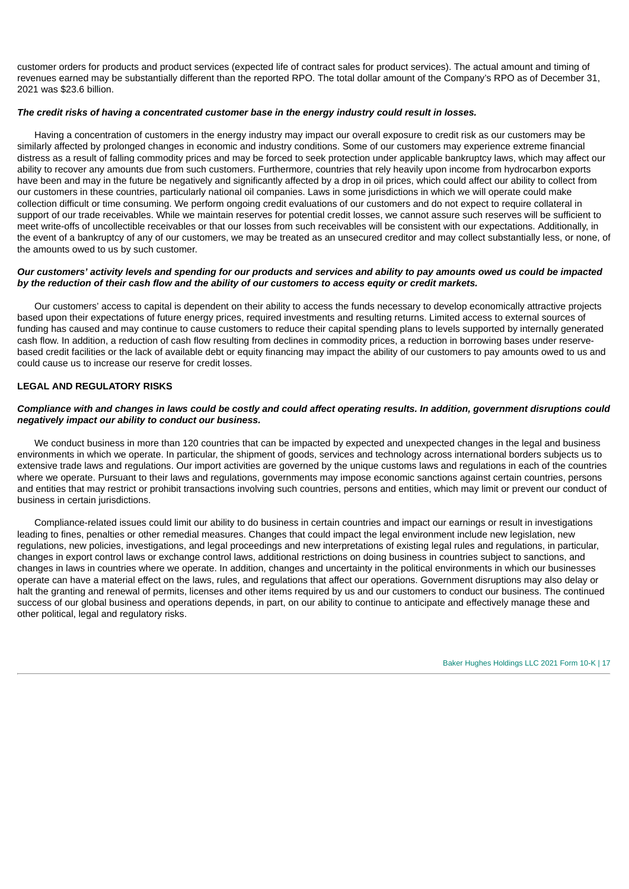customer orders for products and product services (expected life of contract sales for product services). The actual amount and timing of revenues earned may be substantially different than the reported RPO. The total dollar amount of the Company's RPO as of December 31, 2021 was \$23.6 billion.

## *The credit risks of having a concentrated customer base in the energy industry could result in losses.*

Having a concentration of customers in the energy industry may impact our overall exposure to credit risk as our customers may be similarly affected by prolonged changes in economic and industry conditions. Some of our customers may experience extreme financial distress as a result of falling commodity prices and may be forced to seek protection under applicable bankruptcy laws, which may affect our ability to recover any amounts due from such customers. Furthermore, countries that rely heavily upon income from hydrocarbon exports have been and may in the future be negatively and significantly affected by a drop in oil prices, which could affect our ability to collect from our customers in these countries, particularly national oil companies. Laws in some jurisdictions in which we will operate could make collection difficult or time consuming. We perform ongoing credit evaluations of our customers and do not expect to require collateral in support of our trade receivables. While we maintain reserves for potential credit losses, we cannot assure such reserves will be sufficient to meet write-offs of uncollectible receivables or that our losses from such receivables will be consistent with our expectations. Additionally, in the event of a bankruptcy of any of our customers, we may be treated as an unsecured creditor and may collect substantially less, or none, of the amounts owed to us by such customer.

## Our customers' activity levels and spending for our products and services and ability to pay amounts owed us could be impacted by the reduction of their cash flow and the ability of our customers to access equity or credit markets.

Our customers' access to capital is dependent on their ability to access the funds necessary to develop economically attractive projects based upon their expectations of future energy prices, required investments and resulting returns. Limited access to external sources of funding has caused and may continue to cause customers to reduce their capital spending plans to levels supported by internally generated cash flow. In addition, a reduction of cash flow resulting from declines in commodity prices, a reduction in borrowing bases under reservebased credit facilities or the lack of available debt or equity financing may impact the ability of our customers to pay amounts owed to us and could cause us to increase our reserve for credit losses.

## **LEGAL AND REGULATORY RISKS**

## Compliance with and changes in laws could be costly and could affect operating results. In addition, government disruptions could *negatively impact our ability to conduct our business.*

We conduct business in more than 120 countries that can be impacted by expected and unexpected changes in the legal and business environments in which we operate. In particular, the shipment of goods, services and technology across international borders subjects us to extensive trade laws and regulations. Our import activities are governed by the unique customs laws and regulations in each of the countries where we operate. Pursuant to their laws and regulations, governments may impose economic sanctions against certain countries, persons and entities that may restrict or prohibit transactions involving such countries, persons and entities, which may limit or prevent our conduct of business in certain jurisdictions.

Compliance-related issues could limit our ability to do business in certain countries and impact our earnings or result in investigations leading to fines, penalties or other remedial measures. Changes that could impact the legal environment include new legislation, new regulations, new policies, investigations, and legal proceedings and new interpretations of existing legal rules and regulations, in particular, changes in export control laws or exchange control laws, additional restrictions on doing business in countries subject to sanctions, and changes in laws in countries where we operate. In addition, changes and uncertainty in the political environments in which our businesses operate can have a material effect on the laws, rules, and regulations that affect our operations. Government disruptions may also delay or halt the granting and renewal of permits, licenses and other items required by us and our customers to conduct our business. The continued success of our global business and operations depends, in part, on our ability to continue to anticipate and effectively manage these and other political, legal and regulatory risks.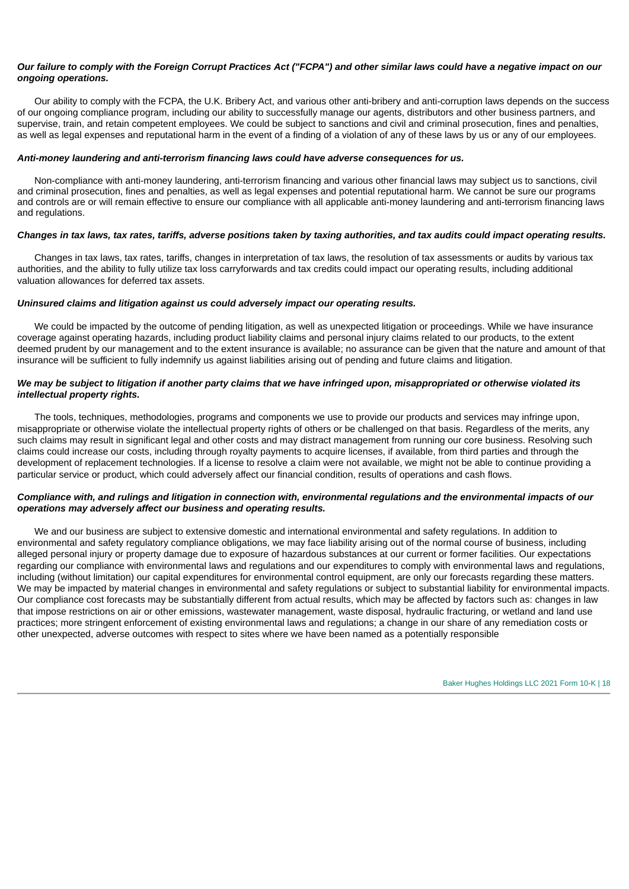## Our failure to comply with the Foreign Corrupt Practices Act ("FCPA") and other similar laws could have a negative impact on our *ongoing operations.*

Our ability to comply with the FCPA, the U.K. Bribery Act, and various other anti-bribery and anti-corruption laws depends on the success of our ongoing compliance program, including our ability to successfully manage our agents, distributors and other business partners, and supervise, train, and retain competent employees. We could be subject to sanctions and civil and criminal prosecution, fines and penalties, as well as legal expenses and reputational harm in the event of a finding of a violation of any of these laws by us or any of our employees.

## *Anti-money laundering and anti-terrorism financing laws could have adverse consequences for us.*

Non-compliance with anti-money laundering, anti-terrorism financing and various other financial laws may subject us to sanctions, civil and criminal prosecution, fines and penalties, as well as legal expenses and potential reputational harm. We cannot be sure our programs and controls are or will remain effective to ensure our compliance with all applicable anti-money laundering and anti-terrorism financing laws and regulations.

## Changes in tax laws, tax rates, tariffs, adverse positions taken by taxing authorities, and tax audits could impact operating results.

Changes in tax laws, tax rates, tariffs, changes in interpretation of tax laws, the resolution of tax assessments or audits by various tax authorities, and the ability to fully utilize tax loss carryforwards and tax credits could impact our operating results, including additional valuation allowances for deferred tax assets.

## *Uninsured claims and litigation against us could adversely impact our operating results.*

We could be impacted by the outcome of pending litigation, as well as unexpected litigation or proceedings. While we have insurance coverage against operating hazards, including product liability claims and personal injury claims related to our products, to the extent deemed prudent by our management and to the extent insurance is available; no assurance can be given that the nature and amount of that insurance will be sufficient to fully indemnify us against liabilities arising out of pending and future claims and litigation.

## We may be subject to litigation if another party claims that we have infringed upon, misappropriated or otherwise violated its *intellectual property rights.*

The tools, techniques, methodologies, programs and components we use to provide our products and services may infringe upon, misappropriate or otherwise violate the intellectual property rights of others or be challenged on that basis. Regardless of the merits, any such claims may result in significant legal and other costs and may distract management from running our core business. Resolving such claims could increase our costs, including through royalty payments to acquire licenses, if available, from third parties and through the development of replacement technologies. If a license to resolve a claim were not available, we might not be able to continue providing a particular service or product, which could adversely affect our financial condition, results of operations and cash flows.

## Compliance with, and rulings and litigation in connection with, environmental regulations and the environmental impacts of our *operations may adversely affect our business and operating results.*

We and our business are subject to extensive domestic and international environmental and safety regulations. In addition to environmental and safety regulatory compliance obligations, we may face liability arising out of the normal course of business, including alleged personal injury or property damage due to exposure of hazardous substances at our current or former facilities. Our expectations regarding our compliance with environmental laws and regulations and our expenditures to comply with environmental laws and regulations, including (without limitation) our capital expenditures for environmental control equipment, are only our forecasts regarding these matters. We may be impacted by material changes in environmental and safety regulations or subject to substantial liability for environmental impacts. Our compliance cost forecasts may be substantially different from actual results, which may be affected by factors such as: changes in law that impose restrictions on air or other emissions, wastewater management, waste disposal, hydraulic fracturing, or wetland and land use practices; more stringent enforcement of existing environmental laws and regulations; a change in our share of any remediation costs or other unexpected, adverse outcomes with respect to sites where we have been named as a potentially responsible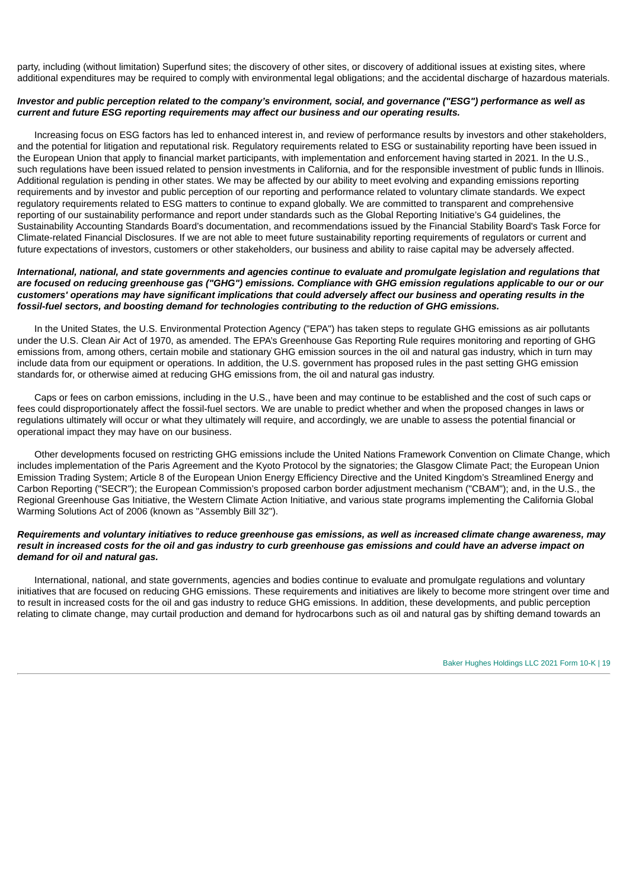party, including (without limitation) Superfund sites; the discovery of other sites, or discovery of additional issues at existing sites, where additional expenditures may be required to comply with environmental legal obligations; and the accidental discharge of hazardous materials.

## Investor and public perception related to the company's environment, social, and governance ("ESG") performance as well as *current and future ESG reporting requirements may affect our business and our operating results.*

Increasing focus on ESG factors has led to enhanced interest in, and review of performance results by investors and other stakeholders, and the potential for litigation and reputational risk. Regulatory requirements related to ESG or sustainability reporting have been issued in the European Union that apply to financial market participants, with implementation and enforcement having started in 2021. In the U.S., such regulations have been issued related to pension investments in California, and for the responsible investment of public funds in Illinois. Additional regulation is pending in other states. We may be affected by our ability to meet evolving and expanding emissions reporting requirements and by investor and public perception of our reporting and performance related to voluntary climate standards. We expect regulatory requirements related to ESG matters to continue to expand globally. We are committed to transparent and comprehensive reporting of our sustainability performance and report under standards such as the Global Reporting Initiative's G4 guidelines, the Sustainability Accounting Standards Board's documentation, and recommendations issued by the Financial Stability Board's Task Force for Climate-related Financial Disclosures. If we are not able to meet future sustainability reporting requirements of regulators or current and future expectations of investors, customers or other stakeholders, our business and ability to raise capital may be adversely affected.

## International, national, and state governments and agencies continue to evaluate and promulgate legislation and regulations that are focused on reducing greenhouse gas ("GHG") emissions. Compliance with GHG emission regulations applicable to our or our customers' operations may have significant implications that could adversely affect our business and operating results in the *fossil-fuel sectors, and boosting demand for technologies contributing to the reduction of GHG emissions.*

In the United States, the U.S. Environmental Protection Agency ("EPA") has taken steps to regulate GHG emissions as air pollutants under the U.S. Clean Air Act of 1970, as amended. The EPA's Greenhouse Gas Reporting Rule requires monitoring and reporting of GHG emissions from, among others, certain mobile and stationary GHG emission sources in the oil and natural gas industry, which in turn may include data from our equipment or operations. In addition, the U.S. government has proposed rules in the past setting GHG emission standards for, or otherwise aimed at reducing GHG emissions from, the oil and natural gas industry.

Caps or fees on carbon emissions, including in the U.S., have been and may continue to be established and the cost of such caps or fees could disproportionately affect the fossil-fuel sectors. We are unable to predict whether and when the proposed changes in laws or regulations ultimately will occur or what they ultimately will require, and accordingly, we are unable to assess the potential financial or operational impact they may have on our business.

Other developments focused on restricting GHG emissions include the United Nations Framework Convention on Climate Change, which includes implementation of the Paris Agreement and the Kyoto Protocol by the signatories; the Glasgow Climate Pact; the European Union Emission Trading System; Article 8 of the European Union Energy Efficiency Directive and the United Kingdom's Streamlined Energy and Carbon Reporting ("SECR"); the European Commission's proposed carbon border adjustment mechanism ("CBAM"); and, in the U.S., the Regional Greenhouse Gas Initiative, the Western Climate Action Initiative, and various state programs implementing the California Global Warming Solutions Act of 2006 (known as "Assembly Bill 32").

## Requirements and voluntary initiatives to reduce greenhouse gas emissions, as well as increased climate change awareness, may result in increased costs for the oil and gas industry to curb greenhouse gas emissions and could have an adverse impact on *demand for oil and natural gas.*

International, national, and state governments, agencies and bodies continue to evaluate and promulgate regulations and voluntary initiatives that are focused on reducing GHG emissions. These requirements and initiatives are likely to become more stringent over time and to result in increased costs for the oil and gas industry to reduce GHG emissions. In addition, these developments, and public perception relating to climate change, may curtail production and demand for hydrocarbons such as oil and natural gas by shifting demand towards an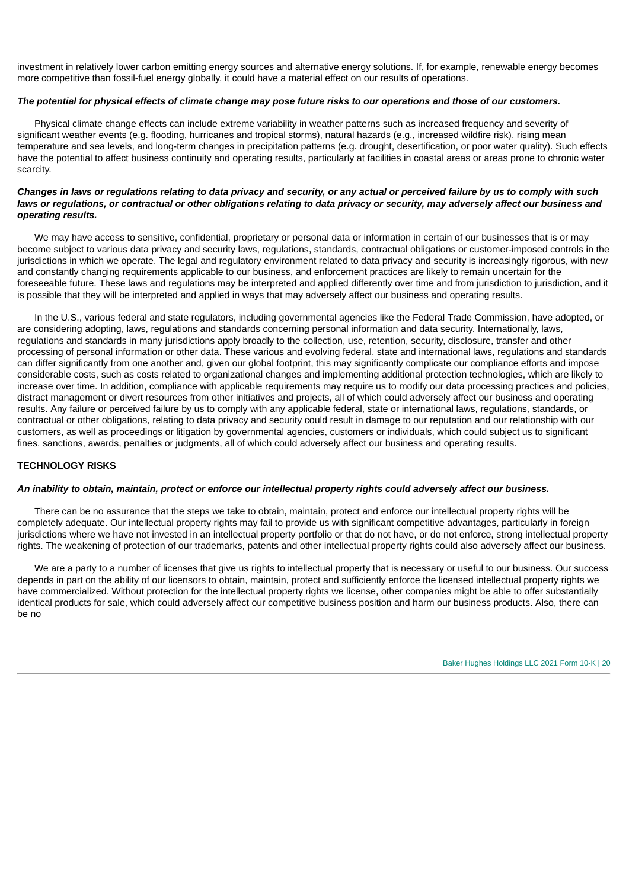investment in relatively lower carbon emitting energy sources and alternative energy solutions. If, for example, renewable energy becomes more competitive than fossil-fuel energy globally, it could have a material effect on our results of operations.

## The potential for physical effects of climate change may pose future risks to our operations and those of our customers.

Physical climate change effects can include extreme variability in weather patterns such as increased frequency and severity of significant weather events (e.g. flooding, hurricanes and tropical storms), natural hazards (e.g., increased wildfire risk), rising mean temperature and sea levels, and long-term changes in precipitation patterns (e.g. drought, desertification, or poor water quality). Such effects have the potential to affect business continuity and operating results, particularly at facilities in coastal areas or areas prone to chronic water scarcity.

## Changes in laws or regulations relating to data privacy and security, or any actual or perceived failure by us to comply with such laws or requiations, or contractual or other obligations relating to data privacy or security, may adversely affect our business and *operating results.*

We may have access to sensitive, confidential, proprietary or personal data or information in certain of our businesses that is or may become subject to various data privacy and security laws, regulations, standards, contractual obligations or customer-imposed controls in the jurisdictions in which we operate. The legal and regulatory environment related to data privacy and security is increasingly rigorous, with new and constantly changing requirements applicable to our business, and enforcement practices are likely to remain uncertain for the foreseeable future. These laws and regulations may be interpreted and applied differently over time and from jurisdiction to jurisdiction, and it is possible that they will be interpreted and applied in ways that may adversely affect our business and operating results.

In the U.S., various federal and state regulators, including governmental agencies like the Federal Trade Commission, have adopted, or are considering adopting, laws, regulations and standards concerning personal information and data security. Internationally, laws, regulations and standards in many jurisdictions apply broadly to the collection, use, retention, security, disclosure, transfer and other processing of personal information or other data. These various and evolving federal, state and international laws, regulations and standards can differ significantly from one another and, given our global footprint, this may significantly complicate our compliance efforts and impose considerable costs, such as costs related to organizational changes and implementing additional protection technologies, which are likely to increase over time. In addition, compliance with applicable requirements may require us to modify our data processing practices and policies, distract management or divert resources from other initiatives and projects, all of which could adversely affect our business and operating results. Any failure or perceived failure by us to comply with any applicable federal, state or international laws, regulations, standards, or contractual or other obligations, relating to data privacy and security could result in damage to our reputation and our relationship with our customers, as well as proceedings or litigation by governmental agencies, customers or individuals, which could subject us to significant fines, sanctions, awards, penalties or judgments, all of which could adversely affect our business and operating results.

## **TECHNOLOGY RISKS**

## An inability to obtain, maintain, protect or enforce our intellectual property rights could adversely affect our business.

There can be no assurance that the steps we take to obtain, maintain, protect and enforce our intellectual property rights will be completely adequate. Our intellectual property rights may fail to provide us with significant competitive advantages, particularly in foreign jurisdictions where we have not invested in an intellectual property portfolio or that do not have, or do not enforce, strong intellectual property rights. The weakening of protection of our trademarks, patents and other intellectual property rights could also adversely affect our business.

We are a party to a number of licenses that give us rights to intellectual property that is necessary or useful to our business. Our success depends in part on the ability of our licensors to obtain, maintain, protect and sufficiently enforce the licensed intellectual property rights we have commercialized. Without protection for the intellectual property rights we license, other companies might be able to offer substantially identical products for sale, which could adversely affect our competitive business position and harm our business products. Also, there can be no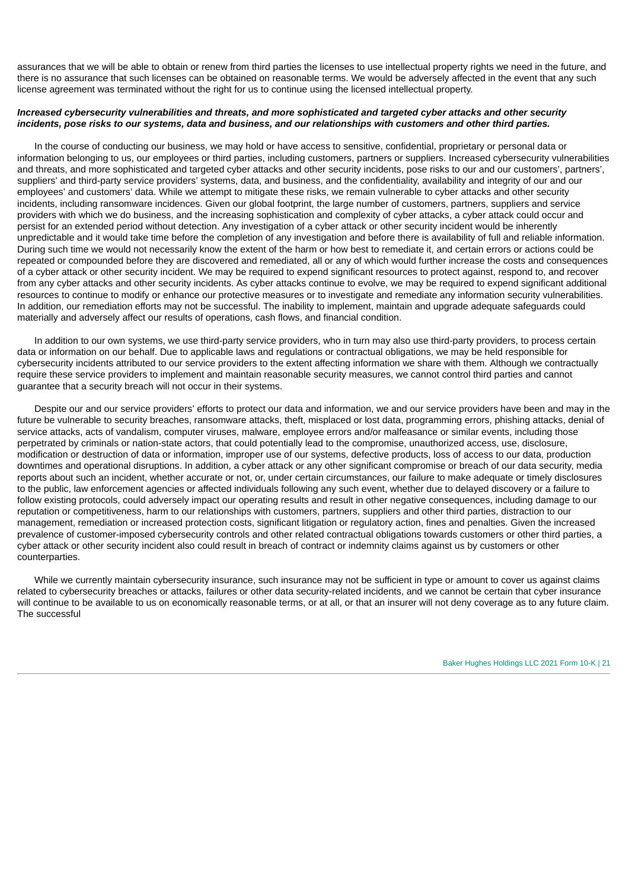assurances that we will be able to obtain or renew from third parties the licenses to use intellectual property rights we need in the future, and there is no assurance that such licenses can be obtained on reasonable terms. We would be adversely affected in the event that any such license agreement was terminated without the right for us to continue using the licensed intellectual property.

## Increased cybersecurity vulnerabilities and threats, and more sophisticated and targeted cyber attacks and other security incidents, pose risks to our systems, data and business, and our relationships with customers and other third parties,

In the course of conducting our business, we may hold or have access to sensitive, confidential, proprietary or personal data or information belonging to us, our employees or third parties, including customers, partners or suppliers. Increased cybersecurity vulnerabilities and threats, and more sophisticated and targeted cyber attacks and other security incidents, pose risks to our and our customers', partners', suppliers' and third-party service providers' systems, data, and business, and the confidentiality, availability and integrity of our and our employees' and customers' data. While we attempt to mitigate these risks, we remain vulnerable to cyber attacks and other security incidents, including ransomware incidences. Given our global footprint, the large number of customers, partners, suppliers and service providers with which we do business, and the increasing sophistication and complexity of cyber attacks, a cyber attack could occur and persist for an extended period without detection. Any investigation of a cyber attack or other security incident would be inherently unpredictable and it would take time before the completion of any investigation and before there is availability of full and reliable information. During such time we would not necessarily know the extent of the harm or how best to remediate it, and certain errors or actions could be repeated or compounded before they are discovered and remediated, all or any of which would further increase the costs and consequences of a cyber attack or other security incident. We may be required to expend significant resources to protect against, respond to, and recover from any cyber attacks and other security incidents. As cyber attacks continue to evolve, we may be required to expend significant additional resources to continue to modify or enhance our protective measures or to investigate and remediate any information security vulnerabilities. In addition, our remediation efforts may not be successful. The inability to implement, maintain and upgrade adequate safeguards could materially and adversely affect our results of operations, cash flows, and financial condition.

In addition to our own systems, we use third-party service providers, who in turn may also use third-party providers, to process certain data or information on our behalf. Due to applicable laws and regulations or contractual obligations, we may be held responsible for cybersecurity incidents attributed to our service providers to the extent affecting information we share with them. Although we contractually require these service providers to implement and maintain reasonable security measures, we cannot control third parties and cannot guarantee that a security breach will not occur in their systems.

Despite our and our service providers' efforts to protect our data and information, we and our service providers have been and may in the future be vulnerable to security breaches, ransomware attacks, theft, misplaced or lost data, programming errors, phishing attacks, denial of service attacks, acts of vandalism, computer viruses, malware, employee errors and/or malfeasance or similar events, including those perpetrated by criminals or nation-state actors, that could potentially lead to the compromise, unauthorized access, use, disclosure, modification or destruction of data or information, improper use of our systems, defective products, loss of access to our data, production downtimes and operational disruptions. In addition, a cyber attack or any other significant compromise or breach of our data security, media reports about such an incident, whether accurate or not, or, under certain circumstances, our failure to make adequate or timely disclosures to the public, law enforcement agencies or affected individuals following any such event, whether due to delayed discovery or a failure to follow existing protocols, could adversely impact our operating results and result in other negative consequences, including damage to our reputation or competitiveness, harm to our relationships with customers, partners, suppliers and other third parties, distraction to our management, remediation or increased protection costs, significant litigation or regulatory action, fines and penalties. Given the increased prevalence of customer-imposed cybersecurity controls and other related contractual obligations towards customers or other third parties, a cyber attack or other security incident also could result in breach of contract or indemnity claims against us by customers or other counterparties.

While we currently maintain cybersecurity insurance, such insurance may not be sufficient in type or amount to cover us against claims related to cybersecurity breaches or attacks, failures or other data security-related incidents, and we cannot be certain that cyber insurance will continue to be available to us on economically reasonable terms, or at all, or that an insurer will not deny coverage as to any future claim. The successful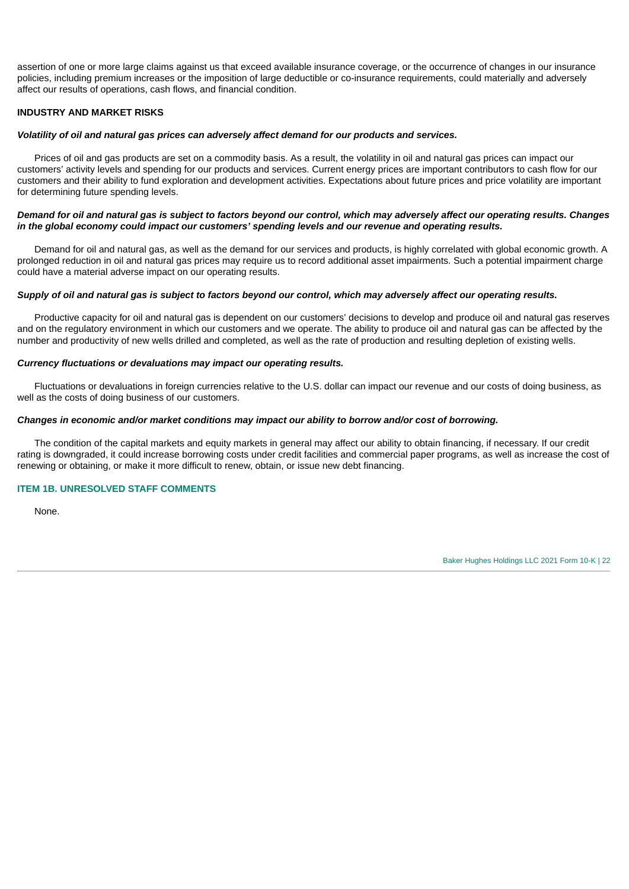assertion of one or more large claims against us that exceed available insurance coverage, or the occurrence of changes in our insurance policies, including premium increases or the imposition of large deductible or co-insurance requirements, could materially and adversely affect our results of operations, cash flows, and financial condition.

## **INDUSTRY AND MARKET RISKS**

#### *Volatility of oil and natural gas prices can adversely affect demand for our products and services.*

Prices of oil and gas products are set on a commodity basis. As a result, the volatility in oil and natural gas prices can impact our customers' activity levels and spending for our products and services. Current energy prices are important contributors to cash flow for our customers and their ability to fund exploration and development activities. Expectations about future prices and price volatility are important for determining future spending levels.

#### Demand for oil and natural gas is subject to factors beyond our control, which may adversely affect our operating results. Changes *in the global economy could impact our customers' spending levels and our revenue and operating results.*

Demand for oil and natural gas, as well as the demand for our services and products, is highly correlated with global economic growth. A prolonged reduction in oil and natural gas prices may require us to record additional asset impairments. Such a potential impairment charge could have a material adverse impact on our operating results.

#### Supply of oil and natural gas is subject to factors beyond our control, which may adversely affect our operating results.

Productive capacity for oil and natural gas is dependent on our customers' decisions to develop and produce oil and natural gas reserves and on the regulatory environment in which our customers and we operate. The ability to produce oil and natural gas can be affected by the number and productivity of new wells drilled and completed, as well as the rate of production and resulting depletion of existing wells.

#### *Currency fluctuations or devaluations may impact our operating results.*

Fluctuations or devaluations in foreign currencies relative to the U.S. dollar can impact our revenue and our costs of doing business, as well as the costs of doing business of our customers.

## *Changes in economic and/or market conditions may impact our ability to borrow and/or cost of borrowing.*

The condition of the capital markets and equity markets in general may affect our ability to obtain financing, if necessary. If our credit rating is downgraded, it could increase borrowing costs under credit facilities and commercial paper programs, as well as increase the cost of renewing or obtaining, or make it more difficult to renew, obtain, or issue new debt financing.

## <span id="page-23-0"></span>**ITEM 1B. UNRESOLVED STAFF COMMENTS**

<span id="page-23-1"></span>None.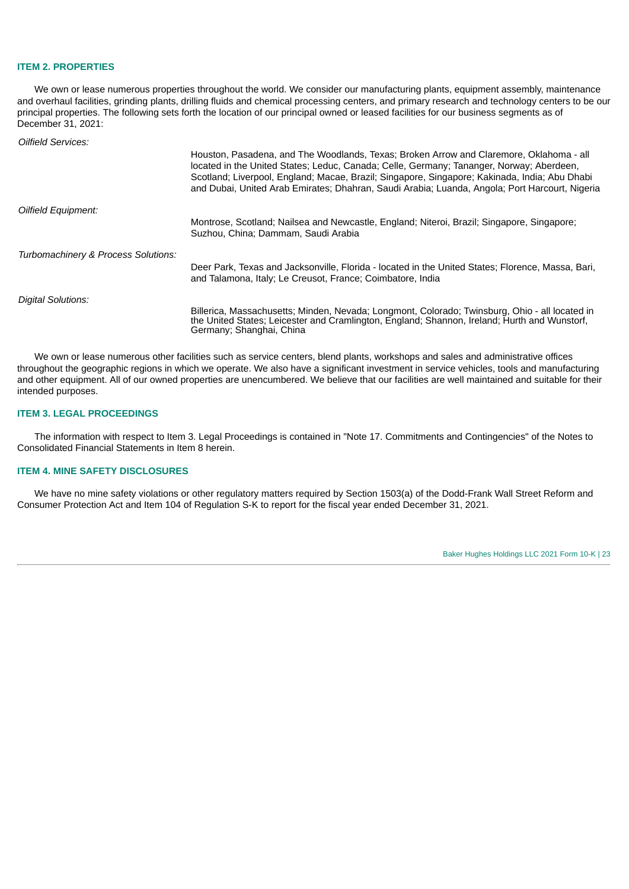#### **ITEM 2. PROPERTIES**

We own or lease numerous properties throughout the world. We consider our manufacturing plants, equipment assembly, maintenance and overhaul facilities, grinding plants, drilling fluids and chemical processing centers, and primary research and technology centers to be our principal properties. The following sets forth the location of our principal owned or leased facilities for our business segments as of December 31, 2021:

#### *Oilfield Services:*

|                                     | Houston, Pasadena, and The Woodlands, Texas; Broken Arrow and Claremore, Oklahoma - all<br>located in the United States; Leduc, Canada; Celle, Germany; Tananger, Norway; Aberdeen,<br>Scotland; Liverpool, England; Macae, Brazil; Singapore, Singapore; Kakinada, India; Abu Dhabi<br>and Dubai, United Arab Emirates; Dhahran, Saudi Arabia; Luanda, Angola; Port Harcourt, Nigeria |
|-------------------------------------|----------------------------------------------------------------------------------------------------------------------------------------------------------------------------------------------------------------------------------------------------------------------------------------------------------------------------------------------------------------------------------------|
| Oilfield Equipment:                 |                                                                                                                                                                                                                                                                                                                                                                                        |
|                                     | Montrose, Scotland; Nailsea and Newcastle, England; Niteroi, Brazil; Singapore, Singapore;<br>Suzhou, China; Dammam, Saudi Arabia                                                                                                                                                                                                                                                      |
| Turbomachinery & Process Solutions: |                                                                                                                                                                                                                                                                                                                                                                                        |
|                                     | Deer Park, Texas and Jacksonville, Florida - located in the United States; Florence, Massa, Bari,<br>and Talamona, Italy; Le Creusot, France; Coimbatore, India                                                                                                                                                                                                                        |
| Digital Solutions:                  |                                                                                                                                                                                                                                                                                                                                                                                        |
|                                     | Billerica, Massachusetts; Minden, Nevada; Longmont, Colorado; Twinsburg, Ohio - all located in<br>the United States; Leicester and Cramlington, England; Shannon, Ireland; Hurth and Wunstorf,<br>Germany; Shanghai, China                                                                                                                                                             |
|                                     |                                                                                                                                                                                                                                                                                                                                                                                        |

We own or lease numerous other facilities such as service centers, blend plants, workshops and sales and administrative offices throughout the geographic regions in which we operate. We also have a significant investment in service vehicles, tools and manufacturing and other equipment. All of our owned properties are unencumbered. We believe that our facilities are well maintained and suitable for their intended purposes.

#### <span id="page-24-0"></span>**ITEM 3. LEGAL PROCEEDINGS**

The information with respect to Item 3. Legal Proceedings is contained in "Note 17. Commitments and Contingencies" of the Notes to Consolidated Financial Statements in Item 8 herein.

## <span id="page-24-1"></span>**ITEM 4. MINE SAFETY DISCLOSURES**

<span id="page-24-2"></span>We have no mine safety violations or other regulatory matters required by Section 1503(a) of the Dodd-Frank Wall Street Reform and Consumer Protection Act and Item 104 of Regulation S-K to report for the fiscal year ended December 31, 2021.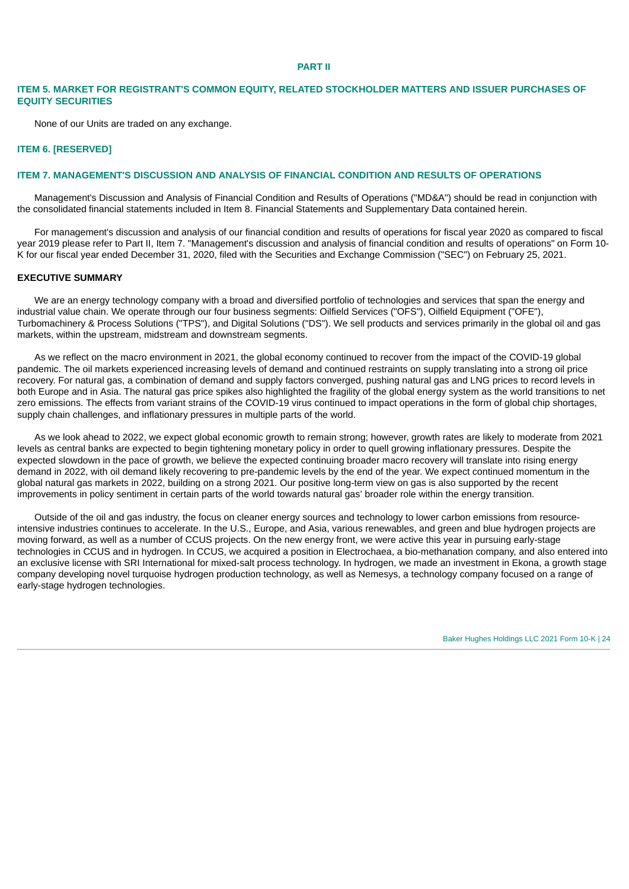#### **PART II**

#### <span id="page-25-0"></span>**ITEM 5. MARKET FOR REGISTRANT'S COMMON EQUITY, RELATED STOCKHOLDER MATTERS AND ISSUER PURCHASES OF EQUITY SECURITIES**

None of our Units are traded on any exchange.

#### <span id="page-25-2"></span><span id="page-25-1"></span>**ITEM 6. [RESERVED]**

#### **ITEM 7. MANAGEMENT'S DISCUSSION AND ANALYSIS OF FINANCIAL CONDITION AND RESULTS OF OPERATIONS**

Management's Discussion and Analysis of Financial Condition and Results of Operations ("MD&A") should be read in conjunction with the consolidated financial statements included in Item 8. Financial Statements and Supplementary Data contained herein.

For management's discussion and analysis of our financial condition and results of operations for fiscal year 2020 as compared to fiscal year 2019 please refer to Part II, Item 7. "Management's discussion and analysis of financial condition and results of operations" on Form 10- K for our fiscal year ended December 31, 2020, filed with the Securities and Exchange Commission ("SEC") on February 25, 2021.

#### **EXECUTIVE SUMMARY**

We are an energy technology company with a broad and diversified portfolio of technologies and services that span the energy and industrial value chain. We operate through our four business segments: Oilfield Services ("OFS"), Oilfield Equipment ("OFE"), Turbomachinery & Process Solutions ("TPS"), and Digital Solutions ("DS"). We sell products and services primarily in the global oil and gas markets, within the upstream, midstream and downstream segments.

As we reflect on the macro environment in 2021, the global economy continued to recover from the impact of the COVID-19 global pandemic. The oil markets experienced increasing levels of demand and continued restraints on supply translating into a strong oil price recovery. For natural gas, a combination of demand and supply factors converged, pushing natural gas and LNG prices to record levels in both Europe and in Asia. The natural gas price spikes also highlighted the fragility of the global energy system as the world transitions to net zero emissions. The effects from variant strains of the COVID-19 virus continued to impact operations in the form of global chip shortages, supply chain challenges, and inflationary pressures in multiple parts of the world.

As we look ahead to 2022, we expect global economic growth to remain strong; however, growth rates are likely to moderate from 2021 levels as central banks are expected to begin tightening monetary policy in order to quell growing inflationary pressures. Despite the expected slowdown in the pace of growth, we believe the expected continuing broader macro recovery will translate into rising energy demand in 2022, with oil demand likely recovering to pre-pandemic levels by the end of the year. We expect continued momentum in the global natural gas markets in 2022, building on a strong 2021. Our positive long-term view on gas is also supported by the recent improvements in policy sentiment in certain parts of the world towards natural gas' broader role within the energy transition.

Outside of the oil and gas industry, the focus on cleaner energy sources and technology to lower carbon emissions from resourceintensive industries continues to accelerate. In the U.S., Europe, and Asia, various renewables, and green and blue hydrogen projects are moving forward, as well as a number of CCUS projects. On the new energy front, we were active this year in pursuing early-stage technologies in CCUS and in hydrogen. In CCUS, we acquired a position in Electrochaea, a bio-methanation company, and also entered into an exclusive license with SRI International for mixed-salt process technology. In hydrogen, we made an investment in Ekona, a growth stage company developing novel turquoise hydrogen production technology, as well as Nemesys, a technology company focused on a range of early-stage hydrogen technologies.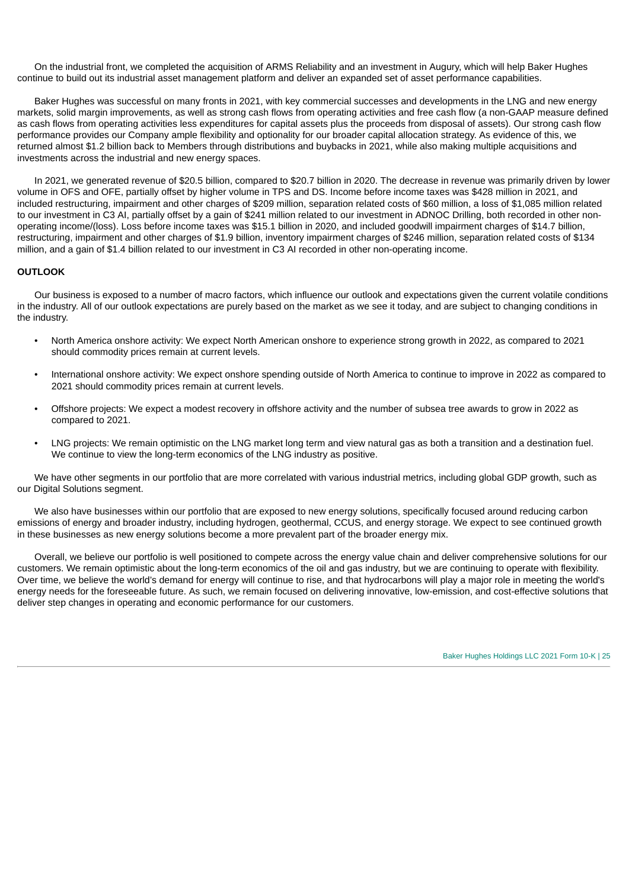On the industrial front, we completed the acquisition of ARMS Reliability and an investment in Augury, which will help Baker Hughes continue to build out its industrial asset management platform and deliver an expanded set of asset performance capabilities.

Baker Hughes was successful on many fronts in 2021, with key commercial successes and developments in the LNG and new energy markets, solid margin improvements, as well as strong cash flows from operating activities and free cash flow (a non-GAAP measure defined as cash flows from operating activities less expenditures for capital assets plus the proceeds from disposal of assets). Our strong cash flow performance provides our Company ample flexibility and optionality for our broader capital allocation strategy. As evidence of this, we returned almost \$1.2 billion back to Members through distributions and buybacks in 2021, while also making multiple acquisitions and investments across the industrial and new energy spaces.

In 2021, we generated revenue of \$20.5 billion, compared to \$20.7 billion in 2020. The decrease in revenue was primarily driven by lower volume in OFS and OFE, partially offset by higher volume in TPS and DS. Income before income taxes was \$428 million in 2021, and included restructuring, impairment and other charges of \$209 million, separation related costs of \$60 million, a loss of \$1,085 million related to our investment in C3 AI, partially offset by a gain of \$241 million related to our investment in ADNOC Drilling, both recorded in other nonoperating income/(loss). Loss before income taxes was \$15.1 billion in 2020, and included goodwill impairment charges of \$14.7 billion, restructuring, impairment and other charges of \$1.9 billion, inventory impairment charges of \$246 million, separation related costs of \$134 million, and a gain of \$1.4 billion related to our investment in C3 AI recorded in other non-operating income.

## **OUTLOOK**

Our business is exposed to a number of macro factors, which influence our outlook and expectations given the current volatile conditions in the industry. All of our outlook expectations are purely based on the market as we see it today, and are subject to changing conditions in the industry.

- North America onshore activity: We expect North American onshore to experience strong growth in 2022, as compared to 2021 should commodity prices remain at current levels.
- International onshore activity: We expect onshore spending outside of North America to continue to improve in 2022 as compared to 2021 should commodity prices remain at current levels.
- Offshore projects: We expect a modest recovery in offshore activity and the number of subsea tree awards to grow in 2022 as compared to 2021.
- LNG projects: We remain optimistic on the LNG market long term and view natural gas as both a transition and a destination fuel. We continue to view the long-term economics of the LNG industry as positive.

We have other segments in our portfolio that are more correlated with various industrial metrics, including global GDP growth, such as our Digital Solutions segment.

We also have businesses within our portfolio that are exposed to new energy solutions, specifically focused around reducing carbon emissions of energy and broader industry, including hydrogen, geothermal, CCUS, and energy storage. We expect to see continued growth in these businesses as new energy solutions become a more prevalent part of the broader energy mix.

Overall, we believe our portfolio is well positioned to compete across the energy value chain and deliver comprehensive solutions for our customers. We remain optimistic about the long-term economics of the oil and gas industry, but we are continuing to operate with flexibility. Over time, we believe the world's demand for energy will continue to rise, and that hydrocarbons will play a major role in meeting the world's energy needs for the foreseeable future. As such, we remain focused on delivering innovative, low-emission, and cost-effective solutions that deliver step changes in operating and economic performance for our customers.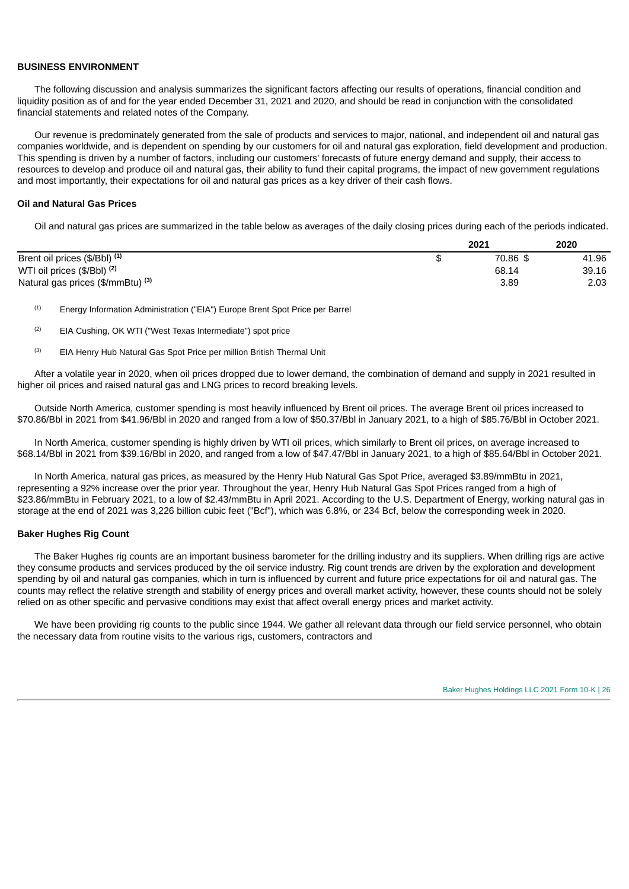#### **BUSINESS ENVIRONMENT**

The following discussion and analysis summarizes the significant factors affecting our results of operations, financial condition and liquidity position as of and for the year ended December 31, 2021 and 2020, and should be read in conjunction with the consolidated financial statements and related notes of the Company.

Our revenue is predominately generated from the sale of products and services to major, national, and independent oil and natural gas companies worldwide, and is dependent on spending by our customers for oil and natural gas exploration, field development and production. This spending is driven by a number of factors, including our customers' forecasts of future energy demand and supply, their access to resources to develop and produce oil and natural gas, their ability to fund their capital programs, the impact of new government regulations and most importantly, their expectations for oil and natural gas prices as a key driver of their cash flows.

#### **Oil and Natural Gas Prices**

Oil and natural gas prices are summarized in the table below as averages of the daily closing prices during each of the periods indicated.

|                                          | 2021     | 2020  |
|------------------------------------------|----------|-------|
| Brent oil prices (\$/Bbl) <sup>(1)</sup> | 70.86 \$ | 41.96 |
| WTI oil prices (\$/Bbl) <sup>(2)</sup>   | 68.14    | 39.16 |
| Natural gas prices (\$/mmBtu) (3)        | 3.89     | 2.03  |

Energy Information Administration ("EIA") Europe Brent Spot Price per Barrel (1)

- EIA Cushing, OK WTI ("West Texas Intermediate") spot price (2)
- EIA Henry Hub Natural Gas Spot Price per million British Thermal Unit (3)

After a volatile year in 2020, when oil prices dropped due to lower demand, the combination of demand and supply in 2021 resulted in higher oil prices and raised natural gas and LNG prices to record breaking levels.

Outside North America, customer spending is most heavily influenced by Brent oil prices. The average Brent oil prices increased to \$70.86/Bbl in 2021 from \$41.96/Bbl in 2020 and ranged from a low of \$50.37/Bbl in January 2021, to a high of \$85.76/Bbl in October 2021.

In North America, customer spending is highly driven by WTI oil prices, which similarly to Brent oil prices, on average increased to \$68.14/Bbl in 2021 from \$39.16/Bbl in 2020, and ranged from a low of \$47.47/Bbl in January 2021, to a high of \$85.64/Bbl in October 2021.

In North America, natural gas prices, as measured by the Henry Hub Natural Gas Spot Price, averaged \$3.89/mmBtu in 2021, representing a 92% increase over the prior year. Throughout the year, Henry Hub Natural Gas Spot Prices ranged from a high of \$23.86/mmBtu in February 2021, to a low of \$2.43/mmBtu in April 2021. According to the U.S. Department of Energy, working natural gas in storage at the end of 2021 was 3,226 billion cubic feet ("Bcf"), which was 6.8%, or 234 Bcf, below the corresponding week in 2020.

## **Baker Hughes Rig Count**

The Baker Hughes rig counts are an important business barometer for the drilling industry and its suppliers. When drilling rigs are active they consume products and services produced by the oil service industry. Rig count trends are driven by the exploration and development spending by oil and natural gas companies, which in turn is influenced by current and future price expectations for oil and natural gas. The counts may reflect the relative strength and stability of energy prices and overall market activity, however, these counts should not be solely relied on as other specific and pervasive conditions may exist that affect overall energy prices and market activity.

We have been providing rig counts to the public since 1944. We gather all relevant data through our field service personnel, who obtain the necessary data from routine visits to the various rigs, customers, contractors and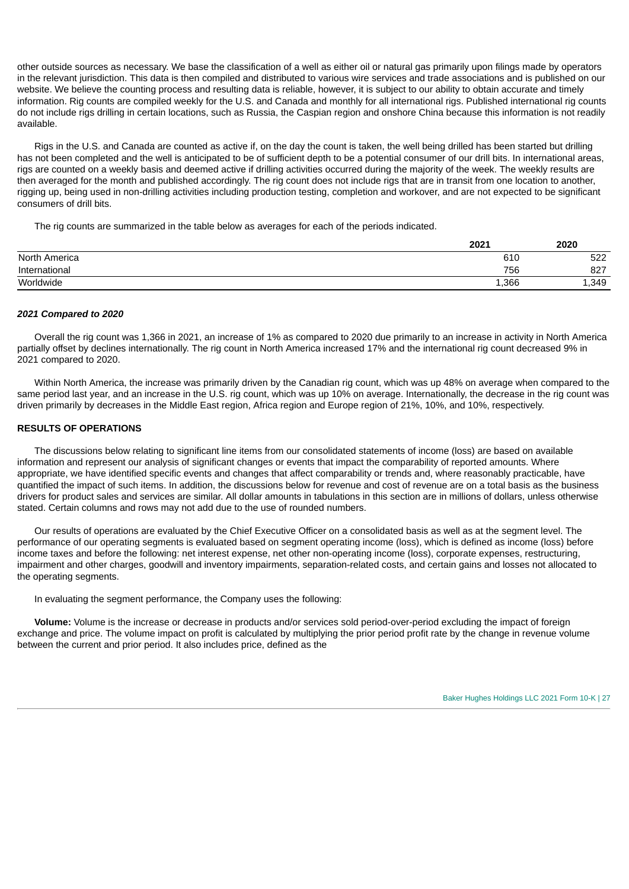other outside sources as necessary. We base the classification of a well as either oil or natural gas primarily upon filings made by operators in the relevant jurisdiction. This data is then compiled and distributed to various wire services and trade associations and is published on our website. We believe the counting process and resulting data is reliable, however, it is subject to our ability to obtain accurate and timely information. Rig counts are compiled weekly for the U.S. and Canada and monthly for all international rigs. Published international rig counts do not include rigs drilling in certain locations, such as Russia, the Caspian region and onshore China because this information is not readily available.

Rigs in the U.S. and Canada are counted as active if, on the day the count is taken, the well being drilled has been started but drilling has not been completed and the well is anticipated to be of sufficient depth to be a potential consumer of our drill bits. In international areas, rigs are counted on a weekly basis and deemed active if drilling activities occurred during the majority of the week. The weekly results are then averaged for the month and published accordingly. The rig count does not include rigs that are in transit from one location to another, rigging up, being used in non-drilling activities including production testing, completion and workover, and are not expected to be significant consumers of drill bits.

The rig counts are summarized in the table below as averages for each of the periods indicated.

|               | 2021  | 2020  |
|---------------|-------|-------|
| North America | 610   | 522   |
| International | 756   | 827   |
| Worldwide     | 1,366 | 1,349 |

#### *2021 Compared to 2020*

Overall the rig count was 1,366 in 2021, an increase of 1% as compared to 2020 due primarily to an increase in activity in North America partially offset by declines internationally. The rig count in North America increased 17% and the international rig count decreased 9% in 2021 compared to 2020.

Within North America, the increase was primarily driven by the Canadian rig count, which was up 48% on average when compared to the same period last year, and an increase in the U.S. rig count, which was up 10% on average. Internationally, the decrease in the rig count was driven primarily by decreases in the Middle East region, Africa region and Europe region of 21%, 10%, and 10%, respectively.

#### **RESULTS OF OPERATIONS**

The discussions below relating to significant line items from our consolidated statements of income (loss) are based on available information and represent our analysis of significant changes or events that impact the comparability of reported amounts. Where appropriate, we have identified specific events and changes that affect comparability or trends and, where reasonably practicable, have quantified the impact of such items. In addition, the discussions below for revenue and cost of revenue are on a total basis as the business drivers for product sales and services are similar. All dollar amounts in tabulations in this section are in millions of dollars, unless otherwise stated. Certain columns and rows may not add due to the use of rounded numbers.

Our results of operations are evaluated by the Chief Executive Officer on a consolidated basis as well as at the segment level. The performance of our operating segments is evaluated based on segment operating income (loss), which is defined as income (loss) before income taxes and before the following: net interest expense, net other non-operating income (loss), corporate expenses, restructuring, impairment and other charges, goodwill and inventory impairments, separation-related costs, and certain gains and losses not allocated to the operating segments.

In evaluating the segment performance, the Company uses the following:

**Volume:** Volume is the increase or decrease in products and/or services sold period-over-period excluding the impact of foreign exchange and price. The volume impact on profit is calculated by multiplying the prior period profit rate by the change in revenue volume between the current and prior period. It also includes price, defined as the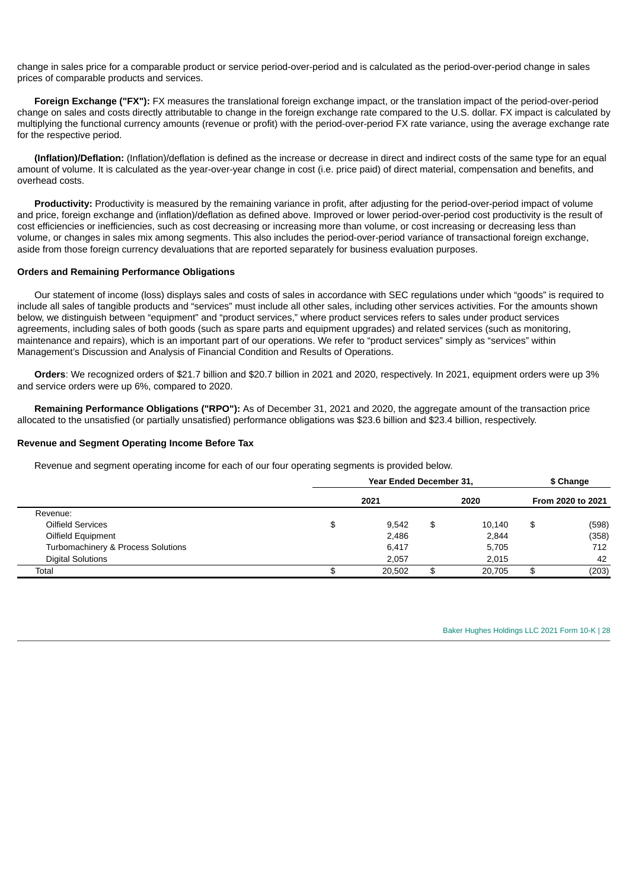change in sales price for a comparable product or service period-over-period and is calculated as the period-over-period change in sales prices of comparable products and services.

**Foreign Exchange ("FX"):** FX measures the translational foreign exchange impact, or the translation impact of the period-over-period change on sales and costs directly attributable to change in the foreign exchange rate compared to the U.S. dollar. FX impact is calculated by multiplying the functional currency amounts (revenue or profit) with the period-over-period FX rate variance, using the average exchange rate for the respective period.

**(Inflation)/Deflation:** (Inflation)/deflation is defined as the increase or decrease in direct and indirect costs of the same type for an equal amount of volume. It is calculated as the year-over-year change in cost (i.e. price paid) of direct material, compensation and benefits, and overhead costs.

**Productivity:** Productivity is measured by the remaining variance in profit, after adjusting for the period-over-period impact of volume and price, foreign exchange and (inflation)/deflation as defined above. Improved or lower period-over-period cost productivity is the result of cost efficiencies or inefficiencies, such as cost decreasing or increasing more than volume, or cost increasing or decreasing less than volume, or changes in sales mix among segments. This also includes the period-over-period variance of transactional foreign exchange, aside from those foreign currency devaluations that are reported separately for business evaluation purposes.

#### **Orders and Remaining Performance Obligations**

Our statement of income (loss) displays sales and costs of sales in accordance with SEC regulations under which "goods" is required to include all sales of tangible products and "services" must include all other sales, including other services activities. For the amounts shown below, we distinguish between "equipment" and "product services," where product services refers to sales under product services agreements, including sales of both goods (such as spare parts and equipment upgrades) and related services (such as monitoring, maintenance and repairs), which is an important part of our operations. We refer to "product services" simply as "services" within Management's Discussion and Analysis of Financial Condition and Results of Operations.

**Orders**: We recognized orders of \$21.7 billion and \$20.7 billion in 2021 and 2020, respectively. In 2021, equipment orders were up 3% and service orders were up 6%, compared to 2020.

**Remaining Performance Obligations ("RPO"):** As of December 31, 2021 and 2020, the aggregate amount of the transaction price allocated to the unsatisfied (or partially unsatisfied) performance obligations was \$23.6 billion and \$23.4 billion, respectively.

#### **Revenue and Segment Operating Income Before Tax**

Revenue and segment operating income for each of our four operating segments is provided below.

|                                    | Year Ended December 31, |        |    | \$ Change |    |                   |
|------------------------------------|-------------------------|--------|----|-----------|----|-------------------|
|                                    |                         | 2021   |    | 2020      |    | From 2020 to 2021 |
| Revenue:                           |                         |        |    |           |    |                   |
| Oilfield Services                  | \$                      | 9.542  | \$ | 10.140    | \$ | (598)             |
| Oilfield Equipment                 |                         | 2,486  |    | 2,844     |    | (358)             |
| Turbomachinery & Process Solutions |                         | 6,417  |    | 5,705     |    | 712               |
| <b>Digital Solutions</b>           |                         | 2,057  |    | 2.015     |    | 42                |
| Total                              | c<br>Ъ                  | 20.502 | \$ | 20.705    | \$ | (203)             |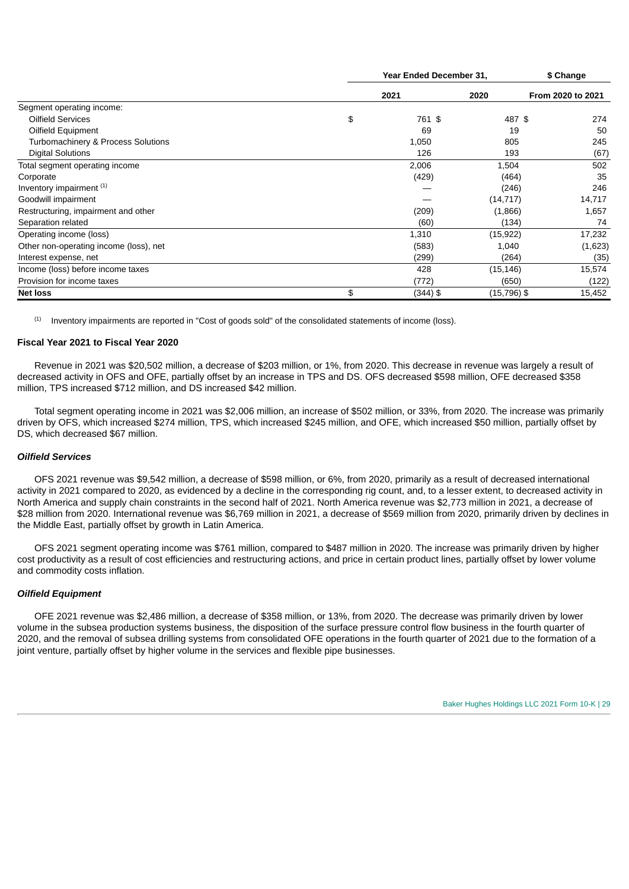|                                        | Year Ended December 31, |               | \$ Change         |  |
|----------------------------------------|-------------------------|---------------|-------------------|--|
|                                        | 2021                    | 2020          | From 2020 to 2021 |  |
| Segment operating income:              |                         |               |                   |  |
| Oilfield Services                      | \$<br>761 \$            | 487 \$        | 274               |  |
| Oilfield Equipment                     | 69                      | 19            | 50                |  |
| Turbomachinery & Process Solutions     | 1,050                   | 805           | 245               |  |
| <b>Digital Solutions</b>               | 126                     | 193           | (67)              |  |
| Total segment operating income         | 2,006                   | 1,504         | 502               |  |
| Corporate                              | (429)                   | (464)         | 35                |  |
| Inventory impairment <sup>(1)</sup>    |                         | (246)         | 246               |  |
| Goodwill impairment                    |                         | (14, 717)     | 14,717            |  |
| Restructuring, impairment and other    | (209)                   | (1,866)       | 1,657             |  |
| Separation related                     | (60)                    | (134)         | 74                |  |
| Operating income (loss)                | 1,310                   | (15, 922)     | 17,232            |  |
| Other non-operating income (loss), net | (583)                   | 1,040         | (1,623)           |  |
| Interest expense, net                  | (299)                   | (264)         | (35)              |  |
| Income (loss) before income taxes      | 428                     | (15, 146)     | 15,574            |  |
| Provision for income taxes             | (772)                   | (650)         | (122)             |  |
| Net loss                               | \$<br>$(344)$ \$        | $(15,796)$ \$ | 15,452            |  |

Inventory impairments are reported in "Cost of goods sold" of the consolidated statements of income (loss). (1)

## **Fiscal Year 2021 to Fiscal Year 2020**

Revenue in 2021 was \$20,502 million, a decrease of \$203 million, or 1%, from 2020. This decrease in revenue was largely a result of decreased activity in OFS and OFE, partially offset by an increase in TPS and DS. OFS decreased \$598 million, OFE decreased \$358 million, TPS increased \$712 million, and DS increased \$42 million.

Total segment operating income in 2021 was \$2,006 million, an increase of \$502 million, or 33%, from 2020. The increase was primarily driven by OFS, which increased \$274 million, TPS, which increased \$245 million, and OFE, which increased \$50 million, partially offset by DS, which decreased \$67 million.

#### *Oilfield Services*

OFS 2021 revenue was \$9,542 million, a decrease of \$598 million, or 6%, from 2020, primarily as a result of decreased international activity in 2021 compared to 2020, as evidenced by a decline in the corresponding rig count, and, to a lesser extent, to decreased activity in North America and supply chain constraints in the second half of 2021. North America revenue was \$2,773 million in 2021, a decrease of \$28 million from 2020. International revenue was \$6,769 million in 2021, a decrease of \$569 million from 2020, primarily driven by declines in the Middle East, partially offset by growth in Latin America.

OFS 2021 segment operating income was \$761 million, compared to \$487 million in 2020. The increase was primarily driven by higher cost productivity as a result of cost efficiencies and restructuring actions, and price in certain product lines, partially offset by lower volume and commodity costs inflation.

## *Oilfield Equipment*

OFE 2021 revenue was \$2,486 million, a decrease of \$358 million, or 13%, from 2020. The decrease was primarily driven by lower volume in the subsea production systems business, the disposition of the surface pressure control flow business in the fourth quarter of 2020, and the removal of subsea drilling systems from consolidated OFE operations in the fourth quarter of 2021 due to the formation of a joint venture, partially offset by higher volume in the services and flexible pipe businesses.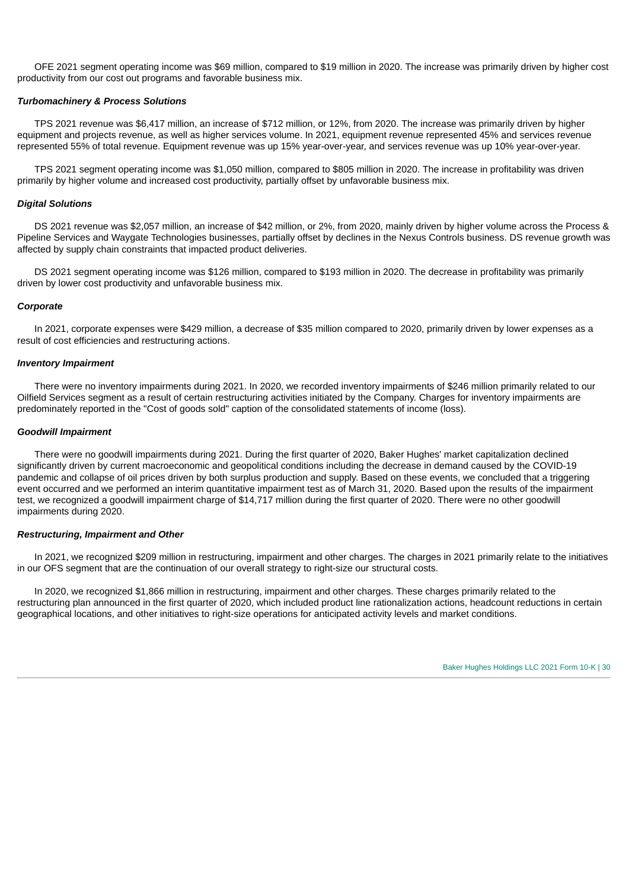OFE 2021 segment operating income was \$69 million, compared to \$19 million in 2020. The increase was primarily driven by higher cost productivity from our cost out programs and favorable business mix.

#### *Turbomachinery & Process Solutions*

TPS 2021 revenue was \$6,417 million, an increase of \$712 million, or 12%, from 2020. The increase was primarily driven by higher equipment and projects revenue, as well as higher services volume. In 2021, equipment revenue represented 45% and services revenue represented 55% of total revenue. Equipment revenue was up 15% year-over-year, and services revenue was up 10% year-over-year.

TPS 2021 segment operating income was \$1,050 million, compared to \$805 million in 2020. The increase in profitability was driven primarily by higher volume and increased cost productivity, partially offset by unfavorable business mix.

#### *Digital Solutions*

DS 2021 revenue was \$2,057 million, an increase of \$42 million, or 2%, from 2020, mainly driven by higher volume across the Process & Pipeline Services and Waygate Technologies businesses, partially offset by declines in the Nexus Controls business. DS revenue growth was affected by supply chain constraints that impacted product deliveries.

DS 2021 segment operating income was \$126 million, compared to \$193 million in 2020. The decrease in profitability was primarily driven by lower cost productivity and unfavorable business mix.

#### *Corporate*

In 2021, corporate expenses were \$429 million, a decrease of \$35 million compared to 2020, primarily driven by lower expenses as a result of cost efficiencies and restructuring actions.

#### *Inventory Impairment*

There were no inventory impairments during 2021. In 2020, we recorded inventory impairments of \$246 million primarily related to our Oilfield Services segment as a result of certain restructuring activities initiated by the Company. Charges for inventory impairments are predominately reported in the "Cost of goods sold" caption of the consolidated statements of income (loss).

#### *Goodwill Impairment*

There were no goodwill impairments during 2021. During the first quarter of 2020, Baker Hughes' market capitalization declined significantly driven by current macroeconomic and geopolitical conditions including the decrease in demand caused by the COVID-19 pandemic and collapse of oil prices driven by both surplus production and supply. Based on these events, we concluded that a triggering event occurred and we performed an interim quantitative impairment test as of March 31, 2020. Based upon the results of the impairment test, we recognized a goodwill impairment charge of \$14,717 million during the first quarter of 2020. There were no other goodwill impairments during 2020.

#### *Restructuring, Impairment and Other*

In 2021, we recognized \$209 million in restructuring, impairment and other charges. The charges in 2021 primarily relate to the initiatives in our OFS segment that are the continuation of our overall strategy to right-size our structural costs.

In 2020, we recognized \$1,866 million in restructuring, impairment and other charges. These charges primarily related to the restructuring plan announced in the first quarter of 2020, which included product line rationalization actions, headcount reductions in certain geographical locations, and other initiatives to right-size operations for anticipated activity levels and market conditions.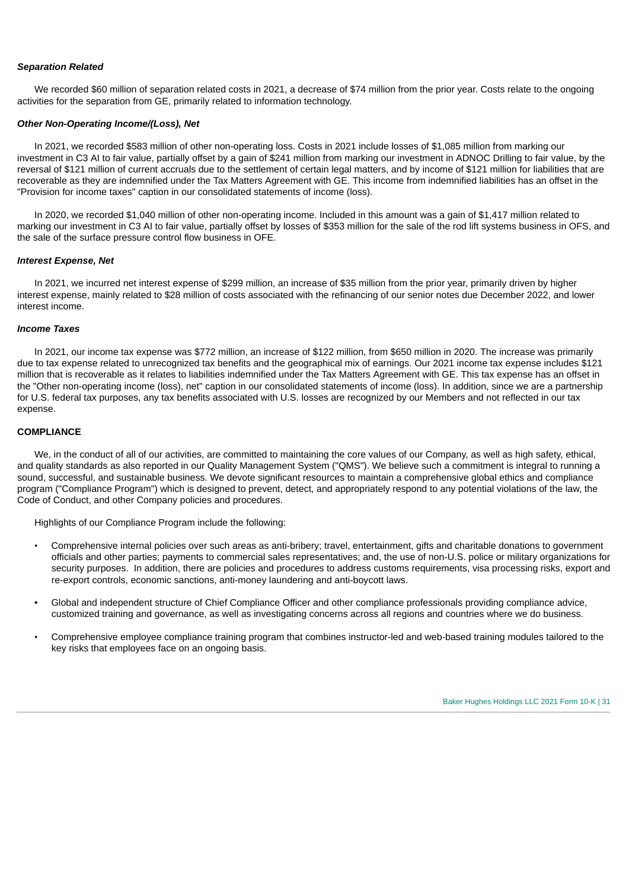#### *Separation Related*

We recorded \$60 million of separation related costs in 2021, a decrease of \$74 million from the prior year. Costs relate to the ongoing activities for the separation from GE, primarily related to information technology.

#### *Other Non-Operating Income/(Loss), Net*

In 2021, we recorded \$583 million of other non-operating loss. Costs in 2021 include losses of \$1,085 million from marking our investment in C3 AI to fair value, partially offset by a gain of \$241 million from marking our investment in ADNOC Drilling to fair value, by the reversal of \$121 million of current accruals due to the settlement of certain legal matters, and by income of \$121 million for liabilities that are recoverable as they are indemnified under the Tax Matters Agreement with GE. This income from indemnified liabilities has an offset in the "Provision for income taxes" caption in our consolidated statements of income (loss).

In 2020, we recorded \$1,040 million of other non-operating income. Included in this amount was a gain of \$1,417 million related to marking our investment in C3 AI to fair value, partially offset by losses of \$353 million for the sale of the rod lift systems business in OFS, and the sale of the surface pressure control flow business in OFE.

#### *Interest Expense, Net*

In 2021, we incurred net interest expense of \$299 million, an increase of \$35 million from the prior year, primarily driven by higher interest expense, mainly related to \$28 million of costs associated with the refinancing of our senior notes due December 2022, and lower interest income.

## *Income Taxes*

In 2021, our income tax expense was \$772 million, an increase of \$122 million, from \$650 million in 2020. The increase was primarily due to tax expense related to unrecognized tax benefits and the geographical mix of earnings. Our 2021 income tax expense includes \$121 million that is recoverable as it relates to liabilities indemnified under the Tax Matters Agreement with GE. This tax expense has an offset in the "Other non-operating income (loss), net" caption in our consolidated statements of income (loss). In addition, since we are a partnership for U.S. federal tax purposes, any tax benefits associated with U.S. losses are recognized by our Members and not reflected in our tax expense.

#### **COMPLIANCE**

We, in the conduct of all of our activities, are committed to maintaining the core values of our Company, as well as high safety, ethical, and quality standards as also reported in our Quality Management System ("QMS"). We believe such a commitment is integral to running a sound, successful, and sustainable business. We devote significant resources to maintain a comprehensive global ethics and compliance program ("Compliance Program") which is designed to prevent, detect, and appropriately respond to any potential violations of the law, the Code of Conduct, and other Company policies and procedures.

Highlights of our Compliance Program include the following:

- Comprehensive internal policies over such areas as anti-bribery; travel, entertainment, gifts and charitable donations to government officials and other parties; payments to commercial sales representatives; and, the use of non-U.S. police or military organizations for security purposes. In addition, there are policies and procedures to address customs requirements, visa processing risks, export and re-export controls, economic sanctions, anti-money laundering and anti-boycott laws.
- Global and independent structure of Chief Compliance Officer and other compliance professionals providing compliance advice, customized training and governance, as well as investigating concerns across all regions and countries where we do business.
- Comprehensive employee compliance training program that combines instructor-led and web-based training modules tailored to the key risks that employees face on an ongoing basis.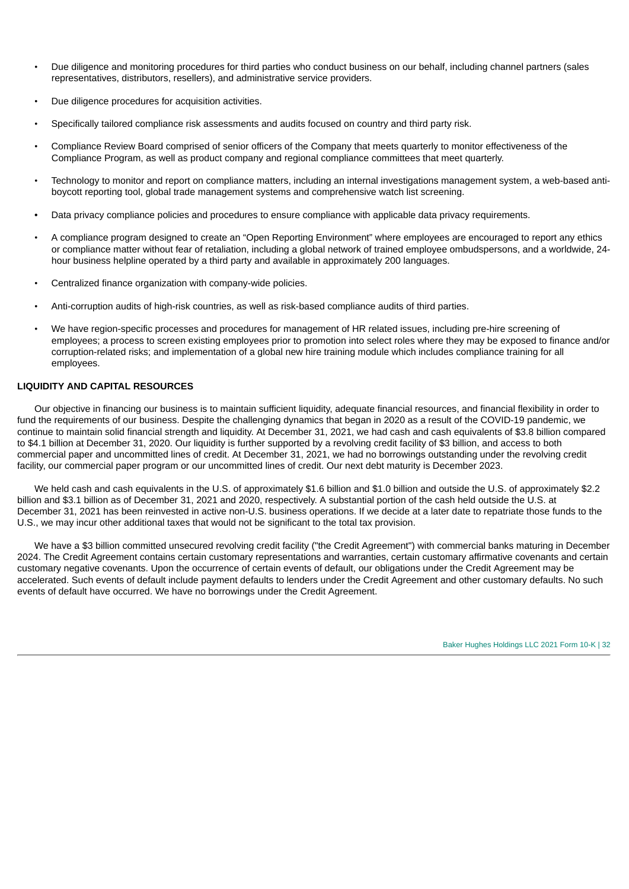- Due diligence and monitoring procedures for third parties who conduct business on our behalf, including channel partners (sales representatives, distributors, resellers), and administrative service providers.
- Due diligence procedures for acquisition activities.
- Specifically tailored compliance risk assessments and audits focused on country and third party risk.
- Compliance Review Board comprised of senior officers of the Company that meets quarterly to monitor effectiveness of the Compliance Program, as well as product company and regional compliance committees that meet quarterly.
- Technology to monitor and report on compliance matters, including an internal investigations management system, a web-based antiboycott reporting tool, global trade management systems and comprehensive watch list screening.
- Data privacy compliance policies and procedures to ensure compliance with applicable data privacy requirements.
- A compliance program designed to create an "Open Reporting Environment" where employees are encouraged to report any ethics or compliance matter without fear of retaliation, including a global network of trained employee ombudspersons, and a worldwide, 24 hour business helpline operated by a third party and available in approximately 200 languages.
- Centralized finance organization with company-wide policies.
- Anti-corruption audits of high-risk countries, as well as risk-based compliance audits of third parties.
- We have region-specific processes and procedures for management of HR related issues, including pre-hire screening of employees; a process to screen existing employees prior to promotion into select roles where they may be exposed to finance and/or corruption-related risks; and implementation of a global new hire training module which includes compliance training for all employees.

## **LIQUIDITY AND CAPITAL RESOURCES**

Our objective in financing our business is to maintain sufficient liquidity, adequate financial resources, and financial flexibility in order to fund the requirements of our business. Despite the challenging dynamics that began in 2020 as a result of the COVID-19 pandemic, we continue to maintain solid financial strength and liquidity. At December 31, 2021, we had cash and cash equivalents of \$3.8 billion compared to \$4.1 billion at December 31, 2020. Our liquidity is further supported by a revolving credit facility of \$3 billion, and access to both commercial paper and uncommitted lines of credit. At December 31, 2021, we had no borrowings outstanding under the revolving credit facility, our commercial paper program or our uncommitted lines of credit. Our next debt maturity is December 2023.

We held cash and cash equivalents in the U.S. of approximately \$1.6 billion and \$1.0 billion and outside the U.S. of approximately \$2.2 billion and \$3.1 billion as of December 31, 2021 and 2020, respectively. A substantial portion of the cash held outside the U.S. at December 31, 2021 has been reinvested in active non-U.S. business operations. If we decide at a later date to repatriate those funds to the U.S., we may incur other additional taxes that would not be significant to the total tax provision.

We have a \$3 billion committed unsecured revolving credit facility ("the Credit Agreement") with commercial banks maturing in December 2024. The Credit Agreement contains certain customary representations and warranties, certain customary affirmative covenants and certain customary negative covenants. Upon the occurrence of certain events of default, our obligations under the Credit Agreement may be accelerated. Such events of default include payment defaults to lenders under the Credit Agreement and other customary defaults. No such events of default have occurred. We have no borrowings under the Credit Agreement.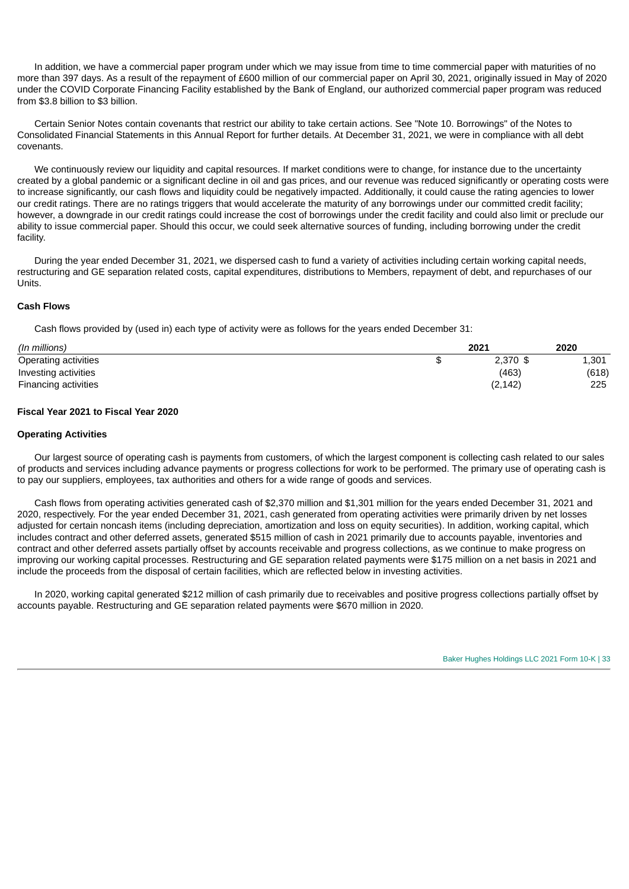In addition, we have a commercial paper program under which we may issue from time to time commercial paper with maturities of no more than 397 days. As a result of the repayment of £600 million of our commercial paper on April 30, 2021, originally issued in May of 2020 under the COVID Corporate Financing Facility established by the Bank of England, our authorized commercial paper program was reduced from \$3.8 billion to \$3 billion.

Certain Senior Notes contain covenants that restrict our ability to take certain actions. See "Note 10. Borrowings" of the Notes to Consolidated Financial Statements in this Annual Report for further details. At December 31, 2021, we were in compliance with all debt covenants.

We continuously review our liquidity and capital resources. If market conditions were to change, for instance due to the uncertainty created by a global pandemic or a significant decline in oil and gas prices, and our revenue was reduced significantly or operating costs were to increase significantly, our cash flows and liquidity could be negatively impacted. Additionally, it could cause the rating agencies to lower our credit ratings. There are no ratings triggers that would accelerate the maturity of any borrowings under our committed credit facility; however, a downgrade in our credit ratings could increase the cost of borrowings under the credit facility and could also limit or preclude our ability to issue commercial paper. Should this occur, we could seek alternative sources of funding, including borrowing under the credit facility.

During the year ended December 31, 2021, we dispersed cash to fund a variety of activities including certain working capital needs, restructuring and GE separation related costs, capital expenditures, distributions to Members, repayment of debt, and repurchases of our Units.

## **Cash Flows**

Cash flows provided by (used in) each type of activity were as follows for the years ended December 31:

| (In millions)        | 2021       | 2020  |
|----------------------|------------|-------|
| Operating activities | $2.370$ \$ | 1,301 |
| Investing activities | (463)      | (618) |
| Financing activities | (2, 142)   | 225   |

#### **Fiscal Year 2021 to Fiscal Year 2020**

#### **Operating Activities**

Our largest source of operating cash is payments from customers, of which the largest component is collecting cash related to our sales of products and services including advance payments or progress collections for work to be performed. The primary use of operating cash is to pay our suppliers, employees, tax authorities and others for a wide range of goods and services.

Cash flows from operating activities generated cash of \$2,370 million and \$1,301 million for the years ended December 31, 2021 and 2020, respectively. For the year ended December 31, 2021, cash generated from operating activities were primarily driven by net losses adjusted for certain noncash items (including depreciation, amortization and loss on equity securities). In addition, working capital, which includes contract and other deferred assets, generated \$515 million of cash in 2021 primarily due to accounts payable, inventories and contract and other deferred assets partially offset by accounts receivable and progress collections, as we continue to make progress on improving our working capital processes. Restructuring and GE separation related payments were \$175 million on a net basis in 2021 and include the proceeds from the disposal of certain facilities, which are reflected below in investing activities.

In 2020, working capital generated \$212 million of cash primarily due to receivables and positive progress collections partially offset by accounts payable. Restructuring and GE separation related payments were \$670 million in 2020.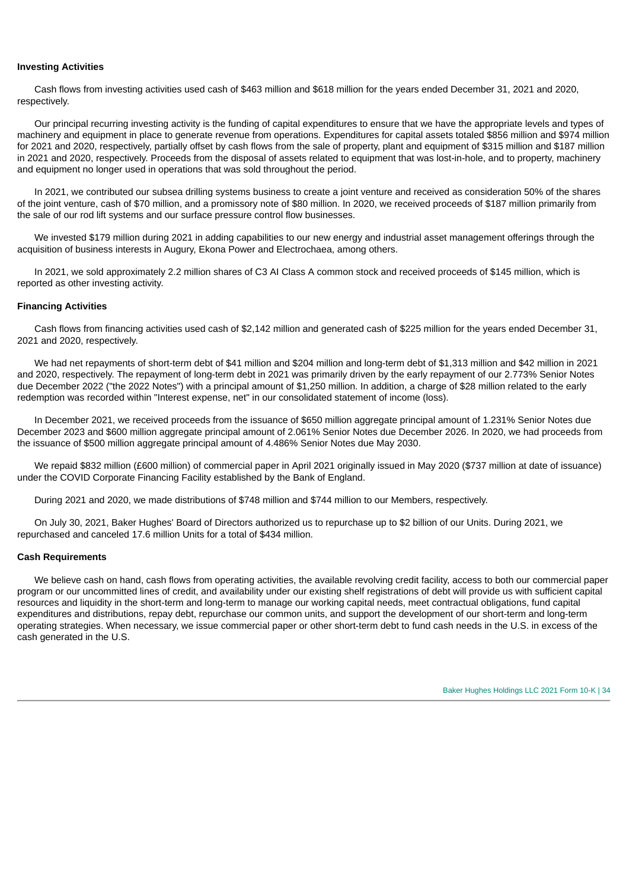#### **Investing Activities**

Cash flows from investing activities used cash of \$463 million and \$618 million for the years ended December 31, 2021 and 2020, respectively.

Our principal recurring investing activity is the funding of capital expenditures to ensure that we have the appropriate levels and types of machinery and equipment in place to generate revenue from operations. Expenditures for capital assets totaled \$856 million and \$974 million for 2021 and 2020, respectively, partially offset by cash flows from the sale of property, plant and equipment of \$315 million and \$187 million in 2021 and 2020, respectively. Proceeds from the disposal of assets related to equipment that was lost-in-hole, and to property, machinery and equipment no longer used in operations that was sold throughout the period.

In 2021, we contributed our subsea drilling systems business to create a joint venture and received as consideration 50% of the shares of the joint venture, cash of \$70 million, and a promissory note of \$80 million. In 2020, we received proceeds of \$187 million primarily from the sale of our rod lift systems and our surface pressure control flow businesses.

We invested \$179 million during 2021 in adding capabilities to our new energy and industrial asset management offerings through the acquisition of business interests in Augury, Ekona Power and Electrochaea, among others.

In 2021, we sold approximately 2.2 million shares of C3 AI Class A common stock and received proceeds of \$145 million, which is reported as other investing activity.

## **Financing Activities**

Cash flows from financing activities used cash of \$2,142 million and generated cash of \$225 million for the years ended December 31, 2021 and 2020, respectively.

We had net repayments of short-term debt of \$41 million and \$204 million and long-term debt of \$1,313 million and \$42 million in 2021 and 2020, respectively. The repayment of long-term debt in 2021 was primarily driven by the early repayment of our 2.773% Senior Notes due December 2022 ("the 2022 Notes") with a principal amount of \$1,250 million. In addition, a charge of \$28 million related to the early redemption was recorded within "Interest expense, net" in our consolidated statement of income (loss).

In December 2021, we received proceeds from the issuance of \$650 million aggregate principal amount of 1.231% Senior Notes due December 2023 and \$600 million aggregate principal amount of 2.061% Senior Notes due December 2026. In 2020, we had proceeds from the issuance of \$500 million aggregate principal amount of 4.486% Senior Notes due May 2030.

We repaid \$832 million (£600 million) of commercial paper in April 2021 originally issued in May 2020 (\$737 million at date of issuance) under the COVID Corporate Financing Facility established by the Bank of England.

During 2021 and 2020, we made distributions of \$748 million and \$744 million to our Members, respectively.

On July 30, 2021, Baker Hughes' Board of Directors authorized us to repurchase up to \$2 billion of our Units. During 2021, we repurchased and canceled 17.6 million Units for a total of \$434 million.

#### **Cash Requirements**

We believe cash on hand, cash flows from operating activities, the available revolving credit facility, access to both our commercial paper program or our uncommitted lines of credit, and availability under our existing shelf registrations of debt will provide us with sufficient capital resources and liquidity in the short-term and long-term to manage our working capital needs, meet contractual obligations, fund capital expenditures and distributions, repay debt, repurchase our common units, and support the development of our short-term and long-term operating strategies. When necessary, we issue commercial paper or other short-term debt to fund cash needs in the U.S. in excess of the cash generated in the U.S.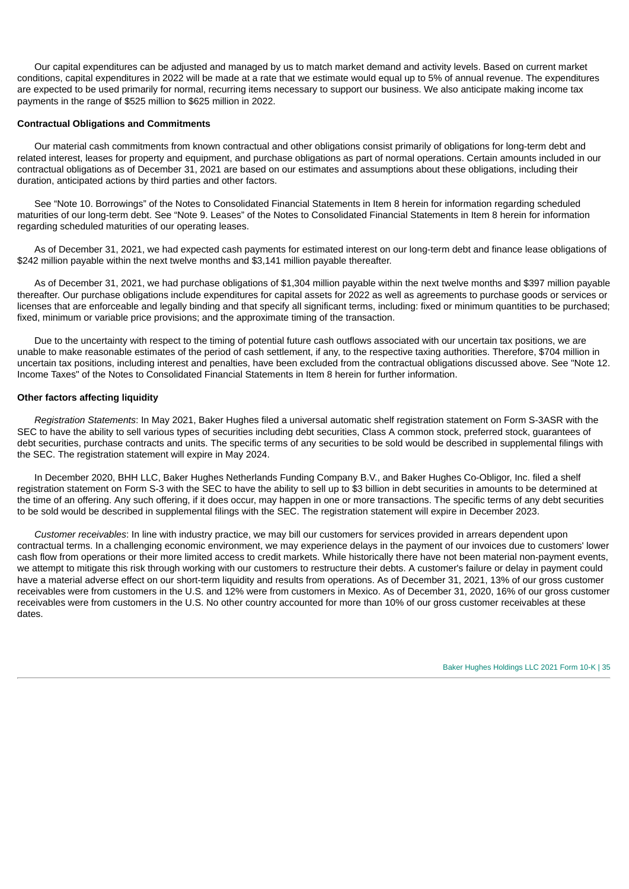Our capital expenditures can be adjusted and managed by us to match market demand and activity levels. Based on current market conditions, capital expenditures in 2022 will be made at a rate that we estimate would equal up to 5% of annual revenue. The expenditures are expected to be used primarily for normal, recurring items necessary to support our business. We also anticipate making income tax payments in the range of \$525 million to \$625 million in 2022.

#### **Contractual Obligations and Commitments**

Our material cash commitments from known contractual and other obligations consist primarily of obligations for long-term debt and related interest, leases for property and equipment, and purchase obligations as part of normal operations. Certain amounts included in our contractual obligations as of December 31, 2021 are based on our estimates and assumptions about these obligations, including their duration, anticipated actions by third parties and other factors.

See "Note 10. Borrowings" of the Notes to Consolidated Financial Statements in Item 8 herein for information regarding scheduled maturities of our long-term debt. See "Note 9. Leases" of the Notes to Consolidated Financial Statements in Item 8 herein for information regarding scheduled maturities of our operating leases.

As of December 31, 2021, we had expected cash payments for estimated interest on our long-term debt and finance lease obligations of \$242 million payable within the next twelve months and \$3,141 million payable thereafter.

As of December 31, 2021, we had purchase obligations of \$1,304 million payable within the next twelve months and \$397 million payable thereafter. Our purchase obligations include expenditures for capital assets for 2022 as well as agreements to purchase goods or services or licenses that are enforceable and legally binding and that specify all significant terms, including: fixed or minimum quantities to be purchased; fixed, minimum or variable price provisions; and the approximate timing of the transaction.

Due to the uncertainty with respect to the timing of potential future cash outflows associated with our uncertain tax positions, we are unable to make reasonable estimates of the period of cash settlement, if any, to the respective taxing authorities. Therefore, \$704 million in uncertain tax positions, including interest and penalties, have been excluded from the contractual obligations discussed above. See "Note 12. Income Taxes" of the Notes to Consolidated Financial Statements in Item 8 herein for further information.

# **Other factors affecting liquidity**

*Registration Statements*: In May 2021, Baker Hughes filed a universal automatic shelf registration statement on Form S-3ASR with the SEC to have the ability to sell various types of securities including debt securities, Class A common stock, preferred stock, guarantees of debt securities, purchase contracts and units. The specific terms of any securities to be sold would be described in supplemental filings with the SEC. The registration statement will expire in May 2024.

In December 2020, BHH LLC, Baker Hughes Netherlands Funding Company B.V., and Baker Hughes Co-Obligor, Inc. filed a shelf registration statement on Form S-3 with the SEC to have the ability to sell up to \$3 billion in debt securities in amounts to be determined at the time of an offering. Any such offering, if it does occur, may happen in one or more transactions. The specific terms of any debt securities to be sold would be described in supplemental filings with the SEC. The registration statement will expire in December 2023.

*Customer receivables*: In line with industry practice, we may bill our customers for services provided in arrears dependent upon contractual terms. In a challenging economic environment, we may experience delays in the payment of our invoices due to customers' lower cash flow from operations or their more limited access to credit markets. While historically there have not been material non-payment events, we attempt to mitigate this risk through working with our customers to restructure their debts. A customer's failure or delay in payment could have a material adverse effect on our short-term liquidity and results from operations. As of December 31, 2021, 13% of our gross customer receivables were from customers in the U.S. and 12% were from customers in Mexico. As of December 31, 2020, 16% of our gross customer receivables were from customers in the U.S. No other country accounted for more than 10% of our gross customer receivables at these dates.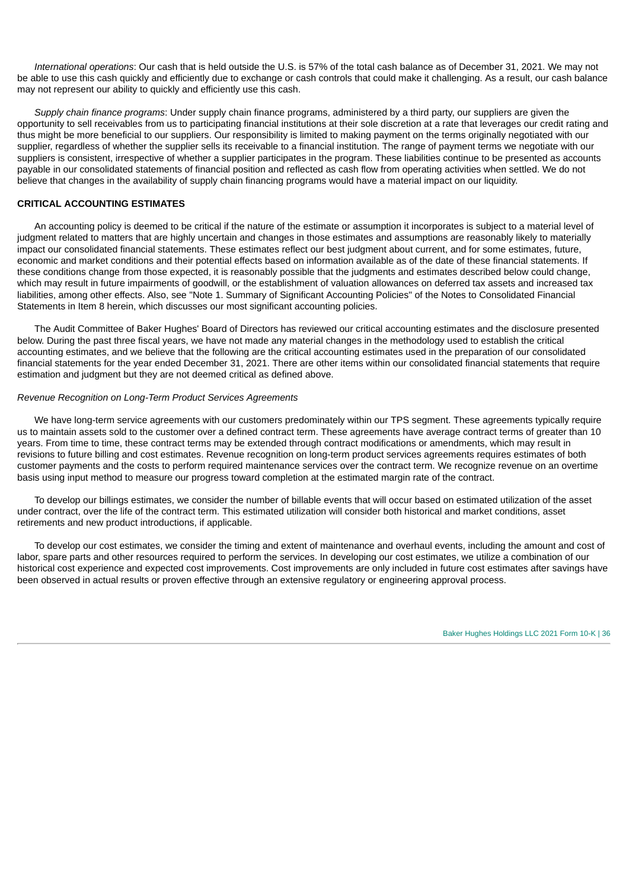*International operations*: Our cash that is held outside the U.S. is 57% of the total cash balance as of December 31, 2021. We may not be able to use this cash quickly and efficiently due to exchange or cash controls that could make it challenging. As a result, our cash balance may not represent our ability to quickly and efficiently use this cash.

*Supply chain finance programs*: Under supply chain finance programs, administered by a third party, our suppliers are given the opportunity to sell receivables from us to participating financial institutions at their sole discretion at a rate that leverages our credit rating and thus might be more beneficial to our suppliers. Our responsibility is limited to making payment on the terms originally negotiated with our supplier, regardless of whether the supplier sells its receivable to a financial institution. The range of payment terms we negotiate with our suppliers is consistent, irrespective of whether a supplier participates in the program. These liabilities continue to be presented as accounts payable in our consolidated statements of financial position and reflected as cash flow from operating activities when settled. We do not believe that changes in the availability of supply chain financing programs would have a material impact on our liquidity.

# **CRITICAL ACCOUNTING ESTIMATES**

An accounting policy is deemed to be critical if the nature of the estimate or assumption it incorporates is subject to a material level of judgment related to matters that are highly uncertain and changes in those estimates and assumptions are reasonably likely to materially impact our consolidated financial statements. These estimates reflect our best judgment about current, and for some estimates, future, economic and market conditions and their potential effects based on information available as of the date of these financial statements. If these conditions change from those expected, it is reasonably possible that the judgments and estimates described below could change, which may result in future impairments of goodwill, or the establishment of valuation allowances on deferred tax assets and increased tax liabilities, among other effects. Also, see "Note 1. Summary of Significant Accounting Policies" of the Notes to Consolidated Financial Statements in Item 8 herein, which discusses our most significant accounting policies.

The Audit Committee of Baker Hughes' Board of Directors has reviewed our critical accounting estimates and the disclosure presented below. During the past three fiscal years, we have not made any material changes in the methodology used to establish the critical accounting estimates, and we believe that the following are the critical accounting estimates used in the preparation of our consolidated financial statements for the year ended December 31, 2021. There are other items within our consolidated financial statements that require estimation and judgment but they are not deemed critical as defined above.

# *Revenue Recognition on Long-Term Product Services Agreements*

We have long-term service agreements with our customers predominately within our TPS segment. These agreements typically require us to maintain assets sold to the customer over a defined contract term. These agreements have average contract terms of greater than 10 years. From time to time, these contract terms may be extended through contract modifications or amendments, which may result in revisions to future billing and cost estimates. Revenue recognition on long-term product services agreements requires estimates of both customer payments and the costs to perform required maintenance services over the contract term. We recognize revenue on an overtime basis using input method to measure our progress toward completion at the estimated margin rate of the contract.

To develop our billings estimates, we consider the number of billable events that will occur based on estimated utilization of the asset under contract, over the life of the contract term. This estimated utilization will consider both historical and market conditions, asset retirements and new product introductions, if applicable.

To develop our cost estimates, we consider the timing and extent of maintenance and overhaul events, including the amount and cost of labor, spare parts and other resources required to perform the services. In developing our cost estimates, we utilize a combination of our historical cost experience and expected cost improvements. Cost improvements are only included in future cost estimates after savings have been observed in actual results or proven effective through an extensive regulatory or engineering approval process.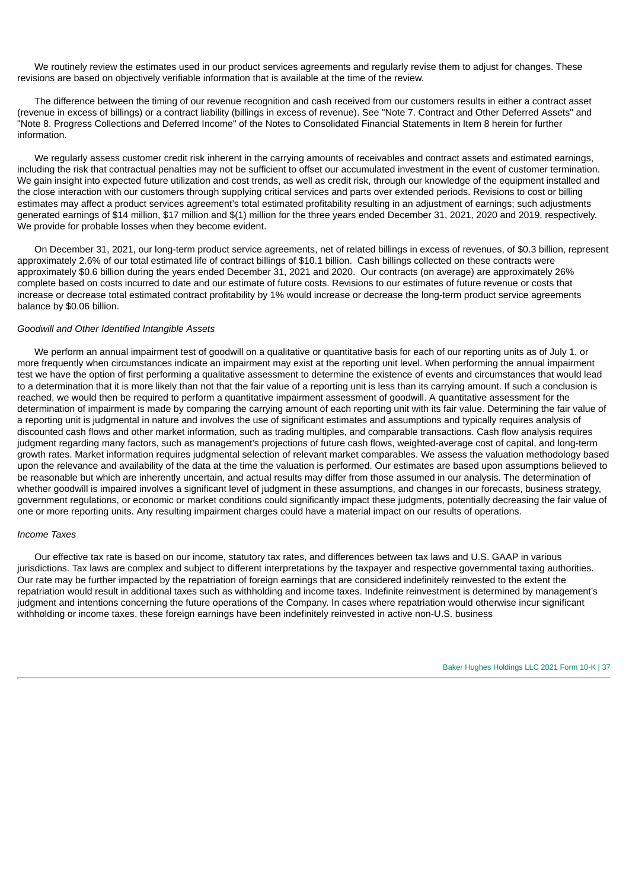We routinely review the estimates used in our product services agreements and regularly revise them to adjust for changes. These revisions are based on objectively verifiable information that is available at the time of the review.

The difference between the timing of our revenue recognition and cash received from our customers results in either a contract asset (revenue in excess of billings) or a contract liability (billings in excess of revenue). See "Note 7. Contract and Other Deferred Assets" and "Note 8. Progress Collections and Deferred Income" of the Notes to Consolidated Financial Statements in Item 8 herein for further information.

We regularly assess customer credit risk inherent in the carrying amounts of receivables and contract assets and estimated earnings, including the risk that contractual penalties may not be sufficient to offset our accumulated investment in the event of customer termination. We gain insight into expected future utilization and cost trends, as well as credit risk, through our knowledge of the equipment installed and the close interaction with our customers through supplying critical services and parts over extended periods. Revisions to cost or billing estimates may affect a product services agreement's total estimated profitability resulting in an adjustment of earnings; such adjustments generated earnings of \$14 million, \$17 million and \$(1) million for the three years ended December 31, 2021, 2020 and 2019, respectively. We provide for probable losses when they become evident.

On December 31, 2021, our long-term product service agreements, net of related billings in excess of revenues, of \$0.3 billion, represent approximately 2.6% of our total estimated life of contract billings of \$10.1 billion. Cash billings collected on these contracts were approximately \$0.6 billion during the years ended December 31, 2021 and 2020. Our contracts (on average) are approximately 26% complete based on costs incurred to date and our estimate of future costs. Revisions to our estimates of future revenue or costs that increase or decrease total estimated contract profitability by 1% would increase or decrease the long-term product service agreements balance by \$0.06 billion.

# *Goodwill and Other Identified Intangible Assets*

We perform an annual impairment test of goodwill on a qualitative or quantitative basis for each of our reporting units as of July 1, or more frequently when circumstances indicate an impairment may exist at the reporting unit level. When performing the annual impairment test we have the option of first performing a qualitative assessment to determine the existence of events and circumstances that would lead to a determination that it is more likely than not that the fair value of a reporting unit is less than its carrying amount. If such a conclusion is reached, we would then be required to perform a quantitative impairment assessment of goodwill. A quantitative assessment for the determination of impairment is made by comparing the carrying amount of each reporting unit with its fair value. Determining the fair value of a reporting unit is judgmental in nature and involves the use of significant estimates and assumptions and typically requires analysis of discounted cash flows and other market information, such as trading multiples, and comparable transactions. Cash flow analysis requires judgment regarding many factors, such as management's projections of future cash flows, weighted-average cost of capital, and long-term growth rates. Market information requires judgmental selection of relevant market comparables. We assess the valuation methodology based upon the relevance and availability of the data at the time the valuation is performed. Our estimates are based upon assumptions believed to be reasonable but which are inherently uncertain, and actual results may differ from those assumed in our analysis. The determination of whether goodwill is impaired involves a significant level of judgment in these assumptions, and changes in our forecasts, business strategy, government regulations, or economic or market conditions could significantly impact these judgments, potentially decreasing the fair value of one or more reporting units. Any resulting impairment charges could have a material impact on our results of operations.

### *Income Taxes*

Our effective tax rate is based on our income, statutory tax rates, and differences between tax laws and U.S. GAAP in various jurisdictions. Tax laws are complex and subject to different interpretations by the taxpayer and respective governmental taxing authorities. Our rate may be further impacted by the repatriation of foreign earnings that are considered indefinitely reinvested to the extent the repatriation would result in additional taxes such as withholding and income taxes. Indefinite reinvestment is determined by management's judgment and intentions concerning the future operations of the Company. In cases where repatriation would otherwise incur significant withholding or income taxes, these foreign earnings have been indefinitely reinvested in active non-U.S. business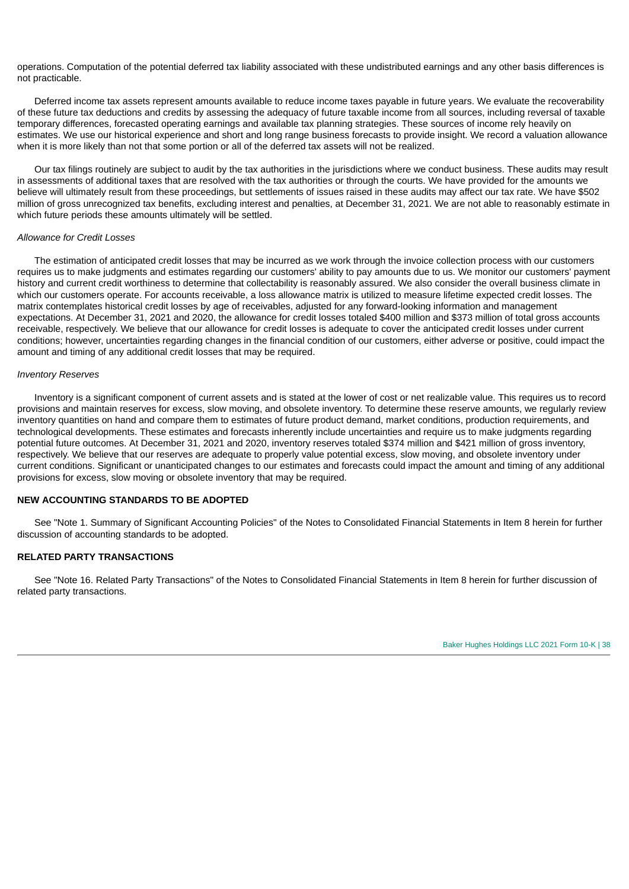operations. Computation of the potential deferred tax liability associated with these undistributed earnings and any other basis differences is not practicable.

Deferred income tax assets represent amounts available to reduce income taxes payable in future years. We evaluate the recoverability of these future tax deductions and credits by assessing the adequacy of future taxable income from all sources, including reversal of taxable temporary differences, forecasted operating earnings and available tax planning strategies. These sources of income rely heavily on estimates. We use our historical experience and short and long range business forecasts to provide insight. We record a valuation allowance when it is more likely than not that some portion or all of the deferred tax assets will not be realized.

Our tax filings routinely are subject to audit by the tax authorities in the jurisdictions where we conduct business. These audits may result in assessments of additional taxes that are resolved with the tax authorities or through the courts. We have provided for the amounts we believe will ultimately result from these proceedings, but settlements of issues raised in these audits may affect our tax rate. We have \$502 million of gross unrecognized tax benefits, excluding interest and penalties, at December 31, 2021. We are not able to reasonably estimate in which future periods these amounts ultimately will be settled.

### *Allowance for Credit Losses*

The estimation of anticipated credit losses that may be incurred as we work through the invoice collection process with our customers requires us to make judgments and estimates regarding our customers' ability to pay amounts due to us. We monitor our customers' payment history and current credit worthiness to determine that collectability is reasonably assured. We also consider the overall business climate in which our customers operate. For accounts receivable, a loss allowance matrix is utilized to measure lifetime expected credit losses. The matrix contemplates historical credit losses by age of receivables, adjusted for any forward-looking information and management expectations. At December 31, 2021 and 2020, the allowance for credit losses totaled \$400 million and \$373 million of total gross accounts receivable, respectively. We believe that our allowance for credit losses is adequate to cover the anticipated credit losses under current conditions; however, uncertainties regarding changes in the financial condition of our customers, either adverse or positive, could impact the amount and timing of any additional credit losses that may be required.

### *Inventory Reserves*

Inventory is a significant component of current assets and is stated at the lower of cost or net realizable value. This requires us to record provisions and maintain reserves for excess, slow moving, and obsolete inventory. To determine these reserve amounts, we regularly review inventory quantities on hand and compare them to estimates of future product demand, market conditions, production requirements, and technological developments. These estimates and forecasts inherently include uncertainties and require us to make judgments regarding potential future outcomes. At December 31, 2021 and 2020, inventory reserves totaled \$374 million and \$421 million of gross inventory, respectively. We believe that our reserves are adequate to properly value potential excess, slow moving, and obsolete inventory under current conditions. Significant or unanticipated changes to our estimates and forecasts could impact the amount and timing of any additional provisions for excess, slow moving or obsolete inventory that may be required.

### **NEW ACCOUNTING STANDARDS TO BE ADOPTED**

See "Note 1. Summary of Significant Accounting Policies" of the Notes to Consolidated Financial Statements in Item 8 herein for further discussion of accounting standards to be adopted.

### **RELATED PARTY TRANSACTIONS**

See "Note 16. Related Party Transactions" of the Notes to Consolidated Financial Statements in Item 8 herein for further discussion of related party transactions.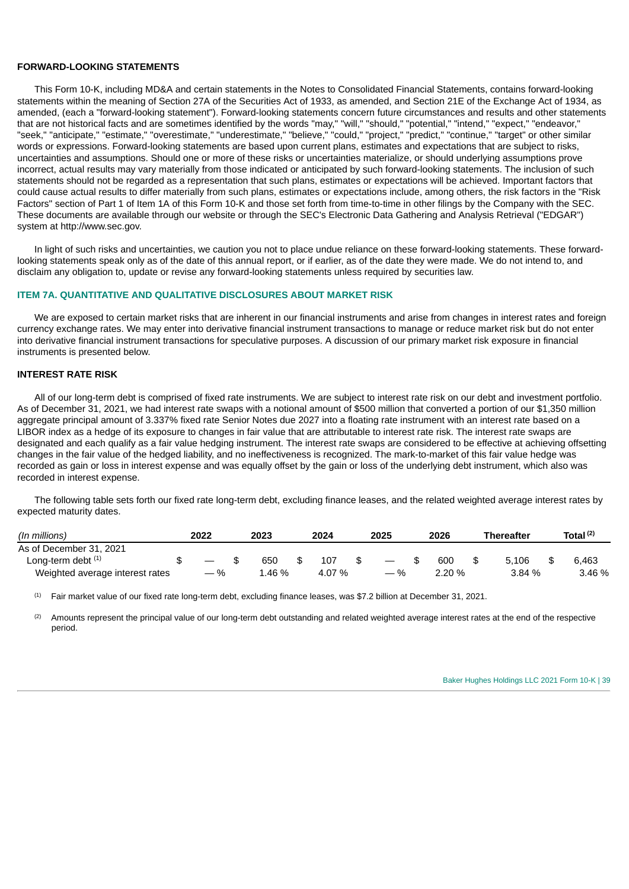### **FORWARD-LOOKING STATEMENTS**

This Form 10-K, including MD&A and certain statements in the Notes to Consolidated Financial Statements, contains forward-looking statements within the meaning of Section 27A of the Securities Act of 1933, as amended, and Section 21E of the Exchange Act of 1934, as amended, (each a "forward-looking statement"). Forward-looking statements concern future circumstances and results and other statements that are not historical facts and are sometimes identified by the words "may," "will," "should," "potential," "intend," "expect," "endeavor," "seek," "anticipate," "estimate," "overestimate," "underestimate," "believe," "could," "project," "predict," "continue," "target" or other similar words or expressions. Forward-looking statements are based upon current plans, estimates and expectations that are subject to risks, uncertainties and assumptions. Should one or more of these risks or uncertainties materialize, or should underlying assumptions prove incorrect, actual results may vary materially from those indicated or anticipated by such forward-looking statements. The inclusion of such statements should not be regarded as a representation that such plans, estimates or expectations will be achieved. Important factors that could cause actual results to differ materially from such plans, estimates or expectations include, among others, the risk factors in the "Risk Factors" section of Part 1 of Item 1A of this Form 10-K and those set forth from time-to-time in other filings by the Company with the SEC. These documents are available through our website or through the SEC's Electronic Data Gathering and Analysis Retrieval ("EDGAR") system at http://www.sec.gov.

In light of such risks and uncertainties, we caution you not to place undue reliance on these forward-looking statements. These forwardlooking statements speak only as of the date of this annual report, or if earlier, as of the date they were made. We do not intend to, and disclaim any obligation to, update or revise any forward-looking statements unless required by securities law.

# **ITEM 7A. QUANTITATIVE AND QUALITATIVE DISCLOSURES ABOUT MARKET RISK**

We are exposed to certain market risks that are inherent in our financial instruments and arise from changes in interest rates and foreign currency exchange rates. We may enter into derivative financial instrument transactions to manage or reduce market risk but do not enter into derivative financial instrument transactions for speculative purposes. A discussion of our primary market risk exposure in financial instruments is presented below.

# **INTEREST RATE RISK**

All of our long-term debt is comprised of fixed rate instruments. We are subject to interest rate risk on our debt and investment portfolio. As of December 31, 2021, we had interest rate swaps with a notional amount of \$500 million that converted a portion of our \$1,350 million aggregate principal amount of 3.337% fixed rate Senior Notes due 2027 into a floating rate instrument with an interest rate based on a LIBOR index as a hedge of its exposure to changes in fair value that are attributable to interest rate risk. The interest rate swaps are designated and each qualify as a fair value hedging instrument. The interest rate swaps are considered to be effective at achieving offsetting changes in the fair value of the hedged liability, and no ineffectiveness is recognized. The mark-to-market of this fair value hedge was recorded as gain or loss in interest expense and was equally offset by the gain or loss of the underlying debt instrument, which also was recorded in interest expense.

The following table sets forth our fixed rate long-term debt, excluding finance leases, and the related weighted average interest rates by expected maturity dates.

| (In millions)                   | 2022  | 2023 | 2024   | 2025                     | 2026  | <b>Thereafter</b> | Total <sup>(2)</sup> |
|---------------------------------|-------|------|--------|--------------------------|-------|-------------------|----------------------|
| As of December 31, 2021         |       |      |        |                          |       |                   |                      |
| Long-term debt $(1)$            |       | 650  | 107    | $\overline{\phantom{a}}$ | 600   | 5.106             | 6.463                |
| Weighted average interest rates | $-$ % | 46 % | 4.07 % | $\%$                     | 2.20% | 3.84 %            | 3.46 %               |

Fair market value of our fixed rate long-term debt, excluding finance leases, was \$7.2 billion at December 31, 2021. (1)

Amounts represent the principal value of our long-term debt outstanding and related weighted average interest rates at the end of the respective period. (2)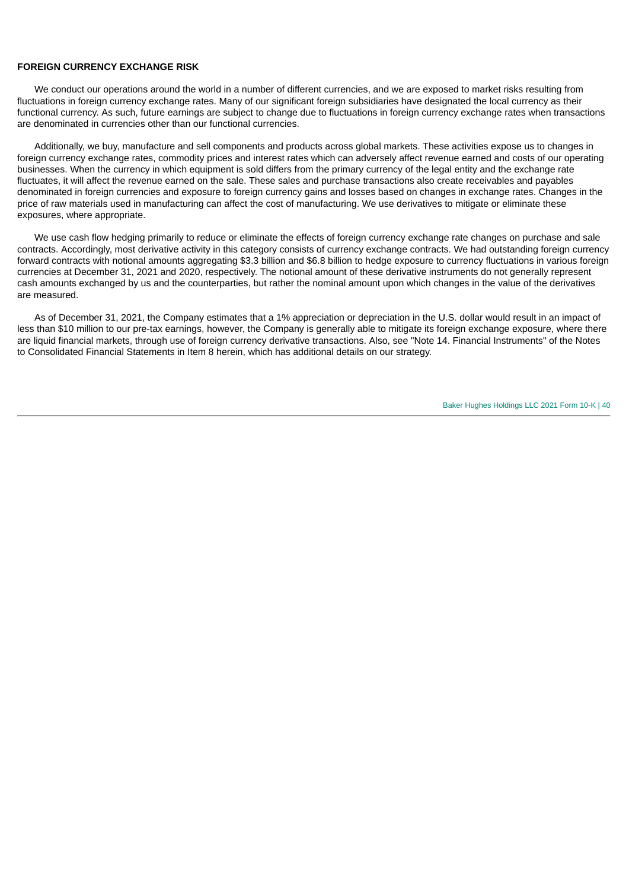### **FOREIGN CURRENCY EXCHANGE RISK**

We conduct our operations around the world in a number of different currencies, and we are exposed to market risks resulting from fluctuations in foreign currency exchange rates. Many of our significant foreign subsidiaries have designated the local currency as their functional currency. As such, future earnings are subject to change due to fluctuations in foreign currency exchange rates when transactions are denominated in currencies other than our functional currencies.

Additionally, we buy, manufacture and sell components and products across global markets. These activities expose us to changes in foreign currency exchange rates, commodity prices and interest rates which can adversely affect revenue earned and costs of our operating businesses. When the currency in which equipment is sold differs from the primary currency of the legal entity and the exchange rate fluctuates, it will affect the revenue earned on the sale. These sales and purchase transactions also create receivables and payables denominated in foreign currencies and exposure to foreign currency gains and losses based on changes in exchange rates. Changes in the price of raw materials used in manufacturing can affect the cost of manufacturing. We use derivatives to mitigate or eliminate these exposures, where appropriate.

We use cash flow hedging primarily to reduce or eliminate the effects of foreign currency exchange rate changes on purchase and sale contracts. Accordingly, most derivative activity in this category consists of currency exchange contracts. We had outstanding foreign currency forward contracts with notional amounts aggregating \$3.3 billion and \$6.8 billion to hedge exposure to currency fluctuations in various foreign currencies at December 31, 2021 and 2020, respectively. The notional amount of these derivative instruments do not generally represent cash amounts exchanged by us and the counterparties, but rather the nominal amount upon which changes in the value of the derivatives are measured.

As of December 31, 2021, the Company estimates that a 1% appreciation or depreciation in the U.S. dollar would result in an impact of less than \$10 million to our pre-tax earnings, however, the Company is generally able to mitigate its foreign exchange exposure, where there are liquid financial markets, through use of foreign currency derivative transactions. Also, see "Note 14. Financial Instruments" of the Notes to Consolidated Financial Statements in Item 8 herein, which has additional details on our strategy.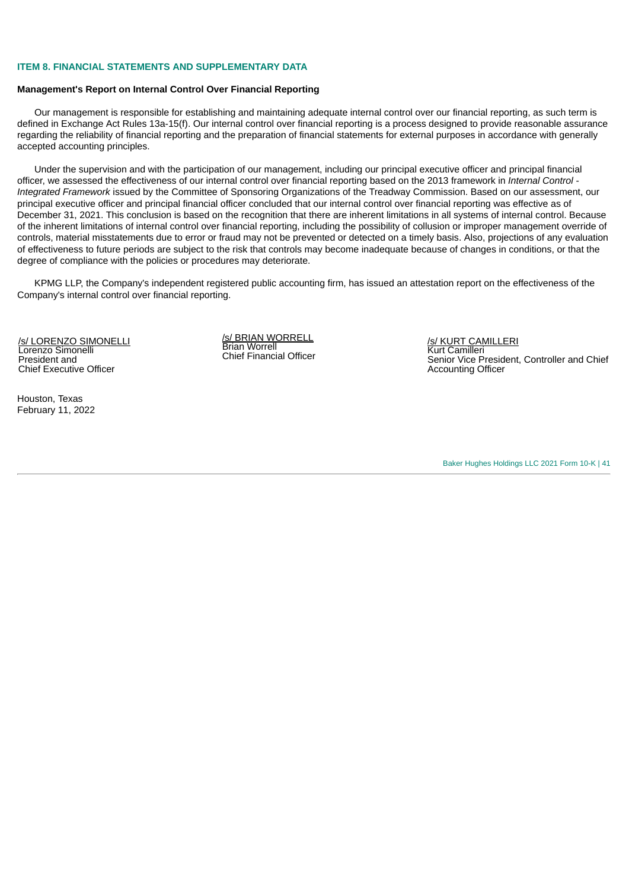### **ITEM 8. FINANCIAL STATEMENTS AND SUPPLEMENTARY DATA**

### **Management's Report on Internal Control Over Financial Reporting**

Our management is responsible for establishing and maintaining adequate internal control over our financial reporting, as such term is defined in Exchange Act Rules 13a-15(f). Our internal control over financial reporting is a process designed to provide reasonable assurance regarding the reliability of financial reporting and the preparation of financial statements for external purposes in accordance with generally accepted accounting principles.

Under the supervision and with the participation of our management, including our principal executive officer and principal financial officer, we assessed the effectiveness of our internal control over financial reporting based on the 2013 framework in *Internal Control - Integrated Framework* issued by the Committee of Sponsoring Organizations of the Treadway Commission. Based on our assessment, our principal executive officer and principal financial officer concluded that our internal control over financial reporting was effective as of December 31, 2021. This conclusion is based on the recognition that there are inherent limitations in all systems of internal control. Because of the inherent limitations of internal control over financial reporting, including the possibility of collusion or improper management override of controls, material misstatements due to error or fraud may not be prevented or detected on a timely basis. Also, projections of any evaluation of effectiveness to future periods are subject to the risk that controls may become inadequate because of changes in conditions, or that the degree of compliance with the policies or procedures may deteriorate.

KPMG LLP, the Company's independent registered public accounting firm, has issued an attestation report on the effectiveness of the Company's internal control over financial reporting.

/s/ LORENZO SIMONELLI Lorenzo Simonelli President and Chief Executive Officer

Houston, Texas

February 11, 2022

/s/ BRIAN WORRELL Brian Worrell Chief Financial Officer

/s/ KURT CAMILLERI Kurt Camilleri Senior Vice President, Controller and Chief Accounting Officer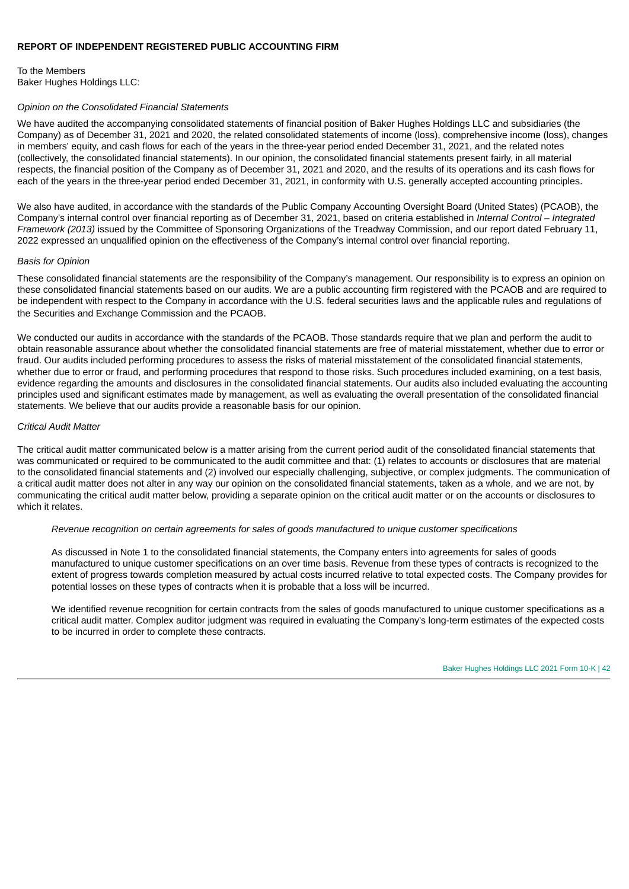# **REPORT OF INDEPENDENT REGISTERED PUBLIC ACCOUNTING FIRM**

To the Members Baker Hughes Holdings LLC:

### *Opinion on the Consolidated Financial Statements*

We have audited the accompanying consolidated statements of financial position of Baker Hughes Holdings LLC and subsidiaries (the Company) as of December 31, 2021 and 2020, the related consolidated statements of income (loss), comprehensive income (loss), changes in members' equity, and cash flows for each of the years in the three-year period ended December 31, 2021, and the related notes (collectively, the consolidated financial statements). In our opinion, the consolidated financial statements present fairly, in all material respects, the financial position of the Company as of December 31, 2021 and 2020, and the results of its operations and its cash flows for each of the years in the three-year period ended December 31, 2021, in conformity with U.S. generally accepted accounting principles.

We also have audited, in accordance with the standards of the Public Company Accounting Oversight Board (United States) (PCAOB), the Company's internal control over financial reporting as of December 31, 2021, based on criteria established in *Internal Control – Integrated Framework (2013)* issued by the Committee of Sponsoring Organizations of the Treadway Commission, and our report dated February 11, 2022 expressed an unqualified opinion on the effectiveness of the Company's internal control over financial reporting.

#### *Basis for Opinion*

These consolidated financial statements are the responsibility of the Company's management. Our responsibility is to express an opinion on these consolidated financial statements based on our audits. We are a public accounting firm registered with the PCAOB and are required to be independent with respect to the Company in accordance with the U.S. federal securities laws and the applicable rules and regulations of the Securities and Exchange Commission and the PCAOB.

We conducted our audits in accordance with the standards of the PCAOB. Those standards require that we plan and perform the audit to obtain reasonable assurance about whether the consolidated financial statements are free of material misstatement, whether due to error or fraud. Our audits included performing procedures to assess the risks of material misstatement of the consolidated financial statements, whether due to error or fraud, and performing procedures that respond to those risks. Such procedures included examining, on a test basis, evidence regarding the amounts and disclosures in the consolidated financial statements. Our audits also included evaluating the accounting principles used and significant estimates made by management, as well as evaluating the overall presentation of the consolidated financial statements. We believe that our audits provide a reasonable basis for our opinion.

### *Critical Audit Matter*

The critical audit matter communicated below is a matter arising from the current period audit of the consolidated financial statements that was communicated or required to be communicated to the audit committee and that: (1) relates to accounts or disclosures that are material to the consolidated financial statements and (2) involved our especially challenging, subjective, or complex judgments. The communication of a critical audit matter does not alter in any way our opinion on the consolidated financial statements, taken as a whole, and we are not, by communicating the critical audit matter below, providing a separate opinion on the critical audit matter or on the accounts or disclosures to which it relates.

### *Revenue recognition on certain agreements for sales of goods manufactured to unique customer specifications*

As discussed in Note 1 to the consolidated financial statements, the Company enters into agreements for sales of goods manufactured to unique customer specifications on an over time basis. Revenue from these types of contracts is recognized to the extent of progress towards completion measured by actual costs incurred relative to total expected costs. The Company provides for potential losses on these types of contracts when it is probable that a loss will be incurred.

We identified revenue recognition for certain contracts from the sales of goods manufactured to unique customer specifications as a critical audit matter. Complex auditor judgment was required in evaluating the Company's long-term estimates of the expected costs to be incurred in order to complete these contracts.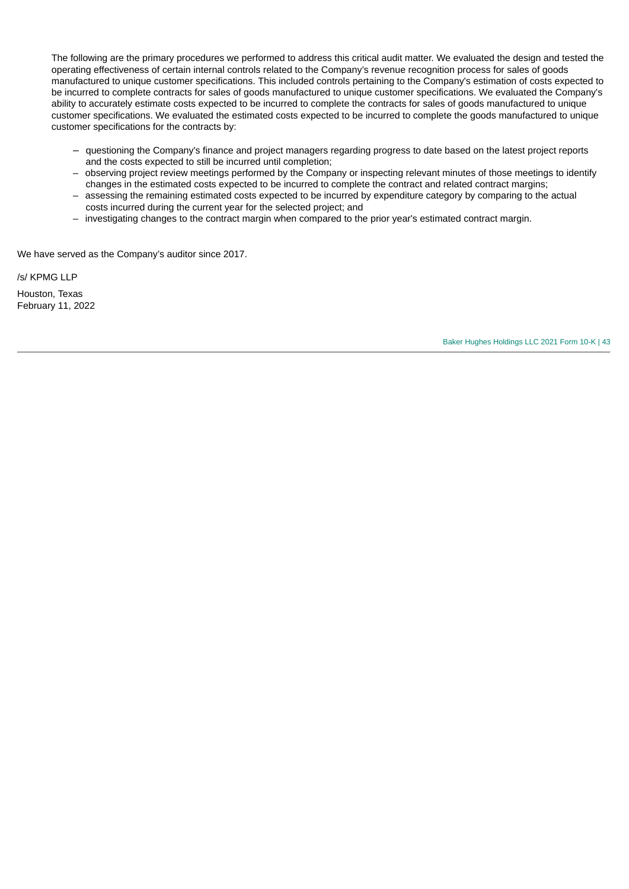The following are the primary procedures we performed to address this critical audit matter. We evaluated the design and tested the operating effectiveness of certain internal controls related to the Company's revenue recognition process for sales of goods manufactured to unique customer specifications. This included controls pertaining to the Company's estimation of costs expected to be incurred to complete contracts for sales of goods manufactured to unique customer specifications. We evaluated the Company's ability to accurately estimate costs expected to be incurred to complete the contracts for sales of goods manufactured to unique customer specifications. We evaluated the estimated costs expected to be incurred to complete the goods manufactured to unique customer specifications for the contracts by:

- questioning the Company's finance and project managers regarding progress to date based on the latest project reports and the costs expected to still be incurred until completion;
- observing project review meetings performed by the Company or inspecting relevant minutes of those meetings to identify changes in the estimated costs expected to be incurred to complete the contract and related contract margins;
- assessing the remaining estimated costs expected to be incurred by expenditure category by comparing to the actual costs incurred during the current year for the selected project; and
- investigating changes to the contract margin when compared to the prior year's estimated contract margin.

We have served as the Company's auditor since 2017.

/s/ KPMG LLP

Houston, Texas February 11, 2022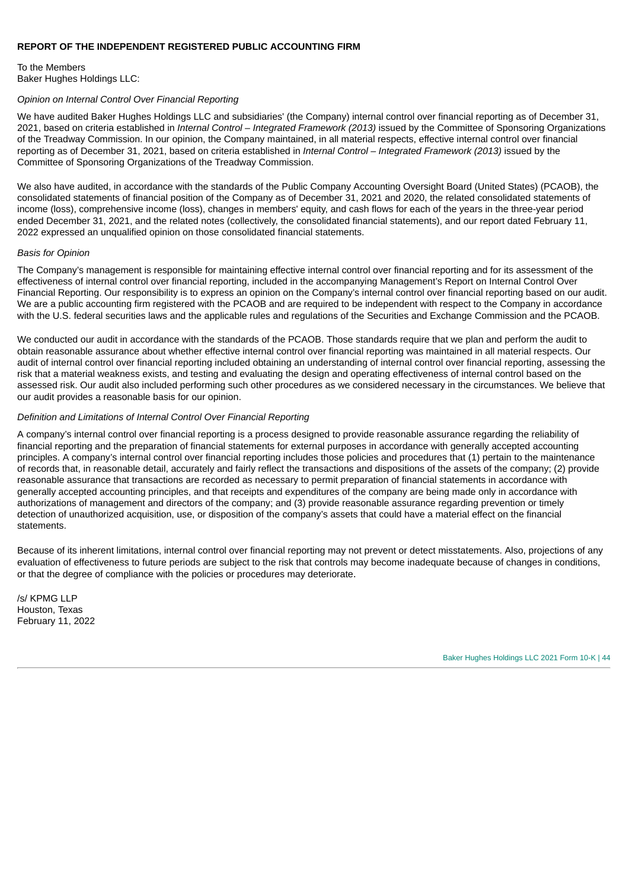### **REPORT OF THE INDEPENDENT REGISTERED PUBLIC ACCOUNTING FIRM**

To the Members Baker Hughes Holdings LLC:

### *Opinion on Internal Control Over Financial Reporting*

We have audited Baker Hughes Holdings LLC and subsidiaries' (the Company) internal control over financial reporting as of December 31, 2021, based on criteria established in *Internal Control – Integrated Framework (2013)* issued by the Committee of Sponsoring Organizations of the Treadway Commission. In our opinion, the Company maintained, in all material respects, effective internal control over financial reporting as of December 31, 2021, based on criteria established in *Internal Control – Integrated Framework (2013)* issued by the Committee of Sponsoring Organizations of the Treadway Commission.

We also have audited, in accordance with the standards of the Public Company Accounting Oversight Board (United States) (PCAOB), the consolidated statements of financial position of the Company as of December 31, 2021 and 2020, the related consolidated statements of income (loss), comprehensive income (loss), changes in members' equity, and cash flows for each of the years in the three-year period ended December 31, 2021, and the related notes (collectively, the consolidated financial statements), and our report dated February 11, 2022 expressed an unqualified opinion on those consolidated financial statements.

### *Basis for Opinion*

The Company's management is responsible for maintaining effective internal control over financial reporting and for its assessment of the effectiveness of internal control over financial reporting, included in the accompanying Management's Report on Internal Control Over Financial Reporting. Our responsibility is to express an opinion on the Company's internal control over financial reporting based on our audit. We are a public accounting firm registered with the PCAOB and are required to be independent with respect to the Company in accordance with the U.S. federal securities laws and the applicable rules and regulations of the Securities and Exchange Commission and the PCAOB.

We conducted our audit in accordance with the standards of the PCAOB. Those standards require that we plan and perform the audit to obtain reasonable assurance about whether effective internal control over financial reporting was maintained in all material respects. Our audit of internal control over financial reporting included obtaining an understanding of internal control over financial reporting, assessing the risk that a material weakness exists, and testing and evaluating the design and operating effectiveness of internal control based on the assessed risk. Our audit also included performing such other procedures as we considered necessary in the circumstances. We believe that our audit provides a reasonable basis for our opinion.

### *Definition and Limitations of Internal Control Over Financial Reporting*

A company's internal control over financial reporting is a process designed to provide reasonable assurance regarding the reliability of financial reporting and the preparation of financial statements for external purposes in accordance with generally accepted accounting principles. A company's internal control over financial reporting includes those policies and procedures that (1) pertain to the maintenance of records that, in reasonable detail, accurately and fairly reflect the transactions and dispositions of the assets of the company; (2) provide reasonable assurance that transactions are recorded as necessary to permit preparation of financial statements in accordance with generally accepted accounting principles, and that receipts and expenditures of the company are being made only in accordance with authorizations of management and directors of the company; and (3) provide reasonable assurance regarding prevention or timely detection of unauthorized acquisition, use, or disposition of the company's assets that could have a material effect on the financial statements.

Because of its inherent limitations, internal control over financial reporting may not prevent or detect misstatements. Also, projections of any evaluation of effectiveness to future periods are subject to the risk that controls may become inadequate because of changes in conditions. or that the degree of compliance with the policies or procedures may deteriorate.

/s/ KPMG LLP Houston, Texas February 11, 2022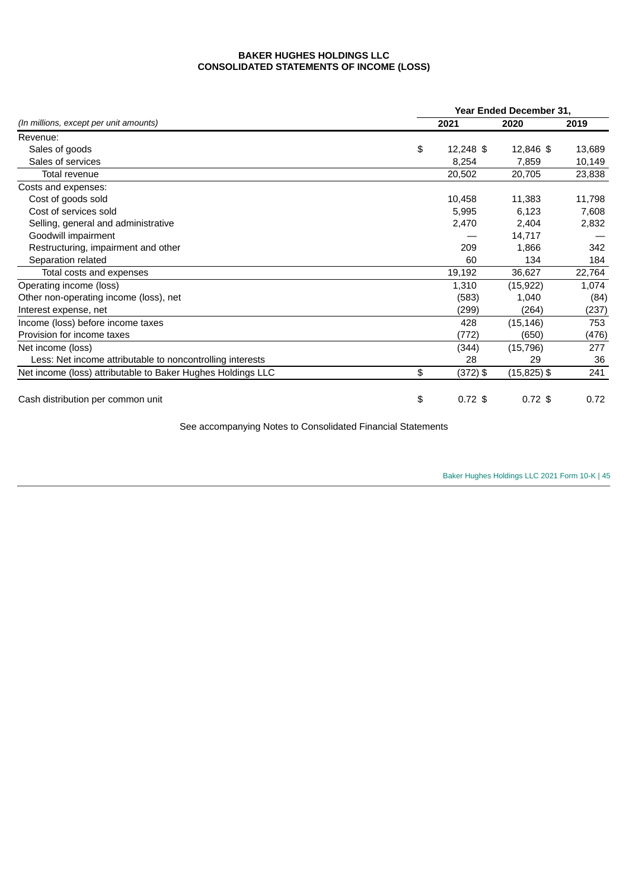# **BAKER HUGHES HOLDINGS LLC CONSOLIDATED STATEMENTS OF INCOME (LOSS)**

|                                                             |    | <b>Year Ended December 31,</b> |                |        |  |  |  |  |
|-------------------------------------------------------------|----|--------------------------------|----------------|--------|--|--|--|--|
| (In millions, except per unit amounts)                      |    | 2021                           | 2020           | 2019   |  |  |  |  |
| Revenue:                                                    |    |                                |                |        |  |  |  |  |
| Sales of goods                                              | \$ | 12,248 \$                      | 12,846 \$      | 13,689 |  |  |  |  |
| Sales of services                                           |    | 8,254                          | 7,859          | 10,149 |  |  |  |  |
| Total revenue                                               |    | 20,502                         | 20,705         | 23,838 |  |  |  |  |
| Costs and expenses:                                         |    |                                |                |        |  |  |  |  |
| Cost of goods sold                                          |    | 10,458                         | 11,383         | 11,798 |  |  |  |  |
| Cost of services sold                                       |    | 5,995                          | 6,123          | 7,608  |  |  |  |  |
| Selling, general and administrative                         |    | 2,470                          | 2,404          | 2,832  |  |  |  |  |
| Goodwill impairment                                         |    |                                | 14,717         |        |  |  |  |  |
| Restructuring, impairment and other                         |    | 209                            | 1,866          | 342    |  |  |  |  |
| Separation related                                          |    | 60                             | 134            | 184    |  |  |  |  |
| Total costs and expenses                                    |    | 19,192                         | 36,627         | 22,764 |  |  |  |  |
| Operating income (loss)                                     |    | 1,310                          | (15, 922)      | 1,074  |  |  |  |  |
| Other non-operating income (loss), net                      |    | (583)                          | 1,040          | (84)   |  |  |  |  |
| Interest expense, net                                       |    | (299)                          | (264)          | (237)  |  |  |  |  |
| Income (loss) before income taxes                           |    | 428                            | (15, 146)      | 753    |  |  |  |  |
| Provision for income taxes                                  |    | (772)                          | (650)          | (476)  |  |  |  |  |
| Net income (loss)                                           |    | (344)                          | (15, 796)      | 277    |  |  |  |  |
| Less: Net income attributable to noncontrolling interests   |    | 28                             | 29             | 36     |  |  |  |  |
| Net income (loss) attributable to Baker Hughes Holdings LLC | \$ | $(372)$ \$                     | $(15, 825)$ \$ | 241    |  |  |  |  |
| Cash distribution per common unit                           | \$ | $0.72$ \$                      | $0.72$ \$      | 0.72   |  |  |  |  |

See accompanying Notes to Consolidated Financial Statements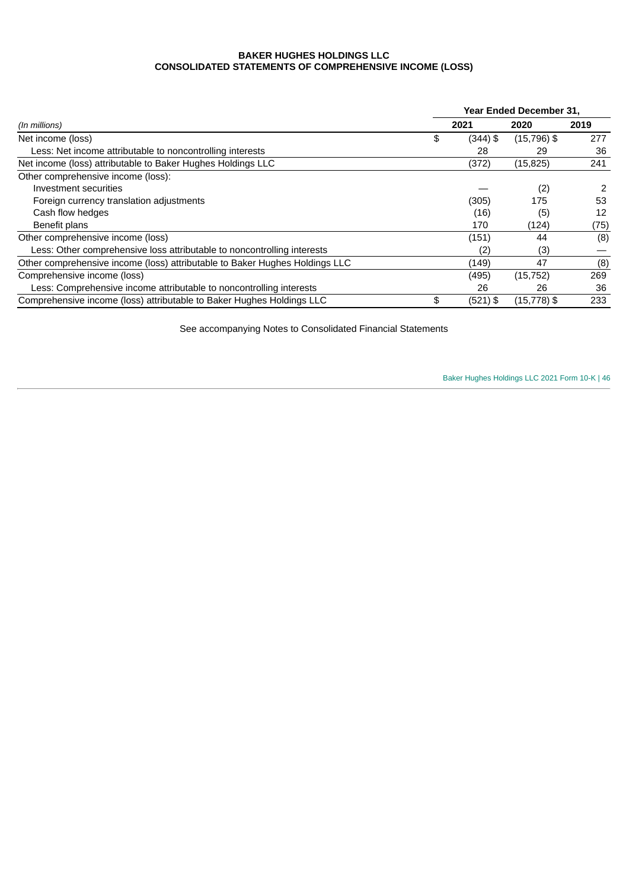# **BAKER HUGHES HOLDINGS LLC CONSOLIDATED STATEMENTS OF COMPREHENSIVE INCOME (LOSS)**

|                                                                             | <b>Year Ended December 31.</b> |                |      |  |  |  |  |
|-----------------------------------------------------------------------------|--------------------------------|----------------|------|--|--|--|--|
| (In millions)                                                               | 2021                           | 2020           | 2019 |  |  |  |  |
| Net income (loss)                                                           | \$<br>$(344)$ \$               | $(15,796)$ \$  | 277  |  |  |  |  |
| Less: Net income attributable to noncontrolling interests                   | 28                             | 29             | 36   |  |  |  |  |
| Net income (loss) attributable to Baker Hughes Holdings LLC                 | (372)                          | (15, 825)      | 241  |  |  |  |  |
| Other comprehensive income (loss):                                          |                                |                |      |  |  |  |  |
| Investment securities                                                       |                                | (2)            | 2    |  |  |  |  |
| Foreign currency translation adjustments                                    | (305)                          | 175            | 53   |  |  |  |  |
| Cash flow hedges                                                            | (16)                           | (5)            | 12   |  |  |  |  |
| Benefit plans                                                               | 170                            | (124)          | (75) |  |  |  |  |
| Other comprehensive income (loss)                                           | (151)                          | 44             | (8)  |  |  |  |  |
| Less: Other comprehensive loss attributable to noncontrolling interests     | (2)                            | (3)            |      |  |  |  |  |
| Other comprehensive income (loss) attributable to Baker Hughes Holdings LLC | (149)                          | 47             | (8)  |  |  |  |  |
| Comprehensive income (loss)                                                 | (495)                          | (15, 752)      | 269  |  |  |  |  |
| Less: Comprehensive income attributable to noncontrolling interests         | 26                             | 26             | 36   |  |  |  |  |
| Comprehensive income (loss) attributable to Baker Hughes Holdings LLC       | \$<br>$(521)$ \$               | $(15, 778)$ \$ | 233  |  |  |  |  |

See accompanying Notes to Consolidated Financial Statements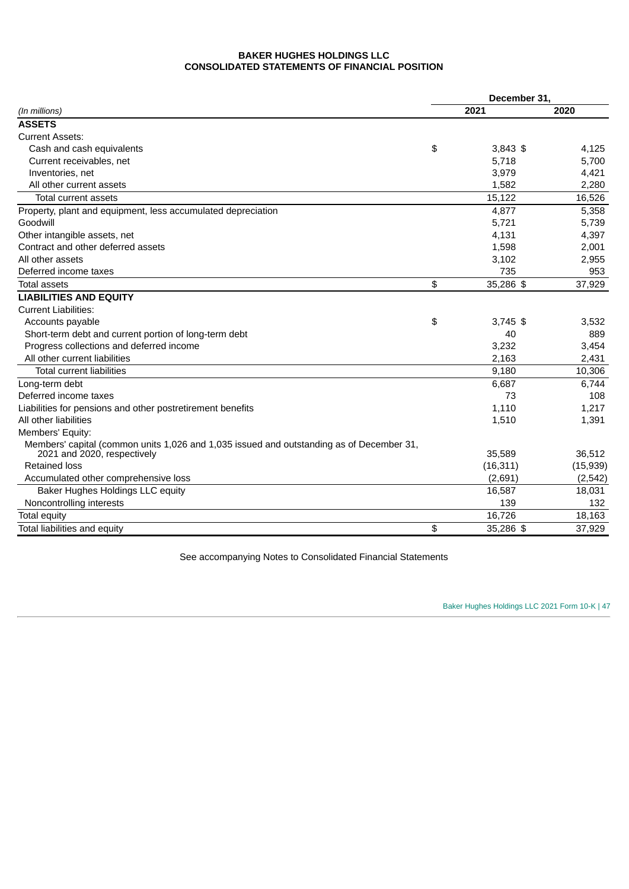# **BAKER HUGHES HOLDINGS LLC CONSOLIDATED STATEMENTS OF FINANCIAL POSITION**

|                                                                                          | December 31, |            |          |  |  |  |
|------------------------------------------------------------------------------------------|--------------|------------|----------|--|--|--|
| (In millions)                                                                            |              | 2021       | 2020     |  |  |  |
| <b>ASSETS</b>                                                                            |              |            |          |  |  |  |
| <b>Current Assets:</b>                                                                   |              |            |          |  |  |  |
| Cash and cash equivalents                                                                | \$           | $3,843$ \$ | 4,125    |  |  |  |
| Current receivables, net                                                                 |              | 5.718      | 5.700    |  |  |  |
| Inventories, net                                                                         |              | 3,979      | 4,421    |  |  |  |
| All other current assets                                                                 |              | 1,582      | 2,280    |  |  |  |
| Total current assets                                                                     |              | 15,122     | 16,526   |  |  |  |
| Property, plant and equipment, less accumulated depreciation                             |              | 4,877      | 5,358    |  |  |  |
| Goodwill                                                                                 |              | 5,721      | 5,739    |  |  |  |
| Other intangible assets, net                                                             |              | 4,131      | 4,397    |  |  |  |
| Contract and other deferred assets                                                       |              | 1,598      | 2,001    |  |  |  |
| All other assets                                                                         |              | 3,102      | 2,955    |  |  |  |
| Deferred income taxes                                                                    |              | 735        | 953      |  |  |  |
| <b>Total assets</b>                                                                      | \$           | 35,286 \$  | 37,929   |  |  |  |
| <b>LIABILITIES AND EQUITY</b>                                                            |              |            |          |  |  |  |
| <b>Current Liabilities:</b>                                                              |              |            |          |  |  |  |
| Accounts payable                                                                         | \$           | $3,745$ \$ | 3,532    |  |  |  |
| Short-term debt and current portion of long-term debt                                    |              | 40         | 889      |  |  |  |
| Progress collections and deferred income                                                 |              | 3,232      | 3,454    |  |  |  |
| All other current liabilities                                                            |              | 2.163      | 2,431    |  |  |  |
| <b>Total current liabilities</b>                                                         |              | 9.180      | 10,306   |  |  |  |
| Long-term debt                                                                           |              | 6,687      | 6.744    |  |  |  |
| Deferred income taxes                                                                    |              | 73         | 108      |  |  |  |
| Liabilities for pensions and other postretirement benefits                               |              | 1,110      | 1,217    |  |  |  |
| All other liabilities                                                                    |              | 1,510      | 1,391    |  |  |  |
| Members' Equity:                                                                         |              |            |          |  |  |  |
| Members' capital (common units 1,026 and 1,035 issued and outstanding as of December 31, |              |            |          |  |  |  |
| 2021 and 2020, respectively                                                              |              | 35,589     | 36,512   |  |  |  |
| <b>Retained loss</b>                                                                     |              | (16, 311)  | (15,939) |  |  |  |
| Accumulated other comprehensive loss                                                     |              | (2,691)    | (2, 542) |  |  |  |
| <b>Baker Hughes Holdings LLC equity</b>                                                  |              | 16,587     | 18,031   |  |  |  |
| Noncontrolling interests                                                                 |              | 139        | 132      |  |  |  |
| <b>Total equity</b>                                                                      |              | 16,726     | 18,163   |  |  |  |
| Total liabilities and equity                                                             | \$           | 35,286 \$  | 37,929   |  |  |  |

See accompanying Notes to Consolidated Financial Statements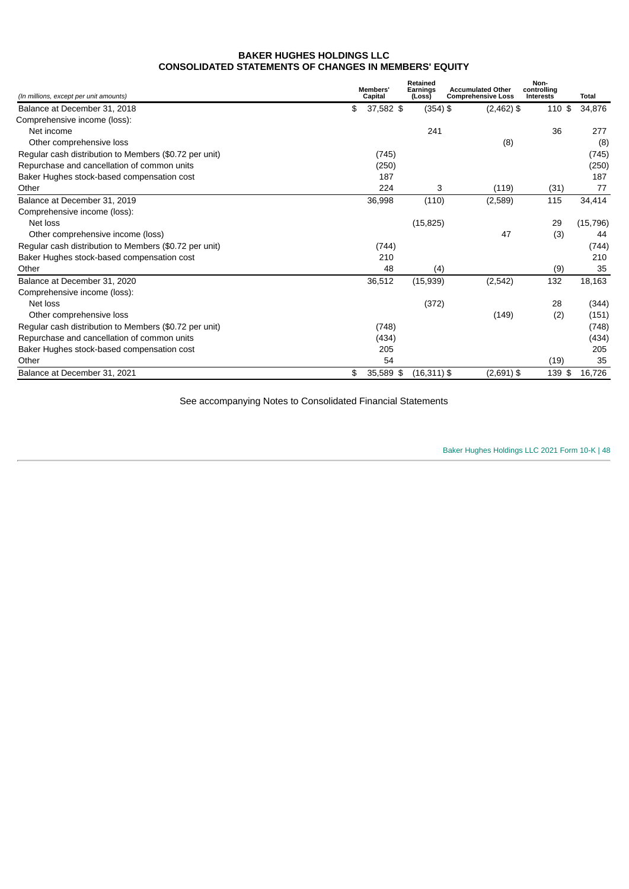# **BAKER HUGHES HOLDINGS LLC CONSOLIDATED STATEMENTS OF CHANGES IN MEMBERS' EQUITY**

| (In millions, except per unit amounts)                 | Members'<br>Capital | Retained<br><b>Earnings</b><br>(Loss) | <b>Accumulated Other</b><br><b>Comprehensive Loss</b> | Non-<br>controlling<br><b>Interests</b> | <b>Total</b> |
|--------------------------------------------------------|---------------------|---------------------------------------|-------------------------------------------------------|-----------------------------------------|--------------|
| Balance at December 31, 2018                           | \$<br>37,582 \$     | $(354)$ \$                            | $(2,462)$ \$                                          | 110 \$                                  | 34,876       |
| Comprehensive income (loss):                           |                     |                                       |                                                       |                                         |              |
| Net income                                             |                     | 241                                   |                                                       | 36                                      | 277          |
| Other comprehensive loss                               |                     |                                       | (8)                                                   |                                         | (8)          |
| Regular cash distribution to Members (\$0.72 per unit) | (745)               |                                       |                                                       |                                         | (745)        |
| Repurchase and cancellation of common units            | (250)               |                                       |                                                       |                                         | (250)        |
| Baker Hughes stock-based compensation cost             | 187                 |                                       |                                                       |                                         | 187          |
| Other                                                  | 224                 | 3                                     | (119)                                                 | (31)                                    | 77           |
| Balance at December 31, 2019                           | 36,998              | (110)                                 | (2,589)                                               | 115                                     | 34,414       |
| Comprehensive income (loss):                           |                     |                                       |                                                       |                                         |              |
| Net loss                                               |                     | (15, 825)                             |                                                       | 29                                      | (15, 796)    |
| Other comprehensive income (loss)                      |                     |                                       | 47                                                    | (3)                                     | 44           |
| Regular cash distribution to Members (\$0.72 per unit) | (744)               |                                       |                                                       |                                         | (744)        |
| Baker Hughes stock-based compensation cost             | 210                 |                                       |                                                       |                                         | 210          |
| Other                                                  | 48                  | (4)                                   |                                                       | (9)                                     | 35           |
| Balance at December 31, 2020                           | 36,512              | (15, 939)                             | (2,542)                                               | 132                                     | 18,163       |
| Comprehensive income (loss):                           |                     |                                       |                                                       |                                         |              |
| Net loss                                               |                     | (372)                                 |                                                       | 28                                      | (344)        |
| Other comprehensive loss                               |                     |                                       | (149)                                                 | (2)                                     | (151)        |
| Regular cash distribution to Members (\$0.72 per unit) | (748)               |                                       |                                                       |                                         | (748)        |
| Repurchase and cancellation of common units            | (434)               |                                       |                                                       |                                         | (434)        |
| Baker Hughes stock-based compensation cost             | 205                 |                                       |                                                       |                                         | 205          |
| Other                                                  | 54                  |                                       |                                                       | (19)                                    | 35           |
| Balance at December 31, 2021                           | \$<br>35,589 \$     | $(16,311)$ \$                         | $(2,691)$ \$                                          | 139 \$                                  | 16,726       |

See accompanying Notes to Consolidated Financial Statements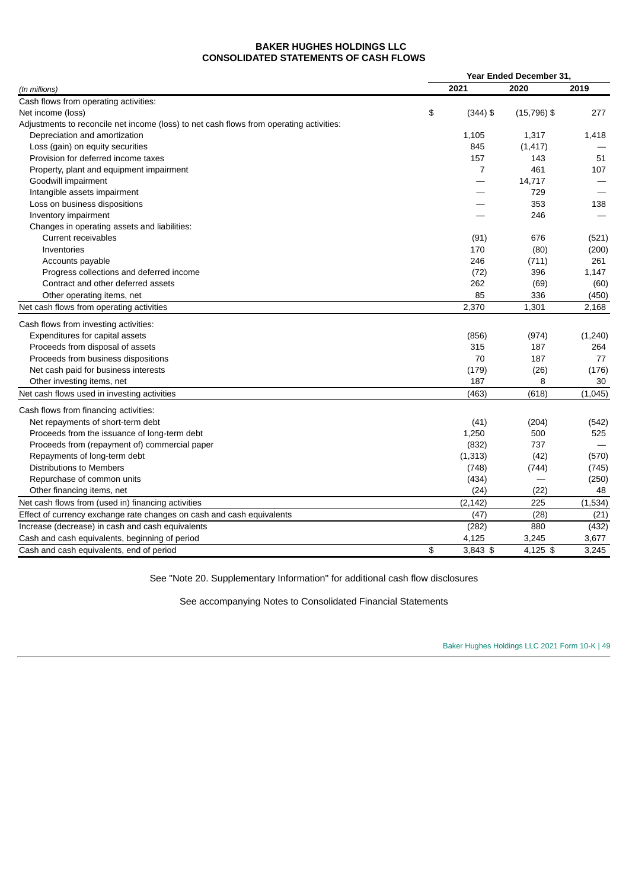# **BAKER HUGHES HOLDINGS LLC CONSOLIDATED STATEMENTS OF CASH FLOWS**

|                                                                                         |    | Year Ended December 31, |               |         |  |  |  |  |  |
|-----------------------------------------------------------------------------------------|----|-------------------------|---------------|---------|--|--|--|--|--|
| (In millions)                                                                           |    | 2021                    | 2020          | 2019    |  |  |  |  |  |
| Cash flows from operating activities:                                                   |    |                         |               |         |  |  |  |  |  |
| Net income (loss)                                                                       | \$ | $(344)$ \$              | $(15,796)$ \$ | 277     |  |  |  |  |  |
| Adjustments to reconcile net income (loss) to net cash flows from operating activities: |    |                         |               |         |  |  |  |  |  |
| Depreciation and amortization                                                           |    | 1,105                   | 1,317         | 1,418   |  |  |  |  |  |
| Loss (gain) on equity securities                                                        |    | 845                     | (1, 417)      |         |  |  |  |  |  |
| Provision for deferred income taxes                                                     |    | 157                     | 143           | 51      |  |  |  |  |  |
| Property, plant and equipment impairment                                                |    | 7                       | 461           | 107     |  |  |  |  |  |
| Goodwill impairment                                                                     |    | —<br>—                  | 14,717        |         |  |  |  |  |  |
| Intangible assets impairment                                                            |    |                         | 729           |         |  |  |  |  |  |
| Loss on business dispositions                                                           |    |                         | 353           | 138     |  |  |  |  |  |
| Inventory impairment                                                                    |    |                         | 246           |         |  |  |  |  |  |
| Changes in operating assets and liabilities:                                            |    |                         |               |         |  |  |  |  |  |
| <b>Current receivables</b>                                                              |    | (91)                    | 676           | (521)   |  |  |  |  |  |
| Inventories                                                                             |    | 170                     | (80)          | (200)   |  |  |  |  |  |
| Accounts payable                                                                        |    | 246                     | (711)         | 261     |  |  |  |  |  |
| Progress collections and deferred income                                                |    | (72)                    | 396           | 1,147   |  |  |  |  |  |
| Contract and other deferred assets                                                      |    | 262                     | (69)          | (60)    |  |  |  |  |  |
| Other operating items, net                                                              |    | 85                      | 336           | (450)   |  |  |  |  |  |
| Net cash flows from operating activities                                                |    | 2,370                   | 1,301         | 2,168   |  |  |  |  |  |
| Cash flows from investing activities:                                                   |    |                         |               |         |  |  |  |  |  |
| Expenditures for capital assets                                                         |    | (856)                   | (974)         | (1,240) |  |  |  |  |  |
| Proceeds from disposal of assets                                                        |    | 315                     | 187           | 264     |  |  |  |  |  |
| Proceeds from business dispositions                                                     |    | 70                      | 187           | 77      |  |  |  |  |  |
| Net cash paid for business interests                                                    |    | (179)                   | (26)          | (176)   |  |  |  |  |  |
| Other investing items, net                                                              |    | 187                     | 8             | 30      |  |  |  |  |  |
| Net cash flows used in investing activities                                             |    | (463)                   | (618)         | (1,045) |  |  |  |  |  |
|                                                                                         |    |                         |               |         |  |  |  |  |  |
| Cash flows from financing activities:                                                   |    |                         |               |         |  |  |  |  |  |
| Net repayments of short-term debt                                                       |    | (41)                    | (204)         | (542)   |  |  |  |  |  |
| Proceeds from the issuance of long-term debt                                            |    | 1,250                   | 500           | 525     |  |  |  |  |  |
| Proceeds from (repayment of) commercial paper                                           |    | (832)                   | 737           |         |  |  |  |  |  |
| Repayments of long-term debt                                                            |    | (1, 313)                | (42)          | (570)   |  |  |  |  |  |
| <b>Distributions to Members</b>                                                         |    | (748)                   | (744)         | (745)   |  |  |  |  |  |
| Repurchase of common units                                                              |    | (434)                   |               | (250)   |  |  |  |  |  |
| Other financing items, net                                                              |    | (24)                    | (22)          | 48      |  |  |  |  |  |
| Net cash flows from (used in) financing activities                                      |    | (2, 142)                | 225           | (1,534) |  |  |  |  |  |
| Effect of currency exchange rate changes on cash and cash equivalents                   |    | (47)                    | (28)          | (21)    |  |  |  |  |  |
| Increase (decrease) in cash and cash equivalents                                        |    | (282)                   | 880           | (432)   |  |  |  |  |  |
| Cash and cash equivalents, beginning of period                                          |    | 4,125                   | 3,245         | 3,677   |  |  |  |  |  |
| Cash and cash equivalents, end of period                                                | \$ | $3,843$ \$              | 4,125 \$      | 3,245   |  |  |  |  |  |

See "Note 20. Supplementary Information" for additional cash flow disclosures

See accompanying Notes to Consolidated Financial Statements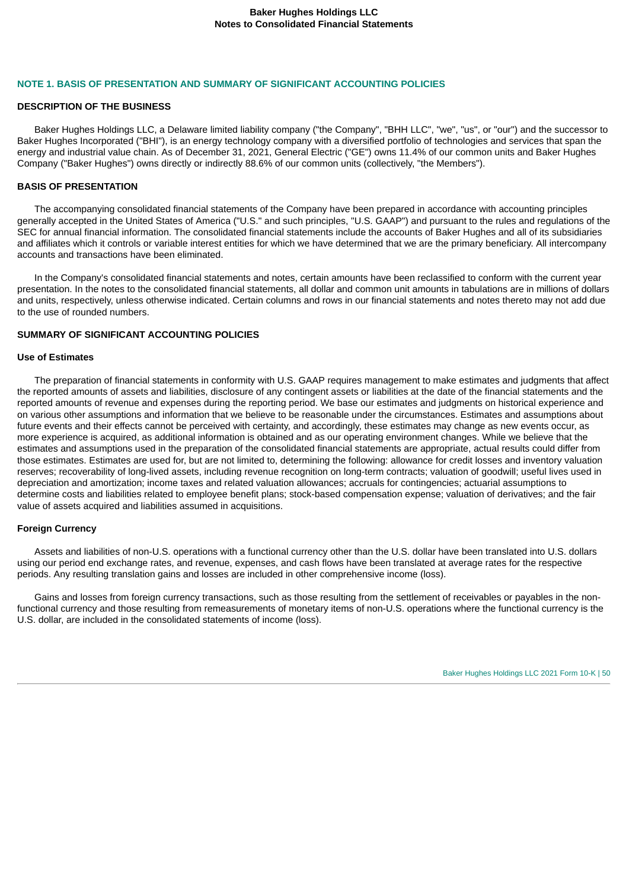### **NOTE 1. BASIS OF PRESENTATION AND SUMMARY OF SIGNIFICANT ACCOUNTING POLICIES**

### **DESCRIPTION OF THE BUSINESS**

Baker Hughes Holdings LLC, a Delaware limited liability company ("the Company", "BHH LLC", "we", "us", or "our") and the successor to Baker Hughes Incorporated ("BHI"), is an energy technology company with a diversified portfolio of technologies and services that span the energy and industrial value chain. As of December 31, 2021, General Electric ("GE") owns 11.4% of our common units and Baker Hughes Company ("Baker Hughes") owns directly or indirectly 88.6% of our common units (collectively, "the Members").

### **BASIS OF PRESENTATION**

The accompanying consolidated financial statements of the Company have been prepared in accordance with accounting principles generally accepted in the United States of America ("U.S." and such principles, "U.S. GAAP") and pursuant to the rules and regulations of the SEC for annual financial information. The consolidated financial statements include the accounts of Baker Hughes and all of its subsidiaries and affiliates which it controls or variable interest entities for which we have determined that we are the primary beneficiary. All intercompany accounts and transactions have been eliminated.

In the Company's consolidated financial statements and notes, certain amounts have been reclassified to conform with the current year presentation. In the notes to the consolidated financial statements, all dollar and common unit amounts in tabulations are in millions of dollars and units, respectively, unless otherwise indicated. Certain columns and rows in our financial statements and notes thereto may not add due to the use of rounded numbers.

#### **SUMMARY OF SIGNIFICANT ACCOUNTING POLICIES**

#### **Use of Estimates**

The preparation of financial statements in conformity with U.S. GAAP requires management to make estimates and judgments that affect the reported amounts of assets and liabilities, disclosure of any contingent assets or liabilities at the date of the financial statements and the reported amounts of revenue and expenses during the reporting period. We base our estimates and judgments on historical experience and on various other assumptions and information that we believe to be reasonable under the circumstances. Estimates and assumptions about future events and their effects cannot be perceived with certainty, and accordingly, these estimates may change as new events occur, as more experience is acquired, as additional information is obtained and as our operating environment changes. While we believe that the estimates and assumptions used in the preparation of the consolidated financial statements are appropriate, actual results could differ from those estimates. Estimates are used for, but are not limited to, determining the following: allowance for credit losses and inventory valuation reserves; recoverability of long-lived assets, including revenue recognition on long-term contracts; valuation of goodwill; useful lives used in depreciation and amortization; income taxes and related valuation allowances; accruals for contingencies; actuarial assumptions to determine costs and liabilities related to employee benefit plans; stock-based compensation expense; valuation of derivatives; and the fair value of assets acquired and liabilities assumed in acquisitions.

#### **Foreign Currency**

Assets and liabilities of non-U.S. operations with a functional currency other than the U.S. dollar have been translated into U.S. dollars using our period end exchange rates, and revenue, expenses, and cash flows have been translated at average rates for the respective periods. Any resulting translation gains and losses are included in other comprehensive income (loss).

Gains and losses from foreign currency transactions, such as those resulting from the settlement of receivables or payables in the nonfunctional currency and those resulting from remeasurements of monetary items of non-U.S. operations where the functional currency is the U.S. dollar, are included in the consolidated statements of income (loss).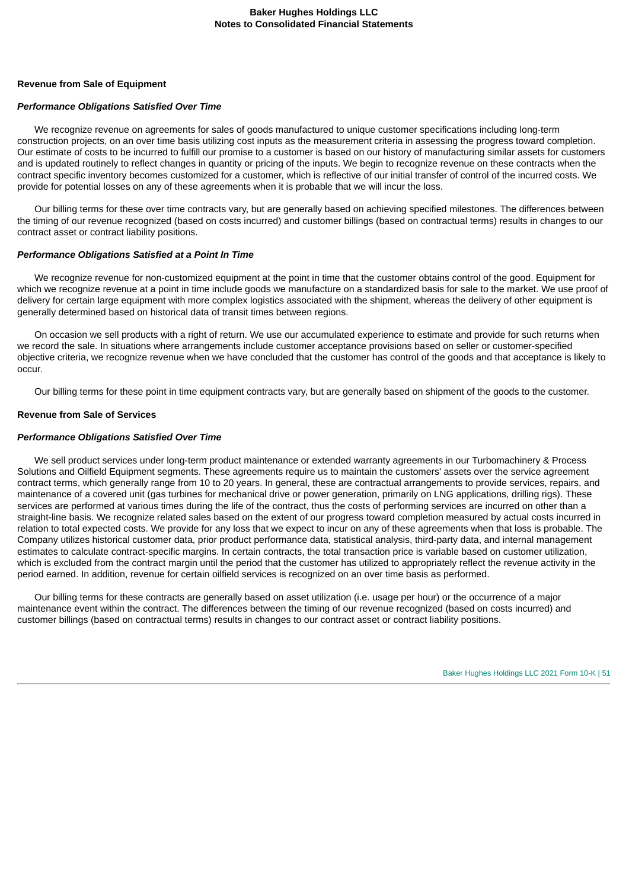### **Revenue from Sale of Equipment**

# *Performance Obligations Satisfied Over Time*

We recognize revenue on agreements for sales of goods manufactured to unique customer specifications including long-term construction projects, on an over time basis utilizing cost inputs as the measurement criteria in assessing the progress toward completion. Our estimate of costs to be incurred to fulfill our promise to a customer is based on our history of manufacturing similar assets for customers and is updated routinely to reflect changes in quantity or pricing of the inputs. We begin to recognize revenue on these contracts when the contract specific inventory becomes customized for a customer, which is reflective of our initial transfer of control of the incurred costs. We provide for potential losses on any of these agreements when it is probable that we will incur the loss.

Our billing terms for these over time contracts vary, but are generally based on achieving specified milestones. The differences between the timing of our revenue recognized (based on costs incurred) and customer billings (based on contractual terms) results in changes to our contract asset or contract liability positions.

# *Performance Obligations Satisfied at a Point In Time*

We recognize revenue for non-customized equipment at the point in time that the customer obtains control of the good. Equipment for which we recognize revenue at a point in time include goods we manufacture on a standardized basis for sale to the market. We use proof of delivery for certain large equipment with more complex logistics associated with the shipment, whereas the delivery of other equipment is generally determined based on historical data of transit times between regions.

On occasion we sell products with a right of return. We use our accumulated experience to estimate and provide for such returns when we record the sale. In situations where arrangements include customer acceptance provisions based on seller or customer-specified objective criteria, we recognize revenue when we have concluded that the customer has control of the goods and that acceptance is likely to occur.

Our billing terms for these point in time equipment contracts vary, but are generally based on shipment of the goods to the customer.

# **Revenue from Sale of Services**

# *Performance Obligations Satisfied Over Time*

We sell product services under long-term product maintenance or extended warranty agreements in our Turbomachinery & Process Solutions and Oilfield Equipment segments. These agreements require us to maintain the customers' assets over the service agreement contract terms, which generally range from 10 to 20 years. In general, these are contractual arrangements to provide services, repairs, and maintenance of a covered unit (gas turbines for mechanical drive or power generation, primarily on LNG applications, drilling rigs). These services are performed at various times during the life of the contract, thus the costs of performing services are incurred on other than a straight-line basis. We recognize related sales based on the extent of our progress toward completion measured by actual costs incurred in relation to total expected costs. We provide for any loss that we expect to incur on any of these agreements when that loss is probable. The Company utilizes historical customer data, prior product performance data, statistical analysis, third-party data, and internal management estimates to calculate contract-specific margins. In certain contracts, the total transaction price is variable based on customer utilization, which is excluded from the contract margin until the period that the customer has utilized to appropriately reflect the revenue activity in the period earned. In addition, revenue for certain oilfield services is recognized on an over time basis as performed.

Our billing terms for these contracts are generally based on asset utilization (i.e. usage per hour) or the occurrence of a major maintenance event within the contract. The differences between the timing of our revenue recognized (based on costs incurred) and customer billings (based on contractual terms) results in changes to our contract asset or contract liability positions.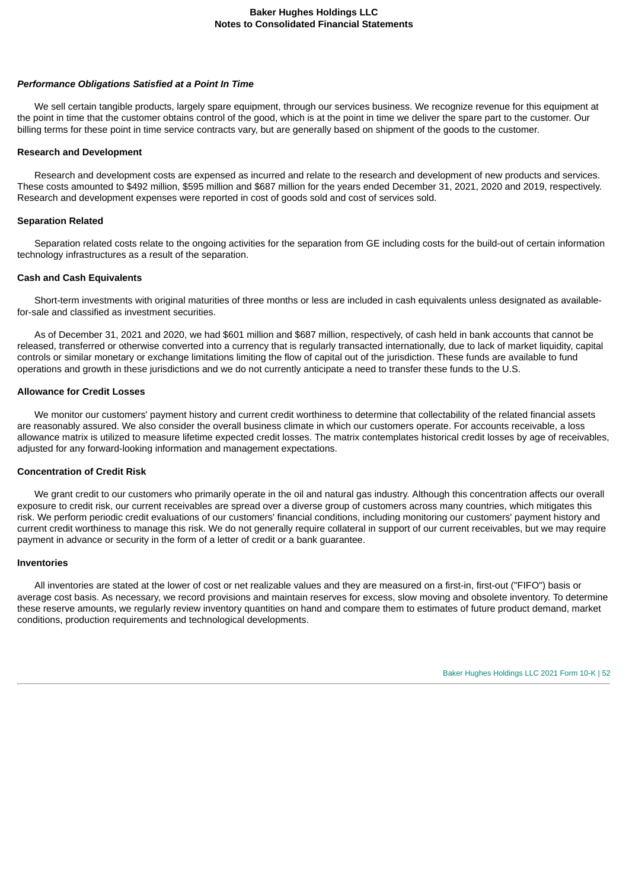### *Performance Obligations Satisfied at a Point In Time*

We sell certain tangible products, largely spare equipment, through our services business. We recognize revenue for this equipment at the point in time that the customer obtains control of the good, which is at the point in time we deliver the spare part to the customer. Our billing terms for these point in time service contracts vary, but are generally based on shipment of the goods to the customer.

### **Research and Development**

Research and development costs are expensed as incurred and relate to the research and development of new products and services. These costs amounted to \$492 million, \$595 million and \$687 million for the years ended December 31, 2021, 2020 and 2019, respectively. Research and development expenses were reported in cost of goods sold and cost of services sold.

# **Separation Related**

Separation related costs relate to the ongoing activities for the separation from GE including costs for the build-out of certain information technology infrastructures as a result of the separation.

### **Cash and Cash Equivalents**

Short-term investments with original maturities of three months or less are included in cash equivalents unless designated as availablefor-sale and classified as investment securities.

As of December 31, 2021 and 2020, we had \$601 million and \$687 million, respectively, of cash held in bank accounts that cannot be released, transferred or otherwise converted into a currency that is regularly transacted internationally, due to lack of market liquidity, capital controls or similar monetary or exchange limitations limiting the flow of capital out of the jurisdiction. These funds are available to fund operations and growth in these jurisdictions and we do not currently anticipate a need to transfer these funds to the U.S.

### **Allowance for Credit Losses**

We monitor our customers' payment history and current credit worthiness to determine that collectability of the related financial assets are reasonably assured. We also consider the overall business climate in which our customers operate. For accounts receivable, a loss allowance matrix is utilized to measure lifetime expected credit losses. The matrix contemplates historical credit losses by age of receivables, adjusted for any forward-looking information and management expectations.

### **Concentration of Credit Risk**

We grant credit to our customers who primarily operate in the oil and natural gas industry. Although this concentration affects our overall exposure to credit risk, our current receivables are spread over a diverse group of customers across many countries, which mitigates this risk. We perform periodic credit evaluations of our customers' financial conditions, including monitoring our customers' payment history and current credit worthiness to manage this risk. We do not generally require collateral in support of our current receivables, but we may require payment in advance or security in the form of a letter of credit or a bank guarantee.

### **Inventories**

All inventories are stated at the lower of cost or net realizable values and they are measured on a first-in, first-out ("FIFO") basis or average cost basis. As necessary, we record provisions and maintain reserves for excess, slow moving and obsolete inventory. To determine these reserve amounts, we regularly review inventory quantities on hand and compare them to estimates of future product demand, market conditions, production requirements and technological developments.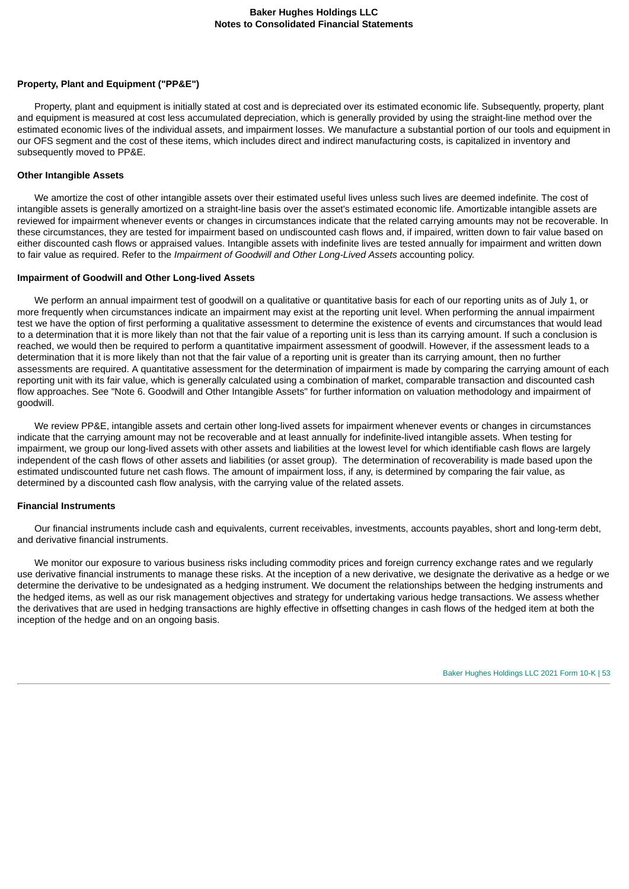### **Property, Plant and Equipment ("PP&E")**

Property, plant and equipment is initially stated at cost and is depreciated over its estimated economic life. Subsequently, property, plant and equipment is measured at cost less accumulated depreciation, which is generally provided by using the straight-line method over the estimated economic lives of the individual assets, and impairment losses. We manufacture a substantial portion of our tools and equipment in our OFS segment and the cost of these items, which includes direct and indirect manufacturing costs, is capitalized in inventory and subsequently moved to PP&E.

### **Other Intangible Assets**

We amortize the cost of other intangible assets over their estimated useful lives unless such lives are deemed indefinite. The cost of intangible assets is generally amortized on a straight-line basis over the asset's estimated economic life. Amortizable intangible assets are reviewed for impairment whenever events or changes in circumstances indicate that the related carrying amounts may not be recoverable. In these circumstances, they are tested for impairment based on undiscounted cash flows and, if impaired, written down to fair value based on either discounted cash flows or appraised values. Intangible assets with indefinite lives are tested annually for impairment and written down to fair value as required. Refer to the *Impairment of Goodwill and Other Long-Lived Assets* accounting policy.

### **Impairment of Goodwill and Other Long-lived Assets**

We perform an annual impairment test of goodwill on a qualitative or quantitative basis for each of our reporting units as of July 1, or more frequently when circumstances indicate an impairment may exist at the reporting unit level. When performing the annual impairment test we have the option of first performing a qualitative assessment to determine the existence of events and circumstances that would lead to a determination that it is more likely than not that the fair value of a reporting unit is less than its carrying amount. If such a conclusion is reached, we would then be required to perform a quantitative impairment assessment of goodwill. However, if the assessment leads to a determination that it is more likely than not that the fair value of a reporting unit is greater than its carrying amount, then no further assessments are required. A quantitative assessment for the determination of impairment is made by comparing the carrying amount of each reporting unit with its fair value, which is generally calculated using a combination of market, comparable transaction and discounted cash flow approaches. See "Note 6. Goodwill and Other Intangible Assets" for further information on valuation methodology and impairment of goodwill.

We review PP&E, intangible assets and certain other long-lived assets for impairment whenever events or changes in circumstances indicate that the carrying amount may not be recoverable and at least annually for indefinite-lived intangible assets. When testing for impairment, we group our long-lived assets with other assets and liabilities at the lowest level for which identifiable cash flows are largely independent of the cash flows of other assets and liabilities (or asset group). The determination of recoverability is made based upon the estimated undiscounted future net cash flows. The amount of impairment loss, if any, is determined by comparing the fair value, as determined by a discounted cash flow analysis, with the carrying value of the related assets.

### **Financial Instruments**

Our financial instruments include cash and equivalents, current receivables, investments, accounts payables, short and long-term debt, and derivative financial instruments.

We monitor our exposure to various business risks including commodity prices and foreign currency exchange rates and we regularly use derivative financial instruments to manage these risks. At the inception of a new derivative, we designate the derivative as a hedge or we determine the derivative to be undesignated as a hedging instrument. We document the relationships between the hedging instruments and the hedged items, as well as our risk management objectives and strategy for undertaking various hedge transactions. We assess whether the derivatives that are used in hedging transactions are highly effective in offsetting changes in cash flows of the hedged item at both the inception of the hedge and on an ongoing basis.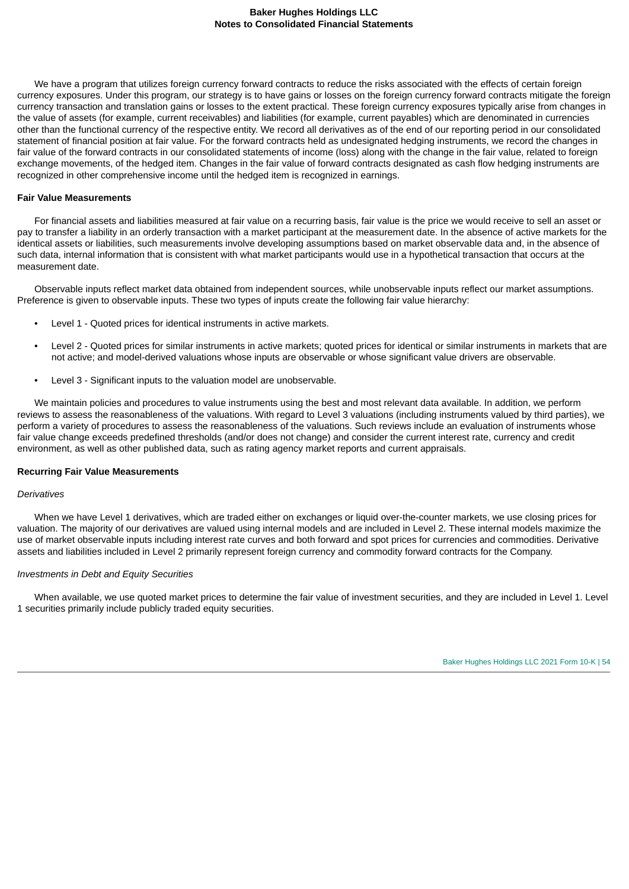We have a program that utilizes foreign currency forward contracts to reduce the risks associated with the effects of certain foreign currency exposures. Under this program, our strategy is to have gains or losses on the foreign currency forward contracts mitigate the foreign currency transaction and translation gains or losses to the extent practical. These foreign currency exposures typically arise from changes in the value of assets (for example, current receivables) and liabilities (for example, current payables) which are denominated in currencies other than the functional currency of the respective entity. We record all derivatives as of the end of our reporting period in our consolidated statement of financial position at fair value. For the forward contracts held as undesignated hedging instruments, we record the changes in fair value of the forward contracts in our consolidated statements of income (loss) along with the change in the fair value, related to foreign exchange movements, of the hedged item. Changes in the fair value of forward contracts designated as cash flow hedging instruments are recognized in other comprehensive income until the hedged item is recognized in earnings.

### **Fair Value Measurements**

For financial assets and liabilities measured at fair value on a recurring basis, fair value is the price we would receive to sell an asset or pay to transfer a liability in an orderly transaction with a market participant at the measurement date. In the absence of active markets for the identical assets or liabilities, such measurements involve developing assumptions based on market observable data and, in the absence of such data, internal information that is consistent with what market participants would use in a hypothetical transaction that occurs at the measurement date.

Observable inputs reflect market data obtained from independent sources, while unobservable inputs reflect our market assumptions. Preference is given to observable inputs. These two types of inputs create the following fair value hierarchy:

- Level 1 Quoted prices for identical instruments in active markets.
- Level 2 Quoted prices for similar instruments in active markets; quoted prices for identical or similar instruments in markets that are not active; and model-derived valuations whose inputs are observable or whose significant value drivers are observable.
- Level 3 Significant inputs to the valuation model are unobservable.

We maintain policies and procedures to value instruments using the best and most relevant data available. In addition, we perform reviews to assess the reasonableness of the valuations. With regard to Level 3 valuations (including instruments valued by third parties), we perform a variety of procedures to assess the reasonableness of the valuations. Such reviews include an evaluation of instruments whose fair value change exceeds predefined thresholds (and/or does not change) and consider the current interest rate, currency and credit environment, as well as other published data, such as rating agency market reports and current appraisals.

#### **Recurring Fair Value Measurements**

#### *Derivatives*

When we have Level 1 derivatives, which are traded either on exchanges or liquid over-the-counter markets, we use closing prices for valuation. The majority of our derivatives are valued using internal models and are included in Level 2. These internal models maximize the use of market observable inputs including interest rate curves and both forward and spot prices for currencies and commodities. Derivative assets and liabilities included in Level 2 primarily represent foreign currency and commodity forward contracts for the Company.

### *Investments in Debt and Equity Securities*

When available, we use quoted market prices to determine the fair value of investment securities, and they are included in Level 1. Level 1 securities primarily include publicly traded equity securities.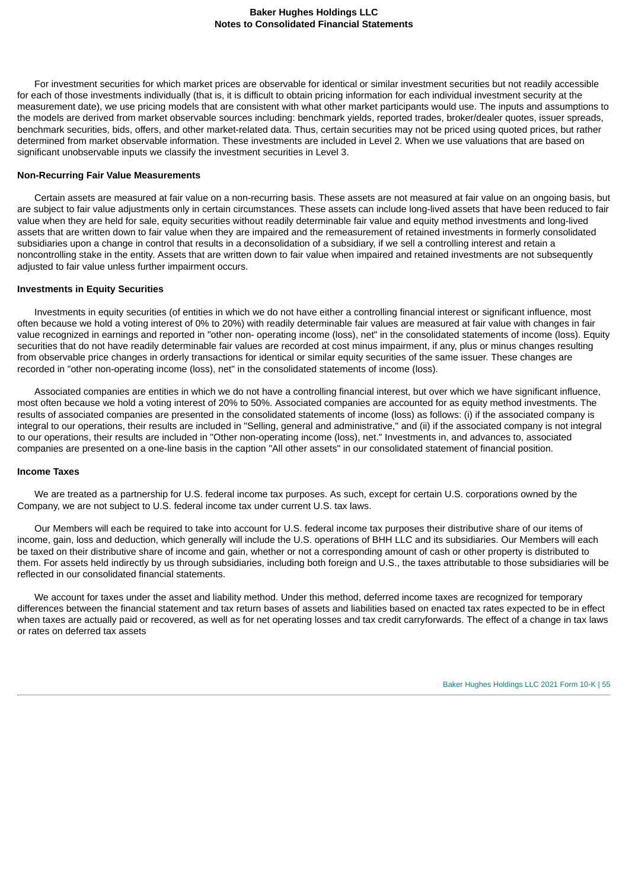For investment securities for which market prices are observable for identical or similar investment securities but not readily accessible for each of those investments individually (that is, it is difficult to obtain pricing information for each individual investment security at the measurement date), we use pricing models that are consistent with what other market participants would use. The inputs and assumptions to the models are derived from market observable sources including: benchmark yields, reported trades, broker/dealer quotes, issuer spreads, benchmark securities, bids, offers, and other market-related data. Thus, certain securities may not be priced using quoted prices, but rather determined from market observable information. These investments are included in Level 2. When we use valuations that are based on significant unobservable inputs we classify the investment securities in Level 3.

### **Non-Recurring Fair Value Measurements**

Certain assets are measured at fair value on a non-recurring basis. These assets are not measured at fair value on an ongoing basis, but are subject to fair value adjustments only in certain circumstances. These assets can include long-lived assets that have been reduced to fair value when they are held for sale, equity securities without readily determinable fair value and equity method investments and long-lived assets that are written down to fair value when they are impaired and the remeasurement of retained investments in formerly consolidated subsidiaries upon a change in control that results in a deconsolidation of a subsidiary, if we sell a controlling interest and retain a noncontrolling stake in the entity. Assets that are written down to fair value when impaired and retained investments are not subsequently adjusted to fair value unless further impairment occurs.

### **Investments in Equity Securities**

Investments in equity securities (of entities in which we do not have either a controlling financial interest or significant influence, most often because we hold a voting interest of 0% to 20%) with readily determinable fair values are measured at fair value with changes in fair value recognized in earnings and reported in "other non- operating income (loss), net" in the consolidated statements of income (loss). Equity securities that do not have readily determinable fair values are recorded at cost minus impairment, if any, plus or minus changes resulting from observable price changes in orderly transactions for identical or similar equity securities of the same issuer. These changes are recorded in "other non-operating income (loss), net" in the consolidated statements of income (loss).

Associated companies are entities in which we do not have a controlling financial interest, but over which we have significant influence, most often because we hold a voting interest of 20% to 50%. Associated companies are accounted for as equity method investments. The results of associated companies are presented in the consolidated statements of income (loss) as follows: (i) if the associated company is integral to our operations, their results are included in "Selling, general and administrative," and (ii) if the associated company is not integral to our operations, their results are included in "Other non-operating income (loss), net." Investments in, and advances to, associated companies are presented on a one-line basis in the caption "All other assets" in our consolidated statement of financial position.

### **Income Taxes**

We are treated as a partnership for U.S. federal income tax purposes. As such, except for certain U.S. corporations owned by the Company, we are not subject to U.S. federal income tax under current U.S. tax laws.

Our Members will each be required to take into account for U.S. federal income tax purposes their distributive share of our items of income, gain, loss and deduction, which generally will include the U.S. operations of BHH LLC and its subsidiaries. Our Members will each be taxed on their distributive share of income and gain, whether or not a corresponding amount of cash or other property is distributed to them. For assets held indirectly by us through subsidiaries, including both foreign and U.S., the taxes attributable to those subsidiaries will be reflected in our consolidated financial statements.

We account for taxes under the asset and liability method. Under this method, deferred income taxes are recognized for temporary differences between the financial statement and tax return bases of assets and liabilities based on enacted tax rates expected to be in effect when taxes are actually paid or recovered, as well as for net operating losses and tax credit carryforwards. The effect of a change in tax laws or rates on deferred tax assets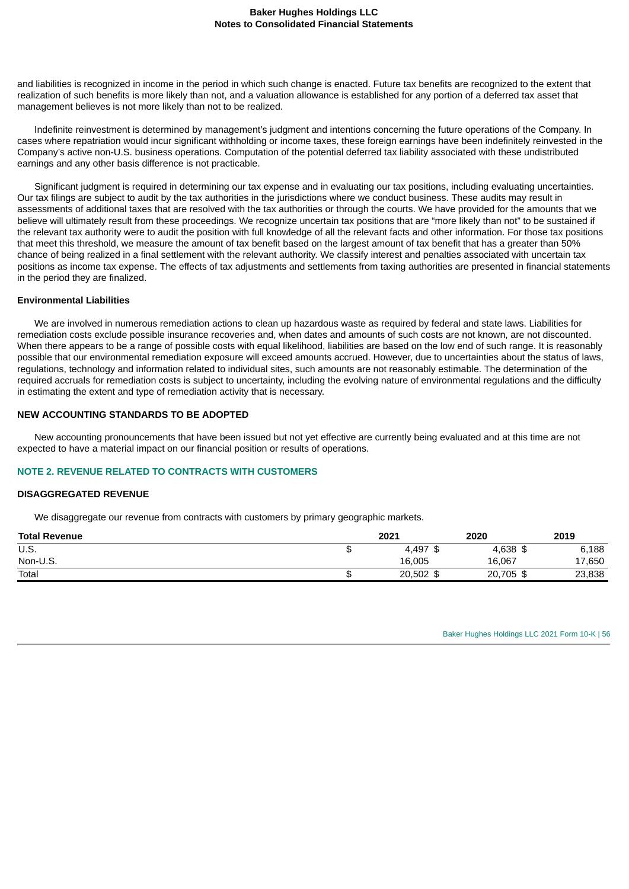and liabilities is recognized in income in the period in which such change is enacted. Future tax benefits are recognized to the extent that realization of such benefits is more likely than not, and a valuation allowance is established for any portion of a deferred tax asset that management believes is not more likely than not to be realized.

Indefinite reinvestment is determined by management's judgment and intentions concerning the future operations of the Company. In cases where repatriation would incur significant withholding or income taxes, these foreign earnings have been indefinitely reinvested in the Company's active non-U.S. business operations. Computation of the potential deferred tax liability associated with these undistributed earnings and any other basis difference is not practicable.

Significant judgment is required in determining our tax expense and in evaluating our tax positions, including evaluating uncertainties. Our tax filings are subject to audit by the tax authorities in the jurisdictions where we conduct business. These audits may result in assessments of additional taxes that are resolved with the tax authorities or through the courts. We have provided for the amounts that we believe will ultimately result from these proceedings. We recognize uncertain tax positions that are "more likely than not" to be sustained if the relevant tax authority were to audit the position with full knowledge of all the relevant facts and other information. For those tax positions that meet this threshold, we measure the amount of tax benefit based on the largest amount of tax benefit that has a greater than 50% chance of being realized in a final settlement with the relevant authority. We classify interest and penalties associated with uncertain tax positions as income tax expense. The effects of tax adjustments and settlements from taxing authorities are presented in financial statements in the period they are finalized.

# **Environmental Liabilities**

We are involved in numerous remediation actions to clean up hazardous waste as required by federal and state laws. Liabilities for remediation costs exclude possible insurance recoveries and, when dates and amounts of such costs are not known, are not discounted. When there appears to be a range of possible costs with equal likelihood, liabilities are based on the low end of such range. It is reasonably possible that our environmental remediation exposure will exceed amounts accrued. However, due to uncertainties about the status of laws, regulations, technology and information related to individual sites, such amounts are not reasonably estimable. The determination of the required accruals for remediation costs is subject to uncertainty, including the evolving nature of environmental regulations and the difficulty in estimating the extent and type of remediation activity that is necessary.

### **NEW ACCOUNTING STANDARDS TO BE ADOPTED**

New accounting pronouncements that have been issued but not yet effective are currently being evaluated and at this time are not expected to have a material impact on our financial position or results of operations.

# **NOTE 2. REVENUE RELATED TO CONTRACTS WITH CUSTOMERS**

### **DISAGGREGATED REVENUE**

We disaggregate our revenue from contracts with customers by primary geographic markets.

| <b>Total Revenue</b> |    | 2021        | 2020                  | 2019   |
|----------------------|----|-------------|-----------------------|--------|
| U.S.                 |    | 4,497       | 4.638<br>ъ            | 6,188  |
| Non-U.S.             |    | 16,005      | 16,067                | 17,650 |
| Total                | ۰D | 20,502<br>ന | 20,705<br>$\sim$<br>ъ | 23,838 |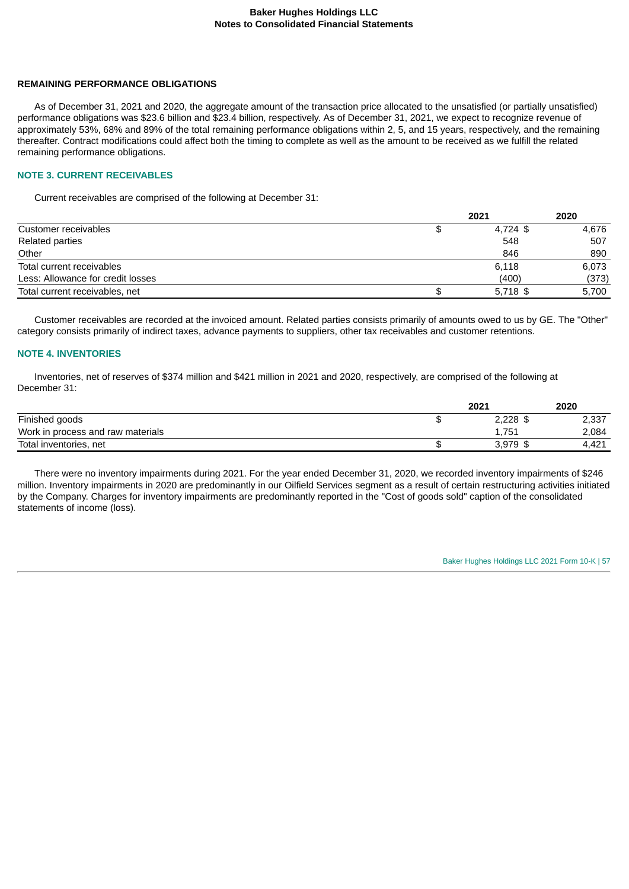#### **REMAINING PERFORMANCE OBLIGATIONS**

As of December 31, 2021 and 2020, the aggregate amount of the transaction price allocated to the unsatisfied (or partially unsatisfied) performance obligations was \$23.6 billion and \$23.4 billion, respectively. As of December 31, 2021, we expect to recognize revenue of approximately 53%, 68% and 89% of the total remaining performance obligations within 2, 5, and 15 years, respectively, and the remaining thereafter. Contract modifications could affect both the timing to complete as well as the amount to be received as we fulfill the related remaining performance obligations.

# **NOTE 3. CURRENT RECEIVABLES**

Current receivables are comprised of the following at December 31:

|                                   | 2021       | 2020  |
|-----------------------------------|------------|-------|
| Customer receivables              | $4,724$ \$ | 4,676 |
| Related parties                   | 548        | 507   |
| Other                             | 846        | 890   |
| Total current receivables         | 6,118      | 6,073 |
| Less: Allowance for credit losses | (400)      | (373) |
| Total current receivables, net    | $5,718$ \$ | 5,700 |

Customer receivables are recorded at the invoiced amount. Related parties consists primarily of amounts owed to us by GE. The "Other" category consists primarily of indirect taxes, advance payments to suppliers, other tax receivables and customer retentions.

# **NOTE 4. INVENTORIES**

Inventories, net of reserves of \$374 million and \$421 million in 2021 and 2020, respectively, are comprised of the following at December 31:

|                                   | 2021       | 2020  |
|-----------------------------------|------------|-------|
| Finished goods                    | $2,228$ \$ | 2,337 |
| Work in process and raw materials | 1.751      | 2,084 |
| Total inventories, net            | $3.979$ \$ | 4,421 |

There were no inventory impairments during 2021. For the year ended December 31, 2020, we recorded inventory impairments of \$246 million. Inventory impairments in 2020 are predominantly in our Oilfield Services segment as a result of certain restructuring activities initiated by the Company. Charges for inventory impairments are predominantly reported in the "Cost of goods sold" caption of the consolidated statements of income (loss).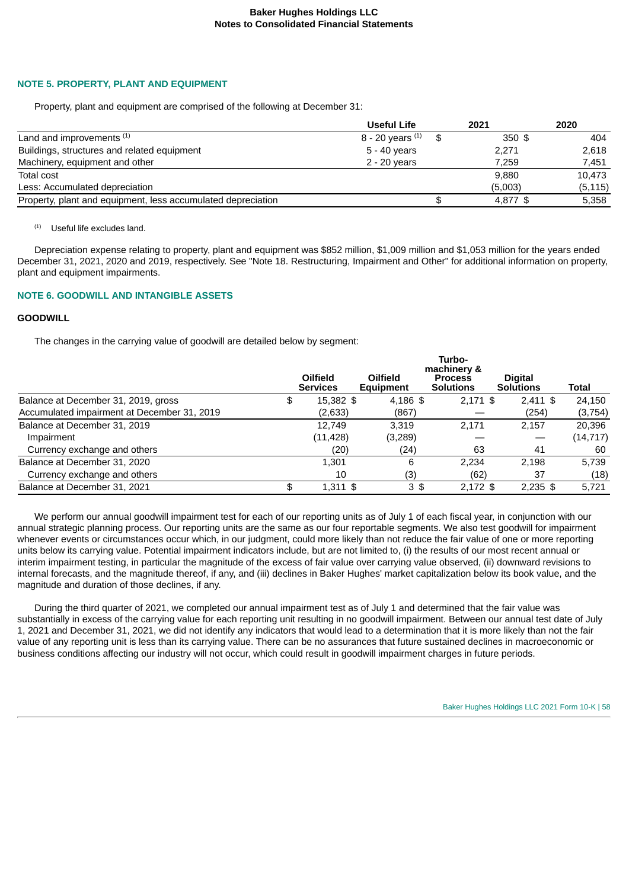### **NOTE 5. PROPERTY, PLANT AND EQUIPMENT**

Property, plant and equipment are comprised of the following at December 31:

| <b>Useful Life</b> | 2021     | 2020     |
|--------------------|----------|----------|
| 8 - 20 years $(1)$ | $350$ \$ | 404      |
| 5 - 40 years       | 2,271    | 2,618    |
| 2 - 20 years       | 7.259    | 7.451    |
|                    | 9.880    | 10,473   |
|                    | (5.003)  | (5, 115) |
|                    | 4.877 \$ | 5,358    |
|                    |          |          |

 $(1)$  Useful life excludes land.

Depreciation expense relating to property, plant and equipment was \$852 million, \$1,009 million and \$1,053 million for the years ended December 31, 2021, 2020 and 2019, respectively. See "Note 18. Restructuring, Impairment and Other" for additional information on property, plant and equipment impairments.

# **NOTE 6. GOODWILL AND INTANGIBLE ASSETS**

# **GOODWILL**

The changes in the carrying value of goodwill are detailed below by segment:

|                                             |                             |                                     | Turbo-<br>machinery &              |                                    |           |
|---------------------------------------------|-----------------------------|-------------------------------------|------------------------------------|------------------------------------|-----------|
|                                             | Oilfield<br><b>Services</b> | <b>Oilfield</b><br><b>Equipment</b> | <b>Process</b><br><b>Solutions</b> | <b>Digital</b><br><b>Solutions</b> | Total     |
| Balance at December 31, 2019, gross         | \$<br>15,382 \$             | $4,186$ \$                          | $2,171$ \$                         | $2,411$ \$                         | 24,150    |
| Accumulated impairment at December 31, 2019 | (2,633)                     | (867)                               |                                    | (254)                              | (3,754)   |
| Balance at December 31, 2019                | 12.749                      | 3.319                               | 2.171                              | 2.157                              | 20,396    |
| Impairment                                  | (11, 428)                   | (3,289)                             |                                    |                                    | (14, 717) |
| Currency exchange and others                | (20)                        | (24)                                | 63                                 | 41                                 | 60        |
| Balance at December 31, 2020                | 1,301                       | 6                                   | 2.234                              | 2,198                              | 5.739     |
| Currency exchange and others                | 10                          | (3)                                 | (62)                               | 37                                 | (18)      |
| Balance at December 31, 2021                | \$<br>$1,311$ \$            | 3\$                                 | $2.172$ \$                         | $2,235$ \$                         | 5,721     |

We perform our annual goodwill impairment test for each of our reporting units as of July 1 of each fiscal year, in conjunction with our annual strategic planning process. Our reporting units are the same as our four reportable segments. We also test goodwill for impairment whenever events or circumstances occur which, in our judgment, could more likely than not reduce the fair value of one or more reporting units below its carrying value. Potential impairment indicators include, but are not limited to, (i) the results of our most recent annual or interim impairment testing, in particular the magnitude of the excess of fair value over carrying value observed, (ii) downward revisions to internal forecasts, and the magnitude thereof, if any, and (iii) declines in Baker Hughes' market capitalization below its book value, and the magnitude and duration of those declines, if any.

During the third quarter of 2021, we completed our annual impairment test as of July 1 and determined that the fair value was substantially in excess of the carrying value for each reporting unit resulting in no goodwill impairment. Between our annual test date of July 1, 2021 and December 31, 2021, we did not identify any indicators that would lead to a determination that it is more likely than not the fair value of any reporting unit is less than its carrying value. There can be no assurances that future sustained declines in macroeconomic or business conditions affecting our industry will not occur, which could result in goodwill impairment charges in future periods.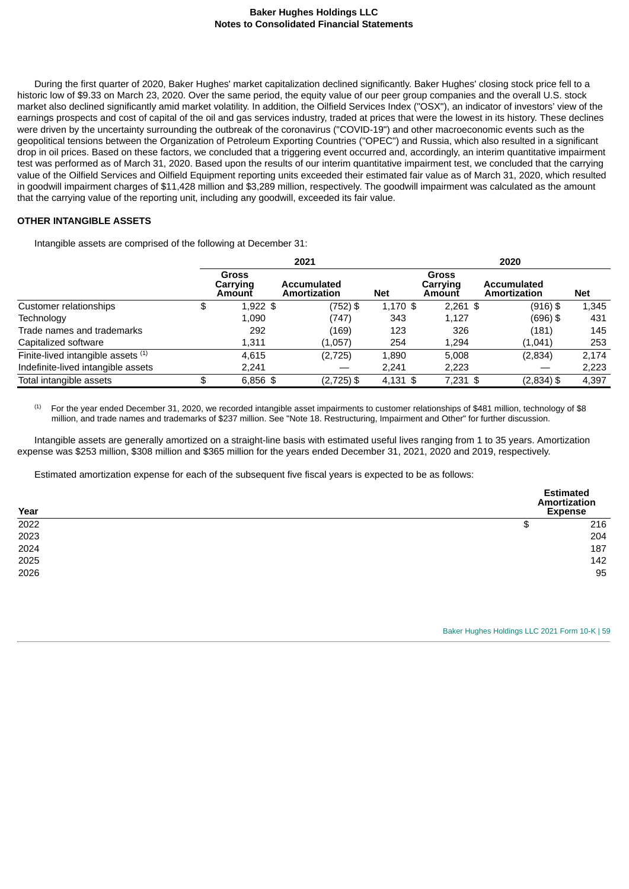During the first quarter of 2020, Baker Hughes' market capitalization declined significantly. Baker Hughes' closing stock price fell to a historic low of \$9.33 on March 23, 2020. Over the same period, the equity value of our peer group companies and the overall U.S. stock market also declined significantly amid market volatility. In addition, the Oilfield Services Index ("OSX"), an indicator of investors' view of the earnings prospects and cost of capital of the oil and gas services industry, traded at prices that were the lowest in its history. These declines were driven by the uncertainty surrounding the outbreak of the coronavirus ("COVID-19") and other macroeconomic events such as the geopolitical tensions between the Organization of Petroleum Exporting Countries ("OPEC") and Russia, which also resulted in a significant drop in oil prices. Based on these factors, we concluded that a triggering event occurred and, accordingly, an interim quantitative impairment test was performed as of March 31, 2020. Based upon the results of our interim quantitative impairment test, we concluded that the carrying value of the Oilfield Services and Oilfield Equipment reporting units exceeded their estimated fair value as of March 31, 2020, which resulted in goodwill impairment charges of \$11,428 million and \$3,289 million, respectively. The goodwill impairment was calculated as the amount that the carrying value of the reporting unit, including any goodwill, exceeded its fair value.

# **OTHER INTANGIBLE ASSETS**

Intangible assets are comprised of the following at December 31:

|                                    |                                    | 2021                               |              |            |                                    |                                    |            |
|------------------------------------|------------------------------------|------------------------------------|--------------|------------|------------------------------------|------------------------------------|------------|
|                                    | <b>Gross</b><br>Carrying<br>Amount | <b>Accumulated</b><br>Amortization |              | <b>Net</b> | <b>Gross</b><br>Carrying<br>Amount | <b>Accumulated</b><br>Amortization | <b>Net</b> |
| Customer relationships             | \$<br>$1,922$ \$                   |                                    | (752) \$     | $1,170$ \$ | $2,261$ \$                         | $(916)$ \$                         | 1,345      |
| Technology                         | 1.090                              |                                    | (747)        | 343        | 1,127                              | $(696)$ \$                         | 431        |
| Trade names and trademarks         | 292                                |                                    | (169)        | 123        | 326                                | (181)                              | 145        |
| Capitalized software               | 1,311                              | (1,057)                            |              | 254        | 1.294                              | (1,041)                            | 253        |
| Finite-lived intangible assets (1) | 4,615                              | (2,725)                            |              | 1.890      | 5.008                              | (2,834)                            | 2,174      |
| Indefinite-lived intangible assets | 2,241                              |                                    |              | 2,241      | 2,223                              |                                    | 2,223      |
| Total intangible assets            | $6,856$ \$                         |                                    | $(2,725)$ \$ | $4,131$ \$ | $7,231$ \$                         | $(2,834)$ \$                       | 4,397      |

For the year ended December 31, 2020, we recorded intangible asset impairments to customer relationships of \$481 million, technology of \$8 million, and trade names and trademarks of \$237 million. See "Note 18. Restructuring, Impairment and Other" for further discussion. (1)

Intangible assets are generally amortized on a straight-line basis with estimated useful lives ranging from 1 to 35 years. Amortization expense was \$253 million, \$308 million and \$365 million for the years ended December 31, 2021, 2020 and 2019, respectively.

Estimated amortization expense for each of the subsequent five fiscal years is expected to be as follows:

| Year |   | <b>Estimated</b><br>Amortization<br><b>Expense</b> |
|------|---|----------------------------------------------------|
| 2022 | ╺ | 216                                                |
| 2023 |   | 204                                                |
| 2024 |   | 187                                                |
| 2025 |   | 142                                                |
| 2026 |   | 95                                                 |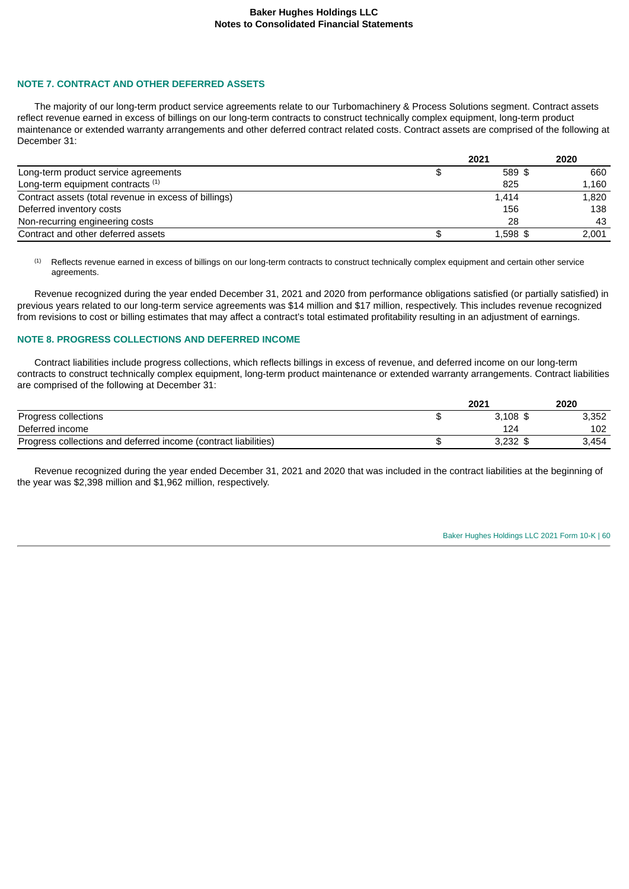### **NOTE 7. CONTRACT AND OTHER DEFERRED ASSETS**

The majority of our long-term product service agreements relate to our Turbomachinery & Process Solutions segment. Contract assets reflect revenue earned in excess of billings on our long-term contracts to construct technically complex equipment, long-term product maintenance or extended warranty arrangements and other deferred contract related costs. Contract assets are comprised of the following at December 31:

|                                                       | 2021     | 2020  |
|-------------------------------------------------------|----------|-------|
| Long-term product service agreements                  | 589 \$   | 660   |
| Long-term equipment contracts (1)                     | 825      | 1,160 |
| Contract assets (total revenue in excess of billings) | 1.414    | 1,820 |
| Deferred inventory costs                              | 156      | 138   |
| Non-recurring engineering costs                       | 28       | 43    |
| Contract and other deferred assets                    | 1,598 \$ | 2.001 |

Reflects revenue earned in excess of billings on our long-term contracts to construct technically complex equipment and certain other service agreements. (1)

Revenue recognized during the year ended December 31, 2021 and 2020 from performance obligations satisfied (or partially satisfied) in previous years related to our long-term service agreements was \$14 million and \$17 million, respectively. This includes revenue recognized from revisions to cost or billing estimates that may affect a contract's total estimated profitability resulting in an adjustment of earnings.

## **NOTE 8. PROGRESS COLLECTIONS AND DEFERRED INCOME**

Contract liabilities include progress collections, which reflects billings in excess of revenue, and deferred income on our long-term contracts to construct technically complex equipment, long-term product maintenance or extended warranty arrangements. Contract liabilities are comprised of the following at December 31:

|                                                                 | 2021       | 2020  |
|-----------------------------------------------------------------|------------|-------|
| Progress collections                                            | $3.108$ \$ | 3.352 |
| Deferred income                                                 | 124        | 102   |
| Progress collections and deferred income (contract liabilities) | $3.232$ \$ | 3.454 |

Revenue recognized during the year ended December 31, 2021 and 2020 that was included in the contract liabilities at the beginning of the year was \$2,398 million and \$1,962 million, respectively.

|  | Baker Hughes Holdings LLC 2021 Form 10-K   60 |  |  |  |
|--|-----------------------------------------------|--|--|--|
|  |                                               |  |  |  |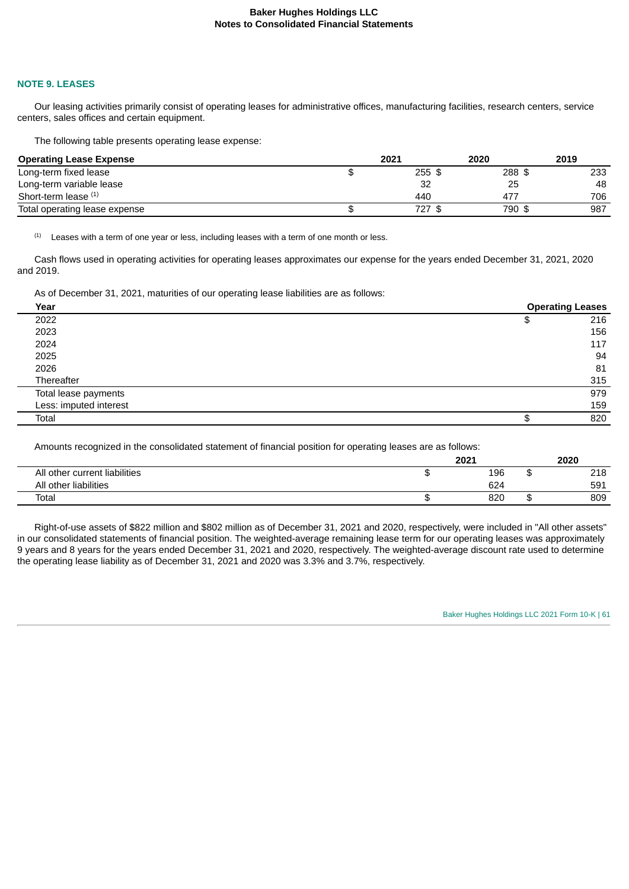#### **NOTE 9. LEASES**

Our leasing activities primarily consist of operating leases for administrative offices, manufacturing facilities, research centers, service centers, sales offices and certain equipment.

The following table presents operating lease expense:

| <b>Operating Lease Expense</b> | 2021           | 2020   | 2019 |
|--------------------------------|----------------|--------|------|
| Long-term fixed lease          | \$<br>$255$ \$ | 288 \$ | 233  |
| Long-term variable lease       | 32             | 25     | 48   |
| Short-term lease (1)           | 440            | 477    | 706  |
| Total operating lease expense  | 727 \$         | 790 \$ | 987  |

Leases with a term of one year or less, including leases with a term of one month or less. (1)

Cash flows used in operating activities for operating leases approximates our expense for the years ended December 31, 2021, 2020 and 2019.

As of December 31, 2021, maturities of our operating lease liabilities are as follows:

| Year                   | <b>Operating Leases</b> |
|------------------------|-------------------------|
| 2022                   | 216<br>\$               |
| 2023                   | 156                     |
| 2024                   | 117                     |
| 2025                   | 94                      |
| 2026                   | 81                      |
| Thereafter             | 315                     |
| Total lease payments   | 979                     |
| Less: imputed interest | 159                     |
| Total                  | 820<br>\$               |

Amounts recognized in the consolidated statement of financial position for operating leases are as follows:

|                               |   | 2021 |   | 2020 |
|-------------------------------|---|------|---|------|
| All other current liabilities | w | 196  | ◡ | 218  |
| All other liabilities         |   | 624  |   | 591  |
| Total                         | w | 820  | ◡ | 809  |

Right-of-use assets of \$822 million and \$802 million as of December 31, 2021 and 2020, respectively, were included in "All other assets" in our consolidated statements of financial position. The weighted-average remaining lease term for our operating leases was approximately 9 years and 8 years for the years ended December 31, 2021 and 2020, respectively. The weighted-average discount rate used to determine the operating lease liability as of December 31, 2021 and 2020 was 3.3% and 3.7%, respectively.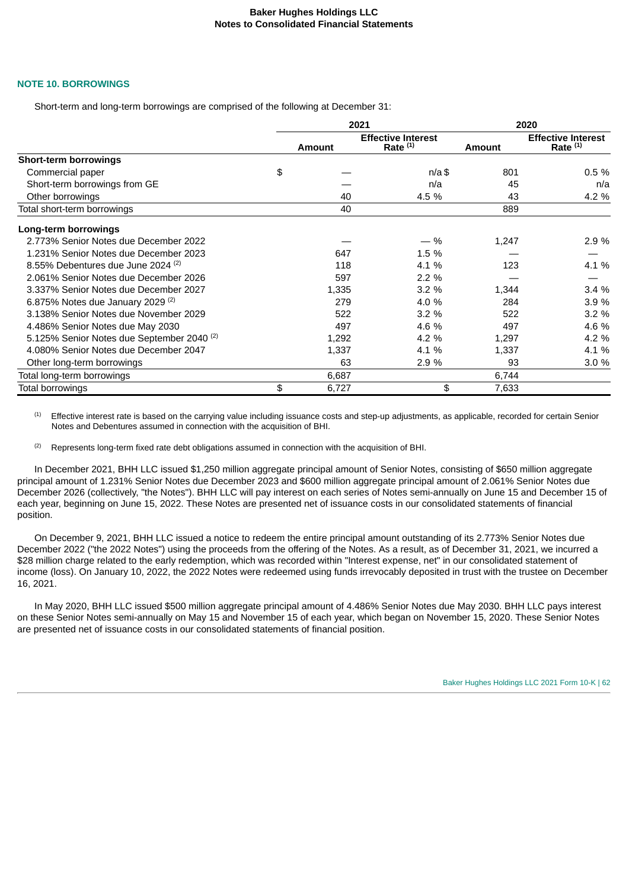### **NOTE 10. BORROWINGS**

Short-term and long-term borrowings are comprised of the following at December 31:

|                                                       |               | 2021                                    | 2020          |                                         |  |
|-------------------------------------------------------|---------------|-----------------------------------------|---------------|-----------------------------------------|--|
|                                                       | <b>Amount</b> | <b>Effective Interest</b><br>Rate $(1)$ | <b>Amount</b> | <b>Effective Interest</b><br>Rate $(1)$ |  |
| <b>Short-term borrowings</b>                          |               |                                         |               |                                         |  |
| Commercial paper                                      | \$            | $n/a$ \$                                | 801           | 0.5%                                    |  |
| Short-term borrowings from GE                         |               | n/a                                     | 45            | n/a                                     |  |
| Other borrowings                                      | 40            | 4.5 %                                   | 43            | 4.2 %                                   |  |
| Total short-term borrowings                           | 40            |                                         | 889           |                                         |  |
| Long-term borrowings                                  |               |                                         |               |                                         |  |
| 2.773% Senior Notes due December 2022                 |               | $-$ %                                   | 1,247         | 2.9%                                    |  |
| 1.231% Senior Notes due December 2023                 | 647           | 1.5 %                                   |               |                                         |  |
| 8.55% Debentures due June 2024 $(2)$                  | 118           | 4.1 %                                   | 123           | 4.1 %                                   |  |
| 2.061% Senior Notes due December 2026                 | 597           | 2.2%                                    |               |                                         |  |
| 3.337% Senior Notes due December 2027                 | 1,335         | 3.2%                                    | 1,344         | 3.4%                                    |  |
| 6.875% Notes due January 2029 $(2)$                   | 279           | 4.0 %                                   | 284           | 3.9 %                                   |  |
| 3.138% Senior Notes due November 2029                 | 522           | 3.2%                                    | 522           | 3.2%                                    |  |
| 4.486% Senior Notes due May 2030                      | 497           | 4.6 %                                   | 497           | 4.6 %                                   |  |
| 5.125% Senior Notes due September 2040 <sup>(2)</sup> | 1,292         | 4.2 %                                   | 1,297         | 4.2 %                                   |  |
| 4.080% Senior Notes due December 2047                 | 1,337         | 4.1 %                                   | 1,337         | 4.1 %                                   |  |
| Other long-term borrowings                            | 63            | 2.9 %                                   | 93            | 3.0%                                    |  |
| Total long-term borrowings                            | 6,687         |                                         | 6,744         |                                         |  |
| Total borrowings                                      | \$<br>6,727   | \$                                      | 7,633         |                                         |  |

Effective interest rate is based on the carrying value including issuance costs and step-up adjustments, as applicable, recorded for certain Senior Notes and Debentures assumed in connection with the acquisition of BHI. (1)

Represents long-term fixed rate debt obligations assumed in connection with the acquisition of BHI. (2)

In December 2021, BHH LLC issued \$1,250 million aggregate principal amount of Senior Notes, consisting of \$650 million aggregate principal amount of 1.231% Senior Notes due December 2023 and \$600 million aggregate principal amount of 2.061% Senior Notes due December 2026 (collectively, "the Notes"). BHH LLC will pay interest on each series of Notes semi-annually on June 15 and December 15 of each year, beginning on June 15, 2022. These Notes are presented net of issuance costs in our consolidated statements of financial position.

On December 9, 2021, BHH LLC issued a notice to redeem the entire principal amount outstanding of its 2.773% Senior Notes due December 2022 ("the 2022 Notes") using the proceeds from the offering of the Notes. As a result, as of December 31, 2021, we incurred a \$28 million charge related to the early redemption, which was recorded within "Interest expense, net" in our consolidated statement of income (loss). On January 10, 2022, the 2022 Notes were redeemed using funds irrevocably deposited in trust with the trustee on December 16, 2021.

In May 2020, BHH LLC issued \$500 million aggregate principal amount of 4.486% Senior Notes due May 2030. BHH LLC pays interest on these Senior Notes semi-annually on May 15 and November 15 of each year, which began on November 15, 2020. These Senior Notes are presented net of issuance costs in our consolidated statements of financial position.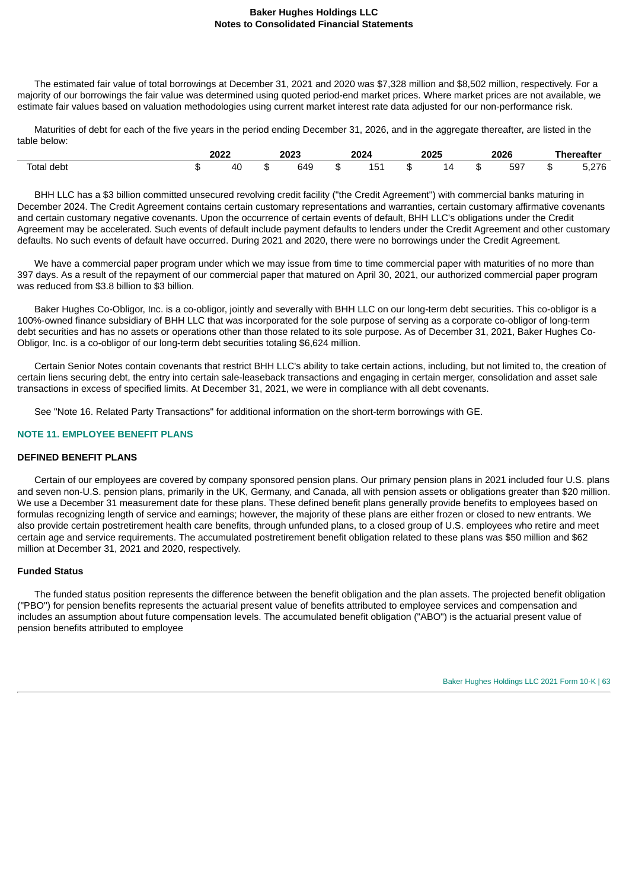The estimated fair value of total borrowings at December 31, 2021 and 2020 was \$7,328 million and \$8,502 million, respectively. For a majority of our borrowings the fair value was determined using quoted period-end market prices. Where market prices are not available, we estimate fair values based on valuation methodologies using current market interest rate data adjusted for our non-performance risk.

Maturities of debt for each of the five years in the period ending December 31, 2026, and in the aggregate thereafter, are listed in the table below:

|            |   | 2022 | 2023 |   | 2024 | 2025 | 2026 |    | Thereafter   |
|------------|---|------|------|---|------|------|------|----|--------------|
| Total debt | w | 40   | 649  | ູ | 151  | 44   | 597  | .n | 276<br>◡,∠,◡ |

BHH LLC has a \$3 billion committed unsecured revolving credit facility ("the Credit Agreement") with commercial banks maturing in December 2024. The Credit Agreement contains certain customary representations and warranties, certain customary affirmative covenants and certain customary negative covenants. Upon the occurrence of certain events of default, BHH LLC's obligations under the Credit Agreement may be accelerated. Such events of default include payment defaults to lenders under the Credit Agreement and other customary defaults. No such events of default have occurred. During 2021 and 2020, there were no borrowings under the Credit Agreement.

We have a commercial paper program under which we may issue from time to time commercial paper with maturities of no more than 397 days. As a result of the repayment of our commercial paper that matured on April 30, 2021, our authorized commercial paper program was reduced from \$3.8 billion to \$3 billion.

Baker Hughes Co-Obligor, Inc. is a co-obligor, jointly and severally with BHH LLC on our long-term debt securities. This co-obligor is a 100%-owned finance subsidiary of BHH LLC that was incorporated for the sole purpose of serving as a corporate co-obligor of long-term debt securities and has no assets or operations other than those related to its sole purpose. As of December 31, 2021, Baker Hughes Co-Obligor, Inc. is a co-obligor of our long-term debt securities totaling \$6,624 million.

Certain Senior Notes contain covenants that restrict BHH LLC's ability to take certain actions, including, but not limited to, the creation of certain liens securing debt, the entry into certain sale-leaseback transactions and engaging in certain merger, consolidation and asset sale transactions in excess of specified limits. At December 31, 2021, we were in compliance with all debt covenants.

See "Note 16. Related Party Transactions" for additional information on the short-term borrowings with GE.

# **NOTE 11. EMPLOYEE BENEFIT PLANS**

# **DEFINED BENEFIT PLANS**

Certain of our employees are covered by company sponsored pension plans. Our primary pension plans in 2021 included four U.S. plans and seven non-U.S. pension plans, primarily in the UK, Germany, and Canada, all with pension assets or obligations greater than \$20 million. We use a December 31 measurement date for these plans. These defined benefit plans generally provide benefits to employees based on formulas recognizing length of service and earnings; however, the majority of these plans are either frozen or closed to new entrants. We also provide certain postretirement health care benefits, through unfunded plans, to a closed group of U.S. employees who retire and meet certain age and service requirements. The accumulated postretirement benefit obligation related to these plans was \$50 million and \$62 million at December 31, 2021 and 2020, respectively.

### **Funded Status**

The funded status position represents the difference between the benefit obligation and the plan assets. The projected benefit obligation ("PBO") for pension benefits represents the actuarial present value of benefits attributed to employee services and compensation and includes an assumption about future compensation levels. The accumulated benefit obligation ("ABO") is the actuarial present value of pension benefits attributed to employee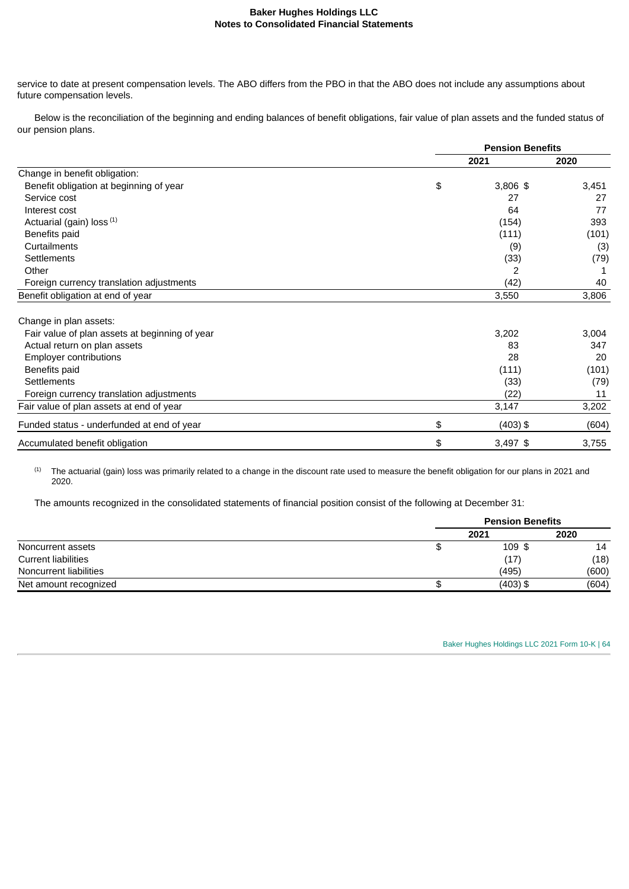service to date at present compensation levels. The ABO differs from the PBO in that the ABO does not include any assumptions about future compensation levels.

Below is the reconciliation of the beginning and ending balances of benefit obligations, fair value of plan assets and the funded status of our pension plans.

|                                                | <b>Pension Benefits</b> |       |  |  |
|------------------------------------------------|-------------------------|-------|--|--|
|                                                | 2021                    | 2020  |  |  |
| Change in benefit obligation:                  |                         |       |  |  |
| Benefit obligation at beginning of year        | \$<br>3,806 \$          | 3,451 |  |  |
| Service cost                                   | 27                      | 27    |  |  |
| Interest cost                                  | 64                      | 77    |  |  |
| Actuarial (gain) loss <sup>(1)</sup>           | (154)                   | 393   |  |  |
| Benefits paid                                  | (111)                   | (101) |  |  |
| Curtailments                                   | (9)                     | (3)   |  |  |
| Settlements                                    | (33)                    | (79)  |  |  |
| Other                                          |                         |       |  |  |
| Foreign currency translation adjustments       | (42)                    | 40    |  |  |
| Benefit obligation at end of year              | 3,550                   | 3,806 |  |  |
| Change in plan assets:                         |                         |       |  |  |
| Fair value of plan assets at beginning of year | 3,202                   | 3,004 |  |  |
| Actual return on plan assets                   | 83                      | 347   |  |  |
| <b>Employer contributions</b>                  | 28                      | 20    |  |  |
| Benefits paid                                  | (111)                   | (101) |  |  |
| Settlements                                    | (33)                    | (79)  |  |  |
| Foreign currency translation adjustments       | (22)                    | 11    |  |  |
| Fair value of plan assets at end of year       | 3,147                   | 3,202 |  |  |
| Funded status - underfunded at end of year     | \$<br>$(403)$ \$        | (604) |  |  |
| Accumulated benefit obligation                 | \$<br>$3,497$ \$        | 3,755 |  |  |

 $<sup>(1)</sup>$  The actuarial (gain) loss was primarily related to a change in the discount rate used to measure the benefit obligation for our plans in 2021 and</sup> 2020.

The amounts recognized in the consolidated statements of financial position consist of the following at December 31:

|                            | <b>Pension Benefits</b> |       |  |  |
|----------------------------|-------------------------|-------|--|--|
|                            | 2021                    | 2020  |  |  |
| Noncurrent assets          | 109 \$                  | 14    |  |  |
| <b>Current liabilities</b> | (17)                    | (18)  |  |  |
| Noncurrent liabilities     | (495)                   | (600) |  |  |
| Net amount recognized      | $(403)$ \$              | (604) |  |  |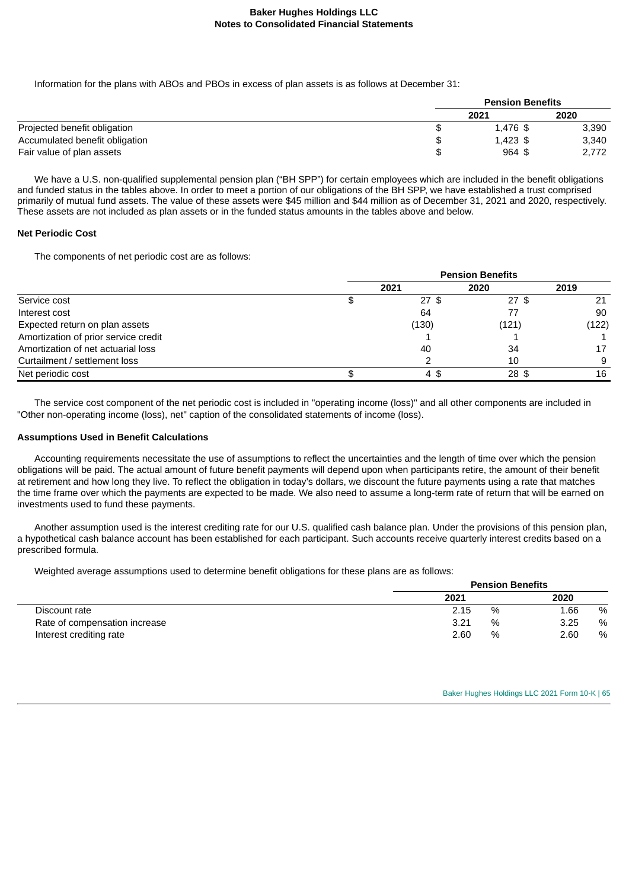Information for the plans with ABOs and PBOs in excess of plan assets is as follows at December 31:

|                                | <b>Pension Benefits</b> |       |  |  |
|--------------------------------|-------------------------|-------|--|--|
|                                | 2021                    | 2020  |  |  |
| Projected benefit obligation   | $1.476$ \$              | 3,390 |  |  |
| Accumulated benefit obligation | $1,423$ \$              | 3,340 |  |  |
| Fair value of plan assets      | 964 \$                  | 2,772 |  |  |

We have a U.S. non-qualified supplemental pension plan ("BH SPP") for certain employees which are included in the benefit obligations and funded status in the tables above. In order to meet a portion of our obligations of the BH SPP, we have established a trust comprised primarily of mutual fund assets. The value of these assets were \$45 million and \$44 million as of December 31, 2021 and 2020, respectively. These assets are not included as plan assets or in the funded status amounts in the tables above and below.

### **Net Periodic Cost**

The components of net periodic cost are as follows:

|                                      | <b>Pension Benefits</b> |       |                  |       |
|--------------------------------------|-------------------------|-------|------------------|-------|
|                                      |                         | 2021  | 2020             | 2019  |
| Service cost                         |                         | 27S   | $27 \text{ }$ \$ | 21    |
| Interest cost                        |                         | 64    |                  | 90    |
| Expected return on plan assets       |                         | (130) | (121)            | (122) |
| Amortization of prior service credit |                         |       |                  |       |
| Amortization of net actuarial loss   |                         | 40    | 34               | 17    |
| Curtailment / settlement loss        |                         |       | 10               | 9     |
| Net periodic cost                    |                         | 4\$   | 28 \$            | 16    |

The service cost component of the net periodic cost is included in "operating income (loss)" and all other components are included in "Other non-operating income (loss), net" caption of the consolidated statements of income (loss).

### **Assumptions Used in Benefit Calculations**

Accounting requirements necessitate the use of assumptions to reflect the uncertainties and the length of time over which the pension obligations will be paid. The actual amount of future benefit payments will depend upon when participants retire, the amount of their benefit at retirement and how long they live. To reflect the obligation in today's dollars, we discount the future payments using a rate that matches the time frame over which the payments are expected to be made. We also need to assume a long-term rate of return that will be earned on investments used to fund these payments.

Another assumption used is the interest crediting rate for our U.S. qualified cash balance plan. Under the provisions of this pension plan, a hypothetical cash balance account has been established for each participant. Such accounts receive quarterly interest credits based on a prescribed formula.

Weighted average assumptions used to determine benefit obligations for these plans are as follows:

|                               | <b>Pension Benefits</b> |               |      |               |
|-------------------------------|-------------------------|---------------|------|---------------|
|                               | 2021                    |               | 2020 |               |
| Discount rate                 | 2.15                    | $\frac{0}{0}$ | 1.66 | $\%$          |
| Rate of compensation increase | 3.21                    | $\frac{0}{0}$ | 3.25 | $\%$          |
| Interest crediting rate       | 2.60                    | %             | 2.60 | $\frac{0}{0}$ |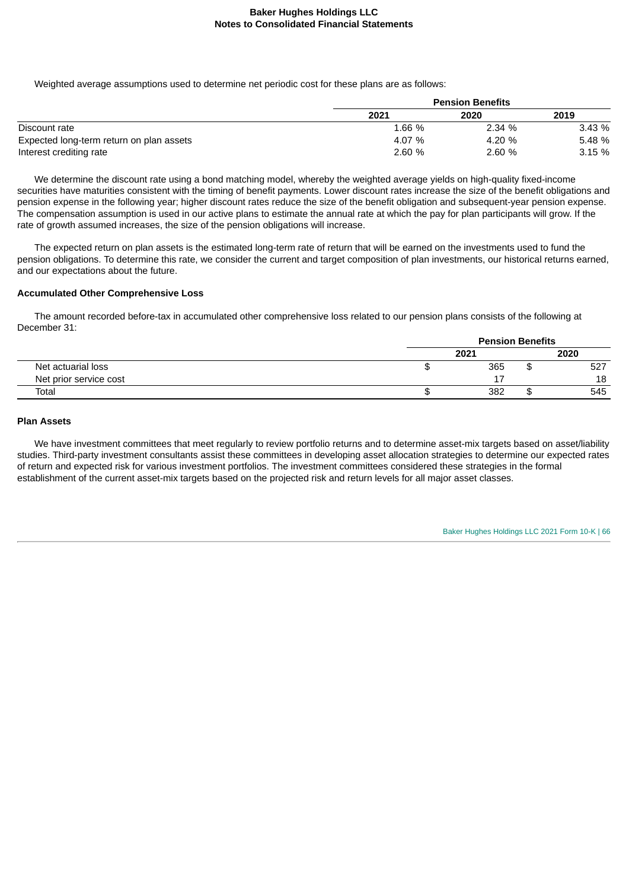Weighted average assumptions used to determine net periodic cost for these plans are as follows:

|                                          |        | <b>Pension Benefits</b> |        |  |  |  |
|------------------------------------------|--------|-------------------------|--------|--|--|--|
|                                          | 2021   | 2020                    | 2019   |  |  |  |
| Discount rate                            | 1.66%  | 2.34 %                  | 3.43 % |  |  |  |
| Expected long-term return on plan assets | 4.07 % | 4.20 %                  | 5.48 % |  |  |  |
| Interest crediting rate                  | 2.60%  | 2.60 %                  | 3.15%  |  |  |  |

We determine the discount rate using a bond matching model, whereby the weighted average yields on high-quality fixed-income securities have maturities consistent with the timing of benefit payments. Lower discount rates increase the size of the benefit obligations and pension expense in the following year; higher discount rates reduce the size of the benefit obligation and subsequent-year pension expense. The compensation assumption is used in our active plans to estimate the annual rate at which the pay for plan participants will grow. If the rate of growth assumed increases, the size of the pension obligations will increase.

The expected return on plan assets is the estimated long-term rate of return that will be earned on the investments used to fund the pension obligations. To determine this rate, we consider the current and target composition of plan investments, our historical returns earned, and our expectations about the future.

# **Accumulated Other Comprehensive Loss**

The amount recorded before-tax in accumulated other comprehensive loss related to our pension plans consists of the following at December 31:

|                        | <b>Pension Benefits</b> |          |  |      |
|------------------------|-------------------------|----------|--|------|
|                        |                         | 2021     |  | 2020 |
| Net actuarial loss     |                         | 365      |  | 527  |
| Net prior service cost |                         | <b>.</b> |  | 18   |
| Total                  |                         | 382      |  | 545  |

# **Plan Assets**

We have investment committees that meet regularly to review portfolio returns and to determine asset-mix targets based on asset/liability studies. Third-party investment consultants assist these committees in developing asset allocation strategies to determine our expected rates of return and expected risk for various investment portfolios. The investment committees considered these strategies in the formal establishment of the current asset-mix targets based on the projected risk and return levels for all major asset classes.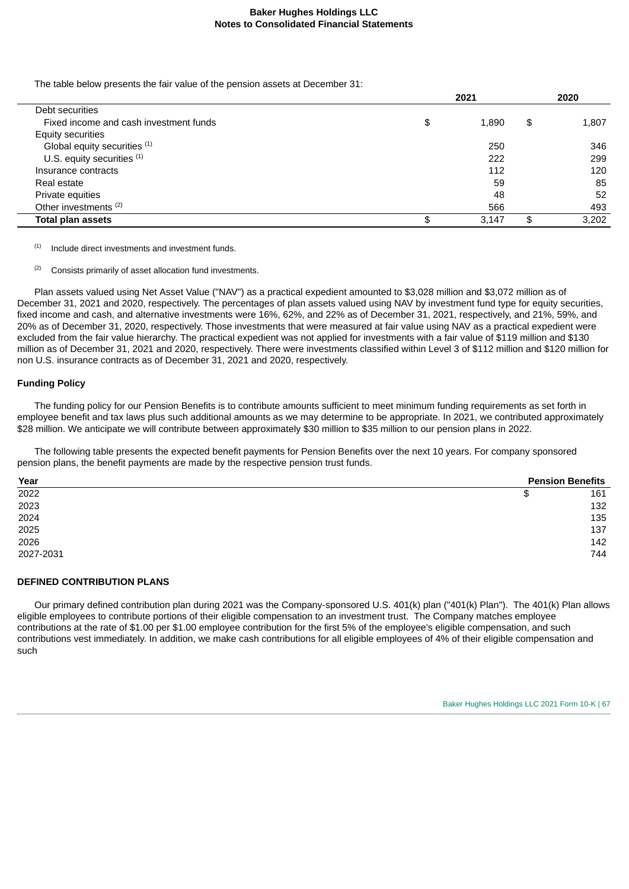The table below presents the fair value of the pension assets at December 31:

| 2021        | 2020        |
|-------------|-------------|
|             |             |
| \$<br>1,890 | \$<br>1,807 |
|             |             |
| 250         | 346         |
| 222         | 299         |
| 112         | 120         |
| 59          | 85          |
| 48          | 52          |
| 566         | 493         |
| 3.147       | \$<br>3,202 |
|             |             |

Include direct investments and investment funds. (1)

Consists primarily of asset allocation fund investments. (2)

Plan assets valued using Net Asset Value ("NAV") as a practical expedient amounted to \$3,028 million and \$3,072 million as of December 31, 2021 and 2020, respectively. The percentages of plan assets valued using NAV by investment fund type for equity securities, fixed income and cash, and alternative investments were 16%, 62%, and 22% as of December 31, 2021, respectively, and 21%, 59%, and 20% as of December 31, 2020, respectively. Those investments that were measured at fair value using NAV as a practical expedient were excluded from the fair value hierarchy. The practical expedient was not applied for investments with a fair value of \$119 million and \$130 million as of December 31, 2021 and 2020, respectively. There were investments classified within Level 3 of \$112 million and \$120 million for non U.S. insurance contracts as of December 31, 2021 and 2020, respectively.

### **Funding Policy**

The funding policy for our Pension Benefits is to contribute amounts sufficient to meet minimum funding requirements as set forth in employee benefit and tax laws plus such additional amounts as we may determine to be appropriate. In 2021, we contributed approximately \$28 million. We anticipate we will contribute between approximately \$30 million to \$35 million to our pension plans in 2022.

The following table presents the expected benefit payments for Pension Benefits over the next 10 years. For company sponsored pension plans, the benefit payments are made by the respective pension trust funds.

| Year      | <b>Pension Benefits</b> |
|-----------|-------------------------|
| 2022      | 161<br>\$               |
| 2023      | 132                     |
| 2024      | 135                     |
| 2025      | 137                     |
| 2026      | 142                     |
| 2027-2031 | 744                     |

## **DEFINED CONTRIBUTION PLANS**

Our primary defined contribution plan during 2021 was the Company-sponsored U.S. 401(k) plan ("401(k) Plan"). The 401(k) Plan allows eligible employees to contribute portions of their eligible compensation to an investment trust. The Company matches employee contributions at the rate of \$1.00 per \$1.00 employee contribution for the first 5% of the employee's eligible compensation, and such contributions vest immediately. In addition, we make cash contributions for all eligible employees of 4% of their eligible compensation and such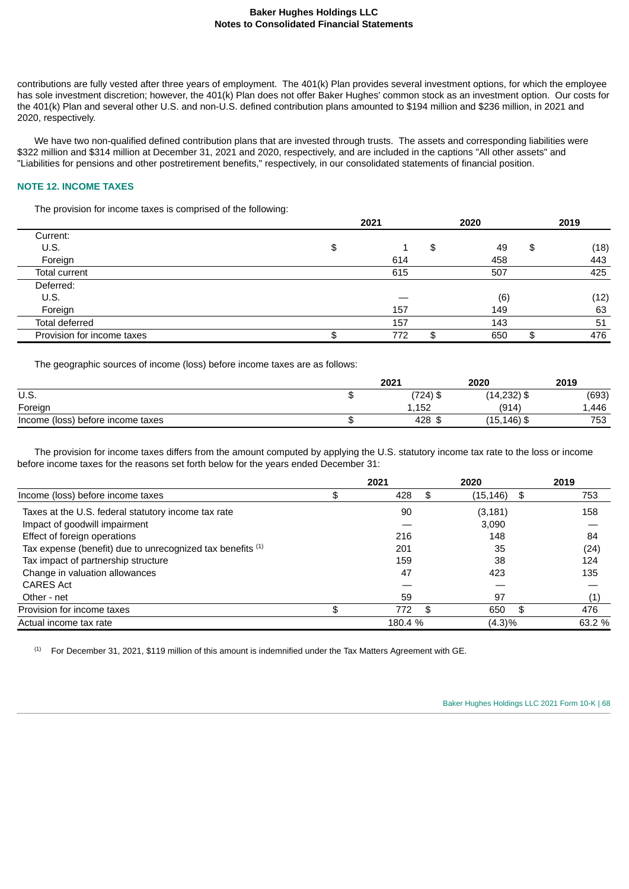contributions are fully vested after three years of employment. The 401(k) Plan provides several investment options, for which the employee has sole investment discretion; however, the 401(k) Plan does not offer Baker Hughes' common stock as an investment option. Our costs for the 401(k) Plan and several other U.S. and non-U.S. defined contribution plans amounted to \$194 million and \$236 million, in 2021 and 2020, respectively.

We have two non-qualified defined contribution plans that are invested through trusts. The assets and corresponding liabilities were \$322 million and \$314 million at December 31, 2021 and 2020, respectively, and are included in the captions "All other assets" and "Liabilities for pensions and other postretirement benefits," respectively, in our consolidated statements of financial position.

# **NOTE 12. INCOME TAXES**

The provision for income taxes is comprised of the following:

|                            | 2021      | 2020      | 2019       |
|----------------------------|-----------|-----------|------------|
| Current:                   |           |           |            |
| U.S.                       | \$        | \$<br>49  | \$<br>(18) |
| Foreign                    | 614       | 458       | 443        |
| <b>Total current</b>       | 615       | 507       | 425        |
| Deferred:                  |           |           |            |
| U.S.                       |           | (6)       | (12)       |
| Foreign                    | 157       | 149       | 63         |
| <b>Total deferred</b>      | 157       | 143       | 51         |
| Provision for income taxes | \$<br>772 | \$<br>650 | \$<br>476  |
|                            |           |           |            |

The geographic sources of income (loss) before income taxes are as follows:

|                                   | 2021            | 2020           | 2019  |
|-----------------------------------|-----------------|----------------|-------|
| U.S.                              | $(724)$ \$      | (14,232) \$    | (693) |
| Foreign                           | 1.152           | (914)          | ⊥.446 |
| Income (loss) before income taxes | 428<br>¢<br>- D | $(15, 146)$ \$ | 753   |

The provision for income taxes differs from the amount computed by applying the U.S. statutory income tax rate to the loss or income before income taxes for the reasons set forth below for the years ended December 31:

|                                                                       | 2021      |     | 2020      | 2019      |
|-----------------------------------------------------------------------|-----------|-----|-----------|-----------|
| Income (loss) before income taxes                                     | \$<br>428 | \$  | (15, 146) | \$<br>753 |
| Taxes at the U.S. federal statutory income tax rate                   | 90        |     | (3, 181)  | 158       |
| Impact of goodwill impairment                                         |           |     | 3.090     |           |
| Effect of foreign operations                                          | 216       |     | 148       | 84        |
| Tax expense (benefit) due to unrecognized tax benefits <sup>(1)</sup> | 201       |     | 35        | (24)      |
| Tax impact of partnership structure                                   | 159       |     | 38        | 124       |
| Change in valuation allowances                                        | 47        |     | 423       | 135       |
| <b>CARES Act</b>                                                      |           |     |           |           |
| Other - net                                                           | 59        |     | 97        | (1)       |
| Provision for income taxes                                            | \$<br>772 | \$. | 650       | \$<br>476 |
| Actual income tax rate                                                | 180.4 %   |     | (4.3)%    | 63.2 %    |

For December 31, 2021, \$119 million of this amount is indemnified under the Tax Matters Agreement with GE. (1)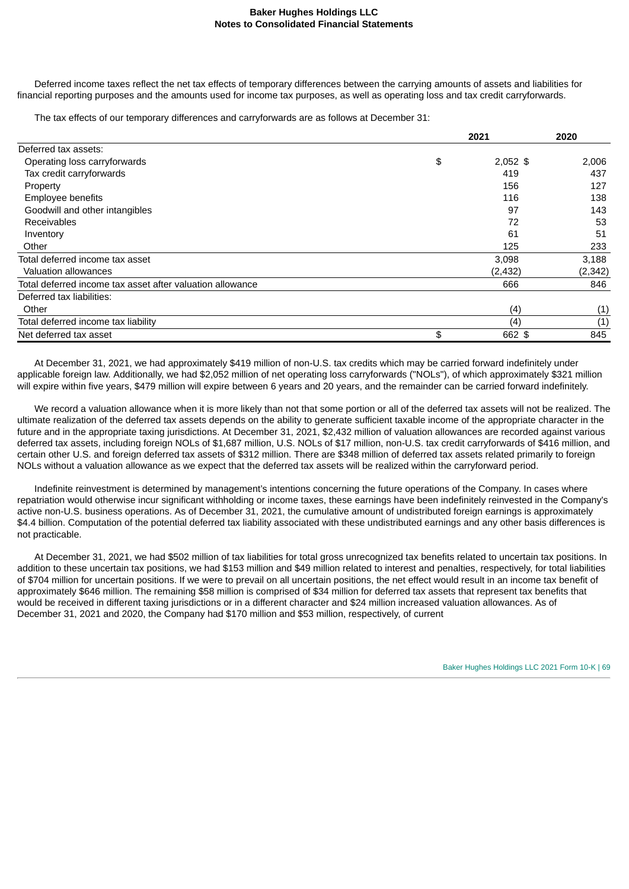Deferred income taxes reflect the net tax effects of temporary differences between the carrying amounts of assets and liabilities for financial reporting purposes and the amounts used for income tax purposes, as well as operating loss and tax credit carryforwards.

The tax effects of our temporary differences and carryforwards are as follows at December 31:

|                                                           | 2021             | 2020     |
|-----------------------------------------------------------|------------------|----------|
| Deferred tax assets:                                      |                  |          |
| Operating loss carryforwards                              | \$<br>$2,052$ \$ | 2,006    |
| Tax credit carryforwards                                  | 419              | 437      |
| Property                                                  | 156              | 127      |
| Employee benefits                                         | 116              | 138      |
| Goodwill and other intangibles                            | 97               | 143      |
| Receivables                                               | 72               | 53       |
| Inventory                                                 | 61               | 51       |
| Other                                                     | 125              | 233      |
| Total deferred income tax asset                           | 3,098            | 3,188    |
| <b>Valuation allowances</b>                               | (2, 432)         | (2, 342) |
| Total deferred income tax asset after valuation allowance | 666              | 846      |
| Deferred tax liabilities:                                 |                  |          |
| Other                                                     | (4)              | (1)      |
| Total deferred income tax liability                       | (4)              | (1)      |
| Net deferred tax asset                                    | \$<br>662 \$     | 845      |

At December 31, 2021, we had approximately \$419 million of non-U.S. tax credits which may be carried forward indefinitely under applicable foreign law. Additionally, we had \$2,052 million of net operating loss carryforwards ("NOLs"), of which approximately \$321 million will expire within five years, \$479 million will expire between 6 years and 20 years, and the remainder can be carried forward indefinitely.

We record a valuation allowance when it is more likely than not that some portion or all of the deferred tax assets will not be realized. The ultimate realization of the deferred tax assets depends on the ability to generate sufficient taxable income of the appropriate character in the future and in the appropriate taxing jurisdictions. At December 31, 2021, \$2,432 million of valuation allowances are recorded against various deferred tax assets, including foreign NOLs of \$1,687 million, U.S. NOLs of \$17 million, non-U.S. tax credit carryforwards of \$416 million, and certain other U.S. and foreign deferred tax assets of \$312 million. There are \$348 million of deferred tax assets related primarily to foreign NOLs without a valuation allowance as we expect that the deferred tax assets will be realized within the carryforward period.

Indefinite reinvestment is determined by management's intentions concerning the future operations of the Company. In cases where repatriation would otherwise incur significant withholding or income taxes, these earnings have been indefinitely reinvested in the Company's active non-U.S. business operations. As of December 31, 2021, the cumulative amount of undistributed foreign earnings is approximately \$4.4 billion. Computation of the potential deferred tax liability associated with these undistributed earnings and any other basis differences is not practicable.

At December 31, 2021, we had \$502 million of tax liabilities for total gross unrecognized tax benefits related to uncertain tax positions. In addition to these uncertain tax positions, we had \$153 million and \$49 million related to interest and penalties, respectively, for total liabilities of \$704 million for uncertain positions. If we were to prevail on all uncertain positions, the net effect would result in an income tax benefit of approximately \$646 million. The remaining \$58 million is comprised of \$34 million for deferred tax assets that represent tax benefits that would be received in different taxing jurisdictions or in a different character and \$24 million increased valuation allowances. As of December 31, 2021 and 2020, the Company had \$170 million and \$53 million, respectively, of current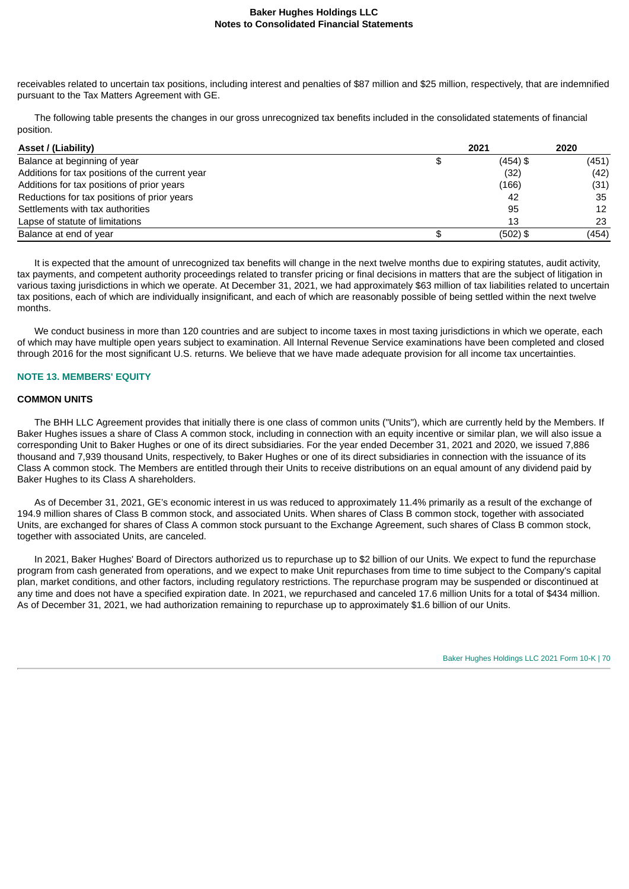receivables related to uncertain tax positions, including interest and penalties of \$87 million and \$25 million, respectively, that are indemnified pursuant to the Tax Matters Agreement with GE.

The following table presents the changes in our gross unrecognized tax benefits included in the consolidated statements of financial position.

| Asset / (Liability)                             | 2021       | 2020  |
|-------------------------------------------------|------------|-------|
| Balance at beginning of year                    | $(454)$ \$ | (451) |
| Additions for tax positions of the current year | (32)       | (42)  |
| Additions for tax positions of prior years      | (166)      | (31)  |
| Reductions for tax positions of prior years     | 42         | 35    |
| Settlements with tax authorities                | 95         | 12    |
| Lapse of statute of limitations                 | 13         | 23    |
| Balance at end of year                          | $(502)$ \$ | (454) |

It is expected that the amount of unrecognized tax benefits will change in the next twelve months due to expiring statutes, audit activity, tax payments, and competent authority proceedings related to transfer pricing or final decisions in matters that are the subject of litigation in various taxing jurisdictions in which we operate. At December 31, 2021, we had approximately \$63 million of tax liabilities related to uncertain tax positions, each of which are individually insignificant, and each of which are reasonably possible of being settled within the next twelve months.

We conduct business in more than 120 countries and are subject to income taxes in most taxing jurisdictions in which we operate, each of which may have multiple open years subject to examination. All Internal Revenue Service examinations have been completed and closed through 2016 for the most significant U.S. returns. We believe that we have made adequate provision for all income tax uncertainties.

# **NOTE 13. MEMBERS' EQUITY**

### **COMMON UNITS**

The BHH LLC Agreement provides that initially there is one class of common units ("Units"), which are currently held by the Members. If Baker Hughes issues a share of Class A common stock, including in connection with an equity incentive or similar plan, we will also issue a corresponding Unit to Baker Hughes or one of its direct subsidiaries. For the year ended December 31, 2021 and 2020, we issued 7,886 thousand and 7,939 thousand Units, respectively, to Baker Hughes or one of its direct subsidiaries in connection with the issuance of its Class A common stock. The Members are entitled through their Units to receive distributions on an equal amount of any dividend paid by Baker Hughes to its Class A shareholders.

As of December 31, 2021, GE's economic interest in us was reduced to approximately 11.4% primarily as a result of the exchange of 194.9 million shares of Class B common stock, and associated Units. When shares of Class B common stock, together with associated Units, are exchanged for shares of Class A common stock pursuant to the Exchange Agreement, such shares of Class B common stock, together with associated Units, are canceled.

In 2021, Baker Hughes' Board of Directors authorized us to repurchase up to \$2 billion of our Units. We expect to fund the repurchase program from cash generated from operations, and we expect to make Unit repurchases from time to time subject to the Company's capital plan, market conditions, and other factors, including regulatory restrictions. The repurchase program may be suspended or discontinued at any time and does not have a specified expiration date. In 2021, we repurchased and canceled 17.6 million Units for a total of \$434 million. As of December 31, 2021, we had authorization remaining to repurchase up to approximately \$1.6 billion of our Units.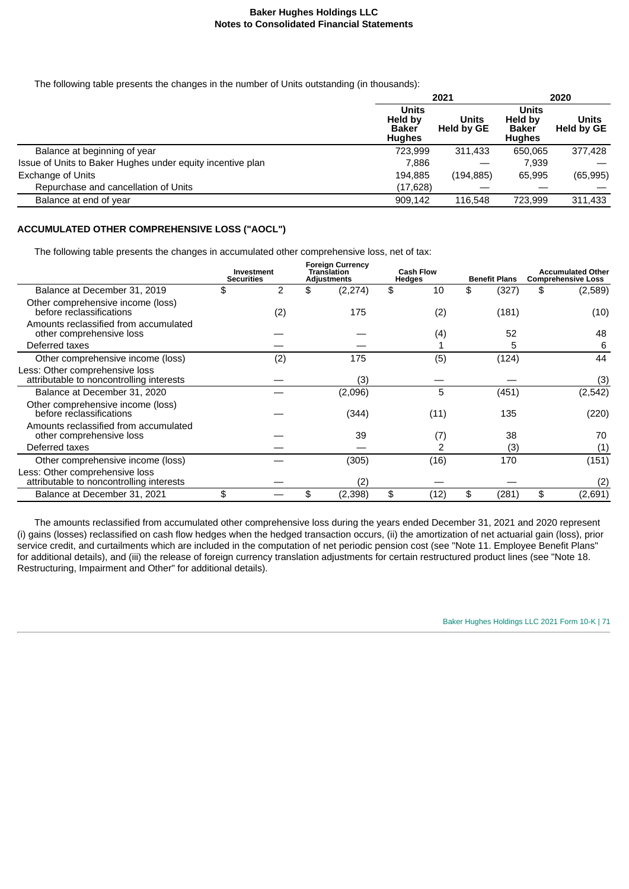The following table presents the changes in the number of Units outstanding (in thousands):

|                                                            |                                                                 | 2021                       |                                                          | 2020                |
|------------------------------------------------------------|-----------------------------------------------------------------|----------------------------|----------------------------------------------------------|---------------------|
|                                                            | <b>Units</b><br><b>Held by</b><br><b>Baker</b><br><b>Hughes</b> | <b>Units</b><br>Held by GE | <b>Units</b><br>Held by<br><b>Baker</b><br><b>Hughes</b> | Units<br>Held by GE |
| Balance at beginning of year                               | 723.999                                                         | 311,433                    | 650.065                                                  | 377.428             |
| Issue of Units to Baker Hughes under equity incentive plan | 7.886                                                           |                            | 7.939                                                    |                     |
| Exchange of Units                                          | 194,885                                                         | (194, 885)                 | 65.995                                                   | (65, 995)           |
| Repurchase and cancellation of Units                       | (17, 628)                                                       |                            |                                                          |                     |
| Balance at end of year                                     | 909.142                                                         | 116.548                    | 723.999                                                  | 311,433             |

# **ACCUMULATED OTHER COMPREHENSIVE LOSS ("AOCL")**

The following table presents the changes in accumulated other comprehensive loss, net of tax:

|                                                                            | <b>Securities</b> | Investment | <b>Foreign Currency</b><br><b>Translation</b><br>Adjustments | Hedges | <b>Cash Flow</b> | <b>Benefit Plans</b> | <b>Accumulated Other</b><br><b>Comprehensive Loss</b> |
|----------------------------------------------------------------------------|-------------------|------------|--------------------------------------------------------------|--------|------------------|----------------------|-------------------------------------------------------|
| Balance at December 31, 2019                                               | \$                | 2          | \$<br>(2, 274)                                               | \$     | 10               | \$<br>(327)          | \$<br>(2,589)                                         |
| Other comprehensive income (loss)<br>before reclassifications              |                   | (2)        | 175                                                          |        | (2)              | (181)                | (10)                                                  |
| Amounts reclassified from accumulated<br>other comprehensive loss          |                   |            |                                                              |        | (4)              | 52                   | 48                                                    |
| Deferred taxes                                                             |                   |            |                                                              |        |                  | 5                    | 6                                                     |
| Other comprehensive income (loss)                                          |                   | (2)        | 175                                                          |        | (5)              | (124)                | 44                                                    |
| Less: Other comprehensive loss<br>attributable to noncontrolling interests |                   |            | (3)                                                          |        |                  |                      | (3)                                                   |
| Balance at December 31, 2020                                               |                   |            | (2,096)                                                      |        | 5                | (451)                | (2, 542)                                              |
| Other comprehensive income (loss)<br>before reclassifications              |                   |            | (344)                                                        |        | (11)             | 135                  | (220)                                                 |
| Amounts reclassified from accumulated<br>other comprehensive loss          |                   |            | 39                                                           |        | (7)              | 38                   | 70                                                    |
| Deferred taxes                                                             |                   |            |                                                              |        |                  | (3)                  | (1)                                                   |
| Other comprehensive income (loss)                                          |                   |            | (305)                                                        |        | (16)             | 170                  | (151)                                                 |
| Less: Other comprehensive loss<br>attributable to noncontrolling interests |                   |            | (2)                                                          |        |                  |                      | (2)                                                   |
| Balance at December 31, 2021                                               | \$                |            | \$<br>(2,398)                                                | \$     | (12)             | \$<br>(281)          | \$<br>(2,691)                                         |

The amounts reclassified from accumulated other comprehensive loss during the years ended December 31, 2021 and 2020 represent (i) gains (losses) reclassified on cash flow hedges when the hedged transaction occurs, (ii) the amortization of net actuarial gain (loss), prior service credit, and curtailments which are included in the computation of net periodic pension cost (see "Note 11. Employee Benefit Plans" for additional details), and (iii) the release of foreign currency translation adjustments for certain restructured product lines (see "Note 18. Restructuring, Impairment and Other" for additional details).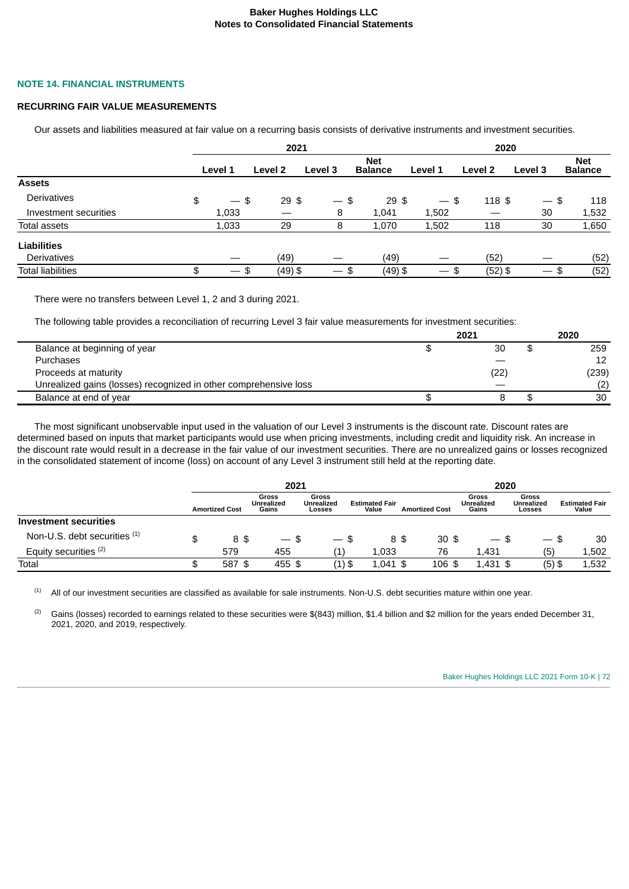#### **NOTE 14. FINANCIAL INSTRUMENTS**

# **RECURRING FAIR VALUE MEASUREMENTS**

|                          | 2021         |           |                                |                              | 2020                    |           |                          |                              |
|--------------------------|--------------|-----------|--------------------------------|------------------------------|-------------------------|-----------|--------------------------|------------------------------|
|                          | Level 1      | Level 2   | Level 3                        | <b>Net</b><br><b>Balance</b> | Level 1                 | Level 2   | Level 3                  | <b>Net</b><br><b>Balance</b> |
| <b>Assets</b>            |              |           |                                |                              |                         |           |                          |                              |
| Derivatives              | \$<br>$-$ \$ | 29S       | — \$                           | $29$ \$                      | $-$ \$                  | $118$ \$  | $-$ \$                   | 118                          |
| Investment securities    | 1,033        |           | 8                              | 1,041                        | 1,502                   |           | 30                       | 1,532                        |
| Total assets             | 1,033        | 29        | 8                              | 1,070                        | 1,502                   | 118       | 30                       | 1,650                        |
| <b>Liabilities</b>       |              |           |                                |                              |                         |           |                          |                              |
| <b>Derivatives</b>       | __           | (49)      | __                             | (49)                         |                         | (52)      |                          | (52)                         |
| <b>Total liabilities</b> | \$<br>$-$ \$ | $(49)$ \$ | \$<br>$\overline{\phantom{m}}$ | $(49)$ \$                    | \$<br>$\hspace{0.05cm}$ | $(52)$ \$ | -\$<br>$\hspace{0.05cm}$ | (52)                         |

Our assets and liabilities measured at fair value on a recurring basis consists of derivative instruments and investment securities.

There were no transfers between Level 1, 2 and 3 during 2021.

The following table provides a reconciliation of recurring Level 3 fair value measurements for investment securities:

|                                                                  | 2021 | 2020  |
|------------------------------------------------------------------|------|-------|
| Balance at beginning of year                                     | 30   | 259   |
| <b>Purchases</b>                                                 |      | 12    |
| Proceeds at maturity                                             | (22) | (239) |
| Unrealized gains (losses) recognized in other comprehensive loss |      | (2)   |
| Balance at end of year                                           |      | 30    |

The most significant unobservable input used in the valuation of our Level 3 instruments is the discount rate. Discount rates are determined based on inputs that market participants would use when pricing investments, including credit and liquidity risk. An increase in the discount rate would result in a decrease in the fair value of our investment securities. There are no unrealized gains or losses recognized in the consolidated statement of income (loss) on account of any Level 3 instrument still held at the reporting date.

|                              |        | 2021                  |                                     |                                      |                                | 2020                   |                                     |                                      |                                |
|------------------------------|--------|-----------------------|-------------------------------------|--------------------------------------|--------------------------------|------------------------|-------------------------------------|--------------------------------------|--------------------------------|
|                              |        | <b>Amortized Cost</b> | Gross<br><b>Unrealized</b><br>Gains | <b>Gross</b><br>Unrealized<br>Losses | <b>Estimated Fair</b><br>Value | <b>Amortized Cost</b>  | Gross<br><b>Unrealized</b><br>Gains | Gross<br><b>Unrealized</b><br>Losses | <b>Estimated Fair</b><br>Value |
| Investment securities        |        |                       |                                     |                                      |                                |                        |                                     |                                      |                                |
| Non-U.S. debt securities (1) | œ<br>J | 8\$                   | $\hspace{0.05cm}$                   | -S<br>—                              | ъ                              | 30 <sup>5</sup><br>8\$ | —                                   | ъ                                    | 30<br>-SG                      |
| Equity securities (2)        |        | 579                   | 455                                 | ′1                                   | 1.033                          | 76                     | 1.431                               | (5)                                  | 1,502                          |
| Total                        | ۰υ     | 587 \$                | 455 \$                              | (1) \$                               | $1,041$ \$                     | 106 \$                 | $1,431$ \$                          | $(5)$ \$                             | 1,532                          |

All of our investment securities are classified as available for sale instruments. Non-U.S. debt securities mature within one year. (1)

Gains (losses) recorded to earnings related to these securities were \$(843) million, \$1.4 billion and \$2 million for the years ended December 31, 2021, 2020, and 2019, respectively. (2)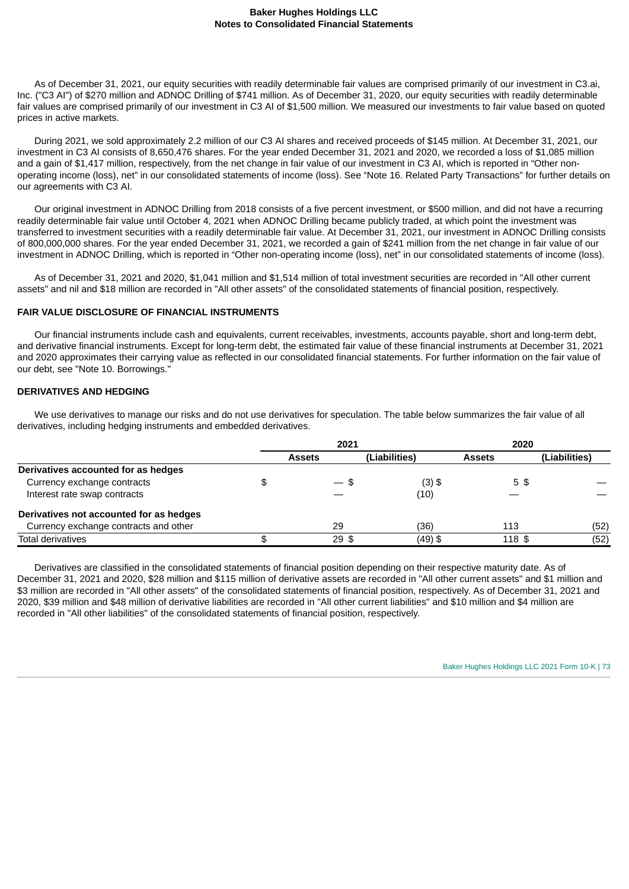As of December 31, 2021, our equity securities with readily determinable fair values are comprised primarily of our investment in C3.ai, Inc. ("C3 AI") of \$270 million and ADNOC Drilling of \$741 million. As of December 31, 2020, our equity securities with readily determinable fair values are comprised primarily of our investment in C3 AI of \$1,500 million. We measured our investments to fair value based on quoted prices in active markets.

During 2021, we sold approximately 2.2 million of our C3 AI shares and received proceeds of \$145 million. At December 31, 2021, our investment in C3 AI consists of 8,650,476 shares. For the year ended December 31, 2021 and 2020, we recorded a loss of \$1,085 million and a gain of \$1,417 million, respectively, from the net change in fair value of our investment in C3 AI, which is reported in "Other nonoperating income (loss), net" in our consolidated statements of income (loss). See "Note 16. Related Party Transactions" for further details on our agreements with C3 AI.

Our original investment in ADNOC Drilling from 2018 consists of a five percent investment, or \$500 million, and did not have a recurring readily determinable fair value until October 4, 2021 when ADNOC Drilling became publicly traded, at which point the investment was transferred to investment securities with a readily determinable fair value. At December 31, 2021, our investment in ADNOC Drilling consists of 800,000,000 shares. For the year ended December 31, 2021, we recorded a gain of \$241 million from the net change in fair value of our investment in ADNOC Drilling, which is reported in "Other non-operating income (loss), net" in our consolidated statements of income (loss).

As of December 31, 2021 and 2020, \$1,041 million and \$1,514 million of total investment securities are recorded in "All other current assets" and nil and \$18 million are recorded in "All other assets" of the consolidated statements of financial position, respectively.

# **FAIR VALUE DISCLOSURE OF FINANCIAL INSTRUMENTS**

Our financial instruments include cash and equivalents, current receivables, investments, accounts payable, short and long-term debt, and derivative financial instruments. Except for long-term debt, the estimated fair value of these financial instruments at December 31, 2021 and 2020 approximates their carrying value as reflected in our consolidated financial statements. For further information on the fair value of our debt, see "Note 10. Borrowings."

# **DERIVATIVES AND HEDGING**

We use derivatives to manage our risks and do not use derivatives for speculation. The table below summarizes the fair value of all derivatives, including hedging instruments and embedded derivatives.

|                                         |               | 2021            |                     | 2020          |               |
|-----------------------------------------|---------------|-----------------|---------------------|---------------|---------------|
|                                         | <b>Assets</b> |                 | <b>Liabilities)</b> | <b>Assets</b> | (Liabilities) |
| Derivatives accounted for as hedges     |               |                 |                     |               |               |
| Currency exchange contracts             |               | $-$ \$          | $(3)$ \$            | 5\$           |               |
| Interest rate swap contracts            |               |                 | (10)                |               |               |
| Derivatives not accounted for as hedges |               |                 |                     |               |               |
| Currency exchange contracts and other   |               | 29              | (36)                | 113           | (52)          |
| <b>Total derivatives</b>                |               | 29 <sup>5</sup> | (49) \$             | 118 \$        | (52)          |

Derivatives are classified in the consolidated statements of financial position depending on their respective maturity date. As of December 31, 2021 and 2020, \$28 million and \$115 million of derivative assets are recorded in "All other current assets" and \$1 million and \$3 million are recorded in "All other assets" of the consolidated statements of financial position, respectively. As of December 31, 2021 and 2020, \$39 million and \$48 million of derivative liabilities are recorded in "All other current liabilities" and \$10 million and \$4 million are recorded in "All other liabilities" of the consolidated statements of financial position, respectively.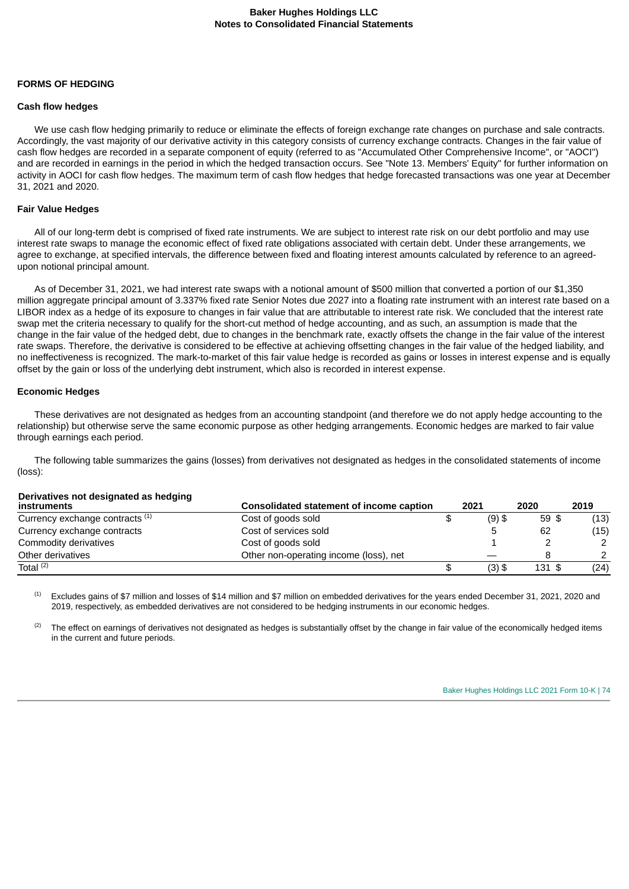# **FORMS OF HEDGING**

# **Cash flow hedges**

We use cash flow hedging primarily to reduce or eliminate the effects of foreign exchange rate changes on purchase and sale contracts. Accordingly, the vast majority of our derivative activity in this category consists of currency exchange contracts. Changes in the fair value of cash flow hedges are recorded in a separate component of equity (referred to as "Accumulated Other Comprehensive Income", or "AOCI") and are recorded in earnings in the period in which the hedged transaction occurs. See "Note 13. Members' Equity" for further information on activity in AOCI for cash flow hedges. The maximum term of cash flow hedges that hedge forecasted transactions was one year at December 31, 2021 and 2020.

#### **Fair Value Hedges**

All of our long-term debt is comprised of fixed rate instruments. We are subject to interest rate risk on our debt portfolio and may use interest rate swaps to manage the economic effect of fixed rate obligations associated with certain debt. Under these arrangements, we agree to exchange, at specified intervals, the difference between fixed and floating interest amounts calculated by reference to an agreedupon notional principal amount.

As of December 31, 2021, we had interest rate swaps with a notional amount of \$500 million that converted a portion of our \$1,350 million aggregate principal amount of 3.337% fixed rate Senior Notes due 2027 into a floating rate instrument with an interest rate based on a LIBOR index as a hedge of its exposure to changes in fair value that are attributable to interest rate risk. We concluded that the interest rate swap met the criteria necessary to qualify for the short-cut method of hedge accounting, and as such, an assumption is made that the change in the fair value of the hedged debt, due to changes in the benchmark rate, exactly offsets the change in the fair value of the interest rate swaps. Therefore, the derivative is considered to be effective at achieving offsetting changes in the fair value of the hedged liability, and no ineffectiveness is recognized. The mark-to-market of this fair value hedge is recorded as gains or losses in interest expense and is equally offset by the gain or loss of the underlying debt instrument, which also is recorded in interest expense.

#### **Economic Hedges**

These derivatives are not designated as hedges from an accounting standpoint (and therefore we do not apply hedge accounting to the relationship) but otherwise serve the same economic purpose as other hedging arrangements. Economic hedges are marked to fair value through earnings each period.

The following table summarizes the gains (losses) from derivatives not designated as hedges in the consolidated statements of income (loss):

#### **Derivatives not designated as hedging**

| Penvanves not acorginated as neaghly<br><b>instruments</b> | Consolidated statement of income caption |   | 2021     | 2020   | 2019 |
|------------------------------------------------------------|------------------------------------------|---|----------|--------|------|
| Currency exchange contracts (1)                            | Cost of goods sold                       |   | $(9)$ \$ | 59 \$  | (13) |
| Currency exchange contracts                                | Cost of services sold                    |   |          | 62     | (15) |
| Commodity derivatives                                      | Cost of goods sold                       |   |          |        |      |
| Other derivatives                                          | Other non-operating income (loss), net   |   |          |        |      |
| Total $(2)$                                                |                                          | S | (3) \$   | 131 \$ | (24) |

Excludes gains of \$7 million and losses of \$14 million and \$7 million on embedded derivatives for the years ended December 31, 2021, 2020 and 2019, respectively, as embedded derivatives are not considered to be hedging instruments in our economic hedges. (1)

The effect on earnings of derivatives not designated as hedges is substantially offset by the change in fair value of the economically hedged items in the current and future periods. (2)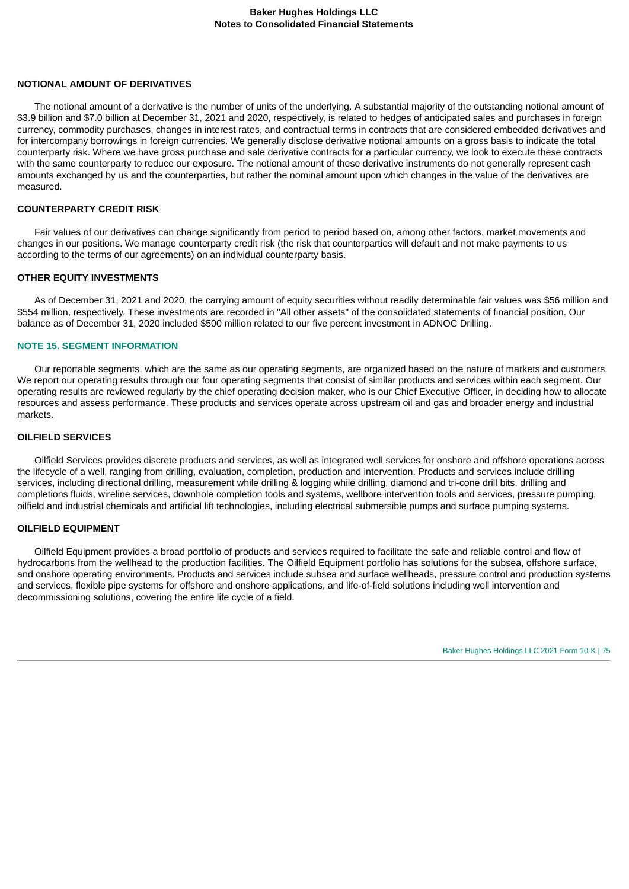#### **NOTIONAL AMOUNT OF DERIVATIVES**

The notional amount of a derivative is the number of units of the underlying. A substantial majority of the outstanding notional amount of \$3.9 billion and \$7.0 billion at December 31, 2021 and 2020, respectively, is related to hedges of anticipated sales and purchases in foreign currency, commodity purchases, changes in interest rates, and contractual terms in contracts that are considered embedded derivatives and for intercompany borrowings in foreign currencies. We generally disclose derivative notional amounts on a gross basis to indicate the total counterparty risk. Where we have gross purchase and sale derivative contracts for a particular currency, we look to execute these contracts with the same counterparty to reduce our exposure. The notional amount of these derivative instruments do not generally represent cash amounts exchanged by us and the counterparties, but rather the nominal amount upon which changes in the value of the derivatives are measured.

#### **COUNTERPARTY CREDIT RISK**

Fair values of our derivatives can change significantly from period to period based on, among other factors, market movements and changes in our positions. We manage counterparty credit risk (the risk that counterparties will default and not make payments to us according to the terms of our agreements) on an individual counterparty basis.

#### **OTHER EQUITY INVESTMENTS**

As of December 31, 2021 and 2020, the carrying amount of equity securities without readily determinable fair values was \$56 million and \$554 million, respectively. These investments are recorded in "All other assets" of the consolidated statements of financial position. Our balance as of December 31, 2020 included \$500 million related to our five percent investment in ADNOC Drilling.

#### **NOTE 15. SEGMENT INFORMATION**

Our reportable segments, which are the same as our operating segments, are organized based on the nature of markets and customers. We report our operating results through our four operating segments that consist of similar products and services within each segment. Our operating results are reviewed regularly by the chief operating decision maker, who is our Chief Executive Officer, in deciding how to allocate resources and assess performance. These products and services operate across upstream oil and gas and broader energy and industrial markets.

# **OILFIELD SERVICES**

Oilfield Services provides discrete products and services, as well as integrated well services for onshore and offshore operations across the lifecycle of a well, ranging from drilling, evaluation, completion, production and intervention. Products and services include drilling services, including directional drilling, measurement while drilling & logging while drilling, diamond and tri-cone drill bits, drilling and completions fluids, wireline services, downhole completion tools and systems, wellbore intervention tools and services, pressure pumping, oilfield and industrial chemicals and artificial lift technologies, including electrical submersible pumps and surface pumping systems.

#### **OILFIELD EQUIPMENT**

Oilfield Equipment provides a broad portfolio of products and services required to facilitate the safe and reliable control and flow of hydrocarbons from the wellhead to the production facilities. The Oilfield Equipment portfolio has solutions for the subsea, offshore surface, and onshore operating environments. Products and services include subsea and surface wellheads, pressure control and production systems and services, flexible pipe systems for offshore and onshore applications, and life-of-field solutions including well intervention and decommissioning solutions, covering the entire life cycle of a field.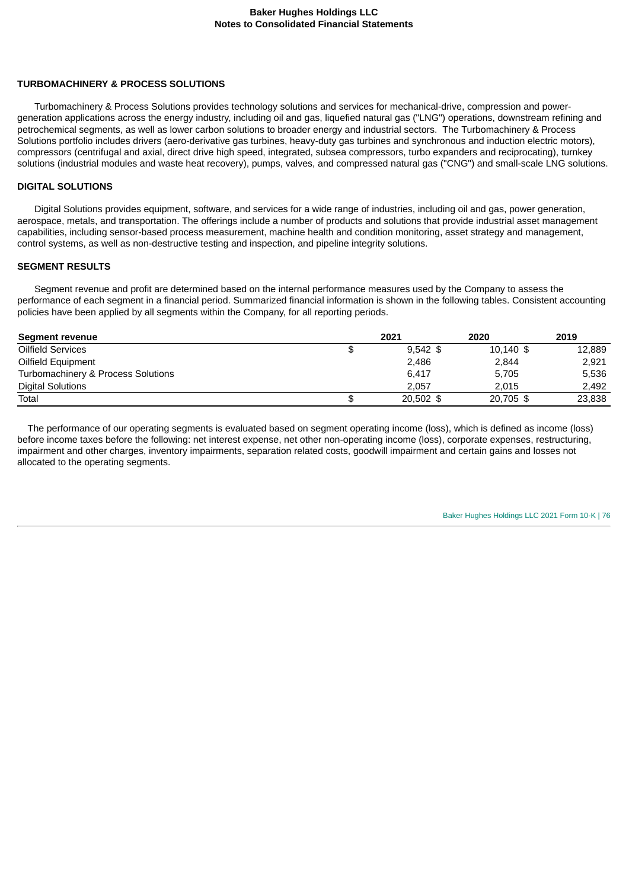#### **TURBOMACHINERY & PROCESS SOLUTIONS**

Turbomachinery & Process Solutions provides technology solutions and services for mechanical-drive, compression and powergeneration applications across the energy industry, including oil and gas, liquefied natural gas ("LNG") operations, downstream refining and petrochemical segments, as well as lower carbon solutions to broader energy and industrial sectors. The Turbomachinery & Process Solutions portfolio includes drivers (aero-derivative gas turbines, heavy-duty gas turbines and synchronous and induction electric motors), compressors (centrifugal and axial, direct drive high speed, integrated, subsea compressors, turbo expanders and reciprocating), turnkey solutions (industrial modules and waste heat recovery), pumps, valves, and compressed natural gas ("CNG") and small-scale LNG solutions.

#### **DIGITAL SOLUTIONS**

Digital Solutions provides equipment, software, and services for a wide range of industries, including oil and gas, power generation, aerospace, metals, and transportation. The offerings include a number of products and solutions that provide industrial asset management capabilities, including sensor-based process measurement, machine health and condition monitoring, asset strategy and management, control systems, as well as non-destructive testing and inspection, and pipeline integrity solutions.

#### **SEGMENT RESULTS**

Segment revenue and profit are determined based on the internal performance measures used by the Company to assess the performance of each segment in a financial period. Summarized financial information is shown in the following tables. Consistent accounting policies have been applied by all segments within the Company, for all reporting periods.

| <b>Segment revenue</b>             | 2021              | 2020      | 2019   |
|------------------------------------|-------------------|-----------|--------|
| Oilfield Services                  | \$<br>$9.542$ \$  | 10,140 \$ | 12,889 |
| Oilfield Equipment                 | 2.486             | 2,844     | 2,921  |
| Turbomachinery & Process Solutions | 6.417             | 5,705     | 5,536  |
| <b>Digital Solutions</b>           | 2.057             | 2.015     | 2,492  |
| Total                              | \$<br>$20.502$ \$ | 20,705 \$ | 23.838 |

The performance of our operating segments is evaluated based on segment operating income (loss), which is defined as income (loss) before income taxes before the following: net interest expense, net other non-operating income (loss), corporate expenses, restructuring, impairment and other charges, inventory impairments, separation related costs, goodwill impairment and certain gains and losses not allocated to the operating segments.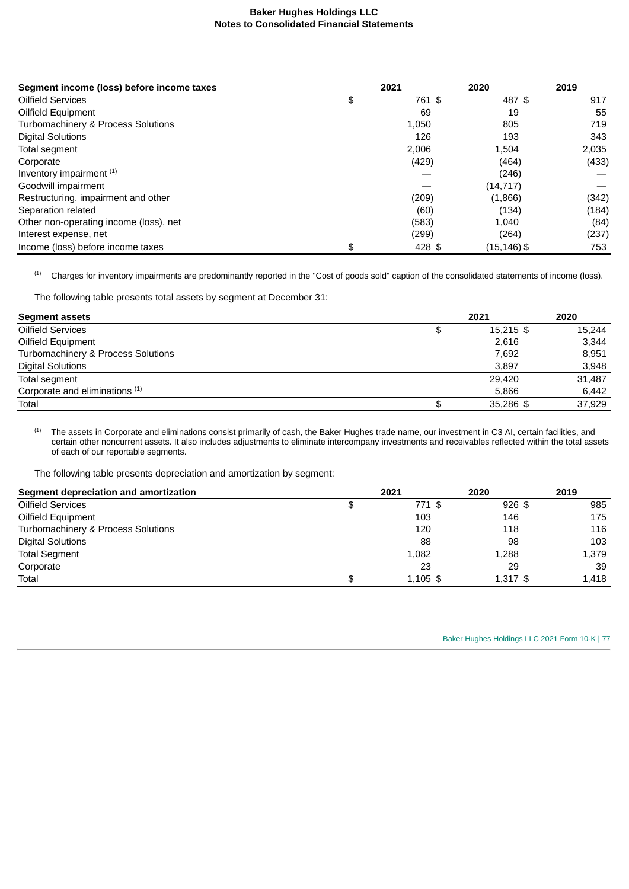| Segment income (loss) before income taxes | 2021         | 2020           | 2019  |
|-------------------------------------------|--------------|----------------|-------|
| <b>Oilfield Services</b>                  | \$<br>761 \$ | 487 \$         | 917   |
| Oilfield Equipment                        | 69           | 19             | 55    |
| Turbomachinery & Process Solutions        | 1,050        | 805            | 719   |
| <b>Digital Solutions</b>                  | 126          | 193            | 343   |
| Total segment                             | 2,006        | 1,504          | 2,035 |
| Corporate                                 | (429)        | (464)          | (433) |
| Inventory impairment (1)                  |              | (246)          |       |
| Goodwill impairment                       |              | (14, 717)      |       |
| Restructuring, impairment and other       | (209)        | (1,866)        | (342) |
| Separation related                        | (60)         | (134)          | (184) |
| Other non-operating income (loss), net    | (583)        | 1,040          | (84)  |
| Interest expense, net                     | (299)        | (264)          | (237) |
| Income (loss) before income taxes         | \$<br>428 \$ | $(15, 146)$ \$ | 753   |

Charges for inventory impairments are predominantly reported in the "Cost of goods sold" caption of the consolidated statements of income (loss). (1)

The following table presents total assets by segment at December 31:

| <b>Segment assets</b>                     | 2021        | 2020   |
|-------------------------------------------|-------------|--------|
| Oilfield Services                         | $15,215$ \$ | 15,244 |
| Oilfield Equipment                        | 2,616       | 3,344  |
| Turbomachinery & Process Solutions        | 7.692       | 8,951  |
| <b>Digital Solutions</b>                  | 3.897       | 3.948  |
| Total segment                             | 29,420      | 31,487 |
| Corporate and eliminations <sup>(1)</sup> | 5.866       | 6.442  |
| Total                                     | $35,286$ \$ | 37.929 |

The assets in Corporate and eliminations consist primarily of cash, the Baker Hughes trade name, our investment in C3 AI, certain facilities, and certain other noncurrent assets. It also includes adjustments to eliminate intercompany investments and receivables reflected within the total assets of each of our reportable segments. (1)

The following table presents depreciation and amortization by segment:

| Segment depreciation and amortization | 2021       | 2020     | 2019  |
|---------------------------------------|------------|----------|-------|
| Oilfield Services                     | 771 \$     | $926$ \$ | 985   |
| Oilfield Equipment                    | 103        | 146      | 175   |
| Turbomachinery & Process Solutions    | 120        | 118      | 116   |
| <b>Digital Solutions</b>              | 88         | 98       | 103   |
| <b>Total Segment</b>                  | 1,082      | 1,288    | 1,379 |
| Corporate                             | 23         | 29       | 39    |
| Total                                 | $1,105$ \$ | 1,317 \$ | 1,418 |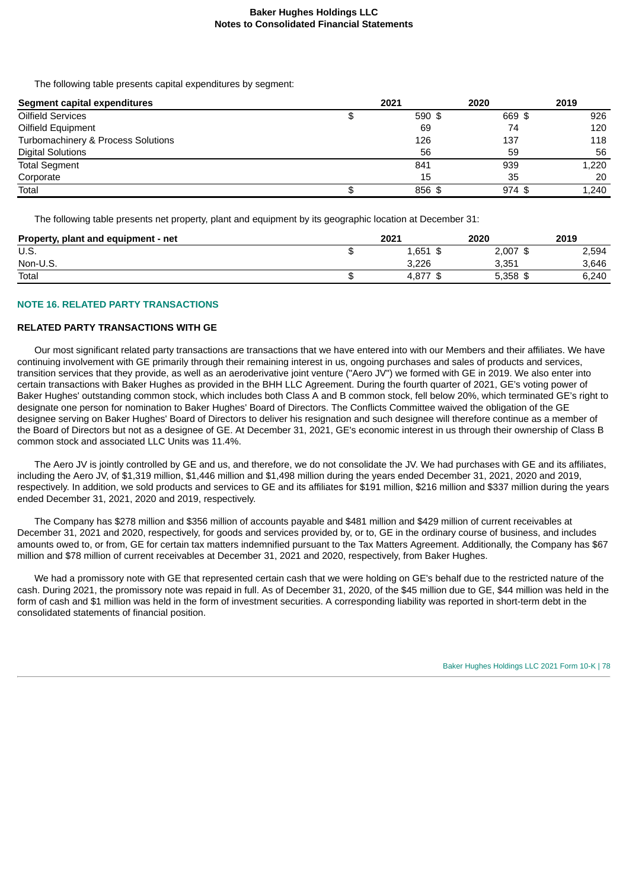The following table presents capital expenditures by segment:

| Segment capital expenditures       | 2021   | 2020     | 2019  |
|------------------------------------|--------|----------|-------|
| Oilfield Services                  | 590 \$ | 669 \$   | 926   |
| Oilfield Equipment                 | 69     | 74       | 120   |
| Turbomachinery & Process Solutions | 126    | 137      | 118   |
| <b>Digital Solutions</b>           | 56     | 59       | 56    |
| <b>Total Segment</b>               | 841    | 939      | 1,220 |
| Corporate                          | 15     | 35       | 20    |
| Total                              | 856 \$ | $974$ \$ | 1,240 |

The following table presents net property, plant and equipment by its geographic location at December 31:

| Property, plant and equipment - net | 2021                      | 2020        | 2019  |
|-------------------------------------|---------------------------|-------------|-------|
| U.S.                                | $1,651$ $\degree$<br>- \$ | 2,007<br>\$ | 2,594 |
| Non-U.S.                            | 3.226                     | 3,351       | 3,646 |
| Total                               | 4.877<br>\$               | $5,358$ \$  | 6,240 |

# **NOTE 16. RELATED PARTY TRANSACTIONS**

# **RELATED PARTY TRANSACTIONS WITH GE**

Our most significant related party transactions are transactions that we have entered into with our Members and their affiliates. We have continuing involvement with GE primarily through their remaining interest in us, ongoing purchases and sales of products and services, transition services that they provide, as well as an aeroderivative joint venture ("Aero JV") we formed with GE in 2019. We also enter into certain transactions with Baker Hughes as provided in the BHH LLC Agreement. During the fourth quarter of 2021, GE's voting power of Baker Hughes' outstanding common stock, which includes both Class A and B common stock, fell below 20%, which terminated GE's right to designate one person for nomination to Baker Hughes' Board of Directors. The Conflicts Committee waived the obligation of the GE designee serving on Baker Hughes' Board of Directors to deliver his resignation and such designee will therefore continue as a member of the Board of Directors but not as a designee of GE. At December 31, 2021, GE's economic interest in us through their ownership of Class B common stock and associated LLC Units was 11.4%.

The Aero JV is jointly controlled by GE and us, and therefore, we do not consolidate the JV. We had purchases with GE and its affiliates, including the Aero JV, of \$1,319 million, \$1,446 million and \$1,498 million during the years ended December 31, 2021, 2020 and 2019, respectively. In addition, we sold products and services to GE and its affiliates for \$191 million, \$216 million and \$337 million during the years ended December 31, 2021, 2020 and 2019, respectively.

The Company has \$278 million and \$356 million of accounts payable and \$481 million and \$429 million of current receivables at December 31, 2021 and 2020, respectively, for goods and services provided by, or to, GE in the ordinary course of business, and includes amounts owed to, or from, GE for certain tax matters indemnified pursuant to the Tax Matters Agreement. Additionally, the Company has \$67 million and \$78 million of current receivables at December 31, 2021 and 2020, respectively, from Baker Hughes.

We had a promissory note with GE that represented certain cash that we were holding on GE's behalf due to the restricted nature of the cash. During 2021, the promissory note was repaid in full. As of December 31, 2020, of the \$45 million due to GE, \$44 million was held in the form of cash and \$1 million was held in the form of investment securities. A corresponding liability was reported in short-term debt in the consolidated statements of financial position.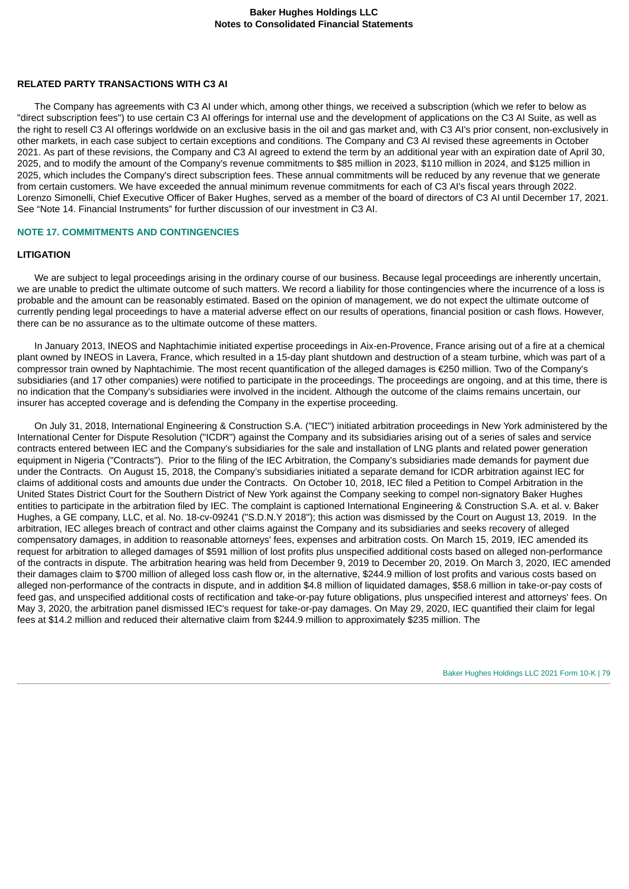#### **RELATED PARTY TRANSACTIONS WITH C3 AI**

The Company has agreements with C3 AI under which, among other things, we received a subscription (which we refer to below as "direct subscription fees") to use certain C3 AI offerings for internal use and the development of applications on the C3 AI Suite, as well as the right to resell C3 AI offerings worldwide on an exclusive basis in the oil and gas market and, with C3 AI's prior consent, non-exclusively in other markets, in each case subject to certain exceptions and conditions. The Company and C3 AI revised these agreements in October 2021. As part of these revisions, the Company and C3 AI agreed to extend the term by an additional year with an expiration date of April 30, 2025, and to modify the amount of the Company's revenue commitments to \$85 million in 2023, \$110 million in 2024, and \$125 million in 2025, which includes the Company's direct subscription fees. These annual commitments will be reduced by any revenue that we generate from certain customers. We have exceeded the annual minimum revenue commitments for each of C3 AI's fiscal years through 2022. Lorenzo Simonelli, Chief Executive Officer of Baker Hughes, served as a member of the board of directors of C3 AI until December 17, 2021. See "Note 14. Financial Instruments" for further discussion of our investment in C3 AI.

#### **NOTE 17. COMMITMENTS AND CONTINGENCIES**

#### **LITIGATION**

We are subject to legal proceedings arising in the ordinary course of our business. Because legal proceedings are inherently uncertain, we are unable to predict the ultimate outcome of such matters. We record a liability for those contingencies where the incurrence of a loss is probable and the amount can be reasonably estimated. Based on the opinion of management, we do not expect the ultimate outcome of currently pending legal proceedings to have a material adverse effect on our results of operations, financial position or cash flows. However, there can be no assurance as to the ultimate outcome of these matters.

In January 2013, INEOS and Naphtachimie initiated expertise proceedings in Aix-en-Provence, France arising out of a fire at a chemical plant owned by INEOS in Lavera, France, which resulted in a 15-day plant shutdown and destruction of a steam turbine, which was part of a compressor train owned by Naphtachimie. The most recent quantification of the alleged damages is €250 million. Two of the Company's subsidiaries (and 17 other companies) were notified to participate in the proceedings. The proceedings are ongoing, and at this time, there is no indication that the Company's subsidiaries were involved in the incident. Although the outcome of the claims remains uncertain, our insurer has accepted coverage and is defending the Company in the expertise proceeding.

On July 31, 2018, International Engineering & Construction S.A. ("IEC") initiated arbitration proceedings in New York administered by the International Center for Dispute Resolution ("ICDR") against the Company and its subsidiaries arising out of a series of sales and service contracts entered between IEC and the Company's subsidiaries for the sale and installation of LNG plants and related power generation equipment in Nigeria ("Contracts"). Prior to the filing of the IEC Arbitration, the Company's subsidiaries made demands for payment due under the Contracts. On August 15, 2018, the Company's subsidiaries initiated a separate demand for ICDR arbitration against IEC for claims of additional costs and amounts due under the Contracts. On October 10, 2018, IEC filed a Petition to Compel Arbitration in the United States District Court for the Southern District of New York against the Company seeking to compel non-signatory Baker Hughes entities to participate in the arbitration filed by IEC. The complaint is captioned International Engineering & Construction S.A. et al. v. Baker Hughes, a GE company, LLC, et al. No. 18-cv-09241 ("S.D.N.Y 2018"); this action was dismissed by the Court on August 13, 2019. In the arbitration, IEC alleges breach of contract and other claims against the Company and its subsidiaries and seeks recovery of alleged compensatory damages, in addition to reasonable attorneys' fees, expenses and arbitration costs. On March 15, 2019, IEC amended its request for arbitration to alleged damages of \$591 million of lost profits plus unspecified additional costs based on alleged non-performance of the contracts in dispute. The arbitration hearing was held from December 9, 2019 to December 20, 2019. On March 3, 2020, IEC amended their damages claim to \$700 million of alleged loss cash flow or, in the alternative, \$244.9 million of lost profits and various costs based on alleged non-performance of the contracts in dispute, and in addition \$4.8 million of liquidated damages, \$58.6 million in take-or-pay costs of feed gas, and unspecified additional costs of rectification and take-or-pay future obligations, plus unspecified interest and attorneys' fees. On May 3, 2020, the arbitration panel dismissed IEC's request for take-or-pay damages. On May 29, 2020, IEC quantified their claim for legal fees at \$14.2 million and reduced their alternative claim from \$244.9 million to approximately \$235 million. The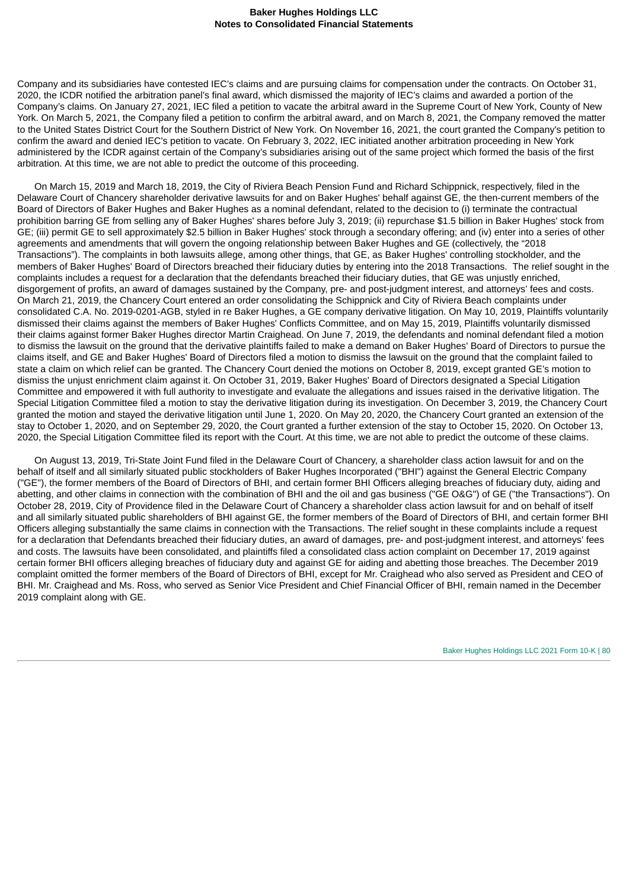Company and its subsidiaries have contested IEC's claims and are pursuing claims for compensation under the contracts. On October 31, 2020, the ICDR notified the arbitration panel's final award, which dismissed the majority of IEC's claims and awarded a portion of the Company's claims. On January 27, 2021, IEC filed a petition to vacate the arbitral award in the Supreme Court of New York, County of New York. On March 5, 2021, the Company filed a petition to confirm the arbitral award, and on March 8, 2021, the Company removed the matter to the United States District Court for the Southern District of New York. On November 16, 2021, the court granted the Company's petition to confirm the award and denied IEC's petition to vacate. On February 3, 2022, IEC initiated another arbitration proceeding in New York administered by the ICDR against certain of the Company's subsidiaries arising out of the same project which formed the basis of the first arbitration. At this time, we are not able to predict the outcome of this proceeding.

On March 15, 2019 and March 18, 2019, the City of Riviera Beach Pension Fund and Richard Schippnick, respectively, filed in the Delaware Court of Chancery shareholder derivative lawsuits for and on Baker Hughes' behalf against GE, the then-current members of the Board of Directors of Baker Hughes and Baker Hughes as a nominal defendant, related to the decision to (i) terminate the contractual prohibition barring GE from selling any of Baker Hughes' shares before July 3, 2019; (ii) repurchase \$1.5 billion in Baker Hughes' stock from GE; (iii) permit GE to sell approximately \$2.5 billion in Baker Hughes' stock through a secondary offering; and (iv) enter into a series of other agreements and amendments that will govern the ongoing relationship between Baker Hughes and GE (collectively, the "2018 Transactions"). The complaints in both lawsuits allege, among other things, that GE, as Baker Hughes' controlling stockholder, and the members of Baker Hughes' Board of Directors breached their fiduciary duties by entering into the 2018 Transactions. The relief sought in the complaints includes a request for a declaration that the defendants breached their fiduciary duties, that GE was unjustly enriched, disgorgement of profits, an award of damages sustained by the Company, pre- and post-judgment interest, and attorneys' fees and costs. On March 21, 2019, the Chancery Court entered an order consolidating the Schippnick and City of Riviera Beach complaints under consolidated C.A. No. 2019-0201-AGB, styled in re Baker Hughes, a GE company derivative litigation. On May 10, 2019, Plaintiffs voluntarily dismissed their claims against the members of Baker Hughes' Conflicts Committee, and on May 15, 2019, Plaintiffs voluntarily dismissed their claims against former Baker Hughes director Martin Craighead. On June 7, 2019, the defendants and nominal defendant filed a motion to dismiss the lawsuit on the ground that the derivative plaintiffs failed to make a demand on Baker Hughes' Board of Directors to pursue the claims itself, and GE and Baker Hughes' Board of Directors filed a motion to dismiss the lawsuit on the ground that the complaint failed to state a claim on which relief can be granted. The Chancery Court denied the motions on October 8, 2019, except granted GE's motion to dismiss the unjust enrichment claim against it. On October 31, 2019, Baker Hughes' Board of Directors designated a Special Litigation Committee and empowered it with full authority to investigate and evaluate the allegations and issues raised in the derivative litigation. The Special Litigation Committee filed a motion to stay the derivative litigation during its investigation. On December 3, 2019, the Chancery Court granted the motion and stayed the derivative litigation until June 1, 2020. On May 20, 2020, the Chancery Court granted an extension of the stay to October 1, 2020, and on September 29, 2020, the Court granted a further extension of the stay to October 15, 2020. On October 13, 2020, the Special Litigation Committee filed its report with the Court. At this time, we are not able to predict the outcome of these claims.

On August 13, 2019, Tri-State Joint Fund filed in the Delaware Court of Chancery, a shareholder class action lawsuit for and on the behalf of itself and all similarly situated public stockholders of Baker Hughes Incorporated ("BHI") against the General Electric Company ("GE"), the former members of the Board of Directors of BHI, and certain former BHI Officers alleging breaches of fiduciary duty, aiding and abetting, and other claims in connection with the combination of BHI and the oil and gas business ("GE O&G") of GE ("the Transactions"). On October 28, 2019, City of Providence filed in the Delaware Court of Chancery a shareholder class action lawsuit for and on behalf of itself and all similarly situated public shareholders of BHI against GE, the former members of the Board of Directors of BHI, and certain former BHI Officers alleging substantially the same claims in connection with the Transactions. The relief sought in these complaints include a request for a declaration that Defendants breached their fiduciary duties, an award of damages, pre- and post-judgment interest, and attorneys' fees and costs. The lawsuits have been consolidated, and plaintiffs filed a consolidated class action complaint on December 17, 2019 against certain former BHI officers alleging breaches of fiduciary duty and against GE for aiding and abetting those breaches. The December 2019 complaint omitted the former members of the Board of Directors of BHI, except for Mr. Craighead who also served as President and CEO of BHI. Mr. Craighead and Ms. Ross, who served as Senior Vice President and Chief Financial Officer of BHI, remain named in the December 2019 complaint along with GE.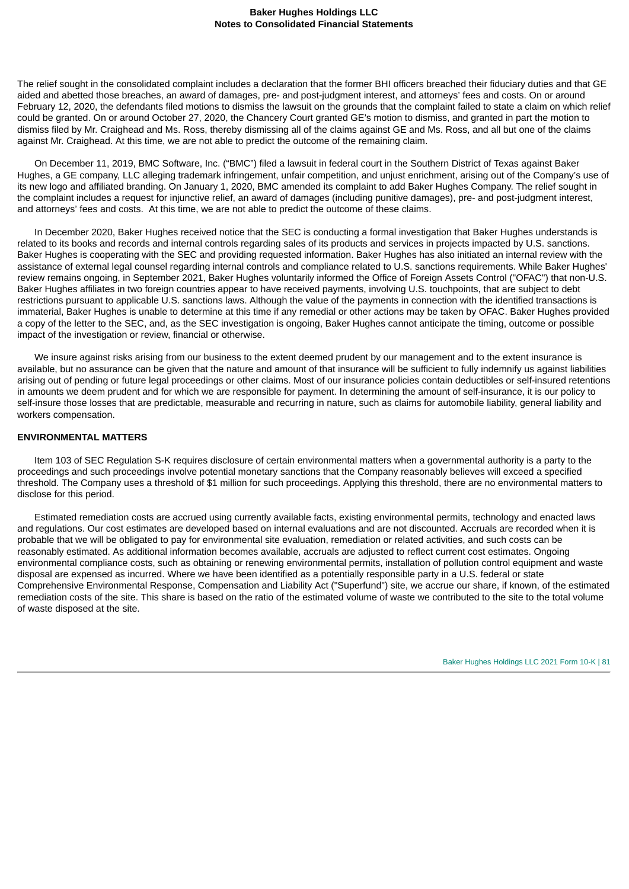The relief sought in the consolidated complaint includes a declaration that the former BHI officers breached their fiduciary duties and that GE aided and abetted those breaches, an award of damages, pre- and post-judgment interest, and attorneys' fees and costs. On or around February 12, 2020, the defendants filed motions to dismiss the lawsuit on the grounds that the complaint failed to state a claim on which relief could be granted. On or around October 27, 2020, the Chancery Court granted GE's motion to dismiss, and granted in part the motion to dismiss filed by Mr. Craighead and Ms. Ross, thereby dismissing all of the claims against GE and Ms. Ross, and all but one of the claims against Mr. Craighead. At this time, we are not able to predict the outcome of the remaining claim.

On December 11, 2019, BMC Software, Inc. ("BMC") filed a lawsuit in federal court in the Southern District of Texas against Baker Hughes, a GE company, LLC alleging trademark infringement, unfair competition, and unjust enrichment, arising out of the Company's use of its new logo and affiliated branding. On January 1, 2020, BMC amended its complaint to add Baker Hughes Company. The relief sought in the complaint includes a request for injunctive relief, an award of damages (including punitive damages), pre- and post-judgment interest, and attorneys' fees and costs. At this time, we are not able to predict the outcome of these claims.

In December 2020, Baker Hughes received notice that the SEC is conducting a formal investigation that Baker Hughes understands is related to its books and records and internal controls regarding sales of its products and services in projects impacted by U.S. sanctions. Baker Hughes is cooperating with the SEC and providing requested information. Baker Hughes has also initiated an internal review with the assistance of external legal counsel regarding internal controls and compliance related to U.S. sanctions requirements. While Baker Hughes' review remains ongoing, in September 2021, Baker Hughes voluntarily informed the Office of Foreign Assets Control ("OFAC") that non-U.S. Baker Hughes affiliates in two foreign countries appear to have received payments, involving U.S. touchpoints, that are subject to debt restrictions pursuant to applicable U.S. sanctions laws. Although the value of the payments in connection with the identified transactions is immaterial, Baker Hughes is unable to determine at this time if any remedial or other actions may be taken by OFAC. Baker Hughes provided a copy of the letter to the SEC, and, as the SEC investigation is ongoing, Baker Hughes cannot anticipate the timing, outcome or possible impact of the investigation or review, financial or otherwise.

We insure against risks arising from our business to the extent deemed prudent by our management and to the extent insurance is available, but no assurance can be given that the nature and amount of that insurance will be sufficient to fully indemnify us against liabilities arising out of pending or future legal proceedings or other claims. Most of our insurance policies contain deductibles or self-insured retentions in amounts we deem prudent and for which we are responsible for payment. In determining the amount of self-insurance, it is our policy to self-insure those losses that are predictable, measurable and recurring in nature, such as claims for automobile liability, general liability and workers compensation.

#### **ENVIRONMENTAL MATTERS**

Item 103 of SEC Regulation S-K requires disclosure of certain environmental matters when a governmental authority is a party to the proceedings and such proceedings involve potential monetary sanctions that the Company reasonably believes will exceed a specified threshold. The Company uses a threshold of \$1 million for such proceedings. Applying this threshold, there are no environmental matters to disclose for this period.

Estimated remediation costs are accrued using currently available facts, existing environmental permits, technology and enacted laws and regulations. Our cost estimates are developed based on internal evaluations and are not discounted. Accruals are recorded when it is probable that we will be obligated to pay for environmental site evaluation, remediation or related activities, and such costs can be reasonably estimated. As additional information becomes available, accruals are adjusted to reflect current cost estimates. Ongoing environmental compliance costs, such as obtaining or renewing environmental permits, installation of pollution control equipment and waste disposal are expensed as incurred. Where we have been identified as a potentially responsible party in a U.S. federal or state Comprehensive Environmental Response, Compensation and Liability Act ("Superfund") site, we accrue our share, if known, of the estimated remediation costs of the site. This share is based on the ratio of the estimated volume of waste we contributed to the site to the total volume of waste disposed at the site.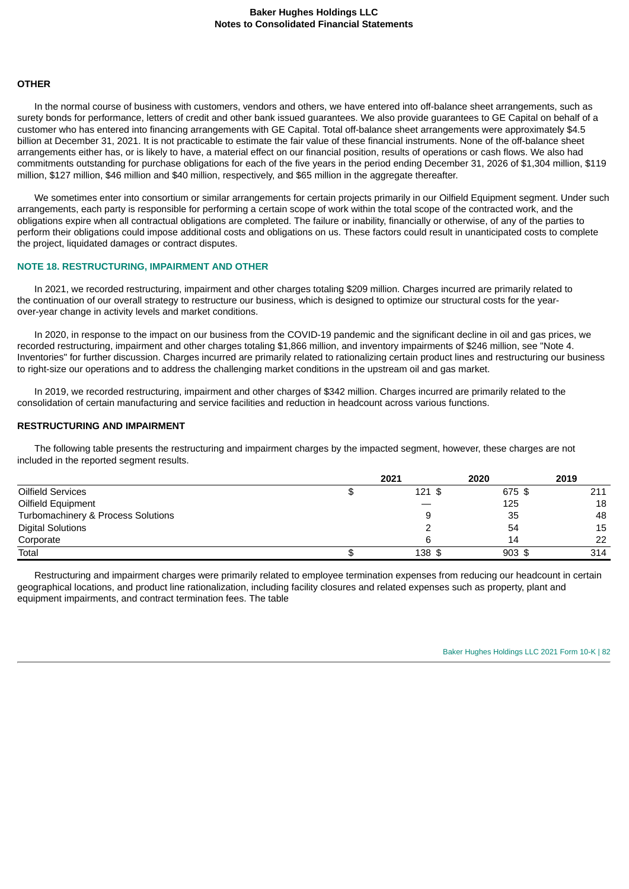#### **OTHER**

In the normal course of business with customers, vendors and others, we have entered into off-balance sheet arrangements, such as surety bonds for performance, letters of credit and other bank issued guarantees. We also provide guarantees to GE Capital on behalf of a customer who has entered into financing arrangements with GE Capital. Total off-balance sheet arrangements were approximately \$4.5 billion at December 31, 2021. It is not practicable to estimate the fair value of these financial instruments. None of the off-balance sheet arrangements either has, or is likely to have, a material effect on our financial position, results of operations or cash flows. We also had commitments outstanding for purchase obligations for each of the five years in the period ending December 31, 2026 of \$1,304 million, \$119 million, \$127 million, \$46 million and \$40 million, respectively, and \$65 million in the aggregate thereafter.

We sometimes enter into consortium or similar arrangements for certain projects primarily in our Oilfield Equipment segment. Under such arrangements, each party is responsible for performing a certain scope of work within the total scope of the contracted work, and the obligations expire when all contractual obligations are completed. The failure or inability, financially or otherwise, of any of the parties to perform their obligations could impose additional costs and obligations on us. These factors could result in unanticipated costs to complete the project, liquidated damages or contract disputes.

#### **NOTE 18. RESTRUCTURING, IMPAIRMENT AND OTHER**

In 2021, we recorded restructuring, impairment and other charges totaling \$209 million. Charges incurred are primarily related to the continuation of our overall strategy to restructure our business, which is designed to optimize our structural costs for the yearover-year change in activity levels and market conditions.

In 2020, in response to the impact on our business from the COVID-19 pandemic and the significant decline in oil and gas prices, we recorded restructuring, impairment and other charges totaling \$1,866 million, and inventory impairments of \$246 million, see "Note 4. Inventories" for further discussion. Charges incurred are primarily related to rationalizing certain product lines and restructuring our business to right-size our operations and to address the challenging market conditions in the upstream oil and gas market.

In 2019, we recorded restructuring, impairment and other charges of \$342 million. Charges incurred are primarily related to the consolidation of certain manufacturing and service facilities and reduction in headcount across various functions.

#### **RESTRUCTURING AND IMPAIRMENT**

The following table presents the restructuring and impairment charges by the impacted segment, however, these charges are not included in the reported segment results.

|                                               | 2021     | 2020     | 2019 |
|-----------------------------------------------|----------|----------|------|
| Oilfield Services                             | $121$ \$ | 675 \$   | 211  |
| Oilfield Equipment                            |          | 125      | 18   |
| <b>Turbomachinery &amp; Process Solutions</b> |          | 35       | 48   |
| <b>Digital Solutions</b>                      |          | 54       | 15   |
| Corporate                                     |          | 14       | 22   |
| Total                                         | 138 \$   | $903$ \$ | 314  |

Restructuring and impairment charges were primarily related to employee termination expenses from reducing our headcount in certain geographical locations, and product line rationalization, including facility closures and related expenses such as property, plant and equipment impairments, and contract termination fees. The table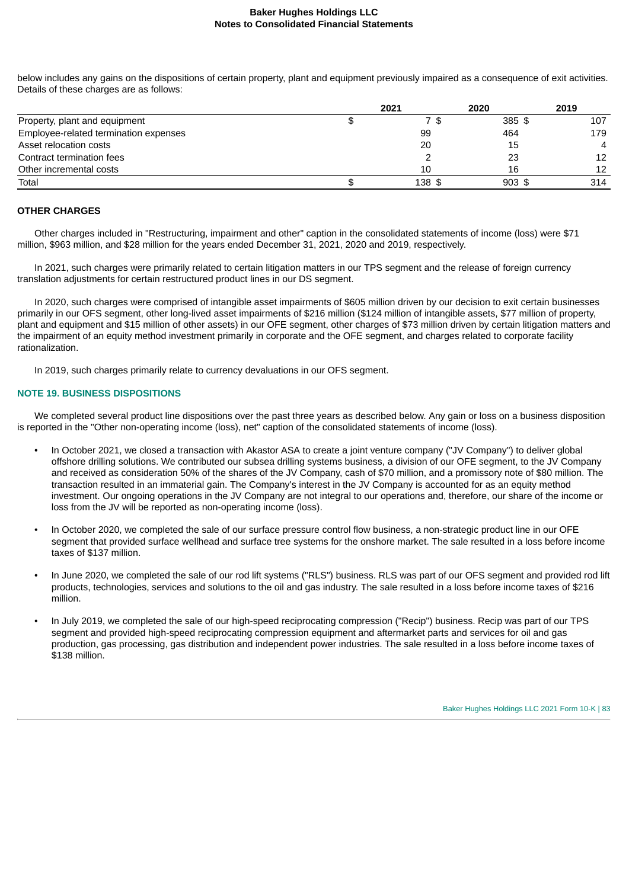below includes any gains on the dispositions of certain property, plant and equipment previously impaired as a consequence of exit activities. Details of these charges are as follows:

|                                       | 2021   | 2020     | 2019           |
|---------------------------------------|--------|----------|----------------|
| Property, plant and equipment         | 79     | $385$ \$ | 107            |
| Employee-related termination expenses | 99     | 464      | 179            |
| Asset relocation costs                | 20     | 15       | $\overline{4}$ |
| Contract termination fees             |        | 23       | 12             |
| Other incremental costs               | 10     | 16       | 12             |
| Total                                 | 138 \$ | $903$ \$ | 314            |

# **OTHER CHARGES**

Other charges included in "Restructuring, impairment and other" caption in the consolidated statements of income (loss) were \$71 million, \$963 million, and \$28 million for the years ended December 31, 2021, 2020 and 2019, respectively.

In 2021, such charges were primarily related to certain litigation matters in our TPS segment and the release of foreign currency translation adjustments for certain restructured product lines in our DS segment.

In 2020, such charges were comprised of intangible asset impairments of \$605 million driven by our decision to exit certain businesses primarily in our OFS segment, other long-lived asset impairments of \$216 million (\$124 million of intangible assets, \$77 million of property, plant and equipment and \$15 million of other assets) in our OFE segment, other charges of \$73 million driven by certain litigation matters and the impairment of an equity method investment primarily in corporate and the OFE segment, and charges related to corporate facility rationalization.

In 2019, such charges primarily relate to currency devaluations in our OFS segment.

# **NOTE 19. BUSINESS DISPOSITIONS**

We completed several product line dispositions over the past three years as described below. Any gain or loss on a business disposition is reported in the "Other non-operating income (loss), net" caption of the consolidated statements of income (loss).

- In October 2021, we closed a transaction with Akastor ASA to create a joint venture company ("JV Company") to deliver global offshore drilling solutions. We contributed our subsea drilling systems business, a division of our OFE segment, to the JV Company and received as consideration 50% of the shares of the JV Company, cash of \$70 million, and a promissory note of \$80 million. The transaction resulted in an immaterial gain. The Company's interest in the JV Company is accounted for as an equity method investment. Our ongoing operations in the JV Company are not integral to our operations and, therefore, our share of the income or loss from the JV will be reported as non-operating income (loss).
- In October 2020, we completed the sale of our surface pressure control flow business, a non-strategic product line in our OFE segment that provided surface wellhead and surface tree systems for the onshore market. The sale resulted in a loss before income taxes of \$137 million.
- In June 2020, we completed the sale of our rod lift systems ("RLS") business. RLS was part of our OFS segment and provided rod lift products, technologies, services and solutions to the oil and gas industry. The sale resulted in a loss before income taxes of \$216 million.
- In July 2019, we completed the sale of our high-speed reciprocating compression ("Recip") business. Recip was part of our TPS segment and provided high-speed reciprocating compression equipment and aftermarket parts and services for oil and gas production, gas processing, gas distribution and independent power industries. The sale resulted in a loss before income taxes of \$138 million.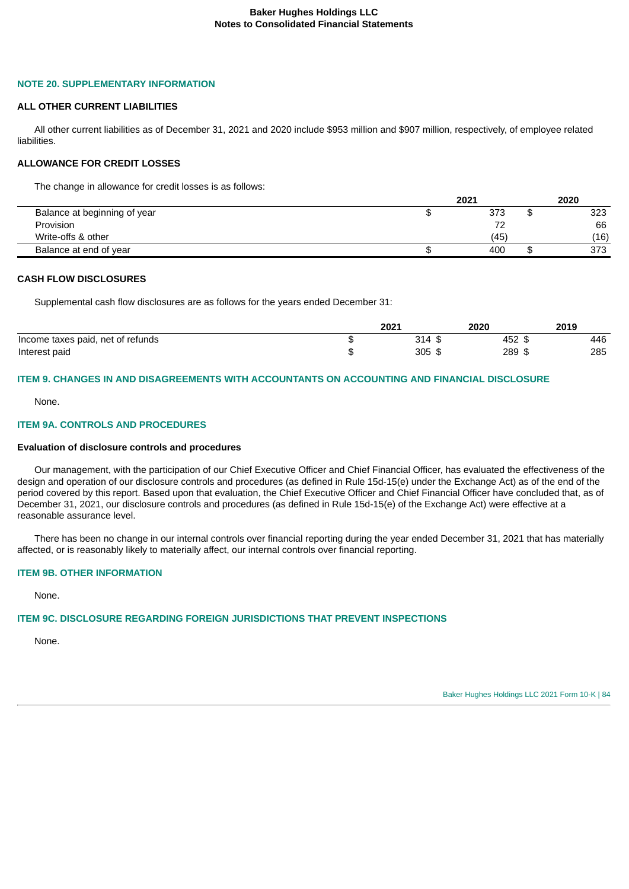#### **NOTE 20. SUPPLEMENTARY INFORMATION**

#### **ALL OTHER CURRENT LIABILITIES**

All other current liabilities as of December 31, 2021 and 2020 include \$953 million and \$907 million, respectively, of employee related liabilities.

#### **ALLOWANCE FOR CREDIT LOSSES**

The change in allowance for credit losses is as follows:

|                              | 2021                     | 2020 |
|------------------------------|--------------------------|------|
| Balance at beginning of year | 373                      | 323  |
| Provision                    | $\overline{\phantom{a}}$ | 66   |
| Write-offs & other           | (45)                     | (16) |
| Balance at end of year       | 400                      | 373  |

#### **CASH FLOW DISCLOSURES**

Supplemental cash flow disclosures are as follows for the years ended December 31:

|                                   | 2021        | 2020            | 2019 |
|-----------------------------------|-------------|-----------------|------|
| Income taxes paid, net of refunds | 314<br>- 44 | 452             | 446  |
| Interest paid                     | 305<br>ەت   | 289<br>ሖ<br>۰JD | 285  |

# **ITEM 9. CHANGES IN AND DISAGREEMENTS WITH ACCOUNTANTS ON ACCOUNTING AND FINANCIAL DISCLOSURE**

None.

# **ITEM 9A. CONTROLS AND PROCEDURES**

#### **Evaluation of disclosure controls and procedures**

Our management, with the participation of our Chief Executive Officer and Chief Financial Officer, has evaluated the effectiveness of the design and operation of our disclosure controls and procedures (as defined in Rule 15d-15(e) under the Exchange Act) as of the end of the period covered by this report. Based upon that evaluation, the Chief Executive Officer and Chief Financial Officer have concluded that, as of December 31, 2021, our disclosure controls and procedures (as defined in Rule 15d-15(e) of the Exchange Act) were effective at a reasonable assurance level.

There has been no change in our internal controls over financial reporting during the year ended December 31, 2021 that has materially affected, or is reasonably likely to materially affect, our internal controls over financial reporting.

# **ITEM 9B. OTHER INFORMATION**

None.

# **ITEM 9C. DISCLOSURE REGARDING FOREIGN JURISDICTIONS THAT PREVENT INSPECTIONS**

None.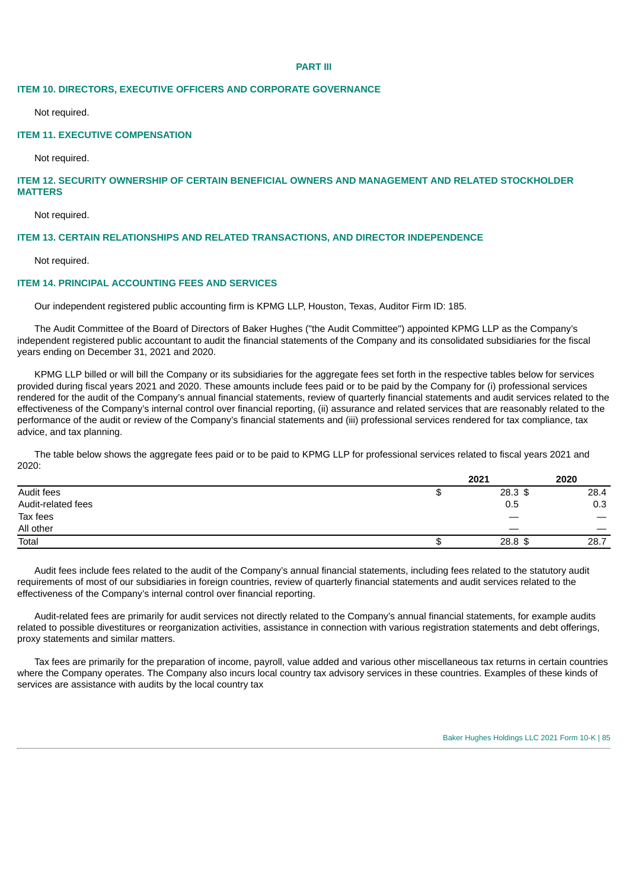#### **PART III**

#### **ITEM 10. DIRECTORS, EXECUTIVE OFFICERS AND CORPORATE GOVERNANCE**

Not required.

# **ITEM 11. EXECUTIVE COMPENSATION**

Not required.

# **ITEM 12. SECURITY OWNERSHIP OF CERTAIN BENEFICIAL OWNERS AND MANAGEMENT AND RELATED STOCKHOLDER MATTERS**

Not required.

# **ITEM 13. CERTAIN RELATIONSHIPS AND RELATED TRANSACTIONS, AND DIRECTOR INDEPENDENCE**

Not required.

# **ITEM 14. PRINCIPAL ACCOUNTING FEES AND SERVICES**

Our independent registered public accounting firm is KPMG LLP, Houston, Texas, Auditor Firm ID: 185.

The Audit Committee of the Board of Directors of Baker Hughes ("the Audit Committee") appointed KPMG LLP as the Company's independent registered public accountant to audit the financial statements of the Company and its consolidated subsidiaries for the fiscal years ending on December 31, 2021 and 2020.

KPMG LLP billed or will bill the Company or its subsidiaries for the aggregate fees set forth in the respective tables below for services provided during fiscal years 2021 and 2020. These amounts include fees paid or to be paid by the Company for (i) professional services rendered for the audit of the Company's annual financial statements, review of quarterly financial statements and audit services related to the effectiveness of the Company's internal control over financial reporting, (ii) assurance and related services that are reasonably related to the performance of the audit or review of the Company's financial statements and (iii) professional services rendered for tax compliance, tax advice, and tax planning.

The table below shows the aggregate fees paid or to be paid to KPMG LLP for professional services related to fiscal years 2021 and 2020:

|                    | 2021      | 2020                     |
|--------------------|-----------|--------------------------|
| Audit fees         | $28.3$ \$ | 28.4                     |
| Audit-related fees | 0.5       | 0.3                      |
| Tax fees           | _         | $\overline{\phantom{m}}$ |
| All other          |           | $\hspace{0.05cm}$        |
| Total              | 28.8~\$   | 28.7                     |

Audit fees include fees related to the audit of the Company's annual financial statements, including fees related to the statutory audit requirements of most of our subsidiaries in foreign countries, review of quarterly financial statements and audit services related to the effectiveness of the Company's internal control over financial reporting.

Audit-related fees are primarily for audit services not directly related to the Company's annual financial statements, for example audits related to possible divestitures or reorganization activities, assistance in connection with various registration statements and debt offerings, proxy statements and similar matters.

Tax fees are primarily for the preparation of income, payroll, value added and various other miscellaneous tax returns in certain countries where the Company operates. The Company also incurs local country tax advisory services in these countries. Examples of these kinds of services are assistance with audits by the local country tax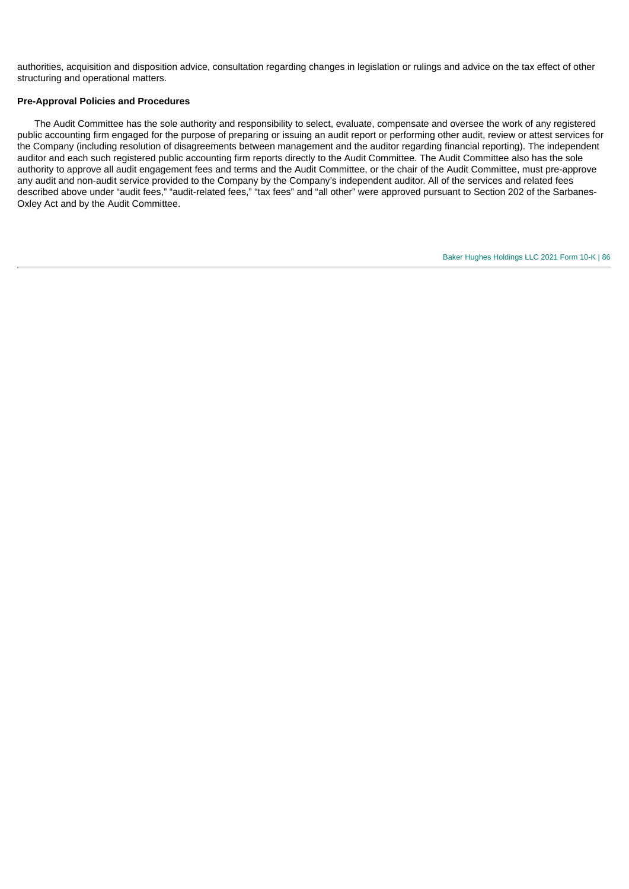authorities, acquisition and disposition advice, consultation regarding changes in legislation or rulings and advice on the tax effect of other structuring and operational matters.

# **Pre-Approval Policies and Procedures**

The Audit Committee has the sole authority and responsibility to select, evaluate, compensate and oversee the work of any registered public accounting firm engaged for the purpose of preparing or issuing an audit report or performing other audit, review or attest services for the Company (including resolution of disagreements between management and the auditor regarding financial reporting). The independent auditor and each such registered public accounting firm reports directly to the Audit Committee. The Audit Committee also has the sole authority to approve all audit engagement fees and terms and the Audit Committee, or the chair of the Audit Committee, must pre-approve any audit and non-audit service provided to the Company by the Company's independent auditor. All of the services and related fees described above under "audit fees," "audit-related fees," "tax fees" and "all other" were approved pursuant to Section 202 of the Sarbanes-Oxley Act and by the Audit Committee.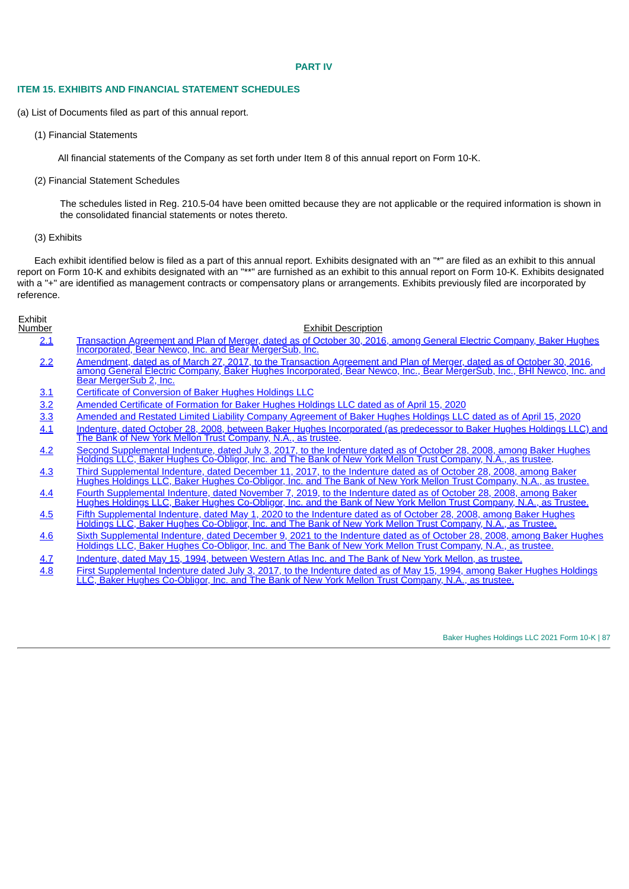#### **PART IV**

# **ITEM 15. EXHIBITS AND FINANCIAL STATEMENT SCHEDULES**

(a) List of Documents filed as part of this annual report.

(1) Financial Statements

All financial statements of the Company as set forth under Item 8 of this annual report on Form 10-K.

(2) Financial Statement Schedules

The schedules listed in Reg. 210.5-04 have been omitted because they are not applicable or the required information is shown in the consolidated financial statements or notes thereto.

# (3) Exhibits

Each exhibit identified below is filed as a part of this annual report. Exhibits designated with an "\*" are filed as an exhibit to this annual report on Form 10-K and exhibits designated with an "\*\*" are furnished as an exhibit to this annual report on Form 10-K. Exhibits designated with a "+" are identified as management contracts or compensatory plans or arrangements. Exhibits previously filed are incorporated by reference.

# Exhibit

#### Exhibit Description

- [2.1](http://www.sec.gov/Archives/edgar/data/808362/000095010316017539/dp69954_ex0201.htm) Transaction Agreement and Plan of Merger, dated as of October 30, 2016, among General Electric Company, Baker Hughes [Incorporated,](http://www.sec.gov/Archives/edgar/data/808362/000095010316017539/dp69954_ex0201.htm) Bear Newco, Inc. and Bear MergerSub, Inc.
- [2.2](http://www.sec.gov/Archives/edgar/data/808362/000095010317003027/dp74627_ex0201.htm) Amendment, dated as of March 27, 2017, to the Transaction Agreement and Plan of Merger, dated as of October 30, 2016, among General Electric Company, Baker Hughes [Incorporated,](http://www.sec.gov/Archives/edgar/data/808362/000095010317003027/dp74627_ex0201.htm) Bear Newco, Inc., Bear MergerSub, Inc., BHI Newco, Inc. and Bear MergerSub 2, Inc.
- [3.1](http://www.sec.gov/Archives/edgar/data/808362/000119312517220863/d343454dex31.htm) Certificate of [Conversion](http://www.sec.gov/Archives/edgar/data/808362/000119312517220863/d343454dex31.htm) of Baker Hughes Holdings LLC
- [3.2](http://www.sec.gov/Archives/edgar/data/808362/000095010320007553/dp125867_ex0301.htm) Amended Certificate of [Formation](http://www.sec.gov/Archives/edgar/data/808362/000095010320007553/dp125867_ex0301.htm) for Baker Hughes Holdings LLC dated as of April 15, 2020
- [3.3](http://www.sec.gov/Archives/edgar/data/808362/000095010320007553/dp125867_ex0302.htm) Amended and Restated Limited Liability Company [Agreement](http://www.sec.gov/Archives/edgar/data/808362/000095010320007553/dp125867_ex0302.htm) of Baker Hughes Holdings LLC dated as of April 15, 2020
- [4.1](http://www.sec.gov/Archives/edgar/data/808362/000095013408018616/h64661exv4w1.htm) Indenture, dated October 28, 2008, between Baker Hughes [Incorporated](http://www.sec.gov/Archives/edgar/data/808362/000095013408018616/h64661exv4w1.htm) (as predecessor to Baker Hughes Holdings LLC) and The Bank of New York Mellon Trust Company, N.A., as trustee.
- [4.2](http://www.sec.gov/Archives/edgar/data/1701605/000119312517220852/d343521dex41.htm) Second [Supplemental](http://www.sec.gov/Archives/edgar/data/1701605/000119312517220852/d343521dex41.htm) Indenture, dated July 3, 2017, to the Indenture dated as of October 28, 2008, among Baker Hughes Holdings LLC, Baker Hughes Co-Obligor, Inc. and The Bank of New York Mellon Trust Company, N.A., as trustee.
- [4.3](http://www.sec.gov/Archives/edgar/data/808362/000094787117001003/ss71530_ex0403.htm) Third [Supplemental](http://www.sec.gov/Archives/edgar/data/808362/000094787117001003/ss71530_ex0403.htm) Indenture, dated December 11, 2017, to the Indenture dated as of October 28, 2008, among Baker Hughes Holdings LLC, Baker Hughes Co-Obligor, Inc. and The Bank of New York Mellon Trust Company, N.A., as trustee.
- [4.4](http://www.sec.gov/Archives/edgar/data/808362/000095010319015278/dp115699_ex0401.htm) Fourth [Supplemental](http://www.sec.gov/Archives/edgar/data/808362/000095010319015278/dp115699_ex0401.htm) Indenture, dated November 7, 2019, to the Indenture dated as of October 28, 2008, among Baker Hughes Holdings LLC, Baker Hughes Co-Obligor, Inc. and the Bank of New York Mellon Trust Company, N.A., as Trustee.
- [4.5](http://www.sec.gov/Archives/edgar/data/808362/000119312520131042/d925583dex41.htm) Fifth [Supplemental](http://www.sec.gov/Archives/edgar/data/808362/000119312520131042/d925583dex41.htm) Indenture, dated May 1, 2020 to the Indenture dated as of October 28, 2008, among Baker Hughes Holdings LLC, Baker Hughes Co-Obligor, Inc. and The Bank of New York Mellon Trust Company, N.A., as Trustee.
- [4.6](http://www.sec.gov/Archives/edgar/data/808362/000119312521352669/d269561dex41.htm) Sixth [Supplemental](http://www.sec.gov/Archives/edgar/data/808362/000119312521352669/d269561dex41.htm) Indenture, dated December 9, 2021 to the Indenture dated as of October 28, 2008, among Baker Hughes Holdings LLC, Baker Hughes Co-Obligor, Inc. and The Bank of New York Mellon Trust Company, N.A., as trustee.
- [4.7](http://www.sec.gov/Archives/edgar/data/808362/000095012905001852/h21636exv4w4.txt) [Indenture,](http://www.sec.gov/Archives/edgar/data/808362/000095012905001852/h21636exv4w4.txt) dated May 15, 1994, between Western Atlas Inc. and The Bank of New York Mellon, as trustee.
- [4.8](http://www.sec.gov/Archives/edgar/data/1701605/000119312517220852/d343521dex44.htm) First [Supplemental](http://www.sec.gov/Archives/edgar/data/1701605/000119312517220852/d343521dex44.htm) Indenture dated July 3, 2017, to the Indenture dated as of May 15, 1994, among Baker Hughes Holdings LLC, Baker Hughes Co-Obligor, Inc. and The Bank of New York Mellon Trust Company, N.A., as trustee.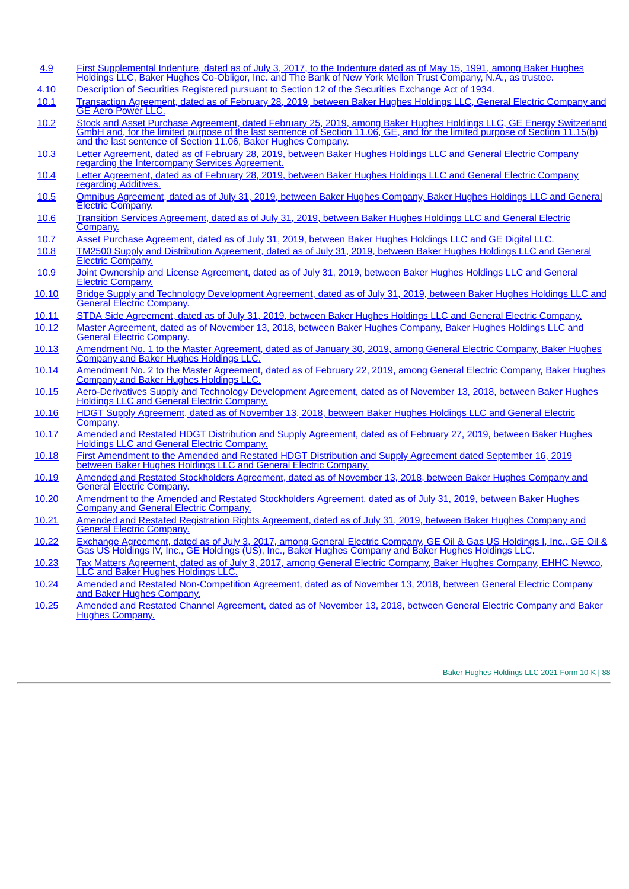- [4.9](http://www.sec.gov/Archives/edgar/data/808362/000119312517220863/d343454dex42.htm) First [Supplemental](http://www.sec.gov/Archives/edgar/data/808362/000119312517220863/d343454dex42.htm) Indenture, dated as of July 3, 2017, to the Indenture dated as of May 15, 1991, among Baker Hughes Holdings LLC, Baker Hughes Co-Obligor, Inc. and The Bank of New York Mellon Trust Company, N.A., as trustee.
- [4.10](http://www.sec.gov/Archives/edgar/data/808362/000080836221000004/llcfy20form10-kexhibit410.htm) [Description](http://www.sec.gov/Archives/edgar/data/808362/000080836221000004/llcfy20form10-kexhibit410.htm) of Securities Registered pursuant to Section 12 of the Securities Exchange Act of 1934.
- [10.1](http://www.sec.gov/Archives/edgar/data/808362/000095010319002635/dp102779_ex1001.htm) [Transaction](http://www.sec.gov/Archives/edgar/data/808362/000095010319002635/dp102779_ex1001.htm) Agreement, dated as of February 28, 2019, between Baker Hughes Holdings LLC, General Electric Company and GE Aero Power LLC.
- [10.2](http://www.sec.gov/Archives/edgar/data/808362/000095010319002635/dp102779_ex1002.htm) Stock and Asset Purchase Agreement, dated February 25, 2019, among Baker Hughes Holdings LLC, GE Energy [Switzerland](http://www.sec.gov/Archives/edgar/data/808362/000095010319002635/dp102779_ex1002.htm) GmbH and, for the limited purpose of the last sentence of Section 11.06, GE, and for the limited purpose of Section 11.15(b) and the last sentence of Section 11.06, Baker Hughes Company.
- [10.3](http://www.sec.gov/Archives/edgar/data/808362/000095010319002635/dp102779_ex1004.htm) Letter Agreement, dated as of February 28, 2019, between Baker Hughes Holdings LLC and General Electric Company regarding the [Intercompany](http://www.sec.gov/Archives/edgar/data/808362/000095010319002635/dp102779_ex1004.htm) Services Agreement.
- [10.4](http://www.sec.gov/Archives/edgar/data/808362/000095010319002635/dp102779_ex1005.htm) Letter [Agreement,](http://www.sec.gov/Archives/edgar/data/808362/000095010319002635/dp102779_ex1005.htm) dated as of February 28, 2019, between Baker Hughes Holdings LLC and General Electric Company regarding Additives.
- [10.5](http://www.sec.gov/Archives/edgar/data/1701605/000170160519000058/a20190630exhibit101.htm) Omnibus [Agreement,](http://www.sec.gov/Archives/edgar/data/1701605/000170160519000058/a20190630exhibit101.htm) dated as of July 31, 2019, between Baker Hughes Company, Baker Hughes Holdings LLC and General Electric Company.
- [10.6](http://www.sec.gov/Archives/edgar/data/1701605/000170160519000058/a20190630exhibit102.htm) Transition Services [Agreement,](http://www.sec.gov/Archives/edgar/data/1701605/000170160519000058/a20190630exhibit102.htm) dated as of July 31, 2019, between Baker Hughes Holdings LLC and General Electric Company.
- [10.7](http://www.sec.gov/Archives/edgar/data/1701605/000170160519000058/a20190630exhibit105.htm) Asset Purchase [Agreement,](http://www.sec.gov/Archives/edgar/data/1701605/000170160519000058/a20190630exhibit105.htm) dated as of July 31, 2019, between Baker Hughes Holdings LLC and GE Digital LLC.
- [10.8](http://www.sec.gov/Archives/edgar/data/1701605/000170160519000058/a20190630exhibit108.htm) TM2500 Supply and Distribution [Agreement,](http://www.sec.gov/Archives/edgar/data/1701605/000170160519000058/a20190630exhibit108.htm) dated as of July 31, 2019, between Baker Hughes Holdings LLC and General Electric Company.
- [10.9](http://www.sec.gov/Archives/edgar/data/1701605/000170160519000058/a20190630exhibit109.htm) Joint Ownership and License [Agreement,](http://www.sec.gov/Archives/edgar/data/1701605/000170160519000058/a20190630exhibit109.htm) dated as of July 31, 2019, between Baker Hughes Holdings LLC and General Electric Company.
- [10.10](http://www.sec.gov/Archives/edgar/data/1701605/000170160519000058/a20190630exhibit1010.htm) Bridge Supply and Technology [Development](http://www.sec.gov/Archives/edgar/data/1701605/000170160519000058/a20190630exhibit1010.htm) Agreement, dated as of July 31, 2019, between Baker Hughes Holdings LLC and General Electric Company.
- [10.11](http://www.sec.gov/Archives/edgar/data/1701605/000170160519000058/a20190630exhibit1011.htm) STDA Side [Agreement,](http://www.sec.gov/Archives/edgar/data/1701605/000170160519000058/a20190630exhibit1011.htm) dated as of July 31, 2019, between Baker Hughes Holdings LLC and General Electric Company.
- [10.12](http://www.sec.gov/Archives/edgar/data/808362/000095010318013305/dp98267_ex1001.htm) Master [Agreement,](http://www.sec.gov/Archives/edgar/data/808362/000095010318013305/dp98267_ex1001.htm) dated as of November 13, 2018, between Baker Hughes Company, Baker Hughes Holdings LLC and General Electric Company.
- [10.13](http://www.sec.gov/Archives/edgar/data/808362/000095010319001713/dp102069_ex1001.htm) [Amendment](http://www.sec.gov/Archives/edgar/data/808362/000095010319001713/dp102069_ex1001.htm) No. 1 to the Master Agreement, dated as of January 30, 2019, among General Electric Company, Baker Hughes Company and Baker Hughes Holdings LLC.
- [10.14](http://www.sec.gov/Archives/edgar/data/808362/000095010319002635/dp102779_ex1006.htm) [Amendment](http://www.sec.gov/Archives/edgar/data/808362/000095010319002635/dp102779_ex1006.htm) No. 2 to the Master Agreement, dated as of February 22, 2019, among General Electric Company, Baker Hughes **Company and Baker Hughes Holdings LLC.**
- [10.15](http://www.sec.gov/Archives/edgar/data/808362/000095010318013305/dp98267_ex1002.htm) [Aero-Derivatives](http://www.sec.gov/Archives/edgar/data/808362/000095010318013305/dp98267_ex1002.htm) Supply and Technology Development Agreement, dated as of November 13, 2018, between Baker Hughes Holdings LLC and General Electric Company.
- [10.16](http://www.sec.gov/Archives/edgar/data/808362/000095010318013305/dp98267_ex1003.htm) HDGT Supply [Agreement,](http://www.sec.gov/Archives/edgar/data/808362/000095010318013305/dp98267_ex1003.htm) dated as of November 13, 2018, between Baker Hughes Holdings LLC and General Electric Company.
- [10.17](http://www.sec.gov/Archives/edgar/data/808362/000095010319002635/dp102779_ex1003.htm) Amended and Restated HDGT Distribution and Supply [Agreement,](http://www.sec.gov/Archives/edgar/data/808362/000095010319002635/dp102779_ex1003.htm) dated as of February 27, 2019, between Baker Hughes Holdings LLC and General Electric Company.
- [10.18](https://www.sec.gov/Archives/edgar/data/1701605/000170160520000019/fy19form10-kexhibit1020.htm) First [Amendment](https://www.sec.gov/Archives/edgar/data/1701605/000170160520000019/fy19form10-kexhibit1020.htm) to the Amended and Restated HDGT Distribution and Supply Agreement dated September 16, 2019 between Baker Hughes Holdings LLC and General Electric Company.
- [10.19](http://www.sec.gov/Archives/edgar/data/808362/000095010318013305/dp98267_ex1004.htm) Amended and Restated [Stockholders](http://www.sec.gov/Archives/edgar/data/808362/000095010318013305/dp98267_ex1004.htm) Agreement, dated as of November 13, 2018, between Baker Hughes Company and General Electric Company.
- [10.20](http://www.sec.gov/Archives/edgar/data/1701605/000170160519000058/a20190630exhibit1015.htm) Amendment to the Amended and Restated [Stockholders](http://www.sec.gov/Archives/edgar/data/1701605/000170160519000058/a20190630exhibit1015.htm) Agreement, dated as of July 31, 2019, between Baker Hughes Company and General Electric Company.
- [10.21](http://www.sec.gov/Archives/edgar/data/1701605/000170160519000058/a20190630exhibit1012.htm) Amended and Restated [Registration](http://www.sec.gov/Archives/edgar/data/1701605/000170160519000058/a20190630exhibit1012.htm) Rights Agreement, dated as of July 31, 2019, between Baker Hughes Company and General Electric Company.
- [10.22](http://www.sec.gov/Archives/edgar/data/1701605/000119312517220852/d343521dex103.htm) Exchange [Agreement,](http://www.sec.gov/Archives/edgar/data/1701605/000119312517220852/d343521dex103.htm) dated as of July 3, 2017, among General Electric Company, GE Oil & Gas US Holdings I, Inc., GE Oil & Gas US Holdings IV, Inc., GE Holdings (US), Inc., Baker Hughes Company and Baker Hughes Holdings LLC.
- [10.23](http://www.sec.gov/Archives/edgar/data/1701605/000119312517220852/d343521dex105.htm) Tax Matters [Agreement,](http://www.sec.gov/Archives/edgar/data/1701605/000119312517220852/d343521dex105.htm) dated as of July 3, 2017, among General Electric Company, Baker Hughes Company, EHHC Newco, LLC and Baker Hughes Holdings LLC.
- [10.24](http://www.sec.gov/Archives/edgar/data/808362/000095010318013305/dp98267_ex1007.htm) Amended and Restated [Non-Competition](http://www.sec.gov/Archives/edgar/data/808362/000095010318013305/dp98267_ex1007.htm) Agreement, dated as of November 13, 2018, between General Electric Company and Baker Hughes Company.
- [10.25](http://www.sec.gov/Archives/edgar/data/808362/000095010318013305/dp98267_ex1008.htm) Amended and Restated Channel [Agreement,](http://www.sec.gov/Archives/edgar/data/808362/000095010318013305/dp98267_ex1008.htm) dated as of November 13, 2018, between General Electric Company and Baker Hughes Company.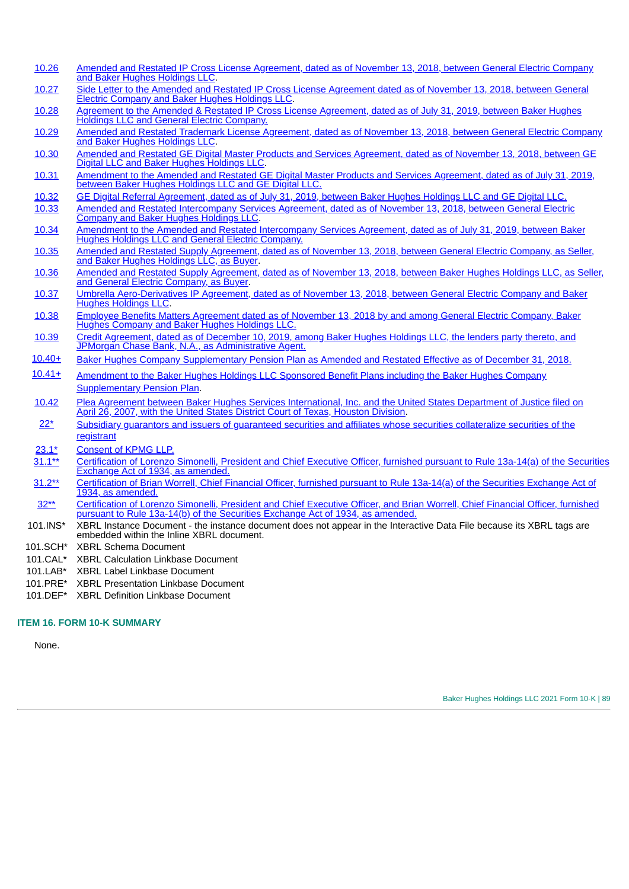- [10.26](http://www.sec.gov/Archives/edgar/data/808362/000095010318013305/dp98267_ex1011.htm) Amended and Restated IP Cross License [Agreement,](http://www.sec.gov/Archives/edgar/data/808362/000095010318013305/dp98267_ex1011.htm) dated as of November 13, 2018, between General Electric Company and Baker Hughes Holdings LLC.
- [10.27](http://www.sec.gov/Archives/edgar/data/808362/000095010318013305/dp98267_ex1012.htm) Side Letter to the Amended and Restated IP Cross License [Agreement](http://www.sec.gov/Archives/edgar/data/808362/000095010318013305/dp98267_ex1012.htm) dated as of November 13, 2018, between General Electric Company and Baker Hughes Holdings LLC.
- [10.28](http://www.sec.gov/Archives/edgar/data/1701605/000170160519000058/a20190630exhibit104.htm) Agreement to the Amended & Restated IP Cross License [Agreement,](http://www.sec.gov/Archives/edgar/data/1701605/000170160519000058/a20190630exhibit104.htm) dated as of July 31, 2019, between Baker Hughes Holdings LLC and General Electric Company.
- [10.29](http://www.sec.gov/Archives/edgar/data/808362/000095010318013305/dp98267_ex1013.htm) Amended and Restated Trademark License [Agreement,](http://www.sec.gov/Archives/edgar/data/808362/000095010318013305/dp98267_ex1013.htm) dated as of November 13, 2018, between General Electric Company and Baker Hughes Holdings LLC.
- [10.30](http://www.sec.gov/Archives/edgar/data/808362/000095010318013305/dp98267_ex1010.htm) Amended and Restated GE Digital Master Products and Services [Agreement,](http://www.sec.gov/Archives/edgar/data/808362/000095010318013305/dp98267_ex1010.htm) dated as of November 13, 2018, between GE Digital LLC and Baker Hughes Holdings LLC.
- [10.31](http://www.sec.gov/Archives/edgar/data/1701605/000170160519000058/a20190630exhibit106.htm) [Amendment](http://www.sec.gov/Archives/edgar/data/1701605/000170160519000058/a20190630exhibit106.htm) to the Amended and Restated GE Digital Master Products and Services Agreement, dated as of July 31, 2019, between Baker Hughes Holdings LLC and GE Digital LLC.
- [10.32](http://www.sec.gov/Archives/edgar/data/1701605/000170160519000058/a20190630exhibit107.htm) GE Digital Referral [Agreement,](http://www.sec.gov/Archives/edgar/data/1701605/000170160519000058/a20190630exhibit107.htm) dated as of July 31, 2019, between Baker Hughes Holdings LLC and GE Digital LLC.
- [10.33](http://www.sec.gov/Archives/edgar/data/808362/000095010318013305/dp98267_ex1009.htm) Amended and Restated [Intercompany](http://www.sec.gov/Archives/edgar/data/808362/000095010318013305/dp98267_ex1009.htm) Services Agreement, dated as of November 13, 2018, between General Electric Company and Baker Hughes Holdings LLC.
- [10.34](http://www.sec.gov/Archives/edgar/data/1701605/000170160519000058/a20190630exhibit103.htm) Amendment to the Amended and Restated [Intercompany](http://www.sec.gov/Archives/edgar/data/1701605/000170160519000058/a20190630exhibit103.htm) Services Agreement, dated as of July 31, 2019, between Baker Hughes Holdings LLC and General Electric Company.
- [10.35](http://www.sec.gov/Archives/edgar/data/808362/000095010318013305/dp98267_ex1005.htm) Amended and Restated Supply [Agreement,](http://www.sec.gov/Archives/edgar/data/808362/000095010318013305/dp98267_ex1005.htm) dated as of November 13, 2018, between General Electric Company, as Seller, <u>and Baker Hughes Holdings LLC, as Buyer</u>.
- [10.36](http://www.sec.gov/Archives/edgar/data/808362/000095010318013305/dp98267_ex1006.htm) Amended and Restated Supply [Agreement,](http://www.sec.gov/Archives/edgar/data/808362/000095010318013305/dp98267_ex1006.htm) dated as of November 13, 2018, between Baker Hughes Holdings LLC, as Seller, and General Electric Company, as Buyer.
- [10.37](http://www.sec.gov/Archives/edgar/data/808362/000095010318013305/dp98267_ex1014.htm) Umbrella [Aero-Derivatives](http://www.sec.gov/Archives/edgar/data/808362/000095010318013305/dp98267_ex1014.htm) IP Agreement, dated as of November 13, 2018, between General Electric Company and Baker Hughes Holdings LLC.
- [10.38](http://www.sec.gov/Archives/edgar/data/1701605/000170160519000021/fy18form10-kexhibit1053.htm) Employee Benefits Matters [Agreement](http://www.sec.gov/Archives/edgar/data/1701605/000170160519000021/fy18form10-kexhibit1053.htm) dated as of November 13, 2018 by and among General Electric Company, Baker Hughes Company and Baker Hughes Holdings LLC.
- [10.39](http://www.sec.gov/Archives/edgar/data/808362/000095010319017123/dp117431_ex1001.htm) Credit Agreement, dated as of December 10, 2019, among Baker Hughes Holdings LLC, the lenders party thereto, and JPMorgan Chase Bank, N.A., as [Administrative](http://www.sec.gov/Archives/edgar/data/808362/000095010319017123/dp117431_ex1001.htm) Agent.
- 10.40<sup>+</sup> Baker Hughes Company [Supplementary](http://www.sec.gov/Archives/edgar/data/1701605/000170160520000019/fy19form10-kexhibit1061.htm) Pension Plan as Amended and Restated Effective as of December 31, 2018.
- 10.41<sup>+</sup> Amendment to the Baker Hughes Holdings LLC Sponsored Benefit Plans including the Baker Hughes Company [Supplementary](http://www.sec.gov/Archives/edgar/data/1701605/000170160520000019/fy19form10-kexhibit1062.htm) Pension Plan.
- [10.42](http://www.sec.gov/Archives/edgar/data/808362/000095013407009594/h45705exv10w5.htm) Plea Agreement between Baker Hughes Services [International,](http://www.sec.gov/Archives/edgar/data/808362/000095013407009594/h45705exv10w5.htm) Inc. and the United States Department of Justice filed on April 26, 2007, with the United States District Court of Texas, Houston Division.
- $22*$  Subsidiary guarantors and issuers of guaranteed securities and affiliates whose securities [collateralize](#page-93-0) securities of the registrant
- [23.1\\*](#page-94-0) [Consent](#page-94-0) of KPMG LLP.
- [31.1\\*\\*](#page-95-0) [Certification](#page-95-0) of Lorenzo Simonelli, President and Chief Executive Officer, furnished pursuant to Rule 13a-14(a) of the Securities Exchange Act of 1934, as amended.
- [31.2\\*\\*](#page-96-0) [Certification](#page-96-0) of Brian Worrell, Chief Financial Officer, furnished pursuant to Rule 13a-14(a) of the Securities Exchange Act of 1934, as amended.
- [32\\*\\*](#page-97-0) [Certification](#page-97-0) of Lorenzo Simonelli, President and Chief Executive Officer, and Brian Worrell, Chief Financial Officer, furnished pursuant to Rule 13a-14(b) of the Securities Exchange Act of 1934, as amended.
- 101.INS\* XBRL Instance Document the instance document does not appear in the Interactive Data File because its XBRL tags are embedded within the Inline XBRL document.
- 101.SCH\* XBRL Schema Document
- 101.CAL\* XBRL Calculation Linkbase Document
- 101.LAB\* XBRL Label Linkbase Document
- 101.PRE\* XBRL Presentation Linkbase Document
- 101.DEF\* XBRL Definition Linkbase Document

# **ITEM 16. FORM 10-K SUMMARY**

None.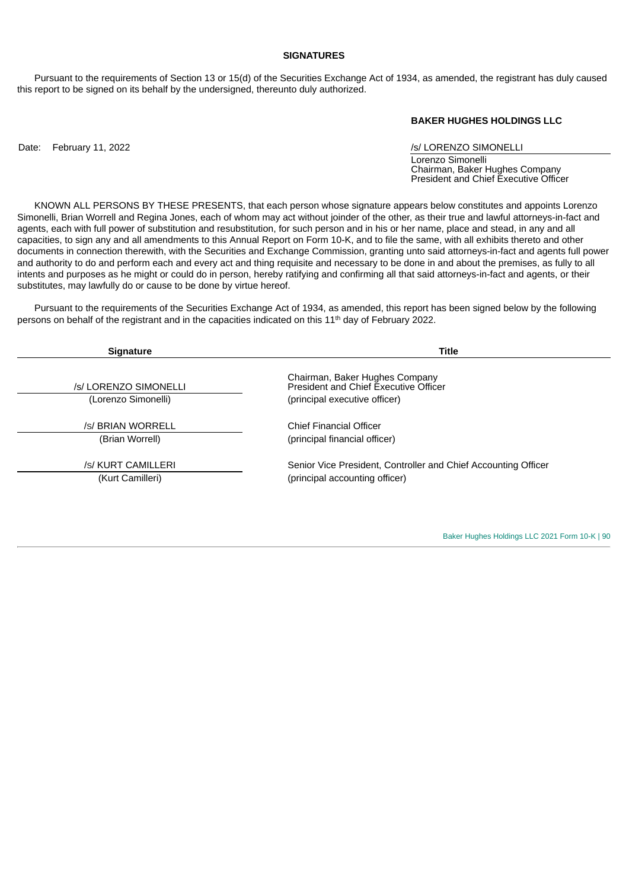# **SIGNATURES**

Pursuant to the requirements of Section 13 or 15(d) of the Securities Exchange Act of 1934, as amended, the registrant has duly caused this report to be signed on its behalf by the undersigned, thereunto duly authorized.

# **BAKER HUGHES HOLDINGS LLC**

Date: February 11, 2022 *Date:* February 11, 2022

Lorenzo Simonelli Chairman, Baker Hughes Company President and Chief Executive Officer

KNOWN ALL PERSONS BY THESE PRESENTS, that each person whose signature appears below constitutes and appoints Lorenzo Simonelli, Brian Worrell and Regina Jones, each of whom may act without joinder of the other, as their true and lawful attorneys-in-fact and agents, each with full power of substitution and resubstitution, for such person and in his or her name, place and stead, in any and all capacities, to sign any and all amendments to this Annual Report on Form 10-K, and to file the same, with all exhibits thereto and other documents in connection therewith, with the Securities and Exchange Commission, granting unto said attorneys-in-fact and agents full power and authority to do and perform each and every act and thing requisite and necessary to be done in and about the premises, as fully to all intents and purposes as he might or could do in person, hereby ratifying and confirming all that said attorneys-in-fact and agents, or their substitutes, may lawfully do or cause to be done by virtue hereof.

Pursuant to the requirements of the Securities Exchange Act of 1934, as amended, this report has been signed below by the following persons on behalf of the registrant and in the capacities indicated on this  $11<sup>th</sup>$  day of February 2022.

| <b>Signature</b>      | <b>Title</b>                                                            |
|-----------------------|-------------------------------------------------------------------------|
|                       | Chairman, Baker Hughes Company<br>President and Chief Executive Officer |
| /s/ LORENZO SIMONELLI |                                                                         |
| (Lorenzo Simonelli)   | (principal executive officer)                                           |
|                       |                                                                         |
| /s/ BRIAN WORRELL     | <b>Chief Financial Officer</b>                                          |
| (Brian Worrell)       | (principal financial officer)                                           |
|                       |                                                                         |
| /s/ KURT CAMILLERI    | Senior Vice President, Controller and Chief Accounting Officer          |
| (Kurt Camilleri)      | (principal accounting officer)                                          |
|                       |                                                                         |
|                       |                                                                         |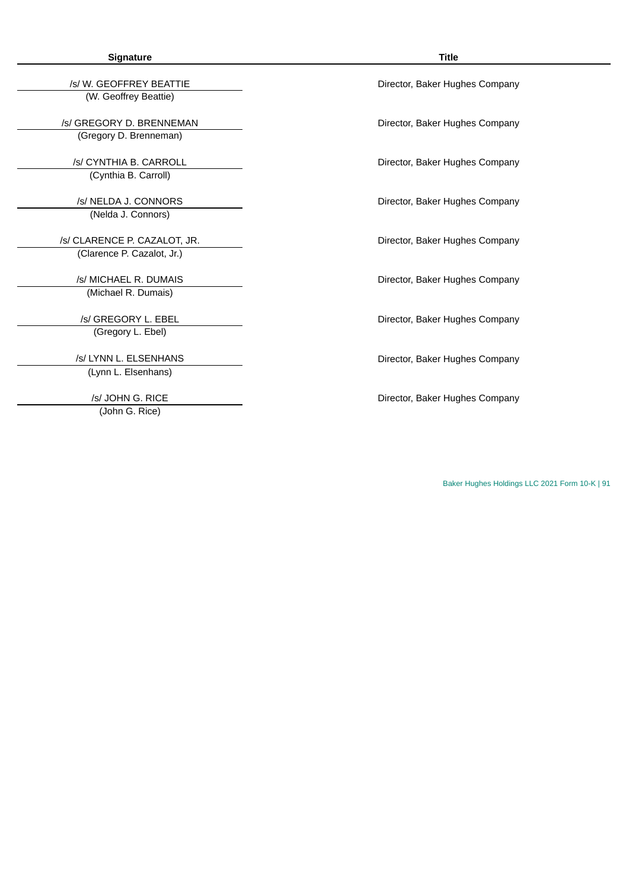(W. Geoffrey Beattie)

(Gregory D. Brenneman)

(Cynthia B. Carroll)

(Nelda J. Connors)

/s/ CLARENCE P. CAZALOT, JR. 2008) The Director, Baker Hughes Company (Clarence P. Cazalot, Jr.)

(Michael R. Dumais)

(Gregory L. Ebel)

(Lynn L. Elsenhans)

(John G. Rice)

/s/ W. GEOFFREY BEATTIE **Director, Baker Hughes Company** 

/s/ GREGORY D. BRENNEMAN Director, Baker Hughes Company

/s/ CYNTHIA B. CARROLL Director, Baker Hughes Company

/s/ NELDA J. CONNORS **Director, Baker Hughes Company** 

/s/ MICHAEL R. DUMAIS **Director, Baker Hughes Company** 

/s/ GREGORY L. EBEL Director, Baker Hughes Company

/s/ LYNN L. ELSENHANS **Director, Baker Hughes Company** 

/s/ JOHN G. RICE **Director**, Baker Hughes Company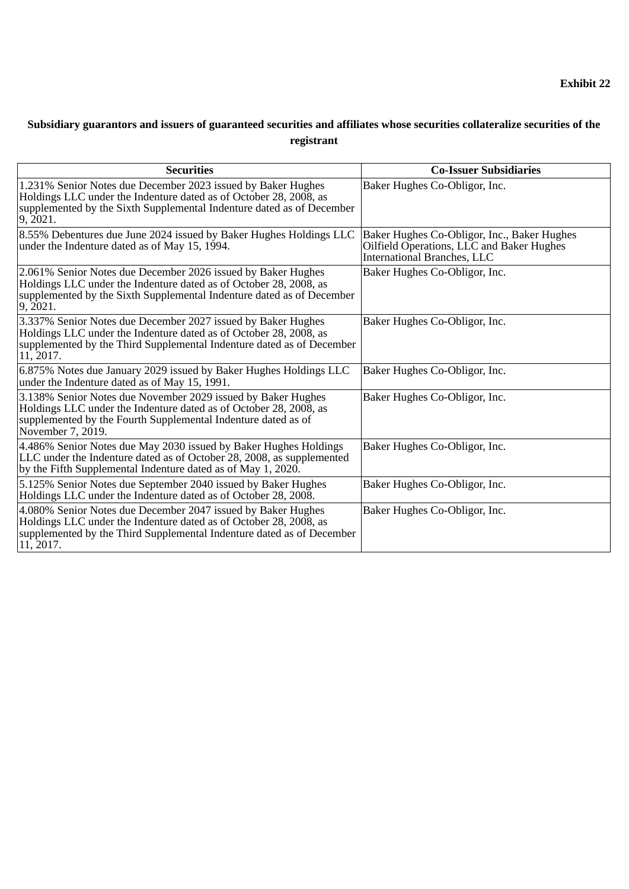# **Exhibit 22**

# <span id="page-93-0"></span>**Subsidiary guarantors and issuers of guaranteed securities and affiliates whose securities collateralize securities of the registrant**

| <b>Securities</b>                                                                                                                                                                                                       | <b>Co-Issuer Subsidiaries</b>                                                                                                  |
|-------------------------------------------------------------------------------------------------------------------------------------------------------------------------------------------------------------------------|--------------------------------------------------------------------------------------------------------------------------------|
| 1.231% Senior Notes due December 2023 issued by Baker Hughes<br>Holdings LLC under the Indenture dated as of October 28, 2008, as<br>supplemented by the Sixth Supplemental Indenture dated as of December<br>9, 2021.  | Baker Hughes Co-Obligor, Inc.                                                                                                  |
| 8.55% Debentures due June 2024 issued by Baker Hughes Holdings LLC<br>under the Indenture dated as of May 15, 1994.                                                                                                     | Baker Hughes Co-Obligor, Inc., Baker Hughes<br>Oilfield Operations, LLC and Baker Hughes<br><b>International Branches, LLC</b> |
| 2.061% Senior Notes due December 2026 issued by Baker Hughes<br>Holdings LLC under the Indenture dated as of October 28, 2008, as<br>supplemented by the Sixth Supplemental Indenture dated as of December<br>9, 2021.  | Baker Hughes Co-Obligor, Inc.                                                                                                  |
| 3.337% Senior Notes due December 2027 issued by Baker Hughes<br>Holdings LLC under the Indenture dated as of October 28, 2008, as<br>supplemented by the Third Supplemental Indenture dated as of December<br>11, 2017. | Baker Hughes Co-Obligor, Inc.                                                                                                  |
| 6.875% Notes due January 2029 issued by Baker Hughes Holdings LLC<br>under the Indenture dated as of May 15, 1991.                                                                                                      | Baker Hughes Co-Obligor, Inc.                                                                                                  |
| 3.138% Senior Notes due November 2029 issued by Baker Hughes<br>Holdings LLC under the Indenture dated as of October 28, 2008, as<br>supplemented by the Fourth Supplemental Indenture dated as of<br>November 7, 2019. | Baker Hughes Co-Obligor, Inc.                                                                                                  |
| 4.486% Senior Notes due May 2030 issued by Baker Hughes Holdings<br>LLC under the Indenture dated as of October 28, 2008, as supplemented<br>by the Fifth Supplemental Indenture dated as of May 1, 2020.               | Baker Hughes Co-Obligor, Inc.                                                                                                  |
| 5.125% Senior Notes due September 2040 issued by Baker Hughes<br>Holdings LLC under the Indenture dated as of October 28, 2008.                                                                                         | Baker Hughes Co-Obligor, Inc.                                                                                                  |
| 4.080% Senior Notes due December 2047 issued by Baker Hughes<br>Holdings LLC under the Indenture dated as of October 28, 2008, as<br>supplemented by the Third Supplemental Indenture dated as of December<br>11, 2017. | Baker Hughes Co-Obligor, Inc.                                                                                                  |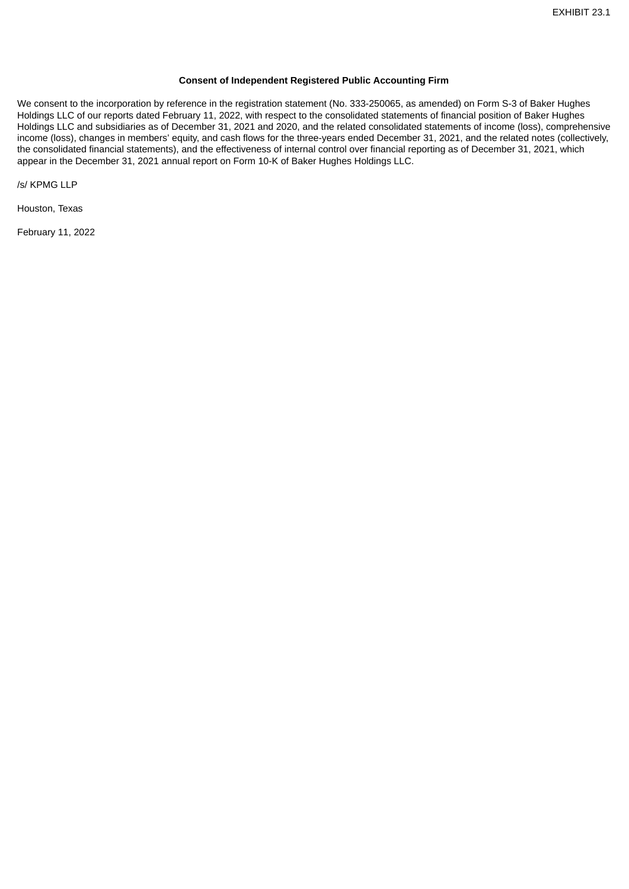# **Consent of Independent Registered Public Accounting Firm**

<span id="page-94-0"></span>We consent to the incorporation by reference in the registration statement (No. 333-250065, as amended) on Form S-3 of Baker Hughes Holdings LLC of our reports dated February 11, 2022, with respect to the consolidated statements of financial position of Baker Hughes Holdings LLC and subsidiaries as of December 31, 2021 and 2020, and the related consolidated statements of income (loss), comprehensive income (loss), changes in members' equity, and cash flows for the three-years ended December 31, 2021, and the related notes (collectively, the consolidated financial statements), and the effectiveness of internal control over financial reporting as of December 31, 2021, which appear in the December 31, 2021 annual report on Form 10-K of Baker Hughes Holdings LLC.

/s/ KPMG LLP

Houston, Texas

February 11, 2022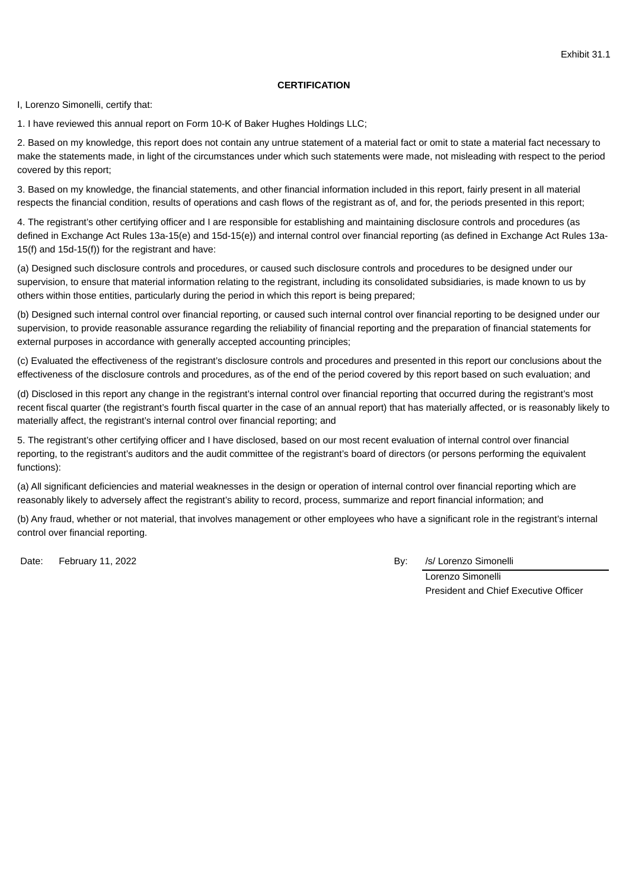# **CERTIFICATION**

<span id="page-95-0"></span>I, Lorenzo Simonelli, certify that:

1. I have reviewed this annual report on Form 10-K of Baker Hughes Holdings LLC;

2. Based on my knowledge, this report does not contain any untrue statement of a material fact or omit to state a material fact necessary to make the statements made, in light of the circumstances under which such statements were made, not misleading with respect to the period covered by this report;

3. Based on my knowledge, the financial statements, and other financial information included in this report, fairly present in all material respects the financial condition, results of operations and cash flows of the registrant as of, and for, the periods presented in this report;

4. The registrant's other certifying officer and I are responsible for establishing and maintaining disclosure controls and procedures (as defined in Exchange Act Rules 13a-15(e) and 15d-15(e)) and internal control over financial reporting (as defined in Exchange Act Rules 13a-15(f) and 15d-15(f)) for the registrant and have:

(a) Designed such disclosure controls and procedures, or caused such disclosure controls and procedures to be designed under our supervision, to ensure that material information relating to the registrant, including its consolidated subsidiaries, is made known to us by others within those entities, particularly during the period in which this report is being prepared;

(b) Designed such internal control over financial reporting, or caused such internal control over financial reporting to be designed under our supervision, to provide reasonable assurance regarding the reliability of financial reporting and the preparation of financial statements for external purposes in accordance with generally accepted accounting principles;

(c) Evaluated the effectiveness of the registrant's disclosure controls and procedures and presented in this report our conclusions about the effectiveness of the disclosure controls and procedures, as of the end of the period covered by this report based on such evaluation; and

(d) Disclosed in this report any change in the registrant's internal control over financial reporting that occurred during the registrant's most recent fiscal quarter (the registrant's fourth fiscal quarter in the case of an annual report) that has materially affected, or is reasonably likely to materially affect, the registrant's internal control over financial reporting; and

5. The registrant's other certifying officer and I have disclosed, based on our most recent evaluation of internal control over financial reporting, to the registrant's auditors and the audit committee of the registrant's board of directors (or persons performing the equivalent functions):

(a) All significant deficiencies and material weaknesses in the design or operation of internal control over financial reporting which are reasonably likely to adversely affect the registrant's ability to record, process, summarize and report financial information; and

(b) Any fraud, whether or not material, that involves management or other employees who have a significant role in the registrant's internal control over financial reporting.

Date: February 11, 2022 **By:** *By: /s/ Lorenzo Simonelli* 

Lorenzo Simonelli President and Chief Executive Officer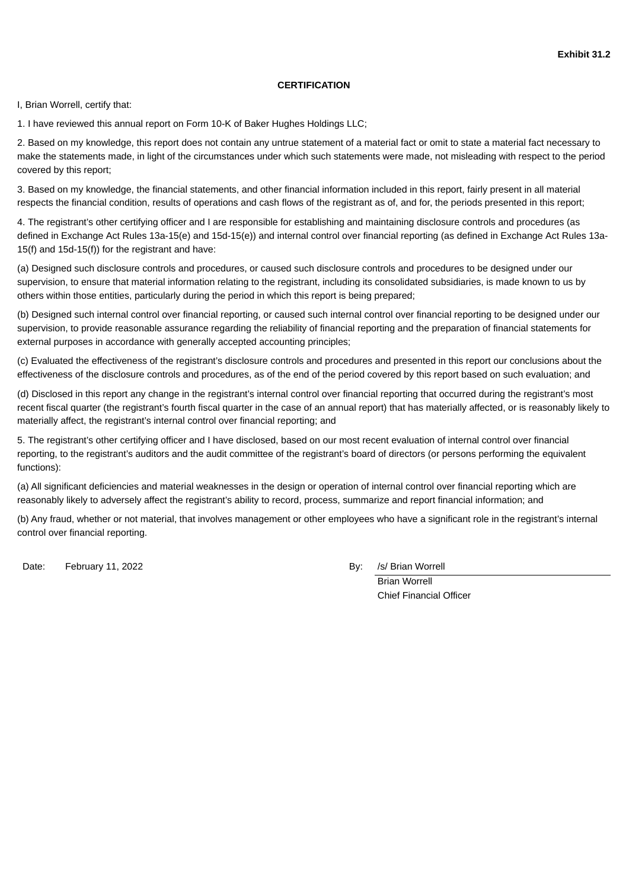# **CERTIFICATION**

<span id="page-96-0"></span>I, Brian Worrell, certify that:

1. I have reviewed this annual report on Form 10-K of Baker Hughes Holdings LLC;

2. Based on my knowledge, this report does not contain any untrue statement of a material fact or omit to state a material fact necessary to make the statements made, in light of the circumstances under which such statements were made, not misleading with respect to the period covered by this report;

3. Based on my knowledge, the financial statements, and other financial information included in this report, fairly present in all material respects the financial condition, results of operations and cash flows of the registrant as of, and for, the periods presented in this report;

4. The registrant's other certifying officer and I are responsible for establishing and maintaining disclosure controls and procedures (as defined in Exchange Act Rules 13a-15(e) and 15d-15(e)) and internal control over financial reporting (as defined in Exchange Act Rules 13a-15(f) and 15d-15(f)) for the registrant and have:

(a) Designed such disclosure controls and procedures, or caused such disclosure controls and procedures to be designed under our supervision, to ensure that material information relating to the registrant, including its consolidated subsidiaries, is made known to us by others within those entities, particularly during the period in which this report is being prepared;

(b) Designed such internal control over financial reporting, or caused such internal control over financial reporting to be designed under our supervision, to provide reasonable assurance regarding the reliability of financial reporting and the preparation of financial statements for external purposes in accordance with generally accepted accounting principles;

(c) Evaluated the effectiveness of the registrant's disclosure controls and procedures and presented in this report our conclusions about the effectiveness of the disclosure controls and procedures, as of the end of the period covered by this report based on such evaluation; and

(d) Disclosed in this report any change in the registrant's internal control over financial reporting that occurred during the registrant's most recent fiscal quarter (the registrant's fourth fiscal quarter in the case of an annual report) that has materially affected, or is reasonably likely to materially affect, the registrant's internal control over financial reporting; and

5. The registrant's other certifying officer and I have disclosed, based on our most recent evaluation of internal control over financial reporting, to the registrant's auditors and the audit committee of the registrant's board of directors (or persons performing the equivalent functions):

(a) All significant deficiencies and material weaknesses in the design or operation of internal control over financial reporting which are reasonably likely to adversely affect the registrant's ability to record, process, summarize and report financial information; and

(b) Any fraud, whether or not material, that involves management or other employees who have a significant role in the registrant's internal control over financial reporting.

Date: February 11, 2022 **By:** *By: /s/ Brian Worrell* 

Brian Worrell Chief Financial Officer